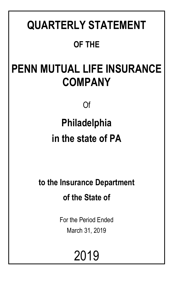# **QUARTERLY STATEMENT OF THE**

# **PENN MUTUAL LIFE INSURANCE COMPANY**

Of

# **Philadelphia in the state of PA**

**to the Insurance Department of the State of**

> For the Period Ended March 31, 2019

> > 2019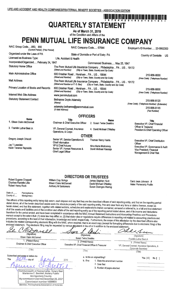## **QUARTERLY STATEMENT**

As of March 31, 2019 of the Condition and Affairs of the

## PENN MUTUAL LIFE INSURANCE COMPANY

| NAIC Group Code850, 850<br>(Current Period) (Prior Period) |                                                                 | NAIC Company Code 67644                                                                                            | Employer's ID Number 23-0952300                                      |
|------------------------------------------------------------|-----------------------------------------------------------------|--------------------------------------------------------------------------------------------------------------------|----------------------------------------------------------------------|
| Organized under the Laws of PA                             |                                                                 | State of Domicile or Port of Entry PA                                                                              | Country of Domicile<br>US.                                           |
| Licensed as Business Type:                                 | Life, Accident & Health                                         |                                                                                                                    |                                                                      |
| Incorporated/Organized February 24, 1847                   |                                                                 | Commenced Business May 25, 1847                                                                                    |                                                                      |
| <b>Statutory Home Office</b>                               | (Street and Number)                                             | The Penn Mutual Life Insurance Company  Philadelphia  PA  US  19172<br>(City or Town, State, Country and Zip Code) |                                                                      |
| Main Administrative Office                                 | 600 Dresher Road  Horsham  PA  US  19044<br>(Street and Number) | (City or Town, State, Country and Zip Code)                                                                        | 215-956-8000<br>(Area Code) (Telephone Number)                       |
| <b>Mail Address</b>                                        | (Street and Number or P. O. Box)                                | The Penn Mutual Life Insurance Company  Philadelphia  PA  US  19172<br>(City or Town, State, Country and Zip Code) |                                                                      |
| Primary Location of Books and Records                      | 600 Dresher Road  Horsham  PA  US  19044<br>(Street and Number) | (City or Town, State, Country and Zip Code)                                                                        | 215-956-8000<br>(Area Code) (Telephone Number)                       |
| <b>Internet Web Site Address</b>                           | www.pennmutual.com                                              |                                                                                                                    |                                                                      |
| <b>Statutory Statement Contact</b>                         | Bethanne Doyle Adamsky<br>(Name)                                |                                                                                                                    | 215-956-8120<br>(Area Code) (Telephone Number) (Extension)           |
|                                                            | adamsky.bethanne@pennmutual.com<br>(E-Mail Address)             |                                                                                                                    | 215-956-8145<br>(Fax Number)                                         |
|                                                            | <b>OFFICERS</b>                                                 |                                                                                                                    |                                                                      |
| <b>Name</b>                                                | <b>Title</b>                                                    | <b>Name</b>                                                                                                        |                                                                      |
| 1. Eileen Claire McDonnell                                 | Chairman & Chief Executive Officer                              | 2. Susan Twine Deakins                                                                                             | <b>Title</b><br>Executive VP, Chief Financial<br>Officer & Treasurer |
| 3. Franklin Luther Best Jr.                                | VP, General Counsel, Insurance<br>Operations, & Corpo           | 4. David Michael O'Malley                                                                                          | President & Chief Operating Officer                                  |
|                                                            | <b>OTHER</b>                                                    |                                                                                                                    |                                                                      |
| Gregory Joseph Driscoll                                    | Senior VP, Service Operations &                                 | Thomas Henry Harris                                                                                                | <b>Executive VP</b> Chief Distribution                               |

Executive VP, Chief Distribution Officer Executive VP, Governance & Audit Vice President, Financial Management & Chief Risk

Jay T Lewellen Kevin Terance Reynolds

#### **DIRECTORS OR TRUSTEES**

Eileen Claire McDonnell Anthony M Santomero

Chief Information

VP & Chief Actuary

Chief Legal Officer

Senior VP, Human Resources &

Carol Jean Johnson # Helen Pomerantz Pudlin

State of... Pennsylvania

County of..... Montgomery

The officers of this reporting entity being duly sworn, each depose and say that they are the described officers of said reporting entity, and that on the reporting period stated above, all of the herein described assets were the absolute property of the said reporting entity, free and clear from any liens or claims thereon, except as herein stated, and that this statement, together with related exhibits, schedules and explanations therein contained, annexed or referred to, is a full and true statement of all the assets and liabilities and of the condition and affairs of the said reporting entity as of the reporting period stated above, and of its income and deductions therefrom for the period ended, and have been completed in accordance with the NAIC Annual Statement Instructions and Accounting Practices and Procedures manual except to the extent that: (1) state law may differ; or, (2) that state rules or regulations require differences in reporting not related to accounting practices and procedures, according to the best of their information, knowledge and belief, respectively. Furthermore, the scope of this attestation by the described officers also includes the related corresponding electronic filing with the NAIC, when required, that is an exact copy (except for formatting differences due to electronic filing) of the enclosed statement. The electronic filing may be requested by various regulators in lieu of or in addition to the enclosed stat

| mrell<br>(Signature)<br>Eileen Claire McDonnell<br>1. (Printed Name)<br>Chairman & Chief Executive Officer<br>(Title)                                                                                  | (Signature)<br>Susan Twine Deakins<br>2. (Printed Name)<br>Executive VP, Chief Financial Officer & Treasurer<br>(Title)             | יזו הואזות המתירות ה<br>(Signature)<br>Franklin Luther Best Jr.<br>3. (Printed Name)<br>VP, General Counsel, Insurance Operations, &<br>Corporate Secretary<br>(Title) |  |  |
|--------------------------------------------------------------------------------------------------------------------------------------------------------------------------------------------------------|-------------------------------------------------------------------------------------------------------------------------------------|------------------------------------------------------------------------------------------------------------------------------------------------------------------------|--|--|
| Subscribed and swom to before me<br>This<br>dav of<br>Commonwealth of Pennsylvahia - Notary Seal<br>Marianne C. Bechtel, Notary Public<br>Montgomery County<br>My commission expires December 26, 2021 | a. Is this an original filing?<br>2019<br>b. If no<br>1. State the amendment number<br>2. Date filed<br>3. Number of pages attached | Yes $[X]$<br>No $\Gamma$                                                                                                                                               |  |  |

Thomas Henry Harris Nina Marie Mulrooney David Michael Raszeja

William Clay Goings

James Stephen Hunt David Michael O'Malley Susan Doenges Waring

Robert Eugene Chappell Charisse Ranielle Lillie Robert Henry Rock

> Commission number 1008805 Member, Pennsylvania Association of Notaries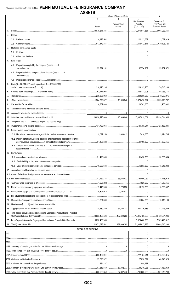|                                                                                    |                             | <b>Current Statement Date</b>                  |                                            | 4                                                       |
|------------------------------------------------------------------------------------|-----------------------------|------------------------------------------------|--------------------------------------------|---------------------------------------------------------|
|                                                                                    |                             | Nonadmitted                                    | 3<br>Net Admitted<br>Assets                | December 31<br>Prior Year Net<br><b>Admitted Assets</b> |
|                                                                                    | Assets<br>10,075,641,381    | Assets                                         | $(Cols. 1 - 2)$<br>$\ldots$ 10,075,641,381 |                                                         |
| 2.<br>Stocks:                                                                      |                             |                                                |                                            | $$ 9,968,033,451                                        |
|                                                                                    |                             |                                                |                                            |                                                         |
| 2.1                                                                                |                             |                                                |                                            |                                                         |
| 2.2                                                                                |                             |                                                |                                            |                                                         |
| 3.<br>Mortgage loans on real estate:                                               |                             |                                                |                                            |                                                         |
| 3.1                                                                                |                             |                                                |                                            |                                                         |
| 3.2                                                                                |                             |                                                |                                            |                                                         |
| 4.<br>Real estate:                                                                 |                             |                                                |                                            |                                                         |
| Properties occupied by the company (less \$0<br>4.1                                |                             |                                                |                                            |                                                         |
| Properties held for the production of income (less \$0<br>4.2                      |                             |                                                |                                            |                                                         |
| 4.3                                                                                |                             |                                                |                                            |                                                         |
| Cash (\$28,514,327), cash equivalents (\$189,680,908)<br>5.                        |                             |                                                |                                            |                                                         |
|                                                                                    |                             |                                                |                                            |                                                         |
| 6.                                                                                 |                             |                                                |                                            |                                                         |
| 7.                                                                                 |                             |                                                |                                            |                                                         |
|                                                                                    |                             |                                                |                                            |                                                         |
| 9.                                                                                 |                             |                                                |                                            |                                                         |
| 10.                                                                                |                             |                                                |                                            |                                                         |
| 11.                                                                                |                             |                                                |                                            |                                                         |
| 12.                                                                                |                             |                                                |                                            |                                                         |
| 13.                                                                                |                             |                                                |                                            |                                                         |
|                                                                                    |                             |                                                |                                            |                                                         |
| Premiums and considerations:<br>15.                                                |                             |                                                |                                            |                                                         |
|                                                                                    |                             |                                                |                                            |                                                         |
| 15.2 Deferred premiums, agents' balances and installments booked but deferred      |                             |                                                |                                            |                                                         |
| 15.3 Accrued retrospective premiums (\$0) and contracts subject to                 |                             |                                                |                                            |                                                         |
| 16.<br>Reinsurance:                                                                |                             |                                                |                                            |                                                         |
|                                                                                    |                             |                                                |                                            |                                                         |
|                                                                                    |                             |                                                |                                            |                                                         |
|                                                                                    |                             |                                                |                                            |                                                         |
|                                                                                    |                             |                                                |                                            |                                                         |
|                                                                                    |                             |                                                |                                            |                                                         |
| 18.1                                                                               |                             |                                                |                                            |                                                         |
| 18.2                                                                               |                             |                                                |                                            |                                                         |
| 19.                                                                                |                             |                                                |                                            |                                                         |
| 20.                                                                                |                             |                                                | 1,270,058 16,175,880 16,808,407            |                                                         |
| 21.                                                                                |                             |                                                |                                            |                                                         |
| 22.                                                                                |                             |                                                |                                            |                                                         |
| 23.                                                                                |                             |                                                |                                            |                                                         |
| 24.                                                                                |                             |                                                |                                            |                                                         |
| 25.                                                                                |                             |                                                | 57,302,773 281,236,586 287,245,209         |                                                         |
| Total assets excluding Separate Accounts, Segregated Accounts and Protected<br>26. |                             |                                                |                                            |                                                         |
|                                                                                    |                             |                                                |                                            |                                                         |
| 28.                                                                                |                             |                                                |                                            |                                                         |
|                                                                                    | <b>DETAILS OF WRITE-INS</b> |                                                |                                            |                                                         |
|                                                                                    |                             |                                                |                                            |                                                         |
|                                                                                    |                             |                                                |                                            |                                                         |
|                                                                                    |                             |                                                |                                            |                                                         |
|                                                                                    |                             |                                                |                                            |                                                         |
|                                                                                    |                             |                                                |                                            |                                                         |
|                                                                                    |                             |                                                |                                            |                                                         |
|                                                                                    |                             |                                                |                                            |                                                         |
|                                                                                    |                             |                                                |                                            |                                                         |
|                                                                                    |                             |                                                |                                            |                                                         |
|                                                                                    |                             |                                                |                                            |                                                         |
|                                                                                    |                             | 338,539,359 57,302,773 281,236,586 287,245,209 |                                            |                                                         |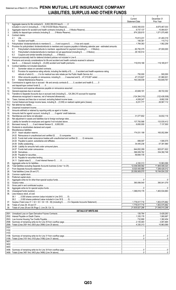## Statement as of March 31, 2019 of the PENN MUTUAL LIFE INSURANCE COMPANY LIABILITIES, SURPLUS AND OTHER FUNDS

|                |                                                                                                                               | 1<br>Current<br><b>Statement Date</b> | 2<br>December 31<br>Prior Year |
|----------------|-------------------------------------------------------------------------------------------------------------------------------|---------------------------------------|--------------------------------|
| 1.             | Aggregate reserve for life contracts \$8,832,350,033 less \$0                                                                 |                                       | $\ldots$ 8,675,467,033         |
| 2.             |                                                                                                                               |                                       | 10,064,631                     |
| 3.             |                                                                                                                               |                                       |                                |
| 4.             | Contract claims:<br>4.1                                                                                                       |                                       |                                |
|                | 4.2                                                                                                                           |                                       |                                |
| 5.             |                                                                                                                               |                                       | 1,562,258                      |
| 6.             | Provision for policyholders' dividends/refunds to members and coupons payable in following calendar year - estimated amounts: |                                       |                                |
|                | 6.1                                                                                                                           |                                       |                                |
|                | 6.2<br>6.3                                                                                                                    |                                       |                                |
| 7.             |                                                                                                                               |                                       |                                |
| 8.             | Premiums and annuity considerations for life and accident and health contracts received in advance                            |                                       |                                |
| 9.             | Contract liabilities not included elsewhere:                                                                                  |                                       |                                |
|                | 9.1                                                                                                                           |                                       |                                |
|                | Provision for experience rating refunds, including the liability of \$ O accident and health experience rating<br>9.2         |                                       |                                |
|                |                                                                                                                               |                                       |                                |
|                | 9.3<br>9.4                                                                                                                    |                                       |                                |
| 10.            | Commissions to agents due or accrued - life and annuity contracts \$0, accident and health \$0                                |                                       |                                |
|                |                                                                                                                               |                                       |                                |
| 11.            |                                                                                                                               |                                       |                                |
| 12.<br>13.     | Transfers to Separate Accounts due or accrued (net) (including \$124,394,315 accrued for expense                              |                                       |                                |
|                |                                                                                                                               |                                       |                                |
| 14.            |                                                                                                                               |                                       |                                |
| 15.1           |                                                                                                                               |                                       |                                |
| 15.2<br>16.    |                                                                                                                               |                                       |                                |
| 17.            |                                                                                                                               |                                       |                                |
| 18.            |                                                                                                                               |                                       |                                |
| 19.            |                                                                                                                               |                                       |                                |
| 20.<br>21.     |                                                                                                                               |                                       |                                |
| 22.            |                                                                                                                               |                                       |                                |
| 23.            |                                                                                                                               |                                       |                                |
| 24.            | Miscellaneous liabilities:                                                                                                    |                                       |                                |
|                |                                                                                                                               |                                       |                                |
|                |                                                                                                                               |                                       |                                |
|                |                                                                                                                               |                                       |                                |
|                | 24.05 Drafts outstanding                                                                                                      |                                       |                                |
|                |                                                                                                                               |                                       |                                |
|                |                                                                                                                               |                                       |                                |
|                |                                                                                                                               |                                       |                                |
|                |                                                                                                                               |                                       |                                |
| 25.            |                                                                                                                               |                                       |                                |
| 26.            |                                                                                                                               |                                       |                                |
| 27.<br>28.     |                                                                                                                               |                                       |                                |
| 29.            |                                                                                                                               |                                       |                                |
| 30.            |                                                                                                                               |                                       |                                |
| 31.<br>32.     |                                                                                                                               |                                       |                                |
| 33.            |                                                                                                                               |                                       |                                |
| 34.            |                                                                                                                               |                                       |                                |
| 35.            |                                                                                                                               |                                       |                                |
| 36.            | Less treasury stock, at cost:<br>36.1                                                                                         |                                       |                                |
|                |                                                                                                                               |                                       |                                |
| 37.            |                                                                                                                               |                                       |                                |
| 38.<br>39.     |                                                                                                                               |                                       |                                |
|                | <b>DETAILS OF WRITE-INS</b>                                                                                                   |                                       |                                |
|                |                                                                                                                               |                                       | 5,428,263                      |
|                |                                                                                                                               |                                       |                                |
|                |                                                                                                                               |                                       | 3,091,665                      |
|                |                                                                                                                               |                                       |                                |
|                |                                                                                                                               |                                       |                                |
|                |                                                                                                                               |                                       |                                |
|                |                                                                                                                               |                                       |                                |
|                |                                                                                                                               |                                       |                                |
| 3401.          |                                                                                                                               |                                       |                                |
| 3402.<br>3403. |                                                                                                                               |                                       |                                |
|                |                                                                                                                               |                                       |                                |
|                |                                                                                                                               |                                       |                                |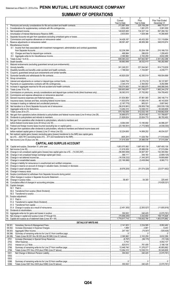## **SUMMARY OF OPERATIONS**

|          |                                                                                                                | Current                         | 2<br>Prior               | Prior Year Ended                   |
|----------|----------------------------------------------------------------------------------------------------------------|---------------------------------|--------------------------|------------------------------------|
|          |                                                                                                                | Year to Date                    | Year to Date             | December 31                        |
|          |                                                                                                                | 272,887,508<br>3,832,456        | .225,158,208<br>.        | 988,770,517                        |
| 2.<br>3. |                                                                                                                | 148,625,565                     | 1,681,070<br>134,327,144 | 5,081,009<br>597,268,162           |
| 4.       |                                                                                                                |                                 | 1,629,386                | 10,266,805                         |
| 5.       |                                                                                                                |                                 |                          |                                    |
| 6.<br>7. |                                                                                                                | 88,581,497                      | 88,959,366               | 131,119,694<br>348,916,674<br>.    |
|          | 8. Miscellaneous Income:                                                                                       |                                 | .                        |                                    |
|          | 8.1 Income from fees associated with investment management, administration and contract guarantees             |                                 |                          |                                    |
|          |                                                                                                                | 52,236,399                      | 53,204,199               | 210.188.733                        |
|          |                                                                                                                | 468,984                         | 286,635                  | 1,208,403                          |
| 9.       |                                                                                                                | $\ldots$ 606,083,232            | 2,163,259<br>347,842,567 | 8,632,299<br>2,301,452,296<br>.    |
|          |                                                                                                                | 58,883,949                      | 36,532,415               | 180,282,665                        |
|          |                                                                                                                |                                 |                          |                                    |
|          |                                                                                                                | 241,249,251                     | 221,544,941              | 914,719,839                        |
|          |                                                                                                                |                                 | 1,104,807                |                                    |
|          |                                                                                                                |                                 | 42.350.519               | 169,504,699                        |
|          |                                                                                                                |                                 |                          |                                    |
|          |                                                                                                                |                                 |                          |                                    |
|          |                                                                                                                |                                 | $\ldots$ 2.364.802       | 9,292,896                          |
|          |                                                                                                                | $\overline{\ldots}$ 508,903,848 |                          | 1,965,244,276                      |
|          |                                                                                                                |                                 | 37,752,952 154,759,402   |                                    |
|          |                                                                                                                |                                 |                          |                                    |
|          |                                                                                                                |                                 | 57,961,065               | 246,146,714                        |
|          |                                                                                                                |                                 | 11,585,416<br>905,521    | 48,143,935<br>$\dots$ 5,857,642    |
|          |                                                                                                                |                                 |                          | $\ldots$ (300,539,139)             |
| 27.      |                                                                                                                |                                 | 12,038,310               | 50,049,809                         |
|          |                                                                                                                | $\overline{\ldots}$ 575,192,559 | $\ldots$ 512,032,105     | 1.169,662,639                      |
|          | 29. Net gain from operations before dividends to policyholders and federal income taxes (Line 9 minus Line 28) | 30,890,673<br>.                 | 35,810,462<br>.          | 131,789,657                        |
|          |                                                                                                                | 21,826,624                      | 22,624,770               | 86,793,450                         |
|          | 31. Net gain from operations after dividends to policyholders, refunds to members and                          |                                 | 13,185,692               | .44,996,207<br>.                   |
|          |                                                                                                                |                                 |                          | (4,038,330)<br>.                   |
|          | 33. Net gain from operations after dividends to policyholders, refunds to members and federal income taxes and |                                 |                          |                                    |
|          |                                                                                                                |                                 | 14,958,252               | 49,034,537                         |
|          | 34. Net realized capital gains (losses) (excluding gains (losses) transferred to the IMR) less capital gains   |                                 |                          |                                    |
|          |                                                                                                                | 31.619.309                      | .25.988.036              | $\frac{1}{1519444}$<br>.37,515,094 |
|          | <b>CAPITAL AND SURPLUS ACCOUNT</b>                                                                             |                                 |                          |                                    |
|          |                                                                                                                |                                 |                          |                                    |
|          |                                                                                                                |                                 |                          |                                    |
|          |                                                                                                                |                                 |                          |                                    |
|          |                                                                                                                |                                 |                          |                                    |
|          |                                                                                                                |                                 |                          |                                    |
|          |                                                                                                                |                                 |                          |                                    |
|          |                                                                                                                |                                 |                          |                                    |
|          |                                                                                                                |                                 |                          |                                    |
|          |                                                                                                                |                                 |                          |                                    |
|          |                                                                                                                |                                 |                          |                                    |
|          |                                                                                                                |                                 |                          |                                    |
|          |                                                                                                                |                                 |                          |                                    |
|          | 50. Capital changes:                                                                                           |                                 |                          |                                    |
|          |                                                                                                                |                                 |                          |                                    |
|          |                                                                                                                |                                 |                          |                                    |
|          |                                                                                                                |                                 |                          |                                    |
|          | 51. Surplus adjustment:                                                                                        |                                 |                          |                                    |
|          |                                                                                                                |                                 |                          |                                    |
|          |                                                                                                                |                                 |                          |                                    |
|          |                                                                                                                |                                 |                          |                                    |
|          |                                                                                                                |                                 |                          |                                    |
|          |                                                                                                                |                                 |                          |                                    |
|          |                                                                                                                |                                 |                          |                                    |
|          | <b>DETAILS OF WRITE-INS</b><br><u> 1990 - John Harry Barnett, f</u>                                            |                                 |                          |                                    |
|          | 08.301.                                                                                                        |                                 |                          |                                    |
|          | 08.302.                                                                                                        |                                 |                          |                                    |
|          | 08.303.                                                                                                        |                                 |                          |                                    |
|          | 08.398.<br>08.399.                                                                                             |                                 |                          |                                    |
|          | 2701.                                                                                                          |                                 |                          |                                    |
|          | 2702.                                                                                                          |                                 |                          |                                    |
|          | 2703.                                                                                                          |                                 |                          |                                    |
|          | 2798.                                                                                                          |                                 |                          |                                    |
|          | 2799.<br>5301.                                                                                                 |                                 |                          |                                    |
|          | 5302.                                                                                                          |                                 |                          |                                    |
|          | 5303.                                                                                                          |                                 |                          |                                    |
|          | 5398.                                                                                                          |                                 |                          |                                    |
|          | 5399.                                                                                                          |                                 |                          |                                    |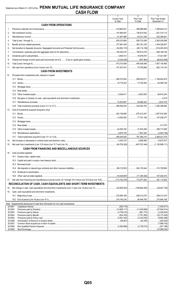|                    |                                                                                    | $\mathbf{1}$<br><b>Current Year</b> | $\overline{2}$<br>Prior Year       | 3<br>Prior Year Ended        |
|--------------------|------------------------------------------------------------------------------------|-------------------------------------|------------------------------------|------------------------------|
|                    | <b>CASH FROM OPERATIONS</b>                                                        | to Date                             | To Date                            | December 31                  |
|                    |                                                                                    |                                     |                                    |                              |
| $1_{-}$            |                                                                                    | 419,680,501                         | 369,686,666<br>126,814,542         | 1,385,642,013<br>621,310,114 |
| 2.                 |                                                                                    |                                     |                                    |                              |
| 3.                 |                                                                                    |                                     | $\ldots$ 559,732,456 2,260,259,068 |                              |
| 4.<br>5.           |                                                                                    |                                     |                                    |                              |
|                    |                                                                                    |                                     | $\dots$ 383,161,235                | 1,404,228,801                |
| 6.                 |                                                                                    |                                     | $\ldots$ 150,610,479               | 509,168,746                  |
| 7.<br>8.           |                                                                                    |                                     | 16,976,975                         | $\ldots$ 37,021,687          |
| 9.                 |                                                                                    |                                     |                                    |                              |
|                    |                                                                                    |                                     | 484,936,568                        | 1,567,140,965                |
| 10.<br>11.         |                                                                                    |                                     | 74,795,888 693,118,103             |                              |
|                    | <b>CASH FROM INVESTMENTS</b>                                                       |                                     |                                    |                              |
| 12.                | Proceeds from investments sold, matured or repaid:                                 |                                     |                                    |                              |
|                    |                                                                                    |                                     |                                    |                              |
|                    |                                                                                    |                                     |                                    |                              |
|                    |                                                                                    |                                     |                                    |                              |
|                    | 12.4                                                                               |                                     |                                    |                              |
|                    | 12.5                                                                               |                                     | $\ldots$ 9,603,500                 |                              |
|                    | 12.6                                                                               |                                     |                                    | 5.019                        |
|                    | 12.7                                                                               |                                     | $\ldots$ 50,966,262 3,634,700      |                              |
|                    | 12.8                                                                               |                                     |                                    |                              |
| 13.                | Cost of investments acquired (long-term only):                                     |                                     |                                    |                              |
|                    |                                                                                    |                                     | $\dots$ 670,412,447 1,957,616,265  |                              |
|                    |                                                                                    |                                     | 77,161,188   107,258,377           |                              |
|                    | 13.3                                                                               |                                     |                                    |                              |
|                    | 13.4                                                                               |                                     |                                    |                              |
|                    | 13.5                                                                               |                                     | $\ldots$ 31,843,298 306,713,595    |                              |
|                    | 13.6                                                                               |                                     |                                    |                              |
|                    |                                                                                    |                                     |                                    |                              |
| 14.                |                                                                                    |                                     | 2,995,990   15,675,515             |                              |
| 15.                |                                                                                    |                                     |                                    |                              |
|                    |                                                                                    |                                     |                                    |                              |
|                    | <b>CASH FROM FINANCING AND MISCELLANEOUS SOURCES</b>                               |                                     |                                    |                              |
| 16.                | Cash provided (applied):                                                           |                                     |                                    |                              |
|                    |                                                                                    |                                     |                                    |                              |
|                    | 16.3                                                                               |                                     |                                    |                              |
|                    | 16.4                                                                               |                                     |                                    |                              |
|                    | 16.5                                                                               |                                     |                                    |                              |
|                    | 16.6                                                                               |                                     |                                    |                              |
|                    |                                                                                    |                                     |                                    |                              |
| 17.                |                                                                                    |                                     |                                    |                              |
|                    | RECONCILIATION OF CASH, CASH EQUIVALENTS AND SHORT-TERM INVESTMENTS                |                                     |                                    |                              |
| 18.                |                                                                                    |                                     |                                    |                              |
| 19.                | Cash, cash equivalents and short-term investments:                                 |                                     |                                    |                              |
|                    |                                                                                    |                                     | 299,313,274 299,313,274            |                              |
|                    |                                                                                    |                                     | 99,448,780   270,846,169           |                              |
| 20.0001            | Note: Supplemental disclosures of cash flow information for non-cash transactions: |                                     |                                    |                              |
| 20.0002            |                                                                                    |                                     |                                    |                              |
| 20.0003            |                                                                                    |                                     |                                    |                              |
| 20.0004<br>20.0005 |                                                                                    | (2,561,422)                         | (2,332,530)                        |                              |
| 20.0006            |                                                                                    |                                     |                                    |                              |
| 20.0007            |                                                                                    |                                     |                                    |                              |
| 20.0008<br>20.0009 |                                                                                    |                                     |                                    |                              |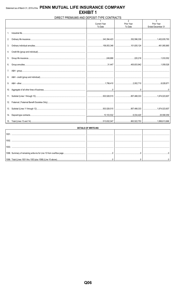|     | DIRECT PREMIUMS AND DEPOSIT-TYPE CONTRACTS |                                |                                         |                                      |  |  |  |  |  |  |
|-----|--------------------------------------------|--------------------------------|-----------------------------------------|--------------------------------------|--|--|--|--|--|--|
|     |                                            | <b>Current Year</b><br>To Date | $\overline{2}$<br>Prior Year<br>To Date | 3<br>Prior Year<br>Ended December 31 |  |  |  |  |  |  |
|     |                                            |                                |                                         |                                      |  |  |  |  |  |  |
| 2.  |                                            |                                |                                         |                                      |  |  |  |  |  |  |
| 3.  |                                            |                                |                                         |                                      |  |  |  |  |  |  |
| 4.  |                                            |                                |                                         |                                      |  |  |  |  |  |  |
| 5.  |                                            |                                |                                         |                                      |  |  |  |  |  |  |
| 6.  |                                            |                                |                                         |                                      |  |  |  |  |  |  |
| 7.  |                                            |                                |                                         |                                      |  |  |  |  |  |  |
| 8.  |                                            |                                |                                         |                                      |  |  |  |  |  |  |
| 9.  |                                            |                                |                                         |                                      |  |  |  |  |  |  |
| 10. |                                            |                                |                                         |                                      |  |  |  |  |  |  |
|     |                                            |                                |                                         |                                      |  |  |  |  |  |  |
|     |                                            |                                |                                         |                                      |  |  |  |  |  |  |
|     |                                            |                                |                                         |                                      |  |  |  |  |  |  |
| 14. |                                            |                                |                                         |                                      |  |  |  |  |  |  |
|     |                                            |                                |                                         |                                      |  |  |  |  |  |  |

| <b>DETAILS OF WRITE-INS</b> |  |  |  |  |  |  |  |  |
|-----------------------------|--|--|--|--|--|--|--|--|
|                             |  |  |  |  |  |  |  |  |
|                             |  |  |  |  |  |  |  |  |
|                             |  |  |  |  |  |  |  |  |
|                             |  |  |  |  |  |  |  |  |
|                             |  |  |  |  |  |  |  |  |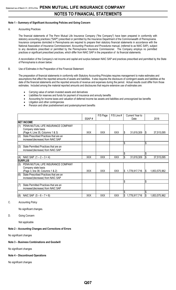#### **Note 1 – Summary of Significant Accounting Policies and Going Concern**

A. Accounting Practices

The financial statements of The Penn Mutual Life Insurance Company ("the Company") have been prepared in conformity with statutory accounting practices ("SAP") prescribed or permitted by the Insurance Department of the Commonwealth of Pennsylvania. Insurance companies domiciled in Pennsylvania are required to prepare their statutory financial statements in accordance with the National Association of Insurance Commissioners' *Accounting Practices and Procedures* manual, (referred to as NAIC SAP), subject to any deviations prescribed or permitted by the Pennsylvania Insurance Commissioner. The Company employs no permitted practices or significant prescribed practices, which differ from NAIC SAP in the preparation of its financial statements.

A reconciliation of the Company's net income and capital and surplus between NAIC SAP and practices prescribed and permitted by the State of Pennsylvania is shown below:

#### B. Use of Estimates in the Preparation of the Financial Statement

The preparation of financial statements in conformity with Statutory Accounting Principles requires management to make estimates and assumptions that affect the reported amounts of assets and liabilities. It also requires the disclosure of contingent assets and liabilities at the date of the financial statements and the reported amounts of revenue and expenses during the period. Actual results could differ from those estimates. Included among the material reported amounts and disclosures that require extensive use of estimates are:

- Carrying value of certain invested assets and derivatives
- Liabilities for reserves and funds for payment of insurance and annuity benefits
- Accounting for income taxes and valuation of deferred income tax assets and liabilities and unrecognized tax benefits
- Litigation and other contingencies
- Pension and other postretirement and postemployment benefits

|     |                                        |            | F/S Page   | $F/S$ Line $#$ | Current Year to     |     |               |
|-----|----------------------------------------|------------|------------|----------------|---------------------|-----|---------------|
|     |                                        | SSAP#      |            |                | Date                |     | 2018          |
|     | <b>INET INCOME</b>                     |            |            |                |                     |     |               |
| (1) | PENN MUTUAL LIFE INSURANCE COMPANY     |            |            |                |                     |     |               |
|     | Company state basis                    |            |            |                |                     |     |               |
|     | (Page 4, Line 35, Columns 1 & 3)       | <b>XXX</b> | <b>XXX</b> | <b>XXX</b>     | 31,619,309<br>S     | l\$ | 37,515,095    |
| (2) | State Prescribed Practices that are an |            |            |                |                     |     |               |
|     | increase/(decrease) from NAIC SAP      |            |            |                |                     |     |               |
|     |                                        |            |            |                | \$                  | \$  |               |
| (3) | State Permitted Practices that are an  |            |            |                |                     |     |               |
|     | increase/(decrease) from NAIC SAP      |            |            |                |                     |     |               |
|     |                                        |            |            |                | \$                  | \$  |               |
| (4) | NAIC SAP $(1 – 2 – 3 = 4)$             | XXX        | XXX        | XXX            | \$<br>31,619,309    | \$  | 37,515,095    |
|     | <b>ISURPLUS</b>                        |            |            |                |                     |     |               |
| (5) | PENN MUTUAL LIFE INSURANCE COMPANY     |            |            |                |                     |     |               |
|     | Company state basis                    |            |            |                |                     |     |               |
|     | (Page 3, line 38, Columns 1 & 2)       | <b>XXX</b> | <b>XXX</b> | XXX            | \$<br>1,778,917,716 | S   | 1,853,575,962 |
| (6) | State Prescribed Practices that are an |            |            |                |                     |     |               |
|     | increase/(decrease) from NAIC SAP      |            |            |                |                     |     |               |
|     |                                        |            |            |                | \$                  | \$  |               |
| (7) | State Permitted Practices that are an  |            |            |                |                     |     |               |
|     | increase/(decrease) from NAIC SAP      |            |            |                |                     |     |               |
|     |                                        |            |            |                | \$                  | \$  |               |
| (8) | NAIC SAP $(5 - 6 - 7 = 8)$             | <b>XXX</b> | <b>XXX</b> | XXX            | \$<br>1,778,917,716 | \$  | 1,853,575,962 |

C. Accounting Policy

No significant changes.

D. Going Concern

Not applicable

#### **Note 2 – Accounting Changes and Corrections of Errors**

No significant changes

#### **Note 3 – Business Combinations and Goodwill**

No significant changes

#### **Note 4 – Discontinued Operations**

No significant changes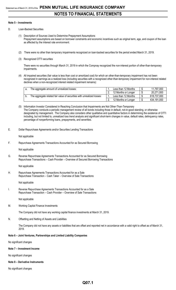#### **Note 5 – Investments**

- D. Loan-Backed Securities
	- (1) Description of Sources Used to Determine Prepayment Assumptions Prepayment assumptions are based on borrower constraints and economic incentives such as original term, age, and coupon of the loan as affected by the interest rate environment.
	- (2) There were no other than temporary impairments recognized on loan-backed securities for the period ended March 31, 2019.
	- (3) Recognized OTTI securities

There were no securities through March 31, 2019 in which the Compnay recognized the non-interest portion of other-than-temporary impairments.

(4) All impaired securities (fair value is less than cost or amortized cost) for which an other-than-temporary impairment has not been recognized in earnings as a realized loss (including securities with a recognized other-than-temporary impairment for non-interest related declines when a non-recognized interest related impairment remains):

| The aggregate amount of unrealized losses:                             | Less than 12 Months | 11,797,000  |
|------------------------------------------------------------------------|---------------------|-------------|
|                                                                        | 12 Months or Longer | 20,271,000  |
| The aggregate related fair value of securities with unrealized losses: | Less than 12 Months | 618,737,000 |
|                                                                        | 12 Months or Longer | 434,191,000 |

(5) Information Investor Considered in Reaching Conclusion that Impairments are Not Other-Than-Temporary The Company conducts a periodic management review of all bonds including those in default, not-in-good standing, or otherwise designated by management. The Company also considers other qualitative and quantitative factors in determining the existence of OTTI including, but not limited to, unrealized loss trend analysis and significant short-term changes in value, default rates, delinquency rates, percentage of nonperforming loans, prepayments, and severities.

E. Dollar Repurchase Agreements and/or Securities Lending Transactions

Not applicable

F. Repurchase Agreements Transactions Accounted for as Secured Borrowing

Not applicable

G. Reverse Repurchase Agreements Transactions Accounted for as Secured Borrowing Repurchase Transactions – Cash Provider – Overview of Secured Borrowing Transactions

Not applicable

H. Repurchase Agreements Transactions Accounted for as a Sale Repurchase Transaction – Cash Taker – Overview of Sale Transactions

Not applicable

I. Reverse Repurchase Agreements Transactions Accounted for as a Sale Repurchase Transaction – Cash Provider – Overview of Sale Transactions

Not applicable

M. Working Capital Finance Investments

The Company did not have any working capital finance investments at March 31, 2019.

N. Offsetting and Netting of Assets and Liabilities

The Company did not have any assets or liabilities that are offset and reported net in accordance with a valid right to offset as of March 31, 2019.

#### **Note 6 – Joint Ventures, Partnerships and Limited Liability Companies**

No significant changes

#### **Note 7 – Investment Income**

No significant changes

**Note 8 – Derivative Instruments**

No significant changes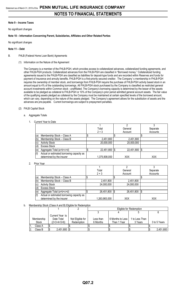#### **Note 9 – Income Taxes**

No significant changes

#### **Note 10 – Information Concerning Parent, Subsidiaries, Affiliates and Other Related Parties**

No significant changes

#### **Note 11 – Debt**

- B. FHLB (Federal Home Loan Bank) Agreements
	- (1) Information on the Nature of the Agreement

The Company is a member of the FHLB-PGH, which provides access to collateralized advances, collateralized funding agreements, and other FHLB-PGH products. Collateralized advances from the FHLB-PGH are classified in "Borrowed money." Collateralized funding agreements issued to the FHLB-PGH are classified as liabilities for deposit-type funds and are recorded within Reserves and funds for payment of insurance and annuity benefits. FHLB-PGH is a first-priority secured creditor. The Company' s membership in FHLB-PGH requires the ownership of member stock, and borrowings from FHLB-PGH require the purchase of FHLB-PGH activity based stock in an amount equal to 4% of the outstanding borrowings. All FHLB-PGH stock purchased by the Company is classified as restricted general account investments within Common stock - unaffiliated. The Company's borrowing capacity is determined by the lesser of the assets available to be pledged as collateral to FHLB-PGH or 10% of the Company's prior period admitted general account assets. The fair value of the qualifying assets pledged as collateral by the Company must be maintained at certain specified levels of the borrowed amount, which can vary, depending on the nature of the assets pledged. The Company's agreement allows for the substitution of assets and the advances are pre-payable. Current borrowings are subject to prepayment penalties.

- (2) FHLB Capital Stock
	- a. Aggregate Totals
		- 1. Current Year to Date

|     |                                           | Total         | General    | Separate |
|-----|-------------------------------------------|---------------|------------|----------|
|     |                                           | $2 + 3$       | Account    | Accounts |
| (a) | Membership Stock - Class A                |               |            |          |
| (b) | Membership Stock - Class B                | 2,451,800     | 2,451,800  |          |
| (c) | <b>Activity Stock</b>                     | 20,000,000    | 20,000,000 |          |
| (d) | <b>Excess Stock</b>                       |               |            |          |
| (e) | Aggregate Total (a+b+c+d)                 | 22,451,800    | 22,451,800 | \$       |
| (f) | Actual or estimated borrowing capacity as |               |            |          |
|     | determined by the insurer                 | 1,375,908,000 | XXX        | XXX      |

2. Prior Year

|     |                                                                        | Total<br>$2 + 3$ | General<br>Account | Separate<br>Accounts |  |
|-----|------------------------------------------------------------------------|------------------|--------------------|----------------------|--|
| (a) | Membership Stock - Class A                                             |                  |                    |                      |  |
| (b) | Membership Stock - Class B                                             | 2,451,800        | 2,451,800          |                      |  |
| (c) | <b>Activity Stock</b>                                                  | 24,000,000       | 24,000,000         |                      |  |
| (d) | <b>Excess Stock</b>                                                    |                  |                    |                      |  |
| (e) | Aggregate Total (a+b+c+d)                                              | 26,451,800       | 26,451,800         | 1\$                  |  |
| (f) | Actual or estimated borrowing capacity as<br>determined by the insurer | 1,263,983,000    | XXX                | XXX                  |  |

#### b. Membership Stock (Class A and B) Eligible for Redemption

|            |                 |                  |           | Eligible for Redemption |                |              |  |  |  |  |
|------------|-----------------|------------------|-----------|-------------------------|----------------|--------------|--|--|--|--|
|            |                 |                  |           |                         |                |              |  |  |  |  |
|            | Current Year to |                  |           |                         |                |              |  |  |  |  |
| Membership | Date Total      | Not Eligible for | Less than | 6 Months to Less        | 1 to Less Than |              |  |  |  |  |
| Stock      | (2+3+4+5+6)     | Redemption       | 6 Months  | Than 1 Year             | 3 Years        | 3 to 5 Years |  |  |  |  |
| Class A    |                 |                  |           |                         |                |              |  |  |  |  |
| Class B    | 2,451,800       |                  |           |                         |                | 2,451,800    |  |  |  |  |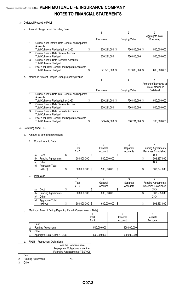#### (3) Collateral Pledged to FHLB

a. Amount Pledged as of Reporting Date

|                |                                                 |                  | 2              |                 |
|----------------|-------------------------------------------------|------------------|----------------|-----------------|
|                |                                                 |                  |                | Aggregate Total |
|                |                                                 | Fair Value       | Carrying Value | Borrowing       |
| $\mathbf{1}$ . | Current Year Total to Date General and Separate |                  |                |                 |
|                | Accounts                                        |                  |                |                 |
|                | Total Collateral Pledged (Lines 2+3)            | 820,281,000   \$ | 756,815,000 \$ | 500,000,000     |
| 2.             | <b>Current Year to Date General Account</b>     |                  |                |                 |
|                | <b>Total Collateral Pledged</b>                 | 820,281,000      | 756,815,000    | 500,000,000     |
| 3.             | Current Year to Date Separate Accounts          |                  |                |                 |
|                | <b>Total Collateral Pledged</b>                 |                  |                |                 |
| 14.            | Prior Year Total General and Separate Accounts  |                  |                |                 |
|                | <b>Total Collateral Pledged</b>                 | 821,563,000   \$ | 787,003,000 \$ | 600,000,000     |

#### b. Maximum Amount Pledged During Reporting Period

|     |                                                                                   |                  |                | Amount of Borrowed at |
|-----|-----------------------------------------------------------------------------------|------------------|----------------|-----------------------|
|     |                                                                                   |                  |                | Time of Maximum       |
|     |                                                                                   | Fair Value       | Carrying Value | Collateral            |
| ١1. | Current Year to Date Total General and Separate<br>Accounts                       |                  |                |                       |
|     | Total Collateral Pledged (Lines 2+3)                                              | 820,281,000   \$ | 756,815,000 \$ | 500,000,000           |
| 12. | <b>Current Year to Date General Account</b><br>Total Collateral Pledged           | 820,281,000      | 756,815,000    | 500,000,000           |
| 3.  | Current Year to Date Separate Accounts<br><b>Total Collateral Pledged</b>         |                  |                |                       |
| 4.  | Prior Year Total General and Separate Accounts<br><b>Total Collateral Pledged</b> | 843,417,000 \$   | 806,781,000 \$ | 700,000,000           |

#### (4) Borrowing from FHLB

- a. Amount as of the Reporting Date
	- 1. Current Year to Date

|     |                           | Total       | General              | Separate | <b>Funding Agreements</b>   |
|-----|---------------------------|-------------|----------------------|----------|-----------------------------|
|     |                           | $2 + 3$     | Account              | Accounts | <b>Reserves Established</b> |
| (a  | Debt                      |             |                      |          | XXX                         |
| (b) | <b>Funding Agreements</b> | 500,000,000 | 500,000,000          |          | 502,297,000                 |
| (c) | Other                     |             |                      |          | XXX                         |
| (d) | Aggregate Total           |             |                      |          |                             |
|     | $(a+b+c)$                 | 500,000,000 | 500,000,000<br>- 1\$ |          | 502,297,000                 |

2. Prior Year

|     |                           | Total       |       | General     | Separate | <b>Funding Agreements</b> |
|-----|---------------------------|-------------|-------|-------------|----------|---------------------------|
|     |                           | $2 + 3$     |       | Account     | Accounts | Reserves Established      |
| (a) | Debt                      |             |       |             |          | XXX                       |
| (b) | <b>Funding Agreements</b> | 600,000,000 |       | 600,000,000 |          | 602,563,000               |
| (c) | Other                     |             |       |             |          | XXX                       |
| (d) | Aggregate Total           |             |       |             |          |                           |
|     | (a+b+c)                   | 600,000,000 | - 1\$ | 600,000,000 |          | 602,563,000               |

#### b. Maximum Amount During Reporting Period (Current Year to Date)

|     |                               | Total       | General     | Separate |
|-----|-------------------------------|-------------|-------------|----------|
|     |                               | $2 + 3$     | Account     | Accounts |
| . . | Debt                          |             |             |          |
| 2   | <b>Funding Agreements</b>     | 500,000,000 | 500,000,000 |          |
| 3.  | Other                         |             |             |          |
| 14. | Aggregate Total (Lines 1+2+3) | 500,000,000 | 500,000,000 |          |

#### c. FHLB – Prepayment Obligations

|     |                           | Does the Company have            |
|-----|---------------------------|----------------------------------|
|     |                           | Prepayment Obligations under the |
|     |                           | Following Arrangements (YES/NO)  |
|     | Debt                      |                                  |
| 12. | <b>Funding Agreements</b> | NΩ                               |
|     | )ther                     |                                  |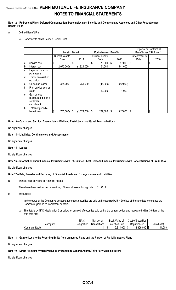**Note 12 – Retirement Plans, Deferred Compensation, Postemployment Benefits and Compensated Absences and Other Postretirement Benefit Plans**

#### A. Defined Benefit Plan

(4) Components of Net Periodic Benefit Cost

|     |                                                                  |                    | <b>Pension Benefits</b> |                     |                 |     | <b>Postretirement Benefits</b> | Special or Contractual<br>Benefits per SSAP No. 11 |      |  |
|-----|------------------------------------------------------------------|--------------------|-------------------------|---------------------|-----------------|-----|--------------------------------|----------------------------------------------------|------|--|
|     |                                                                  | Current Year to    |                         |                     | Current Year to |     |                                |                                                    |      |  |
|     |                                                                  | Date               |                         | 2018                | Date            |     | 2018                           | Date                                               | 2018 |  |
| a.  | Service cost                                                     |                    | \$                      |                     | 70,000<br>\$    | S.  | 87,000                         | $\boldsymbol{\mathsf{S}}$                          | \$   |  |
| b.  | Interest cost                                                    | (2,070,000)        |                         | (1,924,000)         | 151,000         |     | 141,000                        |                                                    |      |  |
| C.  | Expected return on<br>plan assets                                |                    |                         |                     |                 |     |                                |                                                    |      |  |
| d.  | Transition asset or<br>obligation                                |                    |                         |                     |                 |     |                                |                                                    |      |  |
| le. | Gains and losses                                                 | 334,000            |                         | 251,000             | (46,000)        |     | (12,000)                       |                                                    |      |  |
| f.  | Prior service cost or<br>credit                                  |                    |                         |                     | 62,000          |     | 1,000                          |                                                    |      |  |
| g.  | Gain or loss<br>recognized due to a<br>settlement<br>curtailment |                    |                         |                     |                 |     |                                |                                                    |      |  |
| lh. | Total net periodic<br>benefit cost                               | (1,736,000)<br>1\$ | 1\$                     | $(1,673,000)$ \\ \$ | 237,000         | 1\$ | 217,000                        | - 1                                                | \$   |  |

**Note 13 – Capital and Surplus, Shareholder's Dividend Restrictions and Quasi-Reorganizations**

No significant changes

#### **Note 14 – Liabilities, Contingencies and Assessments**

No significant changes

#### **Note 15 – Leases**

No significant changes

**Note 16 – Information about Financial Instruments with Off-Balance Sheet Risk and Financial Instruments with Concentrations of Credit Risk**

No significant changes

#### **Note 17 – Sale, Transfer and Servicing of Financial Assets and Extinguishments of Liabilities**

B. Transfer and Servicing of Financial Assets

There have been no transfer or servicing of financial assets through March 31, 2019.

- C. Wash Sales
	- (1) In the course of the Company's asset management, securities are sold and reacquired within 30 days of the sale date to enhance the Company's yield on its investment portfolio.
	- (2) The details by NAIC designation 3 or below, or unrated of securities sold during the current period and reacquired within 30 days of the sale date are:

|               | <b>NAIC</b> | Number of     |            | Book Value of            |            | Cost of Securities |      |             |
|---------------|-------------|---------------|------------|--------------------------|------------|--------------------|------|-------------|
| Description   | Designation | l ransactions | Securities | Sold                     |            | Repurchased        |      | Gain/(Loss) |
| Common Stocks |             |               |            | ,000<br>0.244<br>ا ا ف.ع | - 10<br>ΙW | 2,309,000          | - \$ | 1,000       |

#### **Note 18 – Gain or Loss to the Reporting Entity from Uninsured Plans and the Portion of Partially Insured Plans**

No significant changes

#### **Note 19 – Direct Premium Written/Produced by Managing General Agents/Third Party Administrators**

No significant changes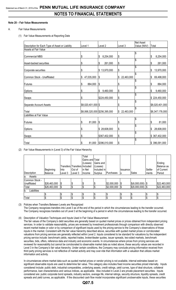#### **Note 20 – Fair Value Measurements**

#### A. Fair Value Measurements

(1) Fair Value Measurements at Reporting Date

|                                                 |                    |                               |                   | Net Asset   |                  |
|-------------------------------------------------|--------------------|-------------------------------|-------------------|-------------|------------------|
| Description for Each Type of Asset or Liability | Level 1            | Level 2                       | Level 3           | Value (NAV) | Total            |
| Assets at Fair Value                            |                    |                               |                   |             |                  |
| <b>Commercial MBS</b>                           | \$                 | \$<br>8,254,000               | \$                | \$          | \$<br>8,254,000  |
| Asset-backed securities                         | \$                 | 261,000<br>\$                 | \$                | \$          | \$<br>261,000    |
| Corporate securities                            | \$                 | 13,970,000<br>$\frac{3}{2}$   | \$                | \$          | \$<br>13,970,000 |
| Common Stock - Unaffiliated                     | \$<br>47,035,000   | \$                            | \$22,463,000      | \$          | \$<br>69,498,000 |
| <b>Futures</b>                                  | 884,000<br>\$      | \$                            | \$                | \$          | \$<br>884,000    |
|                                                 |                    |                               |                   | \$          |                  |
| Options                                         | \$                 | \$<br>9,460,000               | $\boldsymbol{\$}$ |             | \$<br>9,460,000  |
| <b>Swaps</b>                                    | \$                 | \$224,450,000                 | \$                | \$          | \$224,450,000    |
| Separate Account Assets                         | \$8,020,401,000 \$ |                               | \$                | \$          | \$8,020,401,000  |
| Total                                           |                    | \$8,068,320,000 \$256,395,000 | 22,463,000<br>\$  | \$          | \$8,347,178,000  |
| Liabilities at Fair Value                       |                    |                               |                   |             |                  |
| <b>Futures</b>                                  | \$<br>81,000       | $\boldsymbol{\hat{\theta}}$   | \$                | \$          | \$<br>81,000     |
| Options                                         | \$                 | \$28,608,000                  | \$                | \$          | \$<br>28,608,000 |
| <b>Swaps</b>                                    | \$                 | \$367,402,000                 | \$                | \$          | \$367,402,000    |
| Total                                           | \$<br>81,000       | \$396,010,000                 | \$                | \$          | \$396,091,000    |

(2) Fair Value Measurements in (Level 3) of the Fair Value Hierarchy

|                    |              |         |                              | Total           |             |             |          |                    |         |              |
|--------------------|--------------|---------|------------------------------|-----------------|-------------|-------------|----------|--------------------|---------|--------------|
|                    |              |         |                              | Gains and Total |             |             |          |                    |         |              |
|                    |              |         |                              | Losses)         | Gains and   |             |          |                    |         | Ending       |
|                    |              |         | Transfers Transfers Included |                 | (Losses)    |             |          |                    |         | Balance as   |
|                    | Beginning    | Into    | Out of                       | in Net          | Included in |             | Issuance |                    | Settle- | of Current   |
| Description        | Balance      | Level 3 | Level 3                      | <b>Income</b>   | Surplus     | Purchases   | S        | Sales              | ments   | Period       |
| Assets<br>la.      |              |         |                              |                 |             |             |          |                    |         |              |
| Common Stock -     |              |         |                              |                 |             |             |          |                    |         |              |
| Unaffiliated       | \$26,463,000 | \$      | \$                           | J               |             | \$2,000,000 | 1\$      | \$(6,000,000)      | 1\$     | \$22,463,000 |
| Total              | \$26,463,000 | \$      | \$                           | ¢<br>Œ          |             | \$2,000,000 | 1\$      | $$(6,000,000)$ \\$ |         | \$22,463,000 |
| Liabilities<br>Ib. |              |         |                              |                 |             |             |          |                    |         |              |
|                    |              | \$      | \$                           | \$              | J           | ΙÞ          |          | \$                 | IJ      |              |
| Total              |              | \$      | \$                           | \$              | \$          | 1\$         | 1\$      | \$                 | ıΦ      | 1\$          |

(3) Policies when Transfers Between Levels are Recognized The Company recognizes transfers into Level 3 as of the end of the period in which the circumstances leading to the transfer occurred. The Company recognizes transfers out of Level 3 at the beginning of a period in which the circumstances leading to the transfer occurred.

(4) Description of Valuation Techniques and Inputs Used in Fair Value Measurement

The fair values of the Company's debt securities are generally based on quoted market prices or prices obtained from independent pricing services. In order to validate reasonability, prices are reviewed by investment professionals through comparison with directly observed recent market trades or color or by comparison of significant inputs used by the pricing service to the Company's observations of those inputs in the market. Consistent with the fair value hierarchy described above, securities with quoted market prices or corroborated valuations from pricing services are generally reflected within Level 2. Inputs considered to be standard for valuations by the independent pricing service include: benchmark yields, reported trades, broker/dealer quotes, issuer spreads, two-sided markets, benchmark securities, bids, offers, reference data and industry and economic events. In circumstances where prices from pricing services are reviewed for reasonability but cannot be corroborated to observable market data as noted above, these security values are recorded in Level 3 in the Company's fair value hierarchy. Under certain conditions, the Company may conclude pricing information received from third party pricing services is not reflective of market activity and may over-ride that information with a valuation that utilizes market information and activity.

In circumstances where market data such as quoted market prices or vendor pricing is not available, internal estimates based on significant observable inputs are used to determine fair value. This category also includes fixed income securities priced internally. Inputs considered include: public debt, industrial comparables, underlying assets, credit ratings, yield curves, type of deal structure, collateral performance, loan characteristics and various indices, as applicable. Also included in Level 2 are private placement securities. Inputs considered are: public corporate bond spreads, industry sectors, average life, internal ratings, security structure, liquidity spreads, credit spreads and yield curves, as applicable. If the discounted cash flow model incorporates significant unobservable inputs, these securities

### **Q07.5**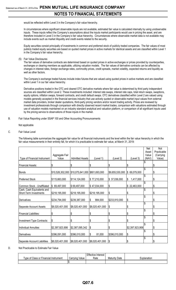would be reflected within Level 3 in the Company's fair value hierarchy.

In circumstances where significant observable inputs are not available, estimated fair value is calculated internally by using unobservable inputs. These inputs reflect the Company's assumptions about the inputs market participants would use in pricing the asset, and are therefore included in Level 3 in the Company's fair value hierarchy. Circumstances where observable market data is not available may include events such as market illiquidity and credit events related to the security.

Equity securities consist principally of investments in common and preferred stock of publicly traded companies. The fair values of most publicly traded equity securities are based on quoted market prices in active markets for identical assets and are classified within Level 1 in the Company's fair value hierarchy.

(5) Fair Value Disclosures

The fair values of derivative contracts are determined based on quoted prices in active exchanges or prices provided by counterparties, exchanges or clearing members as applicable, utilizing valuation models. The fair values of derivative contracts can be affected by changes in interest rates, foreign exchange rates, commodity prices, credit spreads, market volatility, expected returns and liquidity as well as other factors.

The Company's exchange traded futures include index futures that are valued using quoted prices in active markets and are classified within Level 1 in our fair value hierarchy.

Derivative positions traded in the OTC and cleared OTC derivative markets where fair value is determined by third party independent sources are classified within Level 2. These investments included: interest rate swaps, interest rate caps, total return swaps, swaptions, equity options, inflation swaps, forward contracts, and credit default swaps. OTC derivatives classified within Level 2 are valued using models generally accepted in the financial services industry that use actively quoted or observable market input values from external market data providers, broker dealer quotations, third-party pricing vendors and/or recent trading activity. Prices are reviewed by investment professionals through comparison with directly observed recent market trades, comparison with valuations estimated through use of valuation models maintained on an industry standard analytical and valuation platform, or comparison of all significant inputs used by the pricing service to observations of those inputs in the market.

B. Fair Value Reporting under SSAP 100 and Other Accounting Pronouncements

Not applicable

C. Fair Value Level

The following table summarizes the aggregate fair value for all financial instruments and the level within the fair value hierarchy in which the fair value measurements in their entirety fall, for which it is practicable to estimate fair value, at March 31, 2019:

|                               |                 |                                                 |                 |                 |                 | Net            | Not                      |
|-------------------------------|-----------------|-------------------------------------------------|-----------------|-----------------|-----------------|----------------|--------------------------|
|                               | Aggregate Fair  |                                                 |                 |                 |                 | Asset<br>Value | Practicable<br>(Carrying |
| Type of Financial Instrument  | Value           | <b>Admitted Assets</b>                          | (Level 1)       | (Level 2)       | (Level 3)       | (NAV)          | Value)                   |
|                               |                 |                                                 |                 |                 |                 |                |                          |
| <b>Financial Assets:</b>      | \$              | \$                                              | \$              | \$              | \$              |                |                          |
| Bonds                         |                 | \$10,526,302,000 \$10,075,641,000 \$801,693,000 |                 | \$9,655,530,000 | \$69,079,000    |                | S                        |
|                               |                 |                                                 |                 |                 |                 |                |                          |
| <b>Preferred Stock</b>        | \$115,663,000   | \$114,124,000                                   | \$77,210,000    | \$37,036,000    | \$<br>1,417,000 |                | \$                       |
|                               |                 |                                                 |                 |                 |                 |                |                          |
| Common Stock - Unaffiliated   | \$69,497,000    | \$69,497,000                                    | \$47,034,000    | \$              | \$22,463,000    |                | \$                       |
| Cash, Cash Equivalents and    |                 |                                                 |                 |                 |                 |                |                          |
| Short-Term Investments        | \$218,195,000   | \$218,195,000                                   | \$218,195,000   | \$              | \$              |                |                          |
| Derivatives                   | \$234,794,000   | \$239,387,000                                   | \$<br>884,000   | \$233,910,000   | \$              | \$             |                          |
|                               |                 |                                                 |                 |                 |                 |                |                          |
| Separate Account Assets       | \$8,020,401,000 | \$8,020,401,000                                 | \$8,020,401,000 | l\$             | \$              |                | \$                       |
|                               |                 |                                                 |                 |                 |                 | \$             |                          |
| <b>Financial Liabilities:</b> | \$              | \$                                              | \$              | \$              | \$              |                |                          |
| Investment Type Contracts:    | \$              | \$                                              | \$              | \$              | \$              |                | \$                       |
|                               |                 |                                                 |                 |                 |                 |                |                          |
| Individual Annuities          | \$2,397,923,906 | \$2,387,095,342                                 | \$              | \$              | \$2,397,923,906 |                |                          |
|                               |                 |                                                 |                 |                 |                 |                |                          |
| Derivatives                   | \$396,091,000   | \$396,010,000                                   | \$<br>81,000    | \$396,010,000   | \$              |                | S                        |
|                               |                 | \$8,020,401,000                                 | \$8,020,401,000 | l\$             | \$              |                |                          |
| Separate Account Liabilities  | \$8,020,401,000 |                                                 |                 |                 |                 |                |                          |

D. Not Practicable to Estimate Fair Value

|                                                                  |                   | <b>Effective Interest</b> |                  |             |
|------------------------------------------------------------------|-------------------|---------------------------|------------------|-------------|
| <b>Class</b><br><b>Financial</b><br>vpe of<br>Instrument<br>, or | Carrving<br>Value | Rate                      | Date<br>Maturity | Explanation |
|                                                                  | ש ו               |                           |                  |             |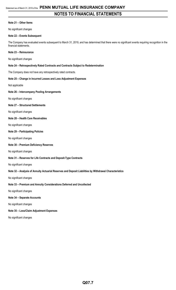#### **Note 21 – Other Items**

No significant changes

#### **Note 22 – Events Subsequent**

The Company has evaluated events subsequent to March 31, 2019, and has determined that there were no significant events requiring recognition in the financial statements.

#### **Note 23 – Reinsurance**

No significant changes

#### **Note 24 – Retrospectively Rated Contracts and Contracts Subject to Redetermination**

The Company does not have any retrospectively rated contracts.

#### **Note 25 – Change in Incurred Losses and Loss Adjustment Expenses**

Not applicable

#### **Note 26 – Intercompany Pooling Arrangements**

No significant changes

#### **Note 27 – Structured Settlements**

No significant changes

#### **Note 28 – Health Care Receivables**

No significant changes

#### **Note 29 – Participating Policies**

No significant changes

#### **Note 30 – Premium Deficiency Reserves**

No significant changes

#### **Note 31 – Reserves for Life Contracts and Deposit-Type Contracts**

No significant changes

#### **Note 32 – Analysis of Annuity Actuarial Reserves and Deposit Liabilities by Withdrawal Characteristics**

No significant changes

#### **Note 33 – Premium and Annuity Considerations Deferred and Uncollected**

No significant changes

#### **Note 34 – Separate Accounts**

No significant changes

**Note 35 – Loss/Claim Adjustment Expenses**

No significant changes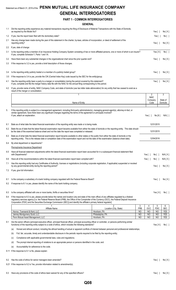## Statement as of March 31, 2019 of the **PENN MUTUAL LIFE INSURANCE COMPANY GENERAL INTERROGATORIES**

#### **PART 1 - COMMON INTERROGATORIES**

|     | <b>GENERAL</b>                                                                                                                                                                                                                                                                                             |                                       |                         |                        |                               |                          |
|-----|------------------------------------------------------------------------------------------------------------------------------------------------------------------------------------------------------------------------------------------------------------------------------------------------------------|---------------------------------------|-------------------------|------------------------|-------------------------------|--------------------------|
|     | 1.1 Did the reporting entity experience any material transactions requiring the filing of Disclosure of Material Transactions with the State of Domicile,                                                                                                                                                  |                                       |                         |                        |                               |                          |
|     | as required by the Model Act?<br>1.2 If yes, has the report been filed with the domiciliary state?                                                                                                                                                                                                         |                                       |                         |                        | Yes $[ \ ]$<br>Yes $\lceil$ 1 | No[X]                    |
| 2.1 | Has any change been made during the year of this statement in the charter, by-laws, articles of incorporation, or deed of settlement of the                                                                                                                                                                |                                       |                         |                        |                               | No[ ]                    |
|     | reporting entity?                                                                                                                                                                                                                                                                                          |                                       |                         |                        | Yes $\lceil$ 1                | No[X]                    |
|     | 2.2 If yes, date of change:                                                                                                                                                                                                                                                                                |                                       |                         |                        |                               |                          |
| 3.1 | Is the reporting entity a member of an Insurance Holding Company System consisting of two or more affiliated persons, one or more of which is an insurer?<br>If yes, complete Schedule Y, Parts 1 and 1A.                                                                                                  |                                       |                         |                        | Yes[X]                        | No[ ]                    |
| 3.2 | Have there been any substantial changes in the organizational chart since the prior quarter end?                                                                                                                                                                                                           |                                       |                         |                        | Yes $[ \ ]$                   | No[X]                    |
| 3.3 | If the response to 3.2 is yes, provide a brief description of those changes.                                                                                                                                                                                                                               |                                       |                         |                        |                               |                          |
| 3.4 | Is the reporting entity publicly traded or a member of a publicly traded group?                                                                                                                                                                                                                            |                                       |                         |                        | Yes $[ \ ]$                   | No[X]                    |
| 3.5 | If the response to 3.4 is yes, provide the CIK (Central Index Key) code issued by the SEC for the entity/group.                                                                                                                                                                                            |                                       |                         |                        |                               |                          |
| 4.1 | Has the reporting entity been a party to a merger or consolidation during the period covered by this statement?<br>If yes, complete and file the merger history data file with the NAIC for the annual filing corresponding to this period.                                                                |                                       |                         |                        | Yes $[ \ ]$                   | No[X]                    |
| 4.2 | If yes, provide name of entity, NAIC Company Code, and state of domicile (use two letter state abbreviation) for any entity that has ceased to exist as a<br>result of the merger or consolidation.                                                                                                        |                                       |                         |                        |                               |                          |
|     |                                                                                                                                                                                                                                                                                                            |                                       |                         |                        | 2                             | 3                        |
|     |                                                                                                                                                                                                                                                                                                            |                                       |                         | <b>NAIC</b><br>Company |                               | State of                 |
|     | Name of Entity                                                                                                                                                                                                                                                                                             |                                       |                         | Code                   |                               | Domicile                 |
| 5.  | If the reporting entity is subject to a management agreement, including third-party administrator(s), managing general agent(s), attorney-in-fact, or                                                                                                                                                      |                                       |                         |                        |                               |                          |
|     | similar agreement, have there been any significant changes regarding the terms of the agreement or principals involved?                                                                                                                                                                                    |                                       |                         |                        |                               |                          |
|     | If yes, attach an explanation.                                                                                                                                                                                                                                                                             |                                       |                         | Yes $[ \ ]$            | No[X]                         | N/A [ ]                  |
| 6.1 | State as of what date the latest financial examination of the reporting entity was made or is being made.                                                                                                                                                                                                  |                                       |                         |                        | 12/31/2015                    |                          |
| 6.2 | State the as of date that the latest financial examination report became available from either the state of domicile or the reporting entity. This date should<br>be the date of the examined balance sheet and not the date the report was completed or released.                                         |                                       |                         |                        | 12/31/2015                    |                          |
| 6.3 | State as of what date the latest financial examination report became available to other states or the public from either the state of domicile or the<br>reporting entity. This is the release date or completion date of the examination report and not the date of the examination (balance sheet date). |                                       |                         |                        | 12/04/2016                    |                          |
| 6.4 | By what department or departments?                                                                                                                                                                                                                                                                         |                                       |                         |                        |                               |                          |
|     | Pennsylvania Insurance Department                                                                                                                                                                                                                                                                          |                                       |                         |                        |                               |                          |
| 6.5 | Have all financial statement adjustments within the latest financial examination report been accounted for in a subsequent financial statement filed<br>with Departments?                                                                                                                                  |                                       |                         | Yes $[ \ ]$            | No[]                          | N/A[X]                   |
| 6.6 | Have all of the recommendations within the latest financial examination report been complied with?                                                                                                                                                                                                         |                                       |                         | Yes $[ ]$              | No [ ]                        | N/A[X]                   |
| 7.1 | Has this reporting entity had any Certificates of Authority, licenses or registrations (including corporate registration, if applicable) suspended or revoked<br>by any governmental entity during the reporting period?                                                                                   |                                       |                         |                        | Yes $[ ]$                     | No[X]                    |
|     | 7.2 If yes, give full information:                                                                                                                                                                                                                                                                         |                                       |                         |                        |                               |                          |
|     |                                                                                                                                                                                                                                                                                                            |                                       |                         |                        |                               |                          |
| 8.1 | Is the company a subsidiary of a bank holding company regulated with the Federal Reserve Board?                                                                                                                                                                                                            |                                       |                         |                        | Yes $[ \ ]$                   | No[X]                    |
| 8.2 | If response to 8.1 is yes, please identify the name of the bank holding company.                                                                                                                                                                                                                           |                                       |                         |                        |                               |                          |
| 8.3 | Is the company affiliated with one or more banks, thrifts or securities firms?                                                                                                                                                                                                                             |                                       |                         |                        | Yes[X]                        | No[]                     |
| 8.4 | If the response to 8.3 is yes, please provide below the names and location (city and state of the main office) of any affiliates regulated by a federal                                                                                                                                                    |                                       |                         |                        |                               |                          |
|     | regulatory services agency [i.e. the Federal Reserve Board (FRB), the Office of the Comptroller of the Currency (OCC), the Federal Deposit Insurance<br>Corporation (FDIC) and the Securities Exchange Commission (SEC)] and identify the affiliate's primary federal regulator].                          |                                       |                         |                        |                               |                          |
|     |                                                                                                                                                                                                                                                                                                            | 2                                     | 3                       | 4                      | 5                             | 6                        |
|     | Affiliate Name<br>Hornor, Townsend & Kent, LLC                                                                                                                                                                                                                                                             | Location (City, State)<br>Horsham, PA | <b>FRB</b><br><b>NO</b> | OCC<br><b>NO</b>       | <b>FDIC</b><br>NO             | <b>SEC</b><br><b>YES</b> |
|     | Janney Montgomery Scott, LLC                                                                                                                                                                                                                                                                               | Philadelphia, PA                      | <b>NO</b>               | NO                     | N <sub>O</sub>                | <b>YES</b>               |
|     | Penn Mutual Asset Management, LLC                                                                                                                                                                                                                                                                          | Horsham, PA                           | <b>NO</b>               | NO                     | NO                            | <b>YES</b>               |
| 9.1 | Are the senior officers (principal executive officer, principal financial officer, principal accounting officer or controller, or persons performing similar<br>functions) of the reporting entity subject to a code of ethics, which includes the following standards?                                    |                                       |                         |                        | Yes[X]                        | No [ ]                   |
|     | Honest and ethical conduct, including the ethical handling of actual or apparent conflicts of interest between personal and professional relationships;<br>(a)                                                                                                                                             |                                       |                         |                        |                               |                          |
|     | Full, fair, accurate, timely and understandable disclosure in the periodic reports required to be filed by the reporting entity;<br>(b)                                                                                                                                                                    |                                       |                         |                        |                               |                          |
|     | Compliance with applicable governmental laws, rules and regulations;<br>(c)                                                                                                                                                                                                                                |                                       |                         |                        |                               |                          |
|     | The prompt internal reporting of violations to an appropriate person or persons identified in the code; and<br>(d)                                                                                                                                                                                         |                                       |                         |                        |                               |                          |
|     | Accountability for adherence to the code.<br>(e)                                                                                                                                                                                                                                                           |                                       |                         |                        |                               |                          |
|     | 9.11 If the response to 9.1 is No, please explain:                                                                                                                                                                                                                                                         |                                       |                         |                        |                               |                          |
|     | 9.2 Has the code of ethics for senior managers been amended?                                                                                                                                                                                                                                               |                                       |                         |                        | Yes $[ \ ]$                   | No[X]                    |
|     | 9.21 If the response to 9.2 is Yes, provide information related to amendment(s).                                                                                                                                                                                                                           |                                       |                         |                        |                               |                          |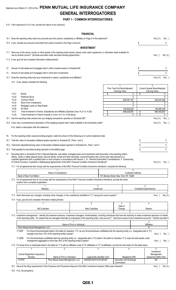## Statement as of March 31, 2019 of the **PENN MUTUAL LIFE INSURANCE COMPANY GENERAL INTERROGATORIES**

#### **PART 1 - COMMON INTERROGATORIES**

9.31 If the response to 9.3 is Yes, provide the nature of any waiver(s).

18.2 If no, list exceptions:

#### **FINANCIAL**

|     |                |                                                                                                                                                                                                                                                                                                                                                                                                                   |                                                                                                                                                                                                                                          |                                     | <b>FINANCIAL</b>  |                                                            |                          |                                                      |        |
|-----|----------------|-------------------------------------------------------------------------------------------------------------------------------------------------------------------------------------------------------------------------------------------------------------------------------------------------------------------------------------------------------------------------------------------------------------------|------------------------------------------------------------------------------------------------------------------------------------------------------------------------------------------------------------------------------------------|-------------------------------------|-------------------|------------------------------------------------------------|--------------------------|------------------------------------------------------|--------|
|     |                | 10.1 Does the reporting entity report any amounts due from parent, subsidiaries or affiliates on Page 2 of this statement?                                                                                                                                                                                                                                                                                        |                                                                                                                                                                                                                                          |                                     |                   |                                                            |                          | Yes[X]                                               | No [ ] |
|     |                | 10.2 If yes, indicate any amounts receivable from parent included in the Page 2 amount:                                                                                                                                                                                                                                                                                                                           |                                                                                                                                                                                                                                          |                                     |                   |                                                            | \$                       |                                                      | 0      |
|     |                |                                                                                                                                                                                                                                                                                                                                                                                                                   |                                                                                                                                                                                                                                          |                                     | <b>INVESTMENT</b> |                                                            |                          |                                                      |        |
|     |                | 11.1 Were any of the stocks, bonds, or other assets of the reporting entity loaned, placed under option agreement, or otherwise made available for<br>use by another person? (Exclude securities under securities lending agreements.)                                                                                                                                                                            |                                                                                                                                                                                                                                          |                                     |                   |                                                            |                          | Yes $[ ]$                                            | No[X]  |
|     |                | 11.2 If yes, give full and complete information relating thereto:                                                                                                                                                                                                                                                                                                                                                 |                                                                                                                                                                                                                                          |                                     |                   |                                                            |                          |                                                      |        |
| 12. |                | Amount of real estate and mortgages held in other invested assets in Schedule BA:                                                                                                                                                                                                                                                                                                                                 |                                                                                                                                                                                                                                          |                                     |                   |                                                            | \$                       |                                                      | 0      |
| 13. |                | Amount of real estate and mortgages held in short-term investments:                                                                                                                                                                                                                                                                                                                                               |                                                                                                                                                                                                                                          |                                     |                   |                                                            | \$                       |                                                      | 0      |
|     |                | 14.1 Does the reporting entity have any investments in parent, subsidiaries and affiliates?                                                                                                                                                                                                                                                                                                                       |                                                                                                                                                                                                                                          |                                     |                   |                                                            |                          | Yes[X]                                               | No[    |
|     |                | 14.2 If yes, please complete the following:                                                                                                                                                                                                                                                                                                                                                                       |                                                                                                                                                                                                                                          |                                     |                   |                                                            |                          |                                                      |        |
|     |                |                                                                                                                                                                                                                                                                                                                                                                                                                   |                                                                                                                                                                                                                                          |                                     |                   | 1<br>Prior Year End Book/Adjusted<br><b>Carrying Value</b> |                          | 2<br>Current Quarter Book/Adjusted<br>Carrying Value |        |
|     | 14.21<br>14.22 | <b>Bonds</b>                                                                                                                                                                                                                                                                                                                                                                                                      |                                                                                                                                                                                                                                          |                                     |                   | \$                                                         | 0<br>\$<br>$\Omega$      |                                                      | 0      |
|     | 14.23          | <b>Preferred Stock</b><br>Common Stock                                                                                                                                                                                                                                                                                                                                                                            |                                                                                                                                                                                                                                          |                                     |                   | 559,797,167                                                |                          | 543,975,359                                          | 0      |
|     | 14.24          | Short-Term Investments                                                                                                                                                                                                                                                                                                                                                                                            |                                                                                                                                                                                                                                          |                                     |                   |                                                            | 0                        |                                                      | 0      |
|     | 14.25<br>14.26 | Mortgage Loans on Real Estate                                                                                                                                                                                                                                                                                                                                                                                     |                                                                                                                                                                                                                                          |                                     |                   |                                                            | $\mathbf{0}$             |                                                      | 0      |
|     | 14.27          | All Other<br>Total Investment in Parent, Subsidiaries and Affiliates (Subtotal Lines 14.21 to 14.26)                                                                                                                                                                                                                                                                                                              |                                                                                                                                                                                                                                          |                                     |                   | \$<br>136,632,824<br>696,429,991                           | \$                       | 150,480,338<br>694,455,697                           |        |
|     | 14.28          | Total Investment in Parent included in Lines 14.21 to 14.26 above                                                                                                                                                                                                                                                                                                                                                 |                                                                                                                                                                                                                                          |                                     |                   | \$                                                         | \$<br>0                  |                                                      | 0      |
|     |                | 15.1 Has the reporting entity entered into any hedging transactions reported on Schedule DB?                                                                                                                                                                                                                                                                                                                      |                                                                                                                                                                                                                                          |                                     |                   |                                                            |                          | Yes[X]                                               | No [ ] |
|     |                | 15.2 If yes, has a comprehensive description of the hedging program been made available to the domiciliary state?                                                                                                                                                                                                                                                                                                 |                                                                                                                                                                                                                                          |                                     |                   |                                                            |                          | Yes[X]                                               | No[ ]  |
|     |                | If no, attach a description with this statement.                                                                                                                                                                                                                                                                                                                                                                  |                                                                                                                                                                                                                                          |                                     |                   |                                                            |                          |                                                      |        |
|     |                | 16. For the reporting entity's security lending program, state the amount of the following as of current statement date:                                                                                                                                                                                                                                                                                          |                                                                                                                                                                                                                                          |                                     |                   |                                                            |                          |                                                      |        |
|     |                | 16.1 Total fair value of reinvested collateral assets reported on Schedule DL, Parts 1 and 2:                                                                                                                                                                                                                                                                                                                     |                                                                                                                                                                                                                                          |                                     |                   |                                                            | \$                       |                                                      | 0      |
|     |                | 16.2 Total book adjusted/carrying value of reinvested collateral assets reported on Schedule DL, Parts 1 and 2:                                                                                                                                                                                                                                                                                                   |                                                                                                                                                                                                                                          |                                     |                   |                                                            | \$                       |                                                      | 0      |
|     |                | 16.3 Total payable for securities lending reported on the liability page:                                                                                                                                                                                                                                                                                                                                         |                                                                                                                                                                                                                                          |                                     |                   |                                                            | \$                       |                                                      | 0      |
|     |                | 17. Excluding items in Schedule E-Part 3-Special Deposits, real estate, mortgage loans and investments held physically in the reporting entity's                                                                                                                                                                                                                                                                  |                                                                                                                                                                                                                                          |                                     |                   |                                                            |                          |                                                      |        |
|     |                | offices, vaults or safety deposit boxes, were all stocks, bonds and other securities, owned throughout the current year held pursuant to a<br>custodial agreement with a qualified bank or trust company in accordance with Section 1, III - General Examination Considerations, F. Outsourcing<br>of Critical Functions, Custodial or Safekeeping Agreements of the NAIC Financial Condition Examiners Handbook? |                                                                                                                                                                                                                                          |                                     |                   |                                                            |                          | Yes[X]                                               | No[ ]  |
|     |                | 17.1 For all agreements that comply with the requirements of the NAIC Financial Condition Examiners Handbook, complete the following:                                                                                                                                                                                                                                                                             |                                                                                                                                                                                                                                          |                                     |                   |                                                            |                          |                                                      |        |
|     |                |                                                                                                                                                                                                                                                                                                                                                                                                                   |                                                                                                                                                                                                                                          |                                     |                   |                                                            | 2                        |                                                      |        |
|     |                | Bank of New York Mellon                                                                                                                                                                                                                                                                                                                                                                                           | Name of Custodian(s)                                                                                                                                                                                                                     |                                     |                   | 101 Barclay Street, New York, NY 10286                     | <b>Custodian Address</b> |                                                      |        |
|     |                | 17.2 For all agreements that do not comply with the requirements of the NAIC Financial Condition Examiners Handbook, provide the name,<br>location and a complete explanation:                                                                                                                                                                                                                                    |                                                                                                                                                                                                                                          |                                     |                   |                                                            |                          |                                                      |        |
|     |                |                                                                                                                                                                                                                                                                                                                                                                                                                   |                                                                                                                                                                                                                                          |                                     | 2                 |                                                            |                          |                                                      |        |
|     |                | Name(s)                                                                                                                                                                                                                                                                                                                                                                                                           |                                                                                                                                                                                                                                          |                                     | Location(s)       |                                                            |                          | Complete Explanation(s)                              |        |
|     |                | 17.3 Have there been any changes, including name changes, in the custodian(s) identified in 17.1 during the current quarter?<br>17.4 If yes, give full and complete information relating thereto:                                                                                                                                                                                                                 |                                                                                                                                                                                                                                          |                                     |                   |                                                            |                          | Yes $\lceil \; \rceil$                               | No[X]  |
|     |                |                                                                                                                                                                                                                                                                                                                                                                                                                   |                                                                                                                                                                                                                                          |                                     | $\overline{2}$    | 3                                                          |                          | 4                                                    |        |
|     |                | Old Custodian                                                                                                                                                                                                                                                                                                                                                                                                     |                                                                                                                                                                                                                                          |                                     | New Custodian     | Date of<br>Change                                          |                          | Reason                                               |        |
|     |                |                                                                                                                                                                                                                                                                                                                                                                                                                   |                                                                                                                                                                                                                                          |                                     |                   |                                                            |                          |                                                      |        |
|     |                | 17.5 Investment management - Identify all investment advisors, investment managers, broker/dealers, including individuals that have the authority to make investment decisions on behalf<br>of the reporting entity. For assets that are managed internally by employees of the reporting entity, note as such ["that have access to the investment accounts", "handle securities"]                               |                                                                                                                                                                                                                                          |                                     |                   |                                                            |                          |                                                      |        |
|     |                |                                                                                                                                                                                                                                                                                                                                                                                                                   |                                                                                                                                                                                                                                          | Name of Firm or Individual          |                   |                                                            |                          | $\overline{2}$<br>Affiliation                        |        |
|     |                | Penn Mutual Asset Management, LLC                                                                                                                                                                                                                                                                                                                                                                                 |                                                                                                                                                                                                                                          |                                     |                   |                                                            |                          | А                                                    |        |
|     |                | 17.5097                                                                                                                                                                                                                                                                                                                                                                                                           | For those firms/individuals listed in the table for Question 17.5, do any firms/individuals unaffiliated with the reporting entity (i.e., designated with a "U")<br>manage more than 10% of the reporting entity's assets?               |                                     |                   |                                                            |                          | Yes $[ \ ]$                                          | No[ ]  |
|     |                | 17.5098                                                                                                                                                                                                                                                                                                                                                                                                           | For firms/individuals unaffiliated with the reporting entity (i.e., designated with a "U") listed in the table for Question 17.5, does the total assets under<br>management aggregate to more than 50% of the reporting entity's assets? |                                     |                   |                                                            |                          | Yes[ ]                                               | No[ ]  |
|     |                | 17.6 For those firms or individuals listed in the table for 17.5 with an affiliation code of "A" (affiliated) or "U" (unaffiliated), provide the information for the table below.                                                                                                                                                                                                                                 | $\overline{c}$                                                                                                                                                                                                                           |                                     | 3                 | 4                                                          |                          | 5                                                    |        |
|     |                | 1<br><b>Central Registration Depository</b><br>Number<br>107518                                                                                                                                                                                                                                                                                                                                                   | <b>Registered With</b><br>Securities and Exchange                                                                                                                                                                                        | Management<br>Agreement (IMA) Filed |                   |                                                            |                          |                                                      |        |

18.1 Have all the filing requirements of the *Purposes and Procedures Manual of the NAIC Investment Analysis Office* been followed? Yes [ ] No [X ]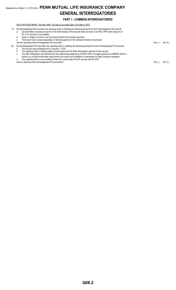## Statement as of March 31, 2019 of the **PENN MUTUAL LIFE INSURANCE COMPANY GENERAL INTERROGATORIES**

#### **PART 1 - COMMON INTERROGATORIES**

46513YKP2,46513BH92 - Not filed within 120 days of purchase date, to be filed in 2019.

- 19. By self-designating 5GI securities, the reporting entity is certifying the following elements for each self-designated 5GI security: a. Documentation necessary to permit a full credit analysis of the security does not exist or an NAIC CRP credit rating for an FE or PL security is not available.
	- b. Issuer or obligor is current on all contracted interest and principal payments.
	- c. The insurer has an actual expectation of ultimate payment of all contracted interest and principal. Has the reporting entity self-designated 5GI securities? The result of the result of the result of the reporting entity self-designated 5GI securities? The result of the result of the result of the result of the result of
	-

|  | 20. By self-designating PLGI securities, the reporting entity is certifying the following elements for each self-designated PLGI security: |
|--|--------------------------------------------------------------------------------------------------------------------------------------------|
|  | The security was purchased prior to January 1, 2018.                                                                                       |
|  | The reporting entity is holding capital commensurate with the NAIC Designation reported for the security.                                  |
|  | The NAIC Designation was derived from the credit rating assigned by an NAIC CRP in its legal capacity as a NRSRO which is                  |

- shown on a current private letter rating held by the insurer and available for examination by state insurance regulators.
- d. The reporting entity is not permitted to share this credit rating of the PL security with the SVO. Has the reporting entity self-designated PLGI securities?<br>
Has the reporting entity self-designated PLGI securities?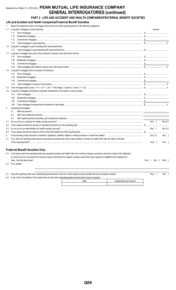## Statement as of March 31, 2019 of the PENN MUTUAL LIFE INSURANCE COMPANY **GENERAL INTERROGATORIES (continued)**

#### PART 2 - LIFE AND ACCIDENT AND HEALTH COMPANIES/FRATERNAL BENEFIT SOCIETIES

Life and Accident and Health Companies/Fraternal Benefit Societies

Renort the state d for the felle a aataaasiaan

|     | Report the statement value of mortgage loans at the end of this reporting period for the following categories.                                                                                                                                                                                                                                                                                                                                                                                      | Amount      |        |
|-----|-----------------------------------------------------------------------------------------------------------------------------------------------------------------------------------------------------------------------------------------------------------------------------------------------------------------------------------------------------------------------------------------------------------------------------------------------------------------------------------------------------|-------------|--------|
| 1.1 | Long-term mortgages in good standing                                                                                                                                                                                                                                                                                                                                                                                                                                                                |             |        |
|     |                                                                                                                                                                                                                                                                                                                                                                                                                                                                                                     |             |        |
|     | 1.12                                                                                                                                                                                                                                                                                                                                                                                                                                                                                                |             |        |
|     | 1.13<br>$\textbf{Commercial} \ \textbf{mortgages} \ \textcolor{red}{\textbf{mortgages} \ \textcolor{red}{\textbf{}} \ \textcolor{red}{\textbf{mortgages} \ \textcolor{red}{\textbf{}} \ \textcolor{red}{\textbf{mott} \ \textbf{}} \ \textcolor{red}{\textbf{mott} \ \textbf{mott} \ \textbf{mott} \ \textbf{mott} \ \textbf{mott} \ \textbf{mott} \ \textbf{mott} \ \textbf{mott} \ \textbf{mott} \ \textbf{mott} \ \textbf{mott} \ \textbf{mott} \ \textbf{mott} \ \textbf{mott} \ \textbf{mott}$ |             |        |
|     | 1.14                                                                                                                                                                                                                                                                                                                                                                                                                                                                                                |             |        |
|     | 1.2 Long-term mortgages in good standing with restructured terms                                                                                                                                                                                                                                                                                                                                                                                                                                    |             |        |
|     | 1.21                                                                                                                                                                                                                                                                                                                                                                                                                                                                                                |             |        |
| 1.3 | Long-term mortgage loans upon which interest is overdue more than three months                                                                                                                                                                                                                                                                                                                                                                                                                      |             |        |
|     | 1.31                                                                                                                                                                                                                                                                                                                                                                                                                                                                                                |             |        |
|     | 1.32                                                                                                                                                                                                                                                                                                                                                                                                                                                                                                |             |        |
|     | 1.33                                                                                                                                                                                                                                                                                                                                                                                                                                                                                                |             |        |
|     | 1.34                                                                                                                                                                                                                                                                                                                                                                                                                                                                                                |             |        |
| 1.4 | Long-term mortgage loans in process of foreclosure                                                                                                                                                                                                                                                                                                                                                                                                                                                  |             |        |
|     | 1.41                                                                                                                                                                                                                                                                                                                                                                                                                                                                                                |             |        |
|     | 1.42                                                                                                                                                                                                                                                                                                                                                                                                                                                                                                |             |        |
|     | 1.43                                                                                                                                                                                                                                                                                                                                                                                                                                                                                                |             |        |
|     | 1.44                                                                                                                                                                                                                                                                                                                                                                                                                                                                                                |             |        |
| 1.5 |                                                                                                                                                                                                                                                                                                                                                                                                                                                                                                     |             |        |
| 1.6 | Long-term mortgages foreclosed, properties transferred to real estate in current quarter                                                                                                                                                                                                                                                                                                                                                                                                            |             |        |
|     | 1.61                                                                                                                                                                                                                                                                                                                                                                                                                                                                                                |             |        |
|     | 1.62                                                                                                                                                                                                                                                                                                                                                                                                                                                                                                |             |        |
|     | 1.63                                                                                                                                                                                                                                                                                                                                                                                                                                                                                                |             |        |
|     | 1.64                                                                                                                                                                                                                                                                                                                                                                                                                                                                                                |             |        |
| 2.  | <b>Operating Percentages:</b>                                                                                                                                                                                                                                                                                                                                                                                                                                                                       |             |        |
|     | 2.1                                                                                                                                                                                                                                                                                                                                                                                                                                                                                                 |             |        |
|     | 2.2                                                                                                                                                                                                                                                                                                                                                                                                                                                                                                 |             |        |
|     | 2.3                                                                                                                                                                                                                                                                                                                                                                                                                                                                                                 |             |        |
| 3.1 |                                                                                                                                                                                                                                                                                                                                                                                                                                                                                                     | Yes[]       | No[X]  |
| 3.2 |                                                                                                                                                                                                                                                                                                                                                                                                                                                                                                     |             |        |
| 3.3 |                                                                                                                                                                                                                                                                                                                                                                                                                                                                                                     | Yes [ ]     | No[X]  |
| 3.4 |                                                                                                                                                                                                                                                                                                                                                                                                                                                                                                     |             |        |
| 4.  |                                                                                                                                                                                                                                                                                                                                                                                                                                                                                                     | Yes $[X]$   | No[]   |
| 4.1 | If no, does the reporting entity assume reinsurance business that covers risks residing in at least one state other than the state of domicile                                                                                                                                                                                                                                                                                                                                                      |             |        |
|     |                                                                                                                                                                                                                                                                                                                                                                                                                                                                                                     | Yes $[ \ ]$ | No [ ] |
|     |                                                                                                                                                                                                                                                                                                                                                                                                                                                                                                     |             |        |
|     | <b>Fraternal Benefit Societies Only:</b>                                                                                                                                                                                                                                                                                                                                                                                                                                                            |             |        |

5.1 In all cases where the reporting entity has assumed accident and health risks from another company, provisions should be made in this statement on account of such reinsurance for reserve equal to that which the original company would have been required to establish had it retained the risks. Has this been done?

5.2 If no, explain:

6.1 Does the reporting entity have outstanding assessments in the form of liens against policy benefits that have increased surplus? Yes $[ ]$  $No [ ]$ 6.2 If yes, what is the date(s) of the original lien and the total outstanding balance of liens that remain in surplus?

| tanung balance or lichs that remain in surplus : |                         |
|--------------------------------------------------|-------------------------|
|                                                  | Outstanding Lien Amount |
|                                                  |                         |

Yes[ ] No[ ] N/A[ ]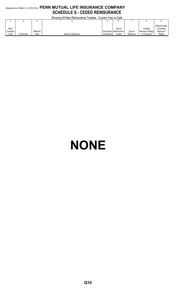## Statement as of March 31, 2019 of the **PENN MUTUAL LIFE INSURANCE COMPANY SCHEDULE S - CEDED REINSURANCE**

Showing All New Reinsurance Treaties - Current Year to Date

|             |                  |           |                   | 0.411        |             |           |                   |                       |
|-------------|------------------|-----------|-------------------|--------------|-------------|-----------|-------------------|-----------------------|
|             |                  |           |                   | u            |             |           |                   |                       |
|             |                  |           |                   |              |             |           |                   | <b>Effective Date</b> |
| <b>NAIC</b> |                  |           |                   |              | Type of     |           | Certified         | of Certified          |
| Company     |                  | Effective |                   | Domiciliary  | Reinsurance | Type of   | Reinsurer Rating  | Reinsurer             |
| Code        | <b>ID Number</b> | Date      | Name of Reinsurer | Jurisdiction | Ceded       | Reinsurer | $(1$ through $6)$ | Rating                |

# **NONE**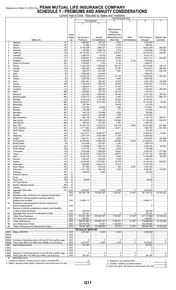## Statement as of March 31, 2019 of the PENN MUTUAL LIFE INSURANCE COMPANY<br>SCHEDULE T - PREMIUMS AND ANNUITY CONSIDERATIONS

|                |                                                                      |                         |                                 |                                                                                                                                                                                                                                                                                                                                                                     | Current Year to Date - Allocated by States and Territories                                                                                                                                                                                                                                                                                                          |                                                                                                 |                                                                                                                                                                                                                                                                                                                                |                                                                                                      |
|----------------|----------------------------------------------------------------------|-------------------------|---------------------------------|---------------------------------------------------------------------------------------------------------------------------------------------------------------------------------------------------------------------------------------------------------------------------------------------------------------------------------------------------------------------|---------------------------------------------------------------------------------------------------------------------------------------------------------------------------------------------------------------------------------------------------------------------------------------------------------------------------------------------------------------------|-------------------------------------------------------------------------------------------------|--------------------------------------------------------------------------------------------------------------------------------------------------------------------------------------------------------------------------------------------------------------------------------------------------------------------------------|------------------------------------------------------------------------------------------------------|
|                |                                                                      |                         |                                 | <b>Life Contracts</b>                                                                                                                                                                                                                                                                                                                                               | <b>Direct Business Only</b>                                                                                                                                                                                                                                                                                                                                         |                                                                                                 | 6                                                                                                                                                                                                                                                                                                                              |                                                                                                      |
|                |                                                                      |                         | $\overline{2}$                  | 3                                                                                                                                                                                                                                                                                                                                                                   |                                                                                                                                                                                                                                                                                                                                                                     |                                                                                                 |                                                                                                                                                                                                                                                                                                                                |                                                                                                      |
|                |                                                                      |                         |                                 |                                                                                                                                                                                                                                                                                                                                                                     |                                                                                                                                                                                                                                                                                                                                                                     |                                                                                                 |                                                                                                                                                                                                                                                                                                                                |                                                                                                      |
|                |                                                                      |                         |                                 |                                                                                                                                                                                                                                                                                                                                                                     | A&H Insurance                                                                                                                                                                                                                                                                                                                                                       |                                                                                                 |                                                                                                                                                                                                                                                                                                                                |                                                                                                      |
|                |                                                                      |                         |                                 |                                                                                                                                                                                                                                                                                                                                                                     | Premiums.<br><b>Including Policy</b>                                                                                                                                                                                                                                                                                                                                |                                                                                                 |                                                                                                                                                                                                                                                                                                                                |                                                                                                      |
|                |                                                                      | Active<br><b>Status</b> | Life Insurance                  | Annuity                                                                                                                                                                                                                                                                                                                                                             | Membership and                                                                                                                                                                                                                                                                                                                                                      | Other                                                                                           | <b>Total Columns 2</b>                                                                                                                                                                                                                                                                                                         | Deposit-Type                                                                                         |
|                | States, Etc.                                                         | (a)                     | Premiums                        | Considerations                                                                                                                                                                                                                                                                                                                                                      | Other Fees                                                                                                                                                                                                                                                                                                                                                          | Considerations                                                                                  | through 5                                                                                                                                                                                                                                                                                                                      | Contracts                                                                                            |
| 1.             |                                                                      | . L                     | 1,466,585                       | 767,937                                                                                                                                                                                                                                                                                                                                                             | 9,322                                                                                                                                                                                                                                                                                                                                                               |                                                                                                 | 2.243.844                                                                                                                                                                                                                                                                                                                      |                                                                                                      |
| 2.             |                                                                      | L                       | 51,962                          | 513,839                                                                                                                                                                                                                                                                                                                                                             | 3,239                                                                                                                                                                                                                                                                                                                                                               |                                                                                                 | 569,040                                                                                                                                                                                                                                                                                                                        |                                                                                                      |
| 3.             |                                                                      | L                       | 16,743,298                      | 32.866.237                                                                                                                                                                                                                                                                                                                                                          | 12,439                                                                                                                                                                                                                                                                                                                                                              |                                                                                                 | 19,621,974                                                                                                                                                                                                                                                                                                                     | 584,630                                                                                              |
| 4.             |                                                                      | L                       | 1,197,893                       | 1.059.745<br>6,110,177                                                                                                                                                                                                                                                                                                                                              | $\ldots$ 2,018<br>123,407                                                                                                                                                                                                                                                                                                                                           |                                                                                                 | 2.259.656<br>34,010,519                                                                                                                                                                                                                                                                                                        | 118,602<br>205,081                                                                                   |
| 5.<br>6.       |                                                                      | L<br>L                  | 27,776,935<br>3, 296, 787       | 110,675                                                                                                                                                                                                                                                                                                                                                             |                                                                                                                                                                                                                                                                                                                                                                     |                                                                                                 | $1.15$ , 5, 414, 115                                                                                                                                                                                                                                                                                                           |                                                                                                      |
| 7.             |                                                                      | L                       | $\ldots$ 6,399,021              | 2,164,038                                                                                                                                                                                                                                                                                                                                                           | $\ldots$ 53,958                                                                                                                                                                                                                                                                                                                                                     |                                                                                                 | 3,617,017                                                                                                                                                                                                                                                                                                                      | $\ldots$ 200,000                                                                                     |
| 8.             |                                                                      | L                       | 3,380,888                       | 4,013,204                                                                                                                                                                                                                                                                                                                                                           | 6,744                                                                                                                                                                                                                                                                                                                                                               | 6,100                                                                                           |                                                                                                                                                                                                                                                                                                                                |                                                                                                      |
| 9.             |                                                                      | L                       | 1,079,457                       | 2,100                                                                                                                                                                                                                                                                                                                                                               | $\ldots$ 8,120                                                                                                                                                                                                                                                                                                                                                      |                                                                                                 | 1,089,677                                                                                                                                                                                                                                                                                                                      |                                                                                                      |
| 10.            |                                                                      | L                       | 17,432,769                      | 356,568                                                                                                                                                                                                                                                                                                                                                             | 185,127                                                                                                                                                                                                                                                                                                                                                             |                                                                                                 | 35,474,464                                                                                                                                                                                                                                                                                                                     | 106,217                                                                                              |
| 11.            |                                                                      | L                       | 3,620,823                       | 3, 2, 945, 062                                                                                                                                                                                                                                                                                                                                                      | 10,787                                                                                                                                                                                                                                                                                                                                                              |                                                                                                 | $\ldots$ 6,576,672                                                                                                                                                                                                                                                                                                             | 965,000                                                                                              |
| 12.<br>13.     |                                                                      | L<br>L                  | 494,707<br>1,080,446            | 421,246<br>618,930                                                                                                                                                                                                                                                                                                                                                  | 1.661                                                                                                                                                                                                                                                                                                                                                               |                                                                                                 | 917,614<br>1,699,376                                                                                                                                                                                                                                                                                                           | 229,739                                                                                              |
| 14.            |                                                                      | L                       | 10,340,233                      | 3,305,312                                                                                                                                                                                                                                                                                                                                                           | 27,108                                                                                                                                                                                                                                                                                                                                                              |                                                                                                 | 13.672.653                                                                                                                                                                                                                                                                                                                     | 387,932                                                                                              |
| 15.            |                                                                      | L                       | 1,630,792                       | 1,016,023                                                                                                                                                                                                                                                                                                                                                           | 3,945                                                                                                                                                                                                                                                                                                                                                               |                                                                                                 | $\ldots$ 2,656,760                                                                                                                                                                                                                                                                                                             |                                                                                                      |
| 16.            |                                                                      | L                       | 3,651,261                       | 593,003                                                                                                                                                                                                                                                                                                                                                             | 12,975                                                                                                                                                                                                                                                                                                                                                              |                                                                                                 | 4,257,239                                                                                                                                                                                                                                                                                                                      | 126,805                                                                                              |
| 17.            |                                                                      | L                       | 7,338,478                       | 1,389,156                                                                                                                                                                                                                                                                                                                                                           | 34,903                                                                                                                                                                                                                                                                                                                                                              |                                                                                                 | 3,762,537                                                                                                                                                                                                                                                                                                                      | 115,278                                                                                              |
| 18.            |                                                                      | L                       | 1,384,678                       | 270,517                                                                                                                                                                                                                                                                                                                                                             | 12,184                                                                                                                                                                                                                                                                                                                                                              |                                                                                                 | 1,667,379                                                                                                                                                                                                                                                                                                                      |                                                                                                      |
| 19.<br>20.     |                                                                      | L<br>L                  | $\dots$ 830,212<br>1,000,893    | 304,840<br>570,783                                                                                                                                                                                                                                                                                                                                                  | 4,349<br>26,134                                                                                                                                                                                                                                                                                                                                                     |                                                                                                 | 1,639,401<br>1.597.810                                                                                                                                                                                                                                                                                                         | 260,000                                                                                              |
| 21.            |                                                                      | L                       | 4,326,288                       | 3,969,044                                                                                                                                                                                                                                                                                                                                                           | 36,188                                                                                                                                                                                                                                                                                                                                                              |                                                                                                 | 8,331,520                                                                                                                                                                                                                                                                                                                      | 300,000                                                                                              |
| 22.            |                                                                      | L                       | 6,706,773                       | 6,394,252                                                                                                                                                                                                                                                                                                                                                           | 4,450                                                                                                                                                                                                                                                                                                                                                               |                                                                                                 | 13.105.475                                                                                                                                                                                                                                                                                                                     | 599,130                                                                                              |
| 23.            |                                                                      | L                       | 3,070,079                       | 1,215,164                                                                                                                                                                                                                                                                                                                                                           | 34,524                                                                                                                                                                                                                                                                                                                                                              |                                                                                                 | $$ 9,319,767                                                                                                                                                                                                                                                                                                                   |                                                                                                      |
| 24.            |                                                                      | L                       | 10,050,977                      | 3,031,564                                                                                                                                                                                                                                                                                                                                                           | $\ldots$ 27,493                                                                                                                                                                                                                                                                                                                                                     |                                                                                                 | 15,110,034                                                                                                                                                                                                                                                                                                                     | $\ldots$ 50.000                                                                                      |
| 25.            |                                                                      | L                       | 597,390                         |                                                                                                                                                                                                                                                                                                                                                                     | $\ldots$ 16,028                                                                                                                                                                                                                                                                                                                                                     |                                                                                                 | 613,418                                                                                                                                                                                                                                                                                                                        |                                                                                                      |
| 26.            |                                                                      | L                       | 1,720,764                       | 44,855                                                                                                                                                                                                                                                                                                                                                              | 1,982                                                                                                                                                                                                                                                                                                                                                               |                                                                                                 | 1,767,601                                                                                                                                                                                                                                                                                                                      | 395,276                                                                                              |
| 27.<br>28.     |                                                                      | L<br>L                  | 272,089<br>442,278              | 20<br>319,086                                                                                                                                                                                                                                                                                                                                                       | 711<br>$\ldots$ 2,628                                                                                                                                                                                                                                                                                                                                               |                                                                                                 | 272,820<br>763,992                                                                                                                                                                                                                                                                                                             |                                                                                                      |
| 29.            |                                                                      | L                       | 3,546,735                       | 224,699                                                                                                                                                                                                                                                                                                                                                             | 1,259                                                                                                                                                                                                                                                                                                                                                               |                                                                                                 | 3,772,693                                                                                                                                                                                                                                                                                                                      |                                                                                                      |
| 30.            |                                                                      | L                       | 887,180                         | 231,281                                                                                                                                                                                                                                                                                                                                                             | 1.1.1.1.1.1.4.653                                                                                                                                                                                                                                                                                                                                                   |                                                                                                 | 1,123,114                                                                                                                                                                                                                                                                                                                      | 158,411                                                                                              |
| 31.            |                                                                      | L                       | 34,105,619                      | 17,486,828                                                                                                                                                                                                                                                                                                                                                          | $\ldots$ 150,962                                                                                                                                                                                                                                                                                                                                                    |                                                                                                 | 51,743,409                                                                                                                                                                                                                                                                                                                     | 932.476                                                                                              |
| 32.            |                                                                      | L                       | 446,520                         | 577,352                                                                                                                                                                                                                                                                                                                                                             | 2,361                                                                                                                                                                                                                                                                                                                                                               |                                                                                                 | 1,026,233                                                                                                                                                                                                                                                                                                                      |                                                                                                      |
| 33.            |                                                                      | L                       | 57,550,770                      | 3,442,472                                                                                                                                                                                                                                                                                                                                                           | $\ldots$ 614,478                                                                                                                                                                                                                                                                                                                                                    | 5,969                                                                                           | 67,613,689                                                                                                                                                                                                                                                                                                                     | 691,686                                                                                              |
| 34.<br>35.     |                                                                      | L<br>L                  | 5,117,983<br>$\ldots$ 514,220   | 3.2,655,540                                                                                                                                                                                                                                                                                                                                                         | 29,271                                                                                                                                                                                                                                                                                                                                                              |                                                                                                 | 7,802,794<br>514,220                                                                                                                                                                                                                                                                                                           | 641,078                                                                                              |
| 36.            |                                                                      | L                       | 9,213,411                       | 3,564,187                                                                                                                                                                                                                                                                                                                                                           | <br>28,623                                                                                                                                                                                                                                                                                                                                                          |                                                                                                 | 17,806,221                                                                                                                                                                                                                                                                                                                     | 40.961                                                                                               |
| 37.            |                                                                      | L                       | 2,871,570                       | 9,921,648                                                                                                                                                                                                                                                                                                                                                           | 11,234                                                                                                                                                                                                                                                                                                                                                              |                                                                                                 | 12,804,452                                                                                                                                                                                                                                                                                                                     |                                                                                                      |
| 38.            |                                                                      | L                       | 1,861,911                       | 1.207.280                                                                                                                                                                                                                                                                                                                                                           | $\dots\dots\dots\dots9,900$                                                                                                                                                                                                                                                                                                                                         |                                                                                                 | 3.079.091                                                                                                                                                                                                                                                                                                                      | 343,499                                                                                              |
| 39.            |                                                                      | L                       | 23,195,092                      | 27,898,056                                                                                                                                                                                                                                                                                                                                                          | 125,995                                                                                                                                                                                                                                                                                                                                                             | $\dots$ 10,078                                                                                  | 51,229,221                                                                                                                                                                                                                                                                                                                     | 237,436                                                                                              |
| 40             | <u>RICHARD COMMUNISTIES AND RICHARD COMMUNIST</u><br>Rhode Island    | $\mathbf{I}$            | 1,614,056                       | 221.821                                                                                                                                                                                                                                                                                                                                                             | .2,142                                                                                                                                                                                                                                                                                                                                                              |                                                                                                 | 1,838,019                                                                                                                                                                                                                                                                                                                      |                                                                                                      |
| 41.            |                                                                      | L                       | 1,316,986                       | $\ldots$ 1.506.137                                                                                                                                                                                                                                                                                                                                                  | 5,002                                                                                                                                                                                                                                                                                                                                                               |                                                                                                 | $1.1$ 2.828.125                                                                                                                                                                                                                                                                                                                | 60,000                                                                                               |
| 42.<br>43.     |                                                                      | L<br>L                  | 1,277,183<br>$\ldots$ 2,430,090 | 133,597<br>2,938,255                                                                                                                                                                                                                                                                                                                                                | $\dots$ 5,618                                                                                                                                                                                                                                                                                                                                                       |                                                                                                 | 1.416.398<br>$\ldots$ 5,387,407                                                                                                                                                                                                                                                                                                | 377,580                                                                                              |
| 44.            |                                                                      | L                       | 16,393,875                      | .<br>$\ldots$ 5,003,700                                                                                                                                                                                                                                                                                                                                             | 39,573                                                                                                                                                                                                                                                                                                                                                              |                                                                                                 | 21,437,148                                                                                                                                                                                                                                                                                                                     | 803,528                                                                                              |
| 45.            |                                                                      | L                       | 10,063,336                      | 1,275,148                                                                                                                                                                                                                                                                                                                                                           | 2,405                                                                                                                                                                                                                                                                                                                                                               |                                                                                                 | 11,340,889                                                                                                                                                                                                                                                                                                                     | $\ldots$ 100,000                                                                                     |
| 46.            |                                                                      | L                       | 1,009,241                       | 433,024                                                                                                                                                                                                                                                                                                                                                             | 5,749                                                                                                                                                                                                                                                                                                                                                               |                                                                                                 | 1.448.014                                                                                                                                                                                                                                                                                                                      |                                                                                                      |
| 47.            |                                                                      | L                       | $\ldots$ 6,430,460              | 3.13, 5.719, 401                                                                                                                                                                                                                                                                                                                                                    | $\ldots$ 33,378                                                                                                                                                                                                                                                                                                                                                     |                                                                                                 | 12,183,239                                                                                                                                                                                                                                                                                                                     | 939,624                                                                                              |
| 48.            |                                                                      |                         | 7,094,884                       | $\ldots$ 6.643.473                                                                                                                                                                                                                                                                                                                                                  | 15,219                                                                                                                                                                                                                                                                                                                                                              |                                                                                                 | 13,753,576                                                                                                                                                                                                                                                                                                                     |                                                                                                      |
| 49.<br>50.     |                                                                      | L<br>L                  | $\ldots$ 671,493<br>5,711,305   | 810,236<br>546,156                                                                                                                                                                                                                                                                                                                                                  | 505<br>1.17,430                                                                                                                                                                                                                                                                                                                                                     | 9,300                                                                                           | 1,491,534<br>$$ 6,264,891                                                                                                                                                                                                                                                                                                      | <br>133,563                                                                                          |
| 51.            |                                                                      | L                       | $\ldots$ 750,824                | $\ldots$ 3,000                                                                                                                                                                                                                                                                                                                                                      |                                                                                                                                                                                                                                                                                                                                                                     |                                                                                                 | 753,824                                                                                                                                                                                                                                                                                                                        |                                                                                                      |
| 52.            |                                                                      | N                       |                                 |                                                                                                                                                                                                                                                                                                                                                                     |                                                                                                                                                                                                                                                                                                                                                                     |                                                                                                 |                                                                                                                                                                                                                                                                                                                                |                                                                                                      |
| 53.            | Guam                                                                 | N                       |                                 |                                                                                                                                                                                                                                                                                                                                                                     |                                                                                                                                                                                                                                                                                                                                                                     |                                                                                                 |                                                                                                                                                                                                                                                                                                                                |                                                                                                      |
| 54.            |                                                                      | N                       | $\ldots$ 26,829                 |                                                                                                                                                                                                                                                                                                                                                                     |                                                                                                                                                                                                                                                                                                                                                                     |                                                                                                 | $\ldots$ 26,829                                                                                                                                                                                                                                                                                                                |                                                                                                      |
| 55.            |                                                                      | N                       |                                 |                                                                                                                                                                                                                                                                                                                                                                     |                                                                                                                                                                                                                                                                                                                                                                     |                                                                                                 |                                                                                                                                                                                                                                                                                                                                |                                                                                                      |
| 56.<br>57.     | Canada                                                               | N<br>N                  |                                 |                                                                                                                                                                                                                                                                                                                                                                     |                                                                                                                                                                                                                                                                                                                                                                     |                                                                                                 | 0                                                                                                                                                                                                                                                                                                                              |                                                                                                      |
| 58.            |                                                                      | XXX                     | $\ldots$ 2,970,847              |                                                                                                                                                                                                                                                                                                                                                                     | 2,455                                                                                                                                                                                                                                                                                                                                                               | $\begin{array}{l} \rule{0.2cm}{0.15mm} \ldots \end{array} \begin{array}{ll} \ldots \end{array}$ | $\ldots$ 2,979,802                                                                                                                                                                                                                                                                                                             |                                                                                                      |
| 59.            |                                                                      | $.$ $XXX$               | 341,457,176                     | 157,823,167                                                                                                                                                                                                                                                                                                                                                         | 1,792,351                                                                                                                                                                                                                                                                                                                                                           | 31,447                                                                                          | 501,104,141                                                                                                                                                                                                                                                                                                                    | $\dots$ 10,103,532                                                                                   |
| 90.            | Reporting entity contributions for employee benefit plans            | XXX                     |                                 |                                                                                                                                                                                                                                                                                                                                                                     |                                                                                                                                                                                                                                                                                                                                                                     |                                                                                                 | 0                                                                                                                                                                                                                                                                                                                              |                                                                                                      |
| 91.            | Dividends or refunds applied to purchase paid-up                     |                         |                                 |                                                                                                                                                                                                                                                                                                                                                                     |                                                                                                                                                                                                                                                                                                                                                                     |                                                                                                 |                                                                                                                                                                                                                                                                                                                                |                                                                                                      |
|                |                                                                      | .XXX.                   | 14,808,117                      |                                                                                                                                                                                                                                                                                                                                                                     |                                                                                                                                                                                                                                                                                                                                                                     |                                                                                                 | 14,808,117                                                                                                                                                                                                                                                                                                                     |                                                                                                      |
| 92.            | Dividends or refunds applied to shorten endowment or                 | .XXX.                   |                                 |                                                                                                                                                                                                                                                                                                                                                                     |                                                                                                                                                                                                                                                                                                                                                                     |                                                                                                 |                                                                                                                                                                                                                                                                                                                                |                                                                                                      |
| 93.            | Premium or annuity considerations waived under disability            |                         |                                 |                                                                                                                                                                                                                                                                                                                                                                     |                                                                                                                                                                                                                                                                                                                                                                     |                                                                                                 |                                                                                                                                                                                                                                                                                                                                |                                                                                                      |
|                |                                                                      | XXX.                    | 934,330                         |                                                                                                                                                                                                                                                                                                                                                                     |                                                                                                                                                                                                                                                                                                                                                                     |                                                                                                 | 934,330                                                                                                                                                                                                                                                                                                                        |                                                                                                      |
| 94.            |                                                                      | XXX.                    | .291,381<br>.                   |                                                                                                                                                                                                                                                                                                                                                                     | 0                                                                                                                                                                                                                                                                                                                                                                   | 0                                                                                               | .291,381<br>.                                                                                                                                                                                                                                                                                                                  | 0                                                                                                    |
| 95.            |                                                                      | $.XXX$                  | 357,491,004                     | 157,823,167                                                                                                                                                                                                                                                                                                                                                         | 1,792,351                                                                                                                                                                                                                                                                                                                                                           | $\ldots$ 31,447                                                                                 | 517,137,969                                                                                                                                                                                                                                                                                                                    | $\dots$ 10,103,532                                                                                   |
| 96.            |                                                                      | XXX.                    | 1,800,661                       |                                                                                                                                                                                                                                                                                                                                                                     |                                                                                                                                                                                                                                                                                                                                                                     |                                                                                                 | 1,800,661                                                                                                                                                                                                                                                                                                                      |                                                                                                      |
| 97.<br>98.     |                                                                      | XXX<br>$.$ $XXX$        | 359,291,665                     | 157,823,167                                                                                                                                                                                                                                                                                                                                                         | $\frac{1}{1}$ 1,792,351<br>1,726,608                                                                                                                                                                                                                                                                                                                                | $\overline{\ldots}$ 31,447                                                                      | 518,938,630<br>                                                                                                                                                                                                                                                                                                                | $\dots$ 10,103,532                                                                                   |
| 99.            |                                                                      | $.XXX$                  | .230,709,796<br>128,581,869     | 157,808,906                                                                                                                                                                                                                                                                                                                                                         | 65,743                                                                                                                                                                                                                                                                                                                                                              | 31,447                                                                                          | .232,450,665<br>286,487,965                                                                                                                                                                                                                                                                                                    | $\dots$ 10,103,532                                                                                   |
|                |                                                                      |                         | <b>DETAILS OF WRITE-INS</b>     |                                                                                                                                                                                                                                                                                                                                                                     |                                                                                                                                                                                                                                                                                                                                                                     |                                                                                                 |                                                                                                                                                                                                                                                                                                                                |                                                                                                      |
|                |                                                                      | XXX.                    | 2,970,847                       |                                                                                                                                                                                                                                                                                                                                                                     | 2.455                                                                                                                                                                                                                                                                                                                                                               |                                                                                                 | 2.979.802                                                                                                                                                                                                                                                                                                                      |                                                                                                      |
|                |                                                                      | XXX                     |                                 |                                                                                                                                                                                                                                                                                                                                                                     |                                                                                                                                                                                                                                                                                                                                                                     |                                                                                                 | 0                                                                                                                                                                                                                                                                                                                              |                                                                                                      |
| 58003.         |                                                                      | $.$ $XXX$               | .                               |                                                                                                                                                                                                                                                                                                                                                                     |                                                                                                                                                                                                                                                                                                                                                                     |                                                                                                 | 0                                                                                                                                                                                                                                                                                                                              |                                                                                                      |
|                | 58998. Summary of remaining write-ins for line 58 from overflow page | $.$ $XXX$               | 0                               |                                                                                                                                                                                                                                                                                                                                                                     |                                                                                                                                                                                                                                                                                                                                                                     | 0                                                                                               |                                                                                                                                                                                                                                                                                                                                | 0                                                                                                    |
|                | 58999. Total (Lines 58001 thru 58003 plus 58998) (Line 58 above)     | $.$ $XXX$               | 2,970,847                       |                                                                                                                                                                                                                                                                                                                                                                     | 2,455                                                                                                                                                                                                                                                                                                                                                               |                                                                                                 | $\ldots$ 2.979.802                                                                                                                                                                                                                                                                                                             | 0                                                                                                    |
| 9401.<br>9402. |                                                                      | $.$ $XXX$<br>$.$ $XXX.$ | 291,381                         |                                                                                                                                                                                                                                                                                                                                                                     |                                                                                                                                                                                                                                                                                                                                                                     |                                                                                                 | 291.381                                                                                                                                                                                                                                                                                                                        |                                                                                                      |
| 9403.          |                                                                      | $.XXX$                  |                                 |                                                                                                                                                                                                                                                                                                                                                                     |                                                                                                                                                                                                                                                                                                                                                                     |                                                                                                 | $\begin{array}{l} \rule{0.2cm}{0.15mm} \ldots \end{array} \qquad \begin{array}{ll} \rule{0.2cm}{0.15mm} \ldots \end{array} \qquad \begin{array}{ll} \rule{0.2cm}{0.15mm} \ldots \end{array} \qquad \begin{array}{ll} \rule{0.2cm}{0.15mm} \ldots \end{array} \qquad \begin{array}{ll} \rule{0.2cm}{0.15mm} \ldots \end{array}$ |                                                                                                      |
|                | 9498. Summary of remaining write-ins for line 94 from overflow page  | XXX                     |                                 | 0                                                                                                                                                                                                                                                                                                                                                                   |                                                                                                                                                                                                                                                                                                                                                                     |                                                                                                 |                                                                                                                                                                                                                                                                                                                                | $\begin{array}{l} \ldots \ldots \ldots \ldots \ldots \ldots \ldots \ldots \ldots \ldots \end{array}$ |
|                | 9499. Total (Lines 9401 thru 9403 plus 9498) (Line 94 above)         | XXX                     | 291.381                         | $\begin{picture}(20,20) \put(0,0){\vector(1,0){100}} \put(15,0){\vector(1,0){100}} \put(15,0){\vector(1,0){100}} \put(15,0){\vector(1,0){100}} \put(15,0){\vector(1,0){100}} \put(15,0){\vector(1,0){100}} \put(15,0){\vector(1,0){100}} \put(15,0){\vector(1,0){100}} \put(15,0){\vector(1,0){100}} \put(15,0){\vector(1,0){100}} \put(15,0){\vector(1,0){100}} \$ | $\begin{picture}(20,20) \put(0,0){\vector(1,0){100}} \put(15,0){\vector(1,0){100}} \put(15,0){\vector(1,0){100}} \put(15,0){\vector(1,0){100}} \put(15,0){\vector(1,0){100}} \put(15,0){\vector(1,0){100}} \put(15,0){\vector(1,0){100}} \put(15,0){\vector(1,0){100}} \put(15,0){\vector(1,0){100}} \put(15,0){\vector(1,0){100}} \put(15,0){\vector(1,0){100}} \$ | 0                                                                                               | 291,381                                                                                                                                                                                                                                                                                                                        |                                                                                                      |

 $\overline{0}$  $\overline{0}$  $6\overline{6}$ 

 $51$  $\overline{0}$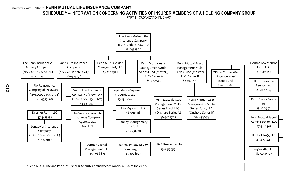## **SCHEDULE Y – INFORMATION CONCERNING ACTIVITIES OF INSURER MEMBERS OF A HOLDING COMPANY GROUP**

PART 1 – ORGANIZATIONAL CHART



\*Penn Mutual Life and Penn Insurance & Annuity Company each control 46.3% of the entity.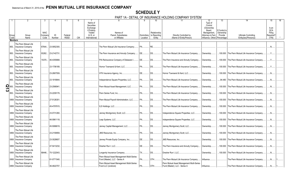## **SCHEDULE Y**

PART 1A - DETAIL OF INSURANCE HOLDING COMPANY SYSTEM

|                           |                |                                                                          |                               |              |                        |            |                                                                                            |                                                                            |                         | 10                                     |                                                                            | $\overline{12}$                                                                                                 | $\overline{13}$                       | 14                                                   | 15<br>16                                            |
|---------------------------|----------------|--------------------------------------------------------------------------|-------------------------------|--------------|------------------------|------------|--------------------------------------------------------------------------------------------|----------------------------------------------------------------------------|-------------------------|----------------------------------------|----------------------------------------------------------------------------|-----------------------------------------------------------------------------------------------------------------|---------------------------------------|------------------------------------------------------|-----------------------------------------------------|
|                           | Group<br>Code  | Group<br>Name                                                            | <b>NAIC</b><br>Compan<br>Code | ID<br>Number | Federal<br><b>RSSD</b> | <b>CIK</b> | Name of<br>Securities<br>Exchange<br>if Publicly<br>Traded<br>$(U.S.$ or<br>International) | Names of<br>Parent, Subsidiaries<br>or Affiliates                          | Domiciliary<br>Location | Relationship<br>to Reporting<br>Entity | Directly Controlled by<br>(Name of Entity/Person)                          | Type of<br>Control<br>(Ownership)<br>Board.<br>Management.<br>Attorney-in-Fact,<br>Influence, Other) Percentage | If Control is<br>Ownership<br>Provide | <b>Ultimate Controlling</b><br>Entity(ies)/Person(s) | Is an<br><b>SCA</b><br>Filing<br>Required?<br>(Y/N) |
|                           | <b>Members</b> |                                                                          |                               |              |                        |            |                                                                                            |                                                                            |                         |                                        |                                                                            |                                                                                                                 |                                       |                                                      |                                                     |
|                           | 850.           | The Penn Mutual Life<br><b>Insurance Company</b><br>The Penn Mutual Life | 67644.                        | 23-0952300   |                        |            |                                                                                            | The Penn Mutual Life Insurance Company.                                    | <b>PA</b>               | RE.                                    |                                                                            |                                                                                                                 |                                       |                                                      | .N.                                                 |
| 850.                      |                | <b>Insurance Company</b>                                                 | 93262.                        | 23-2142731   |                        |            |                                                                                            | The Penn Insurance and Annuity Company                                     | DE.                     | DS.                                    | The Penn Mutual Life Insurance Company.                                    | Ownership.                                                                                                      | 100.000                               | The Penn Mutual Life Insurance Company               | <b>Y</b> .                                          |
|                           | 850.           | The Penn Mutual Life<br>Insurance Company                                | 15370.                        | 46-4355668.  |                        |            |                                                                                            | PIA Reinsurance Company of Delaware I.                                     | DE.                     | DS.                                    | The Penn Insurance and Annuity Company                                     | Ownership.                                                                                                      |                                       | 100.000 The Penn Mutual Life Insurance Company.      | $Y_{\cdot\cdot\cdot}$                               |
| 850.                      |                | The Penn Mutual Life<br><b>Insurance Company</b>                         |                               | 23-1706189.  |                        |            |                                                                                            | Hornor Townsend & Kent, LLC.                                               | PA                      | DS.                                    | The Penn Mutual Life Insurance Company.                                    | Ownership.                                                                                                      | .100.000                              | The Penn Mutual Life Insurance Company.              | Y.                                                  |
| 850.                      |                | The Penn Mutual Life<br><b>Insurance Company</b>                         |                               | 23-2667559.  |                        |            |                                                                                            | HTK Insurance Agency, Inc                                                  | DE.                     | DS.                                    | Hornor Townsend & Kent. LLC.                                               | Ownership.                                                                                                      | .100.000                              | The Penn Mutual Life Insurance Company.              | N <sub>1</sub>                                      |
| 850.                      |                | The Penn Mutual Life<br><b>Insurance Company</b>                         |                               | 23-1918844.  |                        |            |                                                                                            | Independence Square Properties, LLC.                                       | PA                      | DS                                     | The Penn Mutual Life Insurance Company.                                    | Ownership.                                                                                                      | . 94.480                              | The Penn Mutual Life Insurance Company.              | N                                                   |
| $\sum_{\text{col}}^{850}$ |                | The Penn Mutual Life<br><b>Insurance Company</b>                         |                               | 23-2566941   |                        |            |                                                                                            | Penn Mutual Asset Management, LLC                                          | PA.                     | DS.                                    | The Penn Mutual Life Insurance Company.                                    | Ownership.                                                                                                      | 100.000                               | The Penn Mutual Life Insurance Company               | .N                                                  |
| 850.                      |                | The Penn Mutual Life<br><b>Insurance Company</b>                         |                               | 23-2209178.  |                        |            |                                                                                            | Penn Series Fund, Inc.                                                     | PA                      | DS                                     | The Penn Mutual Life Insurance Company.                                    | Ownership.                                                                                                      | .100.000                              | The Penn Mutual Life Insurance Company               | $N_{\cdot}$                                         |
|                           | 0850           | The Penn Mutual Life<br>Insurance Company                                |                               | 27-5126301   |                        |            |                                                                                            | Penn Mutual Payroll Administration, LLC                                    | PA                      | DS                                     | The Penn Mutual Life Insurance Company.                                    | Ownership.                                                                                                      | .100.000                              | The Penn Mutual Life Insurance Company.              | $N$                                                 |
|                           | 0850           | The Penn Mutual Life<br>Insurance Company                                |                               | 45-4797815.  |                        |            |                                                                                            | ILS Holdings, LLC                                                          | PA                      | DS.                                    | The Penn Mutual Life Insurance Company.                                    | Ownership.                                                                                                      | .100.000                              | The Penn Mutual Life Insurance Company               | .N                                                  |
|                           | 0850           | The Penn Mutual Life<br><b>Insurance Company</b>                         |                               | 23-0731260.  |                        |            |                                                                                            | Janney Montgomery Scott, LLC.                                              | <b>PA</b>               | DS.                                    | Independence Square Properties, LLC.                                       | Ownership.                                                                                                      | .100.000                              | The Penn Mutual Life Insurance Company               | $N_{\cdots}$                                        |
|                           | 0850           | The Penn Mutual Life<br>Insurance Company                                |                               | 46-0961118.  |                        |            |                                                                                            | Leap Systems, LLC                                                          | PA                      | <b>DS</b>                              | Independence Square Properties, LLC.                                       | Ownership.                                                                                                      | .100.000                              | The Penn Mutual Life Insurance Company.              | N                                                   |
|                           | 0850           | The Penn Mutual Life<br>Insurance Company                                |                               | 45-5066619.  |                        |            |                                                                                            | Janney Capital Management, LLC                                             | PA                      | DS.                                    | Janney Montgomery Scott, LLC.                                              | Ownership.                                                                                                      | .100.000                              | The Penn Mutual Life Insurance Company               | N <sub>1</sub>                                      |
|                           | 0850           | The Penn Mutual Life<br><b>Insurance Company</b>                         |                               | 23-2159959.  |                        |            |                                                                                            | JMS Resources. Inc                                                         | PA.                     | DS.                                    | Janney Montgomery Scott, LLC.                                              | Ownership.                                                                                                      | .100.000                              | The Penn Mutual Life Insurance Company               | N                                                   |
|                           | 0850           | The Penn Mutual Life<br>Insurance Company                                |                               | 23-3028607.  |                        |            |                                                                                            | Janney Private Equity Company, Inc                                         | DE                      | DS.                                    | <b>JMS Resources. Inc</b>                                                  | Ownership.                                                                                                      | .100.000                              | The Penn Mutual Life Insurance Company.              | $N$                                                 |
|                           | 0850           | The Penn Mutual Life<br>Insurance Company                                |                               | 47-5413232.  |                        |            |                                                                                            | Dresher Run I. LLC.                                                        | DE.                     | DS.                                    | The Penn Insurance and Annuity Company                                     | Ownership.                                                                                                      | .100.000                              | The Penn Mutual Life Insurance Company               | $N_{\cdot}$                                         |
|                           | 0850           | The Penn Mutual Life<br>Insurance Company                                | 68446.                        | 75-1222043.  |                        |            |                                                                                            | Longevity Insurance Company                                                | TX                      | <b>DS</b>                              | Dresher Run I, LLC.                                                        | Ownership.                                                                                                      | 100.000                               | The Penn Mutual Life Insurance Company.              | N                                                   |
|                           | 0850           | The Penn Mutual Life<br>Insurance Company                                |                               | 81-0771540.  |                        |            |                                                                                            | Penn Mutual Asset Management Multi-Series<br>Fund (Master), LLC - Series A | PA.                     | OTH                                    | The Penn Mutual Life Insurance Company.                                    | Influence                                                                                                       |                                       | The Penn Mutual Life Insurance Company.              | .N                                                  |
|                           |                | The Penn Mutual Life<br>0850 Insurance Company                           |                               | 36-4822707.  |                        |            |                                                                                            | Penn Mutual Asset Management Multi-Series<br>Fund LLC (onshore)            | PA.                     | OTH.                                   | Penn Mutual Asset Management Multi-Series<br>Fund (Master), LLC - Series A | Influence                                                                                                       |                                       | The Penn Mutual Life Insurance Company               |                                                     |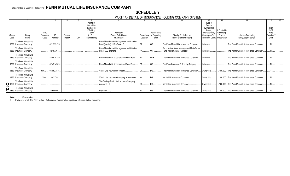## **SCHEDULE Y**

|  |  | PART 1A - DETAIL OF INSURANCE HOLDING COMPANY SYSTEM |  |
|--|--|------------------------------------------------------|--|
|  |  |                                                      |  |

|       |                                                                                                   |             |             |             |            |                       |                                             |                 |                          |                                           |                                |               |                                                  | 15         |  |
|-------|---------------------------------------------------------------------------------------------------|-------------|-------------|-------------|------------|-----------------------|---------------------------------------------|-----------------|--------------------------|-------------------------------------------|--------------------------------|---------------|--------------------------------------------------|------------|--|
|       |                                                                                                   |             |             |             |            | Name of<br>Securities |                                             |                 |                          |                                           | Type of<br>Control             |               |                                                  |            |  |
|       |                                                                                                   |             |             |             |            | Exchange              |                                             |                 |                          |                                           | (Ownership                     |               |                                                  | Is an      |  |
|       |                                                                                                   |             |             |             |            | if Publicly           |                                             |                 |                          |                                           | Board.                         | If Control is |                                                  | <b>SCA</b> |  |
|       |                                                                                                   | <b>NAIC</b> |             |             |            | Traded                | Names of                                    |                 | Relationship             |                                           | Management.                    | Ownership     |                                                  | Filing     |  |
| Group | Group<br>Name                                                                                     | Company     | ID          | Federal     |            | $(U.S.$ or            | Parent, Subsidiaries                        |                 | Domiciliary to Reporting | Directly Controlled by                    | Attorney-in-Fact,              | Provide       | Ultimate Controlling                             | Required?  |  |
| Code  |                                                                                                   | Code        | Number      | <b>RSSD</b> | <b>CIK</b> | International)        | or Affiliates                               | Location        | Entity                   | (Name of Entity/Person)                   | Influence, Other)   Percentage |               | Entity(ies)/Person(s)                            | (Y/N)      |  |
|       | The Penn Mutual Life                                                                              |             |             |             |            |                       | Penn Mutual Asset Management Multi-Series   |                 |                          |                                           |                                |               |                                                  |            |  |
|       | 0850 Insurance Company                                                                            |             | 82-1995175. |             |            |                       | Fund (Master), LLC - Series B               | PA.             | OTH.                     | The Penn Mutual Life Insurance Company    | Influence                      |               | The Penn Mutual Life Insurance Company.          |            |  |
|       | The Penn Mutual Life                                                                              |             |             |             |            |                       | Penn Mutual Asset Management Multi-Series   |                 |                          | Penn Mutual Asset Management Multi-Series |                                |               |                                                  |            |  |
| 0850  | Insurance Company                                                                                 |             | 82-1533643. |             |            |                       | Fund, LLC (onshore)                         |                 | OTH                      | Fund (Master), LLC - Series B             | Influence.                     |               | The Penn Mutual Life Insurance Company.          |            |  |
|       | The Penn Mutual Life                                                                              |             |             |             |            |                       |                                             |                 |                          |                                           |                                |               |                                                  |            |  |
|       | 0850   Insurance Company                                                                          |             | 82-4914289. |             |            |                       | Penn Mutual AM Unconstrained Bond Fund   PA |                 | <b>OTH</b>               | The Penn Mutual Life Insurance Company    | Influence.                     |               | The Penn Mutual Life Insurance Company           |            |  |
|       | The Penn Mutual Life                                                                              |             |             |             |            |                       |                                             |                 |                          |                                           |                                |               |                                                  |            |  |
|       | 0850 Insurance Company                                                                            |             | 82-4914289. |             |            |                       | Penn Mutual AM Unconstrained Bond Fund      | . I PA…………      | OTH                      | The Penn Insurance & Annuity Company      | Influence.                     |               | The Penn Mutual Life Insurance Company.          |            |  |
|       | The Penn Mutual Life                                                                              |             |             |             |            |                       |                                             |                 |                          |                                           |                                |               |                                                  |            |  |
|       | 0850   Insurance Company                                                                          | 68632       | 06-0523876. |             |            |                       | Vantis Life Insurance Company               | <b>CT</b>       |                          | The Penn Mutual Life Insurance Company    | Ownership                      |               | 100.000 The Penn Mutual Life Insurance Company.  |            |  |
|       |                                                                                                   |             |             |             |            |                       |                                             |                 |                          |                                           |                                |               |                                                  |            |  |
|       | The Penn Mutual Life<br>0850 Insurance Company                                                    | 13588       | 13-4337991  |             |            |                       | Vantis Life Insurance Company of New York   | NY <sup>1</sup> | . IDS                    | Vantis Life Insurance Company.            | Ownership                      |               | .100.000 The Penn Mutual Life Insurance Company  |            |  |
|       |                                                                                                   |             |             |             |            |                       |                                             |                 |                          |                                           |                                |               |                                                  |            |  |
|       | The Penn Mutual Life                                                                              |             |             |             |            |                       | The Savings Bank Life Insurance Company     |                 |                          |                                           |                                |               |                                                  |            |  |
|       |                                                                                                   |             |             |             |            |                       | Agency, LLC                                 | $ CT$           | DS.                      | Vantis Life Insurance Company.            | Ownership                      |               | 100.000 The Penn Mutual Life Insurance Company.  |            |  |
|       | 16850 Insurance Company<br>The Penn Mutual Life<br>0850 Insurance Company<br>The Penn Mutual Life |             |             |             |            |                       |                                             |                 |                          |                                           |                                |               |                                                  |            |  |
|       |                                                                                                   |             | 82-5050907  |             |            |                       | myWorth, LLC.                               |                 |                          | The Penn Mutual Life Insurance Company    | Ownership                      |               | .100.000 The Penn Mutual Life Insurance Company. |            |  |

#### **Aster Explanation**

1 Entity over which The Penn Mutual Life Insurance Company has significant influence, but no ownership.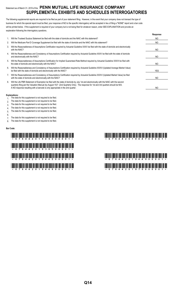## Statement as of March 31, 2019 of the **PENN MUTUAL LIFE INSURANCE COMPANY SUPPLEMENTAL EXHIBITS AND SCHEDULES INTERROGATORIES**

The following supplemental reports are required to be filed as part of your statement filing. However, in the event that your company does not transact the type of business for which the special report must be filed, your response of NO to the specific interrogatory will be accepted in lieu of filing a "NONE" report and a bar code will be printed below. If the supplement is required of your company but is not being filed for whatever reason, enter SEE EXPLANATION and provide an explanation following the interrogatory questions.

|    |                                                                                                                                                                                                                                                                                   | Response       |
|----|-----------------------------------------------------------------------------------------------------------------------------------------------------------------------------------------------------------------------------------------------------------------------------------|----------------|
|    | Will the Trusteed Surplus Statement be filed with the state of domicile and the NAIC with this statement?                                                                                                                                                                         | N <sub>O</sub> |
| 2. | Will the Medicare Part D Coverage Supplement be filed with the state of domicile and the NAIC with this statement?                                                                                                                                                                | N <sub>O</sub> |
| 3. | Will the Reasonableness of Assumptions Certification required by Actuarial Guideline XXXV be filed with the state of domicile and electronically<br>with the NAIC?                                                                                                                | N <sub>O</sub> |
| 4. | Will the Reasonableness and Consistency of Assumptions Certification required by Actuarial Guideline XXXV be filed with the state of domicile<br>and electronically with the NAIC?                                                                                                | N <sub>O</sub> |
| 5. | Will the Reasonableness of Assumptions Certification for Implied Guaranteed Rate Method required by Actuarial Guideline XXXVI be filed with<br>the state of domicile and electronically with the NAIC?                                                                            | NO             |
| 6. | Will the Reasonableness and Consistency of Assumptions Certification required by Actuarial Guideline XXXVI (Updated Average Market Value)<br>be filed with the state of domicile and electronically with the NAIC?                                                                | YES.           |
| 7. | Will the Reasonableness and Consistency of Assumptions Certification required by Actuarial Guideline XXXVI (Updated Market Value) be filed<br>with the state of domicile and electronically with the NAIC?                                                                        | NO.            |
| 8. | Will the Life PBR Statement of Exemption be filed with the state of domicile by July 1st and electronically with the NAIC with the second<br>quarterly filing per the Valuation Manual (by August 15)? (2nd Quarterly Only). The response for 1st and 3rd quarters should be N/A. |                |
|    | A NO response resulting with a barcode is only appropriate in the 2nd quarter.                                                                                                                                                                                                    | N <sub>O</sub> |

#### **Explanations:**

- 1. The data for this supplement is not required to be filed.
- 2. The data for this supplement is not required to be filed.
- 3 The data for this supplement is not required to be filed.
- 4. The data for this supplement is not required to be filed.
- 5. The data for this supplement is not required to be filed.

#### 6.

- 7. The data for this supplement is not required to be filed.
- 8. The data for this supplement is not required to be filed.

#### **Bar Code:**

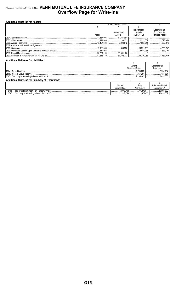## Statement as of March 31, 2019 of the PENN MUTUAL LIFE INSURANCE COMPANY **Overflow Page for Write-Ins**

| <b>Additional Write-ins for Assets:</b> |             |                               |                 |                        |  |  |
|-----------------------------------------|-------------|-------------------------------|-----------------|------------------------|--|--|
|                                         |             | <b>Current Statement Date</b> |                 |                        |  |  |
|                                         |             |                               |                 |                        |  |  |
|                                         |             |                               | Net Admitted    | December 31.           |  |  |
|                                         |             | Nonadmitted                   | Assets          | Prior Year Net         |  |  |
|                                         | Assets      | Assets                        | $(Cols. 1 - 2)$ | <b>Admitted Assets</b> |  |  |
|                                         | .11,387,994 | 11.387.994                    |                 |                        |  |  |
|                                         | 2.411.808   |                               | 2,223,557       | 11,028,658             |  |  |
|                                         | 13,484,383  |                               | 7.085.841       |                        |  |  |
|                                         |             |                               |                 |                        |  |  |
|                                         | 19.168.556  | 946.826                       |                 | 4,551,742              |  |  |
|                                         |             |                               |                 |                        |  |  |
|                                         | 38,381,160  | 38,381,160                    |                 |                        |  |  |
|                                         |             |                               |                 |                        |  |  |

| <b>Additional Write-ins for Liabilities:</b>           |                       |             |  |  |  |  |
|--------------------------------------------------------|-----------------------|-------------|--|--|--|--|
|                                                        |                       |             |  |  |  |  |
|                                                        | Current               | December 31 |  |  |  |  |
|                                                        | <b>Statement Date</b> | Prior Year  |  |  |  |  |
| 2504                                                   | .768.202              | 2.956.104   |  |  |  |  |
| 2505                                                   | 367.281               | 135.561     |  |  |  |  |
| Summary of remaining write-ins for Line 25<br>2597     | 2.135.483             | 3.091.665   |  |  |  |  |
| <b>Additional Write-ins for Summary of Operations:</b> |                       |             |  |  |  |  |

|                                                        | Current        | Prior         | <b>Prior Year Ended</b> |
|--------------------------------------------------------|----------------|---------------|-------------------------|
|                                                        | Year to Date   | Year to Date  | December 31             |
| 2704.<br>.                                             | 12.448.740<br> | 1,376,077<br> | 40.893.662              |
| 2797<br>Summary of remaining write-ins for Line 27<br> | 12.448.740<br> | .376.077<br>  | 40.893.662              |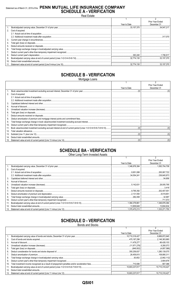## Statement as of March 31, 2019 of the PENN MUTUAL LIFE INSURANCE COMPANY<br>SCHEDULE A - VERIFICATION

**Real Estate** 

|     |                      |              | <b>Prior Year Ended</b> |
|-----|----------------------|--------------|-------------------------|
|     |                      | Year to Date | December 31             |
|     |                      | .33.157.370  | 34 547 217              |
|     | 2. Cost of acquired: |              |                         |
|     |                      |              |                         |
|     |                      |              |                         |
| 3.  |                      |              |                         |
| 4.  |                      |              |                         |
| 5.  |                      |              |                         |
| 6.  |                      |              |                         |
|     |                      |              |                         |
| 8.  |                      |              |                         |
| 9.  |                      |              |                         |
| 10. |                      |              |                         |
|     |                      |              |                         |

## **SCHEDULE B - VERIFICATION**

Mortgage Loans

|     |                   |              | Prior Year Ended |
|-----|-------------------|--------------|------------------|
|     |                   | Year to Date | December 31      |
|     |                   |              |                  |
| 2.  | Cost of acquired: |              |                  |
|     |                   |              |                  |
|     |                   |              |                  |
| 3.  |                   |              |                  |
|     |                   |              |                  |
| 5.  |                   |              |                  |
| 6.  |                   |              |                  |
|     |                   |              |                  |
| 8.  |                   |              |                  |
| 9.  |                   |              |                  |
| 10. |                   |              |                  |
| 11. |                   |              |                  |
| 12. |                   |              |                  |
| 13. |                   |              |                  |
| 14. |                   |              |                  |
| 15. |                   |              |                  |

## **SCHEDULE BA - VERIFICATION**

Other Long-Term Invested Assets

|     |                   |              | Prior Year Ended |
|-----|-------------------|--------------|------------------|
|     |                   | Year to Date | December 31      |
|     |                   |              |                  |
| 2.  | Cost of acquired: |              |                  |
|     |                   |              | 200,067,722      |
|     |                   |              |                  |
| 3.  |                   |              | .54.856          |
| 4.  |                   |              |                  |
| 5.  |                   |              |                  |
| 6.  |                   |              |                  |
|     |                   |              |                  |
| 8.  |                   |              |                  |
| 9.  |                   |              |                  |
| 10. |                   |              | 711.573          |
| 11. |                   |              |                  |
| 12. |                   |              | .13.604.634      |
| 13. |                   |              |                  |

## **SCHEDULE D - VERIFICATION**

**Bonds and Stocks** 

|                 |              | Prior Year Ended |
|-----------------|--------------|------------------|
|                 | Year to Date | December 31      |
|                 |              |                  |
| 2.              |              |                  |
| 3.              |              |                  |
| 4.              |              |                  |
| 5.              |              |                  |
| 6.              |              |                  |
| 7.              |              |                  |
| 8.              |              |                  |
| 9.              |              |                  |
| 10.             |              |                  |
| 11.             |              |                  |
| 12 <sub>1</sub> |              |                  |
|                 |              |                  |

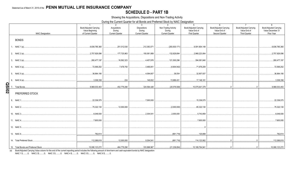#### **SCHEDULE D - PART 1B**

Showing the Acquisitions, Dispositions and Non-Trading Activity

During the Current Quarter for all Bonds and Preferred Stock by NAIC Designation

|              | <b>NAIC Designation</b> | $\overline{1}$<br><b>Book/Adjusted Carrying</b><br>Value Beginning<br>of Current Quarter | 2<br>Acquisitions<br>During<br><b>Current Quarter</b> | 3 <sup>3</sup><br>Dispositions<br>During<br><b>Current Quarter</b> | $\overline{4}$<br>Non-Trading Activity<br>During<br><b>Current Quarter</b> | 5 <sup>5</sup><br><b>Book/Adjusted Carrying</b><br>Value End of<br><b>First Quarter</b> | 6<br><b>Book/Adjusted Carrying</b><br>Value End of<br>Second Quarter | $\overline{7}$<br><b>Book/Adjusted Carrying</b><br>Value End of<br><b>Third Quarter</b> | 8<br><b>Book/Adjusted Carrying</b><br>Value December 31<br>Prior Year |
|--------------|-------------------------|------------------------------------------------------------------------------------------|-------------------------------------------------------|--------------------------------------------------------------------|----------------------------------------------------------------------------|-----------------------------------------------------------------------------------------|----------------------------------------------------------------------|-----------------------------------------------------------------------------------------|-----------------------------------------------------------------------|
|              | <b>BONDS</b>            |                                                                                          |                                                       |                                                                    |                                                                            |                                                                                         |                                                                      |                                                                                         |                                                                       |
|              | 1. NAIC 1 (a)           | 6,836,785,360                                                                            | 251,012,030                                           | 212,363,071                                                        | (283, 830, 171)                                                            | .6,591,604,148                                                                          |                                                                      |                                                                                         | 6,836,785,360                                                         |
|              |                         | 2,757,929,096                                                                            | 177,725,963                                           | 100,061,889                                                        | 132,629,894                                                                | 2,968,223,064                                                                           |                                                                      |                                                                                         | 2,757,929,096                                                         |
|              |                         | 260,477,197                                                                              | 16,562,323                                            | 4,457,976                                                          | 121,500,296                                                                | 394,081,840                                                                             |                                                                      |                                                                                         | 260,477,197                                                           |
|              |                         | 72,569,252                                                                               | 7,478,750                                             | 3,466,851                                                          | (4,904,942)                                                                | 71,676,209                                                                              |                                                                      |                                                                                         | 72,569,252                                                            |
|              |                         | 36,964,190                                                                               |                                                       | 4,094,807                                                          | 38,554                                                                     | 32,907,937                                                                              |                                                                      |                                                                                         | 36,964,190                                                            |
|              |                         | 3,308,358                                                                                |                                                       |                                                                    | 13,989,431                                                                 | 17,148,181                                                                              |                                                                      |                                                                                         | 3,308,358                                                             |
| <u>20ISD</u> |                         | 9,968,033,453                                                                            | 452,779,290                                           | 324,594,426                                                        |                                                                            | 10,075,641,379                                                                          |                                                                      | $\bigcap$                                                                               | 9,968,033,453                                                         |
|              | PREFERRED STOCK         |                                                                                          |                                                       |                                                                    |                                                                            |                                                                                         |                                                                      |                                                                                         |                                                                       |
|              | 8. NAIC 1               | 22,336,575                                                                               |                                                       | 000,000,7                                                          |                                                                            | 15,336,575                                                                              |                                                                      |                                                                                         | 22,336,575                                                            |
|              | 9. NAIC 2               | 75,322,130                                                                               | .12,000,000                                           |                                                                    | (2,000,000)                                                                | 85,322,130                                                                              |                                                                      |                                                                                         | 75,322,130                                                            |
|              | 10. NAIC 3              | 6,048,500                                                                                |                                                       | 2,304,541                                                          | 0.2,000,000                                                                | 5,743,959                                                                               |                                                                      |                                                                                         | 6,048,500                                                             |
|              | 11. NAIC 4              | 7,600,000                                                                                |                                                       |                                                                    |                                                                            | 0.7,600,000                                                                             |                                                                      |                                                                                         | 7,600,000                                                             |
|              | 12. NAIC 5              |                                                                                          |                                                       |                                                                    |                                                                            | 0 <sup>1</sup>                                                                          |                                                                      |                                                                                         |                                                                       |
|              |                         |                                                                                          |                                                       |                                                                    |                                                                            |                                                                                         |                                                                      |                                                                                         |                                                                       |
|              |                         | 112,089,819                                                                              |                                                       |                                                                    | 9,304,541  …………………………………………………………………………114,123,562                         |                                                                                         |                                                                      |                                                                                         |                                                                       |
|              |                         |                                                                                          |                                                       |                                                                    |                                                                            |                                                                                         |                                                                      |                                                                                         |                                                                       |

Book/Adjusted Carrying Value column for the end of the current reporting period includes the following amount of short-term and cash equivalent bonds by NAIC designation:  $(a)$ 

NAIC 1 \$..........0; NAIC 2 \$..........0; NAIC 3 \$..........0; NAIC 4 \$..........0; NAIC 5 \$..........0; NAIC 6 \$..........0.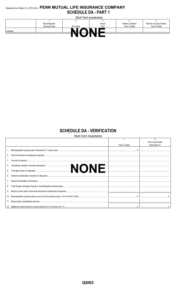### Statement as of March 31, 2019 of the PENN MUTUAL LIFE INSURANCE COMPANY **SCHEDULE DA - PART 1**

| Short-Term Investments |                |           |            |                           |                           |  |
|------------------------|----------------|-----------|------------|---------------------------|---------------------------|--|
|                        |                |           |            |                           |                           |  |
|                        | Book/Adjusted  |           | Actual     | <b>Interest Collected</b> | Paid for Accrued Interest |  |
|                        | Carrying Value | Par Value | Cost       | Year To Date              | Year To Date              |  |
| 9199999.               |                | .         | <b>III</b> |                           |                           |  |
|                        |                |           |            |                           |                           |  |

## **SCHEDULE DA - VERIFICATION**<br>Short-Term Investments

|     | Short-Term Investments |              |                  |  |  |  |
|-----|------------------------|--------------|------------------|--|--|--|
|     |                        |              |                  |  |  |  |
|     |                        |              | Prior Year Ended |  |  |  |
|     |                        | Year To Date | December 31      |  |  |  |
|     |                        |              |                  |  |  |  |
|     |                        |              |                  |  |  |  |
| 3.  |                        |              |                  |  |  |  |
|     |                        |              |                  |  |  |  |
| 5.  |                        |              |                  |  |  |  |
| 6.  |                        |              |                  |  |  |  |
|     |                        |              |                  |  |  |  |
| 8.  |                        |              |                  |  |  |  |
| 9.  |                        |              |                  |  |  |  |
| 10. |                        |              |                  |  |  |  |
| 11. |                        |              |                  |  |  |  |
|     |                        |              |                  |  |  |  |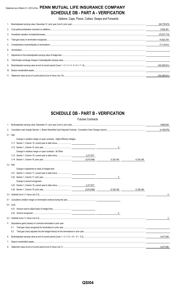## Statement as of March 31, 2019 of the **PENN MUTUAL LIFE INSURANCE COMPANY SCHEDULE DB - PART A - VERIFICATION**

Options, Caps, Floors, Collars, Swaps and Forwards

|   | (94, 776, 672) |
|---|----------------|
|   | 5.405.361      |
|   | (70.537,710)   |
|   | 14,923,704     |
|   | 17.114.614     |
| 6 |                |
|   |                |
|   |                |
|   | (162,099,931)  |
|   |                |
|   | (162.099.931   |

## **SCHEDULE DB - PART B - VERIFICATION**

|     |                                                                         | <b>Futures Contracts</b> |              |           |               |
|-----|-------------------------------------------------------------------------|--------------------------|--------------|-----------|---------------|
| 1.  |                                                                         |                          |              |           |               |
| 2.  |                                                                         |                          |              |           | (4, 189, 879) |
|     | 3.1 Add:                                                                |                          |              |           |               |
|     | Change in variation margin on open contracts - Highly Effective Hedges: |                          |              |           |               |
|     |                                                                         |                          |              |           |               |
|     |                                                                         |                          | 0            |           |               |
|     | Change in variation margin on open contracts - All Other:               |                          |              |           |               |
|     | 3.13 Section 1, Column 18, current year to date minus                   | 2,317,677                |              |           |               |
|     |                                                                         | (3,810,469)              | 6,128,146    | 6,128,146 |               |
|     | 3.2 Add:                                                                |                          |              |           |               |
|     | Change in adjustment to basis of hedged item:                           |                          |              |           |               |
|     |                                                                         |                          |              |           |               |
|     |                                                                         |                          | 0            |           |               |
|     | Change in amount recognized:                                            |                          |              |           |               |
|     |                                                                         |                          |              |           |               |
|     |                                                                         | (3,810,469)              | 6.128.146    | 6.128.146 |               |
| 3.3 |                                                                         |                          |              |           | 0             |
| 4.1 |                                                                         |                          |              |           |               |
|     | 4.2 Less:                                                               |                          |              |           |               |
|     |                                                                         |                          |              |           |               |
|     |                                                                         |                          | $\mathbf{0}$ |           |               |
|     |                                                                         |                          |              |           | 0             |
| 5.  | Dispositions gains (losses) on contracts terminated in prior year:      |                          |              |           |               |
|     | 5.1                                                                     |                          |              |           |               |
|     | 5.2                                                                     |                          |              |           |               |
| 6.  |                                                                         |                          |              |           | 5,477,050     |
| 7.  |                                                                         |                          |              |           |               |
| 8.  |                                                                         |                          |              |           | 5,477,050     |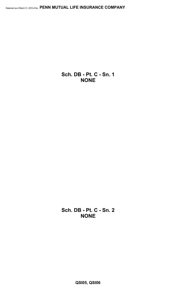**Sch. DB - Pt. C - Sn. 1 NONE**

**Sch. DB - Pt. C - Sn. 2 NONE**

**QSI05, QSI06**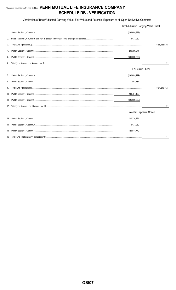## Statement as of March 31, 2019 of the PENN MUTUAL LIFE INSURANCE COMPANY **SCHEDULE DB - VERIFICATION**

Verification of Book/Adjusted Carrying Value, Fair Value and Potential Exposure of all Open Derivative Contracts

|         | Book/Adjusted Carrying Value Check |                 |  |  |  |
|---------|------------------------------------|-----------------|--|--|--|
| $1_{-}$ | (162,099,929)                      |                 |  |  |  |
| 2.      | 5,477,050                          |                 |  |  |  |
| 3.      |                                    | (156.622.879)   |  |  |  |
| 4.      | 239,386,971                        |                 |  |  |  |
| 5.      | (396,009,852)                      |                 |  |  |  |
| 6.      |                                    | 2               |  |  |  |
|         | <b>Fair Value Check</b>            |                 |  |  |  |
|         | (162,099,929)                      |                 |  |  |  |
| 8.      | 803,187                            |                 |  |  |  |
| 9.      |                                    | (161, 296, 742) |  |  |  |
|         | 234,794,108                        |                 |  |  |  |
|         | (396,090,852)                      |                 |  |  |  |
|         |                                    | 2               |  |  |  |
|         | <b>Potential Exposure Check</b>    |                 |  |  |  |
|         | 121,334,721                        |                 |  |  |  |
|         | 5,477,050                          |                 |  |  |  |
|         | 126,811,770                        |                 |  |  |  |
|         |                                    |                 |  |  |  |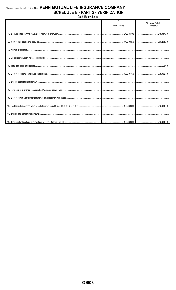## Statement as of March 31, 2019 of the PENN MUTUAL LIFE INSURANCE COMPANY **SCHEDULE E - PART 2 - VERIFICATION**

Cash Equivalents

|  | Year To Date | $\overline{2}$<br><b>Prior Year Ended</b><br>December 31 |
|--|--------------|----------------------------------------------------------|
|  |              |                                                          |
|  |              |                                                          |
|  |              |                                                          |
|  |              |                                                          |
|  |              |                                                          |
|  |              |                                                          |
|  |              |                                                          |
|  |              |                                                          |
|  |              |                                                          |
|  |              |                                                          |
|  |              |                                                          |
|  |              |                                                          |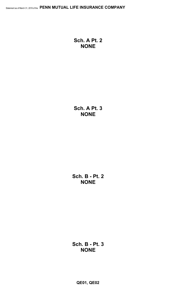**Sch. A Pt. 2 NONE**

**Sch. A Pt. 3 NONE**

**Sch. B - Pt. 2 NONE**

**Sch. B - Pt. 3 NONE**

**QE01, QE02**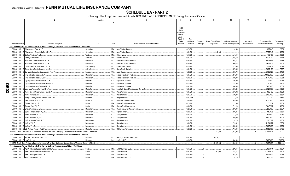SCHEDULE BA - PART 2<br>Showing Other Long-Term Invested Assets ACQUIRED AND ADDITIONS MADE During the Current Quarter

|      |                             |        | $\mathfrak{D}$                                                                                                               | Location       |           |                                        | $6^{\circ}$         |             | 8        | 9                      | 10 <sup>1</sup>              | 11           | 12                    | 13           |
|------|-----------------------------|--------|------------------------------------------------------------------------------------------------------------------------------|----------------|-----------|----------------------------------------|---------------------|-------------|----------|------------------------|------------------------------|--------------|-----------------------|--------------|
|      |                             |        |                                                                                                                              | $\mathbf{3}$   | 4         |                                        |                     |             |          |                        |                              |              |                       |              |
|      |                             |        |                                                                                                                              |                |           |                                        |                     |             |          |                        |                              |              |                       |              |
|      |                             |        |                                                                                                                              |                |           |                                        | <b>NAIC</b>         |             |          |                        |                              |              |                       |              |
|      |                             |        |                                                                                                                              |                |           |                                        | Desig-              |             |          |                        |                              |              |                       |              |
|      |                             |        |                                                                                                                              |                |           |                                        | nation and          |             |          |                        |                              |              |                       |              |
|      |                             |        |                                                                                                                              |                |           |                                        | Admini-             |             |          |                        |                              |              |                       |              |
|      |                             |        |                                                                                                                              |                |           |                                        | strative<br>Symbol/ | Date        |          |                        |                              |              |                       |              |
|      |                             |        |                                                                                                                              |                |           |                                        | Market              | Originally  | Type and | Actual Cost at Time of | <b>Additional Investment</b> | Amount of    | Commitment for        | Percentage c |
|      | <b>CUSIP</b> Identification |        | Name or Description                                                                                                          | City           | State     | Name of Vendor or General Partner      | Indicator           | Acquired    | Strategy | Acquisition            | Made after Acquisition       | Encumbrances | Additional Investment | Ownership    |
|      |                             |        | Joint Venture or Partnership Interests That Have Underlying Characteristics of Common Stocks - Unaffiliated                  |                |           |                                        |                     |             |          |                        |                              |              |                       |              |
|      |                             |        | 000000 00 0 Atlas Venture Fund X, L.P                                                                                        | Cambridge      |           | MA Atlas Venture Partners              |                     | 03/20/2015. |          |                        | .92.335                      |              | .382,840              | .2.800       |
|      |                             |        | 000000 00 0 Atlas Venture Opportunity Fund I, L.P.                                                                           | Cambridge      | <b>MA</b> | <b>Atlas Venture Partners</b>          |                     | 01/01/2019  |          | .242.258               |                              |              | .7,757,742            | .4.000       |
|      |                             |        | 000000 00 0 Battery Ventures X, L.P.                                                                                         | Waltham.       | MA        | <b>Battery Ventures.</b>               |                     | 06/13/2013  |          |                        | .18,400                      |              | .170,100              | .0.308       |
|      | 000000                      |        | 00 0 Battery Ventures XII, L.P.                                                                                              | Waltham.       | MA        | <b>Battery Ventures.</b>               |                     | 01/31/2018  |          |                        | 1,469,700                    |              | .7,431,300            | .1.438       |
|      | 000000                      | $00\,$ | 0 Bessemer Venture Partners IX, L.P.                                                                                         | Larchmont      | NY        | <b>Bessemer Venture Partners</b>       |                     | 02/28/2015  |          |                        | 258,710                      |              | .1,513,997            | .0.438       |
|      |                             |        |                                                                                                                              |                |           |                                        |                     |             |          |                        |                              |              |                       |              |
|      | 000000                      | 000    | Bessemer Venture Partners X, L.P.                                                                                            | Larchmont.     | NY        | <b>Bessemer Venture Partners</b>       |                     | 09/30/2018  |          |                        | 960,488                      |              | .6,679,512            | .0.500       |
|      | 000000                      | $00\,$ | 0 Cross Creek Capital Partners III, L.P.                                                                                     | Salt Lake City | UT        | Cross Creek Capital.                   |                     | 08/29/2013  |          |                        | 213,566                      |              | 901,434               | 5.319        |
|      | 000000                      |        | 00 0 Cross Creek Capital Partners IV, L.P                                                                                    | Salt Lake City | UT        | Cross Creek Capital.                   |                     | 03/31/2016  |          |                        | .376,350                     |              | .3,387,150            | .7.527       |
|      | 000000                      | $00\,$ | 0 European Secondary Development Fund V.                                                                                     | London         | <b>UK</b> | Arcis Group.                           |                     | 07/22/2016  |          |                        | .2,453,760                   |              | .2.692.320            | .4.164       |
|      | 000000                      |        | 00 0 Frazier Life Sciences IX, L.P                                                                                           | Menlo Park     | CA        | <b>Frazier Healthcare Partners</b>     |                     | 10/31/2017  |          |                        | .1,840,000                   |              | 14,520,000            | .5.000       |
|      | 000000                      | $00\,$ | 0 Frazier Life Sciences VIII, L.P.                                                                                           | Menlo Park     | CA        | <b>Frazier Healthcare Partners</b>     |                     | 09/30/2015  |          |                        | 402,000                      |              | 1,740,000             | 5.333        |
|      | 000000                      | $00\,$ | Lightspeed Venture Partners IX, L.P.                                                                                         | Menlo Park     | CA        | <b>Lightspeed Ventures</b>             |                     | 03/12/2012  |          |                        | 105,000                      |              | 105,000               | .1.022       |
|      | 000000                      | $00\,$ | 0 Lightspeed Venture Partners Select, L.P.                                                                                   | Menlo Park     | CA        | <b>Lightspeed Ventures</b>             |                     | 03/24/2014  |          |                        | .45,000                      |              | .60,000               | .0.462       |
| QE03 | 000000                      |        | 00 0 Lightspeed Venture Partners XII, L.P                                                                                    | Menlo Park     | CA        | Lightspeed Ventures.                   |                     | 03/31/2018  |          |                        | .800,000                     |              | .6,600,000            | .1.333       |
|      | 000000                      |        | 00 0 Longitude Venture Partners III, L.P.                                                                                    | Menlo Park     | CA        | Longitude Capital Management Co., LLC. |                     | 03/31/2016  |          |                        | 433,235                      |              | .3,927,883            | .1.524       |
|      |                             |        | 000000 00 0 Menlo Special Opportunities Fund, L.P.                                                                           | Menlo Park.    | CA        | Menlo Ventures                         |                     | 03/31/2016  |          |                        | 601,920                      |              | 908,432               | .4.000       |
|      | 000000                      |        | 00 0 Menlo Ventures XIV, L.P.                                                                                                | Menlo Park     | CA        | Menlo Ventures.                        |                     | 05/31/2017  |          |                        | .600,000                     |              | .6,600,000            | .2.667       |
|      |                             |        | 000000 00 0 Morgan Stanley Private Markets Fund III LP.                                                                      | New York.      | NY.       | Morgan Stanley.                        |                     | 04/26/2006  |          |                        | 2,499                        |              | .129,792              | .0.516       |
|      | 000000                      |        | 00 0 New Leaf Ventures III, L.P.                                                                                             | New York.      | NY        | New Leaf Venture Partners.             |                     | 11/30/2014  |          |                        | 420,000                      |              | 2,310,000             | 3.733        |
|      | 000000                      |        | 00 0 Omega Fund IV, L.P.                                                                                                     | Boston.        | MA        | Omega Fund Management                  |                     | 06/20/2013. |          |                        | .2,984                       |              | .156,232              | .1.089       |
|      |                             |        |                                                                                                                              |                | MA        |                                        |                     | 04/30/2015  |          |                        | 712,133                      |              | .3,845,707            | .4.000       |
|      | 000000                      |        | 00 0 Omega Fund V, L.P.                                                                                                      | Boston.        |           | Omega Fund Managemen                   |                     |             |          |                        |                              |              |                       |              |
|      | 000000                      |        | 00 0 Shasta Ventures V, L.P                                                                                                  | Menlo Park.    | CA        | Shasta Ventures Management             |                     | 06/27/2016  |          |                        | .800,000                     |              | .3,200,000            | .2.667       |
|      | 000000                      |        | 00 0 Sigma Prime Partners IX, L.P.                                                                                           | Menlo Park     | CA        | Sigma Partners                         |                     | 05/29/2012  |          |                        | .205,842                     |              | 650,835               | .6.861       |
|      | 000000                      |        | 00 0 Trinity Ventures XI, L.P.                                                                                               | Menlo Park.    | CA        | Trinity Ventures.                      |                     | 04/04/2013  |          |                        | .67,500                      |              | 607,500               | .1.371       |
|      | 000000                      |        | 00 0 Trinity Ventures XII. L.P.                                                                                              | Menlo Park.    | CA        | Trinity Ventures.                      |                     | 10/31/2015  |          |                        | .660,000                     |              | .3,000,000            | .2.000       |
|      | 000000                      |        | 00 0 Upfront Growth Fund I. L.P.                                                                                             | Los Angeles.   | CA        | <b>Upfront Ventures.</b>               |                     | 03/31/2015  |          |                        | .10,266                      |              | 778,799               | .6.000       |
|      |                             |        | 000000 00 0 Upfront V, L.P.                                                                                                  | Los Angeles    | CA        | <b>Upfront Ventures</b>                |                     | 1/30/2014.  |          |                        | 226,921                      |              | .1,194,977            | .2.500       |
|      |                             |        | 000000 00 0 Upfront VI, L.P.                                                                                                 | Los Angeles    | CA        | <b>Upfront Ventures</b>                |                     | 05/31/2017  |          |                        | 350,320                      |              | .5,265,085            | .0.000       |
|      |                             |        | 000000 00 0 US Venture Partners XI, L.P.                                                                                     | Menlo Park     | CA        | <b>US Venture Partners</b>             |                     | 05/20/2015. |          |                        | 750,000                      |              | .4,350,000            | .5.455       |
|      |                             |        | 1599999. Total - Joint Venture or Partnership Interests That Have Underlying Characteristics of Common Stocks - Unaffiliated |                |           |                                        |                     |             |          | .242,258               | .14,878,929                  | $\Omega$     | .90,866,637           | .XXX         |
|      |                             |        | Joint Venture or Partnership Interests That Have Underlying Characteristics of Common Stocks - Affiliated                    |                |           |                                        |                     |             |          |                        |                              |              |                       |              |
|      |                             |        | 000000 00 0 Hornor, Townsend & Kent, LLC.                                                                                    | Horsham        |           | PA   Hornor, Townsend & Kent, LLC      |                     | 01/01/2019. |          | 6,439,822              |                              |              |                       | .100.000     |
|      |                             |        | 000000 00 0 mvWorth LLC.                                                                                                     | Horsham        | PA        | mvWorth LLC.                           |                     | 06/18/2018. |          |                        | .900.000                     |              | .2,800,000            | .100.000     |
|      |                             |        | 1699999. Total - Joint Venture or Partnership Interests That Have Underlying Characteristics of Common Stocks - Affiliated   |                |           |                                        |                     |             |          | .6.439.822             | .900.000                     |              | .2.800.000            | XXX          |
|      |                             |        | Joint Venture or Partnership Interests That Have Underlying Characteristics of Other - Unaffiliated                          |                |           |                                        |                     |             |          |                        |                              |              |                       |              |
|      |                             |        | 000000 00 0 ABRY Advanced Securities Fund III, L.P.                                                                          | Boston.        |           | MA ABRY Partners, LLC.                 |                     | 09/14/2011. |          |                        | 1,298,471                    |              | .2,937,841            | .0.667       |
|      |                             |        | 000000 00 0 ABRY Advanced Securities Fund IV, L.P.                                                                           | Boston.        | MA.       | ABRY Partners, LLC.                    |                     | 07/31/2018  |          | .161,008               | 183,477                      |              | .10,155,515           | .0.700       |
|      | 000000                      |        | 00 0 ABRY Heritage Partners, L.P.                                                                                            | Boston.        | MA        | ABRY Partners, LLC.                    |                     | 07/22/2016  |          |                        | 324,822                      |              | .3,801,934            | .1.048       |
|      |                             |        | 000000 00 0 ABRY Partners VII, L.P.                                                                                          | Boston.        | <b>MA</b> | <b>ABRY Partners, LLC</b>              |                     | 08/10/2011. |          |                        | .37,759                      |              | 423,306               | .0.490       |
|      |                             |        |                                                                                                                              |                |           |                                        |                     |             |          |                        |                              |              |                       |              |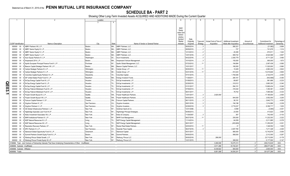SCHEDULE BA - PART 2<br>Showing Other Long-Term Invested Assets ACQUIRED AND ADDITIONS MADE During the Current Quarter

|                  |                                  | $\overline{2}$                                                                                                        | Location      |      |                | -5                                | 6           |             | 8        | 9                      | 10                           | 11           | 12                    | 13            |
|------------------|----------------------------------|-----------------------------------------------------------------------------------------------------------------------|---------------|------|----------------|-----------------------------------|-------------|-------------|----------|------------------------|------------------------------|--------------|-----------------------|---------------|
|                  |                                  |                                                                                                                       |               |      | $\overline{4}$ |                                   |             |             |          |                        |                              |              |                       |               |
|                  |                                  |                                                                                                                       |               |      |                |                                   |             |             |          |                        |                              |              |                       |               |
|                  |                                  |                                                                                                                       |               |      |                |                                   | <b>NAIC</b> |             |          |                        |                              |              |                       |               |
|                  |                                  |                                                                                                                       |               |      |                |                                   | Desig-      |             |          |                        |                              |              |                       |               |
|                  |                                  |                                                                                                                       |               |      |                |                                   | nation and  |             |          |                        |                              |              |                       |               |
|                  |                                  |                                                                                                                       |               |      |                |                                   | Admini-     |             |          |                        |                              |              |                       |               |
|                  |                                  |                                                                                                                       |               |      |                |                                   | strative    |             |          |                        |                              |              |                       |               |
|                  |                                  |                                                                                                                       |               |      |                |                                   | Symbol/     | Date        |          |                        |                              |              |                       |               |
|                  |                                  |                                                                                                                       |               |      |                |                                   | Market      | Originally  | Type and | Actual Cost at Time of | <b>Additional Investment</b> | Amount of    | Commitment for        | Percentage of |
|                  | <b>CUSIP</b> Identification      | Name or Description                                                                                                   |               | City | State          | Name of Vendor or General Partner | Indicator   | Acquired    | Strategy | Acquisition            | Made after Acquisition       | Encumbrances | Additional Investment | Ownership     |
|                  |                                  | 000000 00 0 ABRY Partners VIII, L.P.                                                                                  | Boston.       |      | MA.            | ABRY Partners, LLC.               |             | 09/30/2014. |          |                        | .580,321                     |              | (21,982)              | 0.684         |
|                  | 000000<br>$00\,$                 | ABRY Senior Equity III, L.P.                                                                                          | Boston.       |      | MA.            | <b>ABRY Partners, LLC</b>         |             | 08/09/2010. |          |                        | .727                         |              | 741,679               | .1.314        |
|                  | 000000<br>$00\,$                 | 0 ABRY Senior Equity IV, L.P.                                                                                         | Boston.       |      | MA.            | ABRY Partners, LLC.               |             | 12/12/2012  |          |                        | .20,295                      |              | .972,911              | .1.022        |
|                  | 000000<br>$00\,$                 | ABRY Senior Equity V, L.P.                                                                                            | Boston.       |      | MA.            | <b>ABRY Partners, LLC.</b>        |             | 12/01/2016  |          |                        | .908,722                     |              | .6,524,568            | .0.857        |
|                  |                                  |                                                                                                                       |               |      |                |                                   |             |             |          |                        |                              |              |                       |               |
|                  | 000000<br>$00\,$                 | Acon Equity Partners IV, L.P                                                                                          | Washington.   |      | DC.            | Acon Investments                  |             | 04/22/2016  |          |                        | .2,393,779                   |              | 9,711,325             | .3.460        |
|                  | 000000 00                        | Ampersand 2014, L.P.                                                                                                  | Boston.       |      | MA             | Ampersand Venture Managemen       |             | 10/10/2014  |          |                        | .150,000                     |              | .900,000              | .1.873        |
|                  | 000000<br>$00\,$                 | Apollo European Principal Finance Fund II, L.P.                                                                       | Purchase      |      | NY             | Apollo Global Management, LLC     |             | 07/23/2012  | .11      |                        | .184,894                     |              | 2,097,439             | .0.565        |
|                  | 000000<br>$00\,$                 | Beacon Capital Strategic Partners VIII, L.P.                                                                          | Boston.       |      | MA.            | Beacon Capital Partners, LLC.     |             | 10/31/2017  |          |                        | .180,000                     |              | 11,520,000            | .0.960        |
|                  | 000000                           | 00 0 Carlyle Strategic Partners III, L.P.                                                                             | Wilmington.   |      | DE             | Carlyle Group, L.P.               |             | 09/30/2012  | .11      |                        | .10,409                      |              | 2,983,230             | .0.843        |
|                  | 000000                           | 00 0 Carlyle Strategic Partners IV, L.P.                                                                              | Wilmington.   |      | DE             | Carlyle Group, L.P.               |             | 03/31/2016  | .11      |                        | .814,323                     |              | 13,015,646            | $0.800$ .     |
|                  |                                  | 000000 00 0 Columbia Capital Equity Partners VI, L.P.                                                                 | Alexandria    |      | <b>VA</b>      | Columbia Capital.                 |             | 07/31/2015  |          |                        | 1,783,646                    |              | .2,722,575            | .2.400        |
|                  | 000000                           | 00 0 EIF United States Power Fund IV, L.P.                                                                            | Needham       |      | MA             | Energy Investors Funds.           |             | 11/28/2011  |          |                        | .280,161                     |              | (542,689)             | .0.350        |
|                  | $00 \quad 0$                     |                                                                                                                       |               |      | TX             |                                   |             | 01/08/2013  |          |                        | .69,607                      |              |                       |               |
|                  | 000000                           | EnCap Energy Capital Fund IX, L.P.                                                                                    | Houston.      |      |                | EnCap Investments, L.P.           |             |             |          |                        |                              |              | .961,666              | 0.233         |
| <u>ව</u>         |                                  | 000000 00 0 EnCap Energy Capital Fund X, L.P.                                                                         | Houston.      |      | TX             | EnCap Investments, L.P.           |             | 02/28/2015  |          |                        | .310,012                     |              | 3,883,303             | .0.340        |
|                  |                                  | 000000 00 0 EnCap Energy Capital Fund XI, L.P.                                                                        | Houston.      |      | <b>TX</b>      | EnCap Investments, L.P.           |             | 01/31/2017  |          |                        | .594,151                     |              | 13,690,434            | .0.246        |
| $\overline{E}03$ |                                  | 000000 00 0 EnCap Flatrock Midstream Fund III, L.P                                                                    | Houston.      |      | TX             | EnCap Investments, L.P.           |             | 07/09/2014  |          |                        | .316,344                     |              | .1,350,361            | .0.200        |
|                  |                                  | 000000 00 0 EnCap Flatrock Midstream Fund IV, L.P.                                                                    | Houston       |      | <b>TX</b>      | EnCap Investments, L.P.           |             | 08/31/2017  |          |                        | 78,702                       |              | 7,095,582             | 0.333         |
| د                |                                  | 000000 00 0 Frazier Growth Buyout IX, L.P                                                                             | Seattle.      |      | WA.            | Frazier Healthcare Partner        |             | 12/01/2017  |          | .2,820,000             |                              |              | 17,180,000            | .2.500        |
|                  |                                  | 000000 00 0 Frazier Growth Buyout VIII, L.P                                                                           | Seattle.      |      | WA             | Frazier Healthcare Partner        |             | 09/30/2015  |          |                        | .944,000                     |              | .3,552,000            | .3.200        |
|                  |                                  | 000000 00 0 Fulcrum Capital Partners V, LP.                                                                           | Toronto       |      | ON             | <b>Fulcrum Capital Partners</b>   |             | 06/11/2015  |          |                        | .58,191                      |              | 3,842,773             | 4.000         |
|                  | 000000                           | 00 0 Gryphon Partners IV, L.P.                                                                                        | San Francisco |      | CA             | Gryphon Investors.                |             | 09/01/2016  |          |                        | .194,196                     |              | .1,014,866            | .2.238        |
|                  | 000000 00 0                      | Gryphon Partners V, L.P.                                                                                              | San Francisco |      | CA             |                                   |             | 02/28/2018  |          |                        | .2,719,237                   |              | .9,356,717            | .1.003        |
|                  |                                  |                                                                                                                       |               |      |                | Gryphon Investors.                |             |             |          |                        |                              |              |                       |               |
|                  | 00<br>000000                     | GS Global Infrastructure Partners I, L.P                                                                              | New York.     |      | NY             | Goldman Sachs & Co.               |             | 12/31/2006  |          |                        | .9,599                       |              | (3,065)               | .0.301        |
|                  | 000000<br>$00\,$                 | Highbridge Specialty Loan Fund III LP.                                                                                | New York.     |      | NY             | Highbridge Principal Strategies.  |             | 05/06/2013  |          |                        | .23,555                      |              | .413,823              | 3.594         |
|                  | $00\,$<br>000000                 | Kelso Investment Associates VIII. L.P.                                                                                | New York.     |      | NY             | Kelso & Company.                  |             | 1/29/2007   |          |                        | .367                         |              | 742,400               | .0.103        |
|                  | $00\,$<br>000000                 | MHR Institutional Partners IV, L.P.                                                                                   | New York.     |      | NY             | MHR Fund Management               |             | 06/27/2016  | 11       |                        | .250,000                     |              | .11,222,303           | .2.222        |
|                  | 000<br>000000                    | NGP Natural Resources XI, L.P.                                                                                        | Irving        |      | TX             | NGP Energy Capital Managemen      |             | 11/14/2014  |          |                        | .64,059                      |              | 2,211,885             | .0.378        |
|                  | 000000<br>$00\,$                 | NGP Natural Resources XII, L.P.                                                                                       | Irving        |      | <b>TX</b>      | NGP Energy Capital Managemen      |             | 08/31/2017  |          |                        | (453,809)                    |              | .11,250,225           | .0.301        |
|                  | 000000 00 0                      | Resolution Recovery Partners, LP.                                                                                     | New York.     |      | NY             | Ranieri Real Estate Partners      |             | 02/03/2012  |          |                        | .31                          |              | .1,346,552            | .1.000        |
|                  | 000<br>000000                    | SPC Partners VI, L.P                                                                                                  | San Francisco |      | CA             | Swander Pace Capital              |             | 06/27/2016  |          |                        | .2,007,765                   |              | 7,211,328             | .2.400        |
|                  | 000000                           | 00 0 Starwood Global Opportunity Fund XI, L.P.                                                                        | Greenwich     |      | CT.            | Starwood Capital.                 |             | 05/31/2017  |          |                        | .980,000                     |              | 12,742,678            | $0.000$ .     |
|                  | 000000                           | 00 0 Summit Partners Growth Equity Fund IX, L.P.                                                                      | Boston.       |      | MA.            | Summit Partners.                  |             | 09/30/2015  |          |                        | .568,000                     |              | 2,312,000             | .0.267        |
|                  |                                  |                                                                                                                       |               |      |                |                                   |             |             |          |                        |                              |              |                       |               |
|                  | 000000                           | 00 0 Warburg Pincus Global Growth, L.P                                                                                | New York      |      | NY             | Warburg, Pincus LLC.              |             | 09/30/2018  |          | .288,000               |                              |              | .23,712,000           | .0.178        |
|                  | 000000                           | 00 0 Warburg Pincus Private Equity XII, LP.                                                                           | New York.     |      |                | Warburg, Pincus LLC.              |             | 12/21/2015. |          |                        | .389,500                     |              | 5,177,500             | .0.147        |
|                  |                                  | 2199999. Total - Joint Venture or Partnership Interests That Have Underlying Characteristics of Other - Unaffiliated. |               |      |                |                                   |             |             |          | .3,269,008             | 18,275,313                   | $\Omega$     | .208,210,629          | XXX           |
|                  | 4499999. Subtotal - Unaffiliated |                                                                                                                       |               |      |                |                                   |             |             |          | .3,511,266             | .33,154,241                  | $0$          | .299,077,266          | XXX           |
|                  | 4599999. Subtotal - Affiliated   |                                                                                                                       |               |      |                |                                   |             |             |          | 6,439,822              | .900,000                     | $\Omega$     | 2,800,000             | .XXX          |
|                  | 4699999. Totals.                 |                                                                                                                       |               |      |                |                                   |             |             |          | .9.951.088             | .34.054.241                  |              | .301,877,266          | XXX           |
|                  |                                  |                                                                                                                       |               |      |                |                                   |             |             |          |                        |                              |              |                       |               |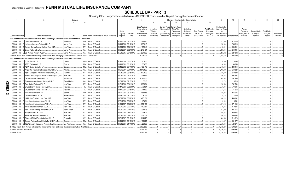**SCHEDULE BA - PART 3**<br>Showing Other Long-Term Invested Assets DISPOSED, Transferred or Repaid During the Current Quarter

|       |                             |        |                                                                                                                               | Location       |              | 5                                               |                       |            |                       |            |                                             |                                      | Changes in Book/Adjusted Carrying Value |                     |                      | 15                                     |               | 17             | 18                   | 19         | 20         |
|-------|-----------------------------|--------|-------------------------------------------------------------------------------------------------------------------------------|----------------|--------------|-------------------------------------------------|-----------------------|------------|-----------------------|------------|---------------------------------------------|--------------------------------------|-----------------------------------------|---------------------|----------------------|----------------------------------------|---------------|----------------|----------------------|------------|------------|
|       |                             |        |                                                                                                                               | $\mathcal{R}$  | $\mathbf{A}$ |                                                 |                       |            |                       | q          | 10 <sup>1</sup>                             | 11                                   | 12                                      | 13                  | 14                   |                                        |               |                |                      |            |            |
|       |                             |        |                                                                                                                               |                |              |                                                 |                       |            | Book/Adjusted         |            |                                             |                                      |                                         |                     |                      |                                        |               |                |                      |            |            |
|       |                             |        |                                                                                                                               |                |              |                                                 |                       |            | <b>Carrying Value</b> | Unrealized | Current Year's<br>Depreciation <sup>®</sup> | <b>Current Year's</b><br>Other-Than- | Capitalized                             |                     | <b>Total Foreign</b> | Book/Adjusted<br><b>Carrying Value</b> |               | Foreign        |                      |            |            |
|       |                             |        |                                                                                                                               |                |              |                                                 | Date                  |            | Less                  | Valuation  | or                                          | Temporary                            | Deferred                                | <b>Total Change</b> | Exchange             | Less                                   |               | Exchange       | <b>Realized Gain</b> | Total Gain |            |
|       |                             |        |                                                                                                                               |                |              |                                                 | Originally            | Disposal   | Encumbrances,         | Increase   | (Amortization                               | Impairment                           | Interest and                            | in B./A.C.V.        | Change in            | Encumbrances                           |               | Gain (Loss) on | (Loss) on            | (Loss) on  | Investment |
|       | <b>CUSIP</b> Identification |        | Name or Description                                                                                                           | City           |              | State   Name of Purchaser or Nature of Disposal | Acquired              | Date       | Prior Year            | (Decrease) | / Accretion                                 | Recognized                           | Other                                   | $(9+10-11+12)$      | <b>B./A.C.V.</b>     | on Disposal                            | Consideration | Disposal       | Disposal             | Disposal   | Income     |
|       |                             |        | Joint Venture or Partnership Interests That Have Underlying Characteristics of Common Stocks - Unaffiliated                   |                |              |                                                 |                       |            |                       |            |                                             |                                      |                                         |                     |                      |                                        |               |                |                      |            |            |
|       |                             |        | 000000 00 0 Grotech Partners VI. L.P.                                                                                         | Timonium       |              | MD. Return Of Capital.                          | 11/20/2000            | 02/21/2019 | .273,040              |            |                                             |                                      |                                         |                     |                      | 273,040                                | 273,040       |                |                      |            |            |
|       | 000000                      | $00\,$ | 0 Lightspeed Venture Partners XI. L.P.                                                                                        | Menlo Park.    | CA.          | Return Of Capital.                              | 03/10/2016            | 02/12/2019 | .285,315              |            |                                             |                                      |                                         |                     |                      | 285,315                                | .285,315      |                |                      |            |            |
|       | 000000                      | $00\,$ | Morgan Stanley Private Markets Fund III LP.                                                                                   | New York.      | NY.          | Return Of Capital.                              | 04/26/2006            | 02/21/2019 | .168,941              |            |                                             |                                      |                                         |                     |                      | .168,941                               | .168,941      |                |                      |            |            |
|       | 000000                      |        | 00 0 Sigma Partners 8, L.P.                                                                                                   | Menlo Park     | CA.          | Return Of Capital.                              | 08/30/2007            | 03/21/2019 | .248,481              |            |                                             |                                      |                                         |                     |                      | 248,481                                | 248,481       |                |                      |            |            |
|       |                             |        | 000000 00 0 US Venture Partners XI. L.P.                                                                                      | Menlo Park     |              | CA., Return Of Capital                          | 05/20/2015            | 03/15/2019 | .227,332              |            |                                             |                                      |                                         |                     |                      | 227,332                                | 227,332       |                |                      |            |            |
|       |                             |        | 1599999. Total - Joint Venture or Partnership Interests That Have Underlying Characteristics of Common Stocks - Unaffiliated. |                |              |                                                 |                       |            | 1.203.109             |            |                                             |                                      |                                         |                     |                      | 1.203.109                              | 1.203.109     |                |                      |            |            |
|       |                             |        | Joint Venture or Partnership Interests That Have Underlying Characteristics of Other - Unaffiliated                           |                |              |                                                 |                       |            |                       |            |                                             |                                      |                                         |                     |                      |                                        |               |                |                      |            |            |
|       | 000000                      | $00\,$ | 0 3i Eurofund IV. L.P.                                                                                                        | London.        |              | GBR Return Of Capital.                          | 12/10/2003            | 03/21/2019 | .10,850               |            |                                             |                                      |                                         |                     |                      | 10,850                                 | .10,850       |                |                      |            |            |
|       | 000000                      | $00\,$ | ABRY Partners VII. L.P.                                                                                                       | Boston.        | MA           | Return Of Capital.                              | 08/10/201             | 03/18/2019 | .36,655               |            |                                             |                                      |                                         |                     |                      | .36,655                                | .36,655       |                |                      |            |            |
|       | 000000                      | 00     | ABRY Senior Equity IV, L.P.                                                                                                   | Boston.        |              | MA Return Of Capital.                           | 12/12/2012            | 03/11/2019 | 483,418               |            |                                             |                                      |                                         |                     |                      | 483,418                                | .483,418      |                |                      |            |            |
|       | 000000                      | $00\,$ | Angel Oak Real Estate Investment Fund I, L.P.                                                                                 | Atlanta.       | GA.          | Return Of Capital.                              | 10/31/2017            | 02/01/2019 | 1,948,829             |            |                                             |                                      |                                         |                     |                      | 1,948,829                              | 1,948,829     |                |                      |            |            |
|       | 000000                      | 00     | Apollo European Principal Finance Fund II, L.P.                                                                               | Purchase       | NY           | Return Of Capital.                              | 07/23/2012            | 03/15/2019 | .670,820              |            |                                             |                                      |                                         |                     |                      | 670,820                                | 670,820       |                |                      |            |            |
|       | 000000                      | 00     | 0 Avenue Europe Special Situations Fund II (U.S.), L.P.                                                                       | New York.      |              | NY Return Of Capital.                           | 10/04/201             | 03/25/2019 | .254,461              |            |                                             |                                      |                                         |                     |                      | 254,461                                | .254,461      |                |                      |            |            |
|       | 000000                      | 00     | Carlyle Strategic Partners IV, L.P.                                                                                           | Wilmington     | DE           | Return Of Capital.                              | 03/31/2016            | 03/07/2019 | 1,397,905             |            |                                             |                                      |                                         |                     |                      | .1,397,905                             | 1,397,905     |                |                      |            |            |
|       | 000000                      | 00     | Colony American Homes Holdings III, L.P.                                                                                      | Santa Monica   | CA.          | Return Of Capital.                              | 01/30/2013            | 02/15/2019 | 5,715                 |            |                                             |                                      |                                         |                     |                      | .5,715                                 | .5,715        |                |                      |            |            |
|       | 000000                      | $00\,$ | Dyal Capital Partners IV, L.P.                                                                                                | New York.      | NY.          | Return Of Capital.                              | 01/31/2018            | 06/01/2018 | .262,564              |            |                                             |                                      |                                         |                     |                      | .262,564                               | .262,564      |                |                      |            |            |
|       | 000000                      | 00     | EnCap Energy Capital Fund VI, L.P.                                                                                            | Houston.       | TX           | Return Of Capital.                              | 07/17/2006            | 02/20/2019 | 73,984                |            |                                             |                                      |                                         |                     |                      | 73,984                                 | 73,984        |                |                      |            |            |
| QE03. | 000000                      | $00\,$ | EnCap Energy Capital Fund VII, L.P.                                                                                           | Houston.       | TX           | Return Of Capital.                              | 09/17/2007            | 02/15/2019 | 71,562                |            |                                             |                                      |                                         |                     |                      | 71,562                                 | .71.562       |                |                      |            |            |
| N     | 000000                      | 00     | 0 Frazier Healthcare IV. LP.                                                                                                  | Seattle.       | WA.          | Return Of Capital.                              | 09/27/2001            | 03/20/2019 | .465,088              |            |                                             |                                      |                                         |                     |                      | .465,088                               | .465,088      |                |                      |            |            |
|       | 000000                      | $00\,$ | Gryphon Partners V, L.P.                                                                                                      | San Francisco. | CA.          | Return Of Capital.                              | 02/28/2018            | 03/22/2019 | 8,739                 |            |                                             |                                      |                                         |                     |                      | .8,739                                 | .8,739        |                |                      |            |            |
|       | 000000                      | 00     | Highbridge Specialty Loan Fund III LP.                                                                                        | New York.      | NY.          | Return Of Capital.                              | 05/06/2013            | 03/22/2019 | .496,131              |            |                                             |                                      |                                         |                     |                      | .496,131                               | .496,131      |                |                      |            |            |
|       | 000000                      | 00     | Kelso Investment Associates VII, L.P.                                                                                         | New York.      | NY           | Return Of Capital.                              | 07/01/2004            | 03/20/2019 | .15,061               |            |                                             |                                      |                                         |                     |                      | .15,061                                | .15,061       |                |                      |            |            |
|       | 000000                      | $00\,$ | Kelso Investment Associates VIII, L.P.                                                                                        | New York.      | NY           | Return Of Capital.                              | 11/29/2007            | 03/26/2019 | .971,132              |            |                                             |                                      |                                         |                     |                      | 971,132                                | .971.132      |                |                      |            |            |
|       | 000000                      | 00     | MHR Institutional Partners IV, L.P.                                                                                           | New York.      | NY           | Return Of Capital.                              | 06/27/2016            | 02/27/2019 | .119,387              |            |                                             |                                      |                                         |                     |                      | .119,387                               | .119,387      |                |                      |            |            |
|       | 000000                      | 00     | New Canaan Funding Mezzanine V, L.P.                                                                                          | New Canaan     | CT.          | Return Of Capital.                              | 08/05/2011            | 02/04/2019 | .337,076              |            |                                             |                                      |                                         |                     |                      | .337,076                               | .337,076      |                |                      |            |            |
|       | 000000                      | $00\,$ | Perry Partners L.P. Class C.                                                                                                  | New York.      | NY           | Return Of Capital.                              | 12/24/2014            | 03/01/2019 | .229,622              |            |                                             |                                      |                                         |                     |                      | .229,622                               | .229,622      |                |                      |            |            |
|       | 000000                      | 00     | Resolution Recovery Partners, LP.                                                                                             | New York       | NY           | Return Of Capital.                              | 02/03/2012            | 02/01/2019 | .209.203              |            |                                             |                                      |                                         |                     |                      | 209,203                                | 209,203       |                |                      |            |            |
|       | 000000                      | 00     | Starwood Global Opportunity Fund XI, L.P.                                                                                     | Greenwich.     | CT.          | Return Of Capital.                              | 05/31/2017            | 02/15/2019 | .314,328              |            |                                             |                                      |                                         |                     |                      | 314,328                                | 314,328       |                |                      |            |            |
|       | 000000                      | $00\,$ | 0 Summit Partners Growth Equity Fund VIII-A, L.P.                                                                             | Boston.        | MA           | Return Of Capital.                              | 06/14/2012            | 02/19/2019 | .181,377              |            |                                             |                                      |                                         |                     |                      | .181,377                               | .181.377      |                |                      |            |            |
|       | 000000                      | $00\,$ | 0 TCW/Crescent Mezzanine Partners III, L.P.                                                                                   | Los Angeles    | CA.          | Return Of Capital.                              | 03/30/2001 01/11/2019 |            | 28,375                |            |                                             |                                      |                                         |                     |                      | 28,375                                 | .28,375       |                |                      |            |            |
|       |                             |        | 2199999. Total - Joint Venture or Partnership Interests That Have Underlying Characteristics of Other - Unaffiliated          |                |              |                                                 |                       |            | 8,592,283             |            |                                             |                                      |                                         |                     |                      | .8,592,283                             | .8,592,283    |                |                      |            | $\bigcap$  |
|       |                             |        | 4499999. Subtotal - Unaffiliated.                                                                                             |                |              |                                                 |                       |            | .9,795,392            |            | $\Omega$                                    |                                      |                                         | $\Omega$            |                      | .9,795,392                             | .9,795,392    | $\Omega$       | $\cap$               |            | $0 \ldots$ |
|       | 4699999. Totals             |        |                                                                                                                               |                |              |                                                 |                       |            | 9,795,392             |            |                                             |                                      |                                         |                     |                      | .9,795,392                             | 9,795,392     |                |                      |            |            |
|       |                             |        |                                                                                                                               |                |              |                                                 |                       |            |                       |            |                                             |                                      |                                         |                     |                      |                                        |               |                |                      |            |            |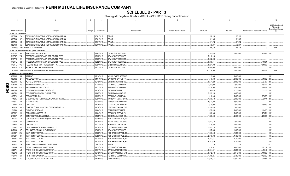**SCHEDULE D - PART 3**<br>Showing all Long-Term Bonds and Stocks ACQUIRED During Current Quarter

|     | $\overline{1}$       | $\overline{2}$                                                         | $\overline{3}$ | $\overline{4}$             | 5                                                         | 6                         | $\overline{7}$          | $\mathsf{R}$             | -9                                      | 10                                     |
|-----|----------------------|------------------------------------------------------------------------|----------------|----------------------------|-----------------------------------------------------------|---------------------------|-------------------------|--------------------------|-----------------------------------------|----------------------------------------|
|     |                      |                                                                        |                |                            |                                                           |                           |                         |                          |                                         |                                        |
|     |                      |                                                                        |                |                            |                                                           |                           |                         |                          |                                         | NAIC Designation and<br>Administrative |
|     |                      |                                                                        |                |                            |                                                           |                           |                         |                          |                                         | Symbol/Market Indicator                |
|     | CUSIP Identification | Description                                                            | Foreign        | Date Acquired              | Name of Vendor                                            | Number of Shares of Stock | <b>Actual Cost</b>      | Par Value                | Paid for Accrued Interest and Dividends |                                        |
|     |                      | Bonds - U.S. Government                                                |                |                            |                                                           |                           |                         |                          |                                         |                                        |
|     |                      | 38378B 2W 8 GOVERNMENT NATIONAL MORTGAGE ASSOCIATION                   |                | 03/01/2019.                | PAYUP.                                                    |                           | .98,128                 | .98,128                  |                                         |                                        |
|     | 38378B               | GOVERNMENT NATIONAL MORTGAGE ASSOCIATION.<br>3F<br>$\mathbf{A}$        |                | 03/01/2019.                | PAYUP.                                                    |                           | .31,085                 | .31,085                  |                                         |                                        |
|     | 38378B               | 3   GOVERNMENT NATIONAL MORTGAGE ASSOCIATION.<br>M6                    |                | 03/01/2019.                | PAYUP.                                                    |                           | .61,272                 | .61,272                  |                                         |                                        |
|     | 38378B               | N5 4 GOVERNMENT NATIONAL MORTGAGE ASSOCIATION.                         |                | 03/01/2019.                | PAYUP.                                                    |                           | .75.231                 | 75.231                   |                                         |                                        |
|     |                      | 0599999. Total - Bonds - U.S. Government.                              |                |                            |                                                           |                           | .265.716                | 265,716                  | 0                                       | $\mathsf{XXX}$ .                       |
|     |                      | Bonds - U.S. Special Revenue and Special Assessment                    |                |                            |                                                           |                           |                         |                          |                                         |                                        |
|     | 072024               | NV 0 BAY AREA TOLL AUTHORITY.                                          |                | 01/07/2019.                | CTGRP GLBL MKTS INC/                                      |                           | 7,182,450               | .5,000,000               | .95,863 TFE.                            |                                        |
|     | 3137BP               | FREDDIE MAC MULTIFAMILY STRUCTURED PASS<br>VQ<br>- 9                   |                | 02/26/2019.                | JPM SECURITIES-FIXED.                                     |                           | 7,916,016               |                          |                                         |                                        |
|     | 3137FD               | EV<br>FREDDIE MAC MULTIFAMILY STRUCTURED PASS.                         |                | 03/27/2019.                | JPM SECURITIES-FIXED.                                     |                           | .8,552,598              |                          |                                         |                                        |
|     | 3137FL               | FREDDIE MAC MULTIFAMILY STRUCTURED PASS<br>2N<br>3                     |                | 02/22/2019.                | JPM SECURITIES-FIXED.                                     |                           | 6,538,644               |                          | .44,831                                 |                                        |
|     | 3137FL               | 6W<br>FEDERAL HOME LN MT 0.01 25JAN29 FRN.<br>-9                       |                | 03/21/2019.                | <b>CREDIT SUISSE FIRST</b>                                |                           | 8,024,800               |                          | .101,808                                |                                        |
|     | 79467B               | CM 5 SALES TAX SECURITIZATION CORP.                                    |                | 01/17/2019.                | CTGRP GLBL MKTS INC/.                                     |                           | .5,000,000              | .5,000,000               |                                         | IFE.                                   |
|     |                      | 3199999. Total - Bonds - U.S. Special Revenue and Special Assessments. |                |                            |                                                           |                           | .43,214,508             | .10,000,000              | 242,502                                 | $\ldots$ XXX.                          |
|     |                      | Bonds - Industrial and Miscellaneous                                   |                |                            |                                                           |                           |                         |                          |                                         |                                        |
|     | 00206R               | HK 1 AT&T INC.                                                         |                | 02/14/2019.                | WELLS FARGO SECS LLC.                                     |                           | 1,915,880               | .2,000,000               |                                         | 2FE.                                   |
|     | 00912X               | <b>AIR LEASE CORP.</b><br>BF.<br>$\Omega$                              |                | 01/04/2019.                | <b>BARCLAYS CAPITAL FIX</b>                               |                           | 4,740,050               | .5,000,000               | 71,302 2FE.                             |                                        |
|     | 02209S               | ALTRIA GROUP INC.<br>BE                                                |                | 02/19/2019.                | <b>GOLDMAN SACHS &amp; CO</b>                             |                           | 6,074,220               | .6,000,000               | .6,767 2FE.                             |                                        |
| Q   | 035229               | ANHEUSER-BUSCH COS LLC.<br>BO.<br>- 5                                  |                | 02/20/2019.                | PERSHING & COMPANY                                        |                           | .2,281,900              | .2,000,000               | .18,417 2FE.                            |                                        |
|     | 040555               | ARIZONA PUBLIC SERVICE CO.<br><b>CM</b>                                |                | 02/11/2019.                | PERSHING & COMPANY                                        |                           | .2,839,909              | .2,590,000               | .58,858                                 | 1FE.                                   |
| F04 | 084659               | BERKSHIRE HATHAWAY ENERGY CO.<br>AR                                    |                | 01/14/2019.                | EXCHANGE OFFER.                                           |                           | .1,749,420              | 1,750,000                | .36,558                                 | 1FE                                    |
|     | 084664               | <b>CR</b><br>BERKSHIRE HATHAWAY FINANCE CORP.                          |                | 01/03/2019.                | <b>GOLDMAN SACHS &amp; CO</b>                             |                           | .3,959,120              | .4,000,000               |                                         | IFE.                                   |
|     | 099724               | AH<br><b>BORGWARNER INC.</b>                                           |                | 01/29/2019.                | PERSHING & COMPANY                                        |                           | 1,810,340               | .2,000,000               | .33,056 2FE.                            |                                        |
|     | 11134L               | AH<br>BROADCOM CORP / BROADCOM CAYMAN FINANCE                          |                | 02/21/2019.                | MORGAN STANLEY & CO.                                      |                           | .1,838,740              | .2,000,000               | .8,611                                  | 2FE                                    |
|     | 11135F<br>126408     | AB<br><b>BROADCOM INC.</b><br>GW<br><b>CSX CORP.</b>                   |                | 03/29/2019.<br>01/25/2019. | <b>BANC/AMERICA SECUR.</b><br><b>U.S. BANCORP INVESTM</b> |                           | .5,971,500<br>2,034,900 | .6,000,000<br>.2,000,000 | .15,569                                 | 2FE.<br>2FE.                           |
|     | 161175               | CHARTER COMMUNICATIONS OPERATING LLC / C.<br><b>BR</b>                 |                | 01/14/2019.                | DEUTSCHE BANC/ALEX B.                                     |                           | .2,998,050              | .3,000,000               |                                         | 2FE.                                   |
|     | 171798               | AD<br><b>CIMAREX ENERGY CO</b><br>$\mathbf{3}$                         |                | 01/04/2019.                | <b>CREDIT SUISSE FIRST</b>                                |                           | .1,877,620              | .2,000,000               | .11,483                                 | 2FE.                                   |
|     | 20605P               | AJ<br>CONCHO RESOURCES INC.<br>- 0                                     |                | 01/04/2019.                | <b>BARCLAYS CAPITAL FIX</b>                               |                           | 1,958,660               | .2,000,000               | .26,271                                 | 2FE                                    |
|     | 21036P               | <b>CONSTELLATION BRANDS INC.</b><br>AT                                 |                | 01/25/2019.                | <b>GOLDMAN SACHS &amp; CO</b>                             |                           | 1,828,460               | .2,000,000               | .20,000                                 | 2FE.                                   |
|     | 21075W               | EV<br>CONTIMORTGAGE HOME EQUITY LOAN TRUST 199<br>$\mathbf{3}$         |                | 03/15/2019.                | NON-BROKER TRADE, BO                                      |                           |                         |                          |                                         |                                        |
|     | 22966R               | AE<br><b>CUBESMART LP.</b><br>- 6                                      |                | 01/24/2019.                | WELLS FARGO SECS LLC.                                     |                           | 1,987,120               | .2,000,000               |                                         | 2FE.                                   |
|     | 23338V               | AJ<br>DTE ELECTRIC CO<br>- 5                                           |                | 02/11/2019.                | <b>BARCLAYS CAPITAL FIX</b>                               |                           | 2,975,940               | .3,000,000               |                                         | IFE.                                   |
|     | 233851               | DT<br>DAIMLER FINANCE NORTH AMERICA LLC<br><b>8</b>                    |                | 02/19/2019.                | CITIGROUP GLOBAL MKT                                      |                           | .2,992,770              | .3,000,000               |                                         | IFE.                                   |
|     | 24703D               | AZ<br>DELL INTERNATIONAL LLC / EMC CORP                                |                | 03/06/2019.                | JPM SECURITIES-FIXED.                                     |                           | .997,430                | .1,000,000               |                                         | 2FE.                                   |
|     | 254687               | <b>CW</b><br><b>WALT DISNEY CO/THE</b><br>4                            |                | 03/20/2019.                | NON-BROKER TRADE, BO.                                     |                           | .1,780,245              | 1,350,000                |                                         | IFE.                                   |
|     | 254687               | DA<br>WALT DISNEY CO/THE                                               |                | 03/20/2019.                | NON-BROKER TRADE, BO.                                     |                           | 2,319,303               | .1,790,000               |                                         | IFE.                                   |
|     | 254687               | DW 3 WALT DISNEY CO/THE                                                |                | 03/20/2019.                | NON-BROKER TRADE, BO.                                     |                           | .6,741,712              | .4,300,000               |                                         | IFE.                                   |
|     | 254687               | EA<br>WALT DISNEY CO/THE                                               |                | 03/20/2019.                | NON-BROKER TRADE, BO.                                     |                           | 6,341,616               | .4,700,000               |                                         | IFE.                                   |
|     | 302471               | CA <sub>3</sub><br>FMAC LOAN RECEIVABLES TRUST 1998-B                  |                | 11/01/2018.                | PAYUP.                                                    |                           | .224                    | .224                     |                                         |                                        |
|     | 30289H               | AG<br>FREMF 2016-K55 MORTGAGE TRUST<br>- 6                             |                | 02/22/2019.                | PERSHING & COMPANY                                        |                           | .3,838,281              | .4,000,000               | 11,559                                  | 2FE.                                   |
|     | 302971               | AR<br>FREMF 2019-K88 MORTGAGE TRUST                                    |                | 03/01/2019.                | <b>BANC/AMERICA SECUR.L</b>                               |                           | 6,354,531               | .6,250,000               | .8,642                                  | 1FE.                                   |
|     | 302972               | FREMF 2019-K89 MORTGAGE TRUST<br>AS<br>$\mathbf{3}$                    |                | 03/13/2019.                | CITIGROUP GLOBAL MKT                                      |                           | .6,112,713              | .6,047,000               | .14,890                                 | 1FE.                                   |
|     | 316773               | <b>CH</b><br>FIFTH THIRD BANCORP.                                      |                | 02/11/2019.                | PERSHING & COMPANY.                                       |                           | 4,405,827               | .3,189,000               | 118,392                                 | 2FE.                                   |
|     | 33850T               | AC 2   FLAGSTAR MORTGAGE TRUST 2018-1                                  |                | 01/25/2019.                | <b>BMOCM/BONDS.</b>                                       |                           | 13,646,173              | 13,942,451               | .37,954 1FE.                            |                                        |
|     |                      |                                                                        |                |                            |                                                           |                           |                         |                          |                                         |                                        |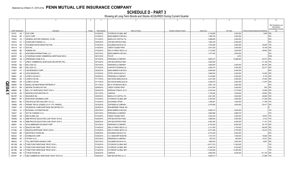**SCHEDULE D - PART 3**<br>Showing all Long-Term Bonds and Stocks ACQUIRED During Current Quarter

|    |                                |                             | $\overline{2}$                            | 3       | $\overline{4}$               | $5\overline{5}$                        | - 6                       | $\overline{7}$                  | 8                       | -9                                               | 10                                     |
|----|--------------------------------|-----------------------------|-------------------------------------------|---------|------------------------------|----------------------------------------|---------------------------|---------------------------------|-------------------------|--------------------------------------------------|----------------------------------------|
|    |                                |                             |                                           |         |                              |                                        |                           |                                 |                         |                                                  |                                        |
|    |                                |                             |                                           |         |                              |                                        |                           |                                 |                         |                                                  | NAIC Designation and<br>Administrative |
|    |                                |                             |                                           |         |                              |                                        |                           |                                 |                         |                                                  | Symbol/Market Indicator                |
|    | CUSIP Identification<br>35137L |                             | Description<br>AE 5 FOX CORP.             | Foreign | Date Acquired<br>01/25/2019. | Name of Vendor<br>CITIGROUP GLOBAL MKT | Number of Shares of Stock | <b>Actual Cost</b><br>3,116,850 | Par Value<br>.3,000,000 | Paid for Accrued Interest and Dividends<br>1,859 | 2FE.                                   |
|    | 361448                         |                             | BE 2 GATX CORP.                           |         | 01/29/2019.                  | <b>BANC/AMERICA SECUR.</b>             |                           | .1,996,720                      | .2,000,000              |                                                  | 2FE.                                   |
|    | 37045X                         | CS                          | 3 GENERAL MOTORS FINANCIAL CO INC.        |         | 01/14/2019.                  | <b>BARCLAYS CAPITAL FIX</b>            |                           | .2,998,650                      | .3,000,000              |                                                  | 2FE.                                   |
|    | 378272                         | AV                          | <b>GLENCORE FUNDING LLC.</b>              |         | 03/05/2019.                  | JPM SECURITIES-FIXED.                  |                           | .1,993,420                      | .2,000,000              |                                                  | 2FE.                                   |
|    | 38141G                         | WZ 3                        | GOLDMAN SACHS GROUP INC/THE.              |         | 01/25/2019.                  | <b>GOLDMAN SACHS &amp; CO</b>          |                           | .1,978,460                      | .2,000,000              | .20,646                                          | 1FE.                                   |
|    | 404119                         | BV<br>$\Omega$              | HCA INC                                   |         | 01/24/2019.                  | <b>CREDIT SUISSE FIRST</b>             |                           | .3,041,250                      | .3,000,000              | .19,708                                          | 2FE.                                   |
|    | 444859                         | BE                          | <b>HUMANA INC</b>                         |         | 01/03/2019.                  | <b>WELLS FARGO SECS LLC</b>            |                           | .3,116,280                      | .3,000,000              | .39,600                                          | 2FE                                    |
|    | 44701Q                         | <b>BE</b>                   | HUNTSMAN INTERNATIONAL LLC                |         | 02/27/2019.                  | <b>BANC/AMERICA SECUR.L</b>            |                           | .1,977,400                      | .2,000,000              |                                                  | 2FE.                                   |
|    | 46625Y                         | QX                          | JP MORGAN CHASE COMMERCIAL MORTGAGE SECU  |         | 03/01/2019.                  | PAYUP.                                 |                           |                                 | .4,874                  |                                                  | 4FM.                                   |
|    | 46626Y                         | AB                          | <b>JPMORGAN CHASE &amp; CO</b>            |         | 02/14/2019.                  | PERSHING & COMPANY                     |                           | .8,863,073                      | 10,086,000              | .52.573                                          | 2FE.                                   |
|    | 48128Y                         | AY                          | JPMCC COMMERCIAL MORTGAGE SECURITIES TRU  |         | 02/15/2019.                  | JPM SECURITIES-FIXED.                  |                           | .4,250,205                      |                         | .41,129                                          | 1FE.                                   |
|    | 487836                         | <b>BQ</b><br>$\Omega$       | KELLOGG CO.                               |         | 03/27/2019.                  | PERSHING & COMPANY                     |                           | .2,848,050                      | .3,000,000              | .66,750                                          | 2FE                                    |
|    | 487836                         | BW                          | <b>KELLOGG CO</b>                         |         | 01/15/2019.                  | <b>CANTOR FITZGERALD &amp;.</b>        |                           | .2,962,410                      | .3,000,000              | .22,217                                          | 2FE                                    |
|    | 512807                         | AT<br>-5                    | LAM RESEARCH CORP.                        |         | 02/26/2019.                  | <b>BANC/AMERICA SECUR.</b>             |                           | .5,065,900                      | .5,000,000              |                                                  | 2FE.                                   |
|    | 524901                         | AR                          | LEGG MASON INC.                           |         | 01/30/2019.                  | STIFEL NICHOLAUS & C                   |                           | .3,809,040                      | .4,000,000              | .10,000 2FE.                                     |                                        |
|    | 548661                         |                             | AK 3 LOWE'S COS INC A.                    |         | 03/29/2019.                  | PERSHING & COMPANY                     |                           | .2,418,860                      | .2,000,000              | .6,139 2FE.                                      |                                        |
|    | 548661                         | DE                          | LOWE'S COS INC.                           |         | 01/17/2019.                  | DEUTSCHE BANC/ALEX B                   |                           | .2,227,550                      | .2,500,000              | .37,483                                          | 2FE                                    |
|    | 548661                         | DP                          | LOWE'S COS INC.                           |         | 01/17/2019.                  | DEUTSCHE BANC/ALEX B                   |                           | .2,309,575                      | .2,500,000              | .17,007                                          | 2FE                                    |
| Q  | 559080                         | AN                          | MAGELLAN MIDSTREAM PARTNERS LP.           |         | 01/11/2019.                  | BK OF NY/MIZUHO SECU                   |                           | .2,981,130                      | .3,000,000              |                                                  | 2FE                                    |
| Щ  | 595112                         | <b>BN</b><br>$\overline{2}$ | MICRON TECHNOLOGY INC.                    |         | 02/06/2019.                  | <b>CREDIT SUISSE FIRST</b>             |                           | .2,013,240                      | .2,000,000              | .592 2FE                                         |                                        |
| 04 | 599808                         | <b>BI</b>                   | MILL CITY MORTGAGE TRUST 2015-2.          |         | 02/20/2019.                  | <b>MORGAN STANLEY &amp; CO.</b>        |                           | .4,518,344                      | .4,775,000              | 10,639                                           | 2FE.                                   |
| د  | 651290                         | AR 9                        | NEWFIELD EXPLORATION CO                   |         | 03/11/2019.                  | VARIOUS.                               |                           | 7,192,500                       | .7,000,000              | .35,983                                          | 3FE.                                   |
|    | 65473P                         | AG<br>$\Omega$              | NISOURCE INC                              |         | 03/05/2019.                  | <b>BARCLAYS CAPITAL FIX.</b>           |                           | .2,921,250                      | .3,000,000              | .38,608                                          | 3FE                                    |
|    | 666807                         | <b>BP</b><br>- 6            | NORTHROP GRUMMAN CORP.                    |         | 01/03/2019.                  | CITIGROUP GLOBAL MKT                   |                           | .2,750,040                      | .3,000,000              | 27,538                                           | 2FE                                    |
|    | 68233J                         | <b>BG</b>                   | ONCOR ELECTRIC DELIVERY CO LLC.           |         | 01/24/2019.                  | EXCHANGE OFFER.                        |                           | 1,498,391                       | 1,500,000               | 11,788                                           | 1FE                                    |
|    | 709599                         | AW                          | PENSKE TRUCK LEASING CO LP / PTL FINANCE. |         | 03/18/2019.                  | JEFFERIES & COMPANY.                   |                           | .2,819,580                      | .3,000,000              | .35,417                                          | 2FE                                    |
|    | 743947                         | AA                          | PRUDENTIAL HOME MORTGAGE SECURITIES CO I. |         | 03/28/2019.                  | NON-BROKER TRADE, BO                   |                           |                                 |                         |                                                  |                                        |
|    | 773903                         | AJ.                         | ROCKWELL AUTOMATION INC.                  |         | 02/27/2019.                  | <b>BANC/AMERICA SECUR.</b>             |                           | .2,995,410                      | .3,000,000              |                                                  | 1FE.                                   |
|    | 784037                         | AA                          | SCF RC FUNDING II LLC                     |         | 02/21/2019.                  | PERSHING & COMPANY                     |                           | .3,883,856                      | .3,898,475              |                                                  | IFE.                                   |
|    | 78409V                         | AN                          | S&P GLOBAL INC.                           |         | 01/04/2019.                  | <b>CREDIT SUISSE FIRST</b>             |                           | .3,000,330                      | .3,000,000              | 19,875                                           | 1FE.                                   |
|    | 78448Q                         | AE                          | SMB PRIVATE EDUCATION LOAN TRUST 2015-B.  |         | 03/20/2019.                  | JPM SECURITIES-FIXED.                  |                           | .3,986,563                      | .4,000,000              | .2,722                                           | 1FE.                                   |
|    | 78448R                         | AE                          | SMB PRIVATE EDUCATION LOAN TRUST 2015-C.  |         | 02/06/2019.                  | JPM SECURITIES-FIXED.                  |                           | 4,942,383                       | .5,000,000              | .11,181                                          | 1FE.                                   |
|    | 806851                         | AH                          | SCHLUMBERGER HOLDINGS CORP.               |         | 03/13/2019.                  | PERSHING & COMPANY                     |                           | .8,146,240                      | .8,000,000              | .39,178 2FE.                                     |                                        |
|    | 81211K                         | AK<br>- 6                   | <b>SEALED AIR CORP.</b>                   |         | 01/04/2019.                  | <b>WELLS FARGO SECS LLC</b>            |                           | .2,121,000                      | .2,100,000              | .69,380                                          | 3FE.                                   |
|    | 81748H                         | AU<br>$\mathbf{3}$          | SEQUOIA MORTGAGE TRUST 2018-8.            |         | 01/25/2019.                  | <b>WELLS FARGO SECS LLC</b>            |                           | 9,721,559                       | .9,776,552              | .30,416                                          | 1FE                                    |
|    | 832248                         | <b>BB</b>                   | 3 SMITHFIELD FOODS INC                    |         | 03/28/2019.                  | <b>GOLDMAN SACHS &amp; CO</b>          |                           | .2,012,420                      | .2,000,000              |                                                  | 2FE.                                   |
|    | 855244                         | AH                          | 2 STARBUCKS CORP.                         |         | 03/28/2019.                  | <b>U.S. BANCORP INVESTM.</b>           |                           | .1,472,370                      | 1,500,000               | .18,992                                          | 2FE                                    |
|    | 886546                         | AD                          | 2 TIFFANY & CO.                           |         | 03/27/2019.                  | PERSHING & COMPANY                     |                           | .557,616                        | 600,000                 | 14,537                                           | 2FE                                    |
|    | 88947E                         | AT                          | <b>TOLL BROTHERS FINANCE CORP.</b>        |         | 03/21/2019.                  | GOLDMAN SACHS & CO.                    |                           | 1,885,000                       | .2,000,000              | .9,667                                           | 3FE                                    |
|    | 89175M                         | AB                          | TOWD POINT MORTGAGE TRUST 2018-3.         |         | 01/30/2019.                  | CITIGROUP GLOBAL MKT                   |                           | 10,817,510                      | .11,000,000             |                                                  | IFE.                                   |
|    | 89175M                         | AE                          | TOWD POINT MORTGAGE TRUST 2018-3.         |         | 01/30/2019.                  | CITIGROUP GLOBAL MKT                   |                           | .8,346,702                      | .8,700,000              |                                                  | 1FE.                                   |
|    | 89176E                         | AB                          | TOWD POINT MORTGAGE TRUST 2018-1.         |         | 01/30/2019.                  | CITIGROUP GLOBAL MKT                   |                           | 11,430,084                      | .12,000,000             |                                                  | 1FE.                                   |
|    | 902494                         | <b>BH</b><br>- 5            | TYSON FOODS INC.                          |         | 02/20/2019.                  | VARIOUS.                               |                           | .4,855,550                      | .5,000,000              | 101,150                                          | 2FE.                                   |
|    | 90276Y                         | AF<br>$\Omega$              | UBS COMMERCIAL MORTGAGE TRUST 2019-C16.   |         | 03/28/2019.                  | UBS SECURITIES LLC C                   |                           | 4.828.013                       |                         | .27.696                                          | 1FE.                                   |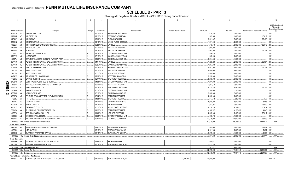**SCHEDULE D - PART 3**<br>Showing all Long-Term Bonds and Stocks ACQUIRED During Current Quarter

|      | $\overline{1}$            | $\overline{2}$                                         | -3      | $\overline{4}$ | 5                               | 6                         | $\overline{7}$     | 8            | -9                                      | 10                                     |
|------|---------------------------|--------------------------------------------------------|---------|----------------|---------------------------------|---------------------------|--------------------|--------------|-----------------------------------------|----------------------------------------|
|      |                           |                                                        |         |                |                                 |                           |                    |              |                                         |                                        |
|      |                           |                                                        |         |                |                                 |                           |                    |              |                                         | NAIC Designation and<br>Administrative |
|      |                           |                                                        |         |                |                                 |                           |                    |              |                                         | Symbol/Market Indicator                |
|      | CUSIP Identification      | Description                                            | Foreign | Date Acquired  | Name of Vendor                  | Number of Shares of Stock | <b>Actual Cost</b> | Par Value    | Paid for Accrued Interest and Dividends |                                        |
|      | 92277G                    | AQ 0 VENTAS REALTY LP.                                 |         | 02/20/2019.    | <b>BNY/SUNTRUST CAPITAL</b>     |                           | .2,015,480         | .2,000,000   |                                         | 2FE.                                   |
|      | 92936U                    | WP CAREY INC<br>AE 9                                   |         | 02/13/2019.    | PERSHING & COMPANY.             |                           | .983,580           | .1,000,000   | .15,819                                 | 2FE.                                   |
|      | 92940P                    | <b>WRKCO INC.</b><br>AD<br>- 6                         |         | 02/20/2019.    | EXCHANGE OFFER.                 |                           | .5,051,457         | .5,000,000   | .52,403                                 | 2FE                                    |
|      | 95040Q                    | AH<br><b>WELLTOWER INC.</b>                            |         | 02/13/2019.    | WELLS FARGO SECS LLC.           |                           | 1,991,100          | .2,000,000   |                                         | 2FE.                                   |
|      | 958254                    | WESTERN MIDSTREAM OPERATING LP.<br>AD<br>- 6           |         | 03/26/2019.    | VARIOUS.                        |                           | .4,713,710         | .5,000,000   | 130,346                                 | 2FE                                    |
|      | 963320                    | WHIRLPOOL CORP<br>AW                                   |         | 02/20/2019.    | JPM SECURITIES-FIXED.           |                           | 2,964,300          | .3,000,000   |                                         | 2FE.                                   |
|      | 98978V                    | ZOETIS INC.<br>AP<br><b>8</b>                          |         | 01/25/2019.    | JPM SECURITIES-FIXED            |                           | 1,967,300          | .2,000,000   | .39,308                                 | 2FE                                    |
|      | 11271L                    | <b>BROOKFIELD FINANCE INC.</b><br>AD                   |         | 01/24/2019.    | CITIGROUP GLOBAL MKT            |                           | .1,996,420         | .2,000,000   |                                         | 2FE.                                   |
|      | 67077M                    | AU<br>2 NUTRIEN LTD.                                   |         | 03/19/2019.    | <b>MORGAN STANLEY &amp; CO</b>  |                           | .1,965,520         | .2,000,000   |                                         | 2FE.                                   |
|      | 68327L                    | ONTARIO TEACHERS' CADILLAC FAIRVIEW PROP.<br>AC        |         | 01/28/2019.    | GOLDMAN SACHS & CO.             |                           | .3,994,480         | .4,000,000   |                                         | 1FE.                                   |
|      | 00774M                    | AERCAP IRELAND CAPITAL DAC / AERCAP GLOB.<br>AB        |         | 01/04/2019.    | VARIOUS                         |                           | .1,725,620         | .2,000,000   | .33,864                                 | 2FE                                    |
|      | 00774M                    | AERCAP IRELAND CAPITAL DAC / AERCAP GLOB.<br>AL        |         | 03/27/2019.    | <b>BANC/AMERICA SECUR.L</b>     |                           | .1,997,380         | .2,000,000   |                                         | 2FE                                    |
|      | 00900G                    | AE<br>AIMCO CLO SERIES 2018-A.<br>$-5$                 |         | 02/15/2019.    | RAYMOND JAMES & ASSO            |                           | .4,902,500         | .5,000,000   | .19,708                                 | 1FE                                    |
|      | 04015W                    | ARES XXXIX CLO LTD<br>AU                               |         | 03/15/2019.    | JPM SECURITIES-FIXED.           |                           | .4,600,000         | .4,600,000   |                                         | 1FE.                                   |
|      | 04015W                    | ARES XXXIX CLO LTD.<br>AY                              |         | 03/15/2019.    | JPM SECURITIES-FIXED            |                           | .7,000,000         | .7,000,000   |                                         | 2FE.                                   |
|      | 04942V                    | 4 ATLAS SENIOR LOAN FUND XIII<br>AN                    |         | 02/22/2019.    | JEFFERIES & COMPANY,            |                           | .9,950,000         | 10,000,000   |                                         | 1FE.                                   |
|      | 14686A                    | CARVAL CLO II LTD.<br>AE<br><b>q</b>                   |         | 02/01/2019.    | JPM SECURITIES-FIXED            |                           | .8,000,000         | .8,000,000   |                                         | IFE.                                   |
|      | 21987B                    | CORP NACIONAL DEL COBRE DE CHILE<br>AY                 |         | 01/28/2019.    | CITIGROUP GLOBAL MKT            |                           | .1,861,080         | .2,000,000   |                                         | IFE.                                   |
| QE   | 456873                    | INGERSOLL-RAND LUXEMBOURG FINANCE SA<br>AF             |         | 03/19/2019.    | JPM SECURITIES-FIXED            |                           | .2,992,140         | .3,000,000   |                                         | 2FE.                                   |
|      | 56577Q                    | MARATHON CLO XI LTD<br>AC                              |         | 03/29/2019.    | <b>BNP PARIBAS SEC CORP.</b>    |                           | .8,277,520         | .8,560,000   | 71,754                                  | 1FE.                                   |
| 2.42 | 56844A                    | MARINER CLO 7 LTD.<br>AE 9                             |         | 03/29/2019.    | CITIGROUP GLOBAL MKT            |                           | .5,500,000         | .5,500,000   |                                         | IFE.                                   |
|      | 65559C                    | NORDEA BANK ABP<br>AA                                  |         | 03/19/2019.    | <b>GOLDMAN SACHS &amp; CO</b>   |                           | .3,000,000         | .3,000,000   |                                         | 2FE.                                   |
|      | 69867D                    | AC<br>PANTHER BF AGGREGATOR 2 LP / PANTHER FIN<br>- 2  |         | 03/22/2019.    | <b>CREDIT SUISSE FIRST</b>      |                           | .2,000,000         | .2,000,000   |                                         | 4FE.                                   |
|      | 74988L                    | AA <sub>2</sub><br>RR 3 LTD                            |         | 01/25/2019.    | JPM SECURITIES-FIXED.           |                           | 247,375            | 250,000      | 377                                     | 1FE.                                   |
|      |                           |                                                        |         |                | <b>GOLDMAN SACHS &amp; CO.</b>  |                           |                    |              |                                         | 1FE.                                   |
|      | 75620T                    | AS<br>RECETTE CLO LTD.<br>AE                           |         | 01/24/2019.    |                                 |                           | .8,650,400         | .8,800,000   | .5,956                                  |                                        |
|      | 80007R                    | 5 SANDS CHINA LTD.                                     |         | 01/29/2019.    | <b>EXCHANGE OFFER.</b>          |                           | .2,881,501         | .3,000,000   | .76,500                                 | 2FE.                                   |
|      | 80317E                    | AE<br>SARANAC CLO VII LTD                              |         | 03/12/2019.    | <b>WELLS FARGO SECS LLC</b>     |                           | .4,118,798         | .4,202,855   | 10,437                                  | 1FE                                    |
|      | 88606W                    | THUNDERBOLT AIRCRAFT LEASE LTD.<br>AA                  |         | 01/23/2019.    | <b>CREDIT SUISSE FIRST</b>      |                           | .4,160,737         | .4,136,499   | .4,840                                  | 1FE.                                   |
|      | 893828                    | <b>TRANSOCEAN PHOENIX 2 LTD</b><br>AA                  |         | 01/30/2019.    | UBS SECURITIES LLC.             |                           | .2,505,000         | .2,400,000   | .56,317                                 | 4FE                                    |
|      | 980236                    | AQ<br>6   WOODSIDE FINANCE LTD.                        |         | 02/25/2019.    | CITIGROUP GLOBAL MKT            |                           | .998,170           | .1,000,000   |                                         | 2FE.                                   |
|      | 98878C                    | AC 0 Z CAPITAL CREDIT PARTNERS CLO 2018-1 LTD.         |         | 03/01/2019.    | PERSHING & COMPANY              |                           | 13,776,000         | .14,000,000  | .98,093                                 | 1FE.                                   |
|      |                           | 3899999. Total - Bonds - Industrial and Miscellaneous. |         |                |                                 |                           | .397.830.996       | .388,298,930 | .1,954,521                              | XXX.                                   |
|      |                           | <b>Bonds - Hybrid Securities</b>                       |         |                |                                 |                           |                    |              |                                         |                                        |
|      | 064058                    | AF 7 BANK OF NEW YORK MELLON CORP/THE                  |         | 01/07/2019.    | <b>BANC/AMERICA SECUR.L</b>     |                           | .1,805,000         | .2,000,000   | .28,007 2FE.                            |                                        |
|      | 629394                    | AA 5 NTC CAPITAL I.                                    |         | 02/15/2019.    | CANTOR FITZGERALD &.            |                           | 2,121,750          | .2,300,000   | .7,607                                  | 2FE.                                   |
|      | 86800X                    | AA 6 SUNTRUST PREFERRED CAPITAL                        |         | 03/15/2019.    | <b>BLAIR WILLIAM &amp; COMP</b> |                           | .3,577,500         | .4,500,000   | .2,000                                  | 3FE.                                   |
|      |                           | 4899999. Total - Bonds - Hybrid Securities             |         |                |                                 |                           | 7,504,250          | .8,800,000   | .37,614                                 | XXX                                    |
|      | <b>Bonds - Bank Loans</b> |                                                        |         |                |                                 |                           |                    |              |                                         |                                        |
|      |                           | C9413P BB 8 VALEANT 11/18 INCRE 0.0000% DUE 11/27/25   |         | 01/04/2019.    | <b>EXCHANGE OFFER.</b>          |                           | 990,073            | .1,000,000   |                                         | 3FE.                                   |
|      | 000000                    | 00 0 PANTHER BF AGGREGATOR 2 LP.                       |         | 03/28/2019.    | NON-BROKER TRADE, BO.           |                           | .2,973,750         | .3,000,000   |                                         | 4FE.                                   |
|      |                           | 8299999. Total - Bonds - Bank Loans.                   |         |                |                                 |                           | .3,963,823         | .4,000,000   | $\Omega$                                | XXX.                                   |
|      |                           | 8399997. Total - Bonds - Part 3.                       |         |                |                                 |                           | .452,779,293       | .411,364,646 | 2,234,637                               | XXX.                                   |
|      |                           | 8399999. Total - Bonds.                                |         |                |                                 |                           | 452.779.293        | .411,364,646 | 2.234.637                               | XXX                                    |
|      |                           | Preferred Stocks - Industrial and Miscellaneous        |         |                |                                 |                           |                    |              |                                         |                                        |
|      |                           | 08181T 10 0 BENEFITS STREET PARTNERS REALTY TRUST PR.  |         | 01/30/2019.    | NON-BROKER TRADE, BO.           | .2,000.000                | 10.000.000         |              |                                         | RP2FEU                                 |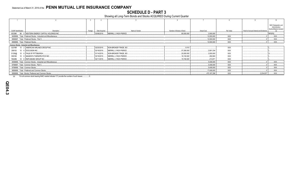**SCHEDULE D - PART 3**<br>Showing all Long-Term Bonds and Stocks ACQUIRED During Current Quarter

|                                                     |                                                                   |                          |                              |                |                           |                    |                               |                                         | 10                                                                |
|-----------------------------------------------------|-------------------------------------------------------------------|--------------------------|------------------------------|----------------|---------------------------|--------------------|-------------------------------|-----------------------------------------|-------------------------------------------------------------------|
| <b>CUSIP</b> Identification                         | Description                                                       | Date Acquired<br>Foreian |                              | Name of Vendor | Number of Shares of Stock | <b>Actual Cost</b> | Par Value                     | Paid for Accrued Interest and Dividends | NAIC Designation and<br>Administrative<br>Symbol/Market Indicator |
|                                                     | 65339K 86 0 NEXTERA ENERGY CAPITAL HOLDINGS INC.                  | 03/06/2019               | <b>MERRILL LYNCH PIERCE</b>  |                | 80,000.000                | .2,000,000         |                               |                                         | RP2FEL.                                                           |
|                                                     | 8499999. Total - Preferred Stocks - Industrial and Miscellaneous. |                          |                              |                |                           | 12,000,000         | XXX                           |                                         | XXX.                                                              |
|                                                     | 8999997. Total - Preferred Stocks - Part 3                        |                          |                              | 12,000,000     | XXX                       |                    | $.$ $XXX$                     |                                         |                                                                   |
| 8999999. Total - Preferred Stocks.                  |                                                                   |                          |                              | 12,000,000     | <b>XXX</b>                |                    | $\mathsf{L}$ XXX $\mathsf{L}$ |                                         |                                                                   |
| <b>Common Stocks - Industrial and Miscellaneous</b> |                                                                   |                          |                              |                |                           |                    |                               |                                         |                                                                   |
| 02376R                                              | 10 2 AMERICAN AIRLINES GROUP INC.                                 | 02/20/2019               | NON-BROKER TRADE, BO         |                | .0.010                    |                    | <b>XXX</b>                    |                                         |                                                                   |
| 256163                                              | 10 6 DOCUSIGN INC                                                 | 03/18/2019               | <b>MERRILL LYNCH PIERCE.</b> |                | 57,290.000                | 2,901,334          | XXX                           |                                         |                                                                   |
| 31338@                                              | 10 6 FHLB OF PITTSBURGH                                           | 01/14/2019               | <b>NON-BROKER TRADE, BO.</b> |                | 20,000.000                | .2,000,000         | <b>XXX</b>                    |                                         |                                                                   |
| 55910K                                              | 10 8   MAGENTA THERAPEUTICS INC                                   | 03/19/2019               | <b>MERRILL LYNCH PIERCE.</b> |                | .18,130.000               | .292.800           | XXX                           |                                         |                                                                   |
| 76029N                                              | 10 6 REPLIMUNE GROUP INC                                          | 02/11/2019.              | MERRILL LYNCH PIERCE.        |                | 15,749.000                | .213.871           | XXX                           |                                         |                                                                   |
|                                                     | 9099999. Total - Common Stocks - Industrial and Miscellaneous.    |                          |                              |                |                           | .5,408,005         | <b>XXX</b>                    |                                         | XXX.                                                              |
|                                                     | 9799997. Total - Common Stocks - Part 3.                          |                          |                              |                |                           | .5,408,005         | <b>XXX</b>                    |                                         | XXX.                                                              |
| 9799999. Total - Common Stocks                      |                                                                   |                          |                              |                |                           | .5.408.005         | XXX                           |                                         | $.$ $XXX$                                                         |
|                                                     | 9899999. Total - Preferred and Common Stocks.                     |                          |                              |                |                           | 17,408,005         | XXX                           |                                         | $.$ $XXX$                                                         |
|                                                     | 9999999. Total - Bonds, Preferred and Common Stocks               |                          |                              |                |                           | .470,187,298       | <b>XXX</b>                    | .2,234,637                              | $\mathsf{L}$ XXX $\mathsf{L}$                                     |

For all common stock bearing NAIC market indicator "U" provide the number of such issues:....  $(a)$  $\overline{\phantom{a}}$ .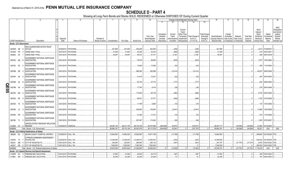# **SCHEDULE D - PART 4**

|             |           |                             |                                                           |                       |                      |                 |               |             |                    | 10                |                         | Change in Book/Adjusted Carrying Value        |                       |                                  | 16                | 17                  | 18          | 19                | 20                        | 21                   | 22                  |
|-------------|-----------|-----------------------------|-----------------------------------------------------------|-----------------------|----------------------|-----------------|---------------|-------------|--------------------|-------------------|-------------------------|-----------------------------------------------|-----------------------|----------------------------------|-------------------|---------------------|-------------|-------------------|---------------------------|----------------------|---------------------|
|             |           |                             |                                                           |                       |                      |                 |               |             |                    |                   | 11                      | 12<br>13                                      | 14                    | 15                               |                   |                     |             |                   |                           |                      |                     |
|             |           |                             |                                                           |                       |                      |                 |               |             |                    |                   |                         |                                               |                       |                                  |                   |                     |             |                   |                           |                      |                     |
|             |           |                             |                                                           |                       |                      |                 |               |             |                    |                   |                         |                                               |                       |                                  |                   |                     |             |                   |                           |                      | <b>NAIC</b>         |
|             |           |                             |                                                           |                       |                      |                 |               |             |                    |                   |                         | Current                                       |                       |                                  |                   |                     |             |                   | Bond                      |                      | Designation         |
|             |           |                             |                                                           |                       |                      |                 |               |             |                    |                   |                         | Year's                                        |                       |                                  |                   |                     |             |                   | Interest /                |                      | and Admini-         |
|             |           |                             |                                                           |                       |                      |                 |               |             |                    | <b>Prior Year</b> | Unrealized<br>Valuation | Other-Than-<br>Current<br>Year's<br>Temporary | Total Change in       | <b>Total Foreign</b><br>Exchange | Book/Adjusted     | Foreign<br>Exchange | Realized    | <b>Total Gain</b> | Stock<br>Dividends        | Stated<br>Contractua | strative<br>Symbol/ |
|             |           |                             |                                                           | Disposal              |                      | Number of       |               |             |                    | Book/Adjusted     | Increase                | Amortization)<br>Impairment                   | <b>B./A.C.V.</b>      | Change in                        | Carrying Value at | Gain (Loss)         | Gain (Loss) | (Loss) on         | Received                  | Maturity             | Market              |
|             |           | <b>CUSIP</b> Identification | Description                                               | Date                  | Name of Purchaser    | Shares of Stock | Consideration | Par Value   | <b>Actual Cost</b> | Carrying Value    | (Decrease)              | / Accretion<br>Recognized                     | $(11+12-13)$          | <b>B./A.C.V.</b>                 | Disposal Date     | on Disposal         | on Disposal | Disposal          | During Year               | Date                 | Indicator (a)       |
|             |           | Bonds - U.S. Government     |                                                           |                       |                      |                 |               |             |                    |                   |                         |                                               |                       |                                  |                   |                     |             |                   |                           |                      |                     |
|             |           |                             | FDIC GUARANTEED NOTES TRUST                               |                       |                      |                 |               |             |                    |                   |                         |                                               |                       |                                  |                   |                     |             |                   |                           |                      |                     |
|             | 30250W AB |                             | 2010-S2                                                   |                       | 03/29/2019. PAYDOWN  |                 | .401,909      | .401,909    | .402,259           | .402,255          |                         | (346)                                         | (346)                 |                                  | .401,909          |                     |             |                   |                           | .2,013 07/29/2047    |                     |
|             | 36194S PD |                             | <b>GINNIE MAE I POOL</b>                                  |                       | 03/01/2019. PAYDOWN  |                 | .41,638       | .41,638     | .42,406            | .42,324           |                         | (685)                                         | (685)                 |                                  | .41,638           |                     |             |                   |                           | .210 09/01/2041      |                     |
|             |           |                             |                                                           |                       |                      |                 |               |             |                    |                   |                         |                                               |                       |                                  |                   |                     |             |                   |                           |                      |                     |
|             | 36296U ZX |                             | <b>GINNIE MAE I POOL</b>                                  |                       | 03/01/2019. PAYDOWN. |                 | .49,497       | .49,497     | .46,512            | .47,317           |                         | .2,180                                        | .2,180                |                                  | .49,497           |                     |             |                   |                           | .508 06/01/2039.     |                     |
|             |           |                             | <b>GOVERNMENT NATIONAL MORTGAGE</b>                       |                       |                      |                 |               |             |                    |                   |                         |                                               |                       |                                  |                   |                     |             |                   |                           |                      |                     |
|             | 38375U QQ |                             | <b>ASSOCIATION</b>                                        |                       | 03/01/2019. PAYDOWN  |                 |               |             | .79,016            | .56,894           |                         | (834)                                         | (834)                 |                                  |                   |                     |             |                   |                           | .1,877 10/01/2064.   |                     |
|             |           |                             | <b>GOVERNMENT NATIONAL MORTGAGE</b>                       |                       |                      |                 |               |             |                    |                   |                         |                                               |                       |                                  |                   |                     |             |                   |                           |                      |                     |
|             | 38375U SC |                             | <b>ASSOCIATION</b>                                        |                       | 03/01/2019. PAYDOWN. |                 |               |             | .19,048            | .13,582           |                         | (53)                                          | (53)                  |                                  |                   |                     |             |                   |                           | .295 11/01/2064.     |                     |
|             |           |                             | <b>GOVERNMENT NATIONAL MORTGAGE</b>                       |                       |                      |                 |               |             |                    |                   |                         |                                               |                       |                                  |                   |                     |             |                   |                           |                      |                     |
|             | 38378B ZR |                             | <b>ASSOCIATION</b>                                        |                       | 03/01/2019. PAYDOWN  |                 |               |             | .586,358           | .393,598          |                         | (13, 414)                                     | (13, 41)              |                                  |                   |                     |             |                   | .40.247                   | 08/01/2046           |                     |
|             |           |                             | <b>GOVERNMENT NATIONAL MORTGAGE</b>                       |                       |                      |                 |               |             |                    |                   |                         |                                               |                       |                                  |                   |                     |             |                   |                           |                      |                     |
|             | 38378K 6A |                             | ASSOCIATION                                               |                       | 03/01/2019. PAYDOWN. |                 |               |             | .21,916            | .10,227           |                         | (52)                                          | (52)                  |                                  |                   |                     |             |                   | .397                      | 05/01/2054           |                     |
|             |           |                             | <b>GOVERNMENT NATIONAL MORTGAGE</b>                       |                       |                      |                 |               |             |                    |                   |                         |                                               |                       |                                  |                   |                     |             |                   |                           |                      |                     |
|             | 38378N NJ |                             | ASSOCIATION                                               |                       | 03/01/2019. PAYDOWN. |                 |               |             | .53,744            | .27,313           |                         | (177)                                         | .(17                  |                                  |                   |                     |             |                   |                           | 834 09/01/2054.      |                     |
|             |           |                             | <b>GOVERNMENT NATIONAL MORTGAGE</b>                       |                       |                      |                 |               |             |                    |                   |                         |                                               |                       |                                  |                   |                     |             |                   |                           |                      |                     |
|             | 38378N XK |                             | <b>ASSOCIATION</b>                                        |                       | 03/01/2019. PAYDOWN. |                 |               |             | .17,760            | 6,419             |                         | (38)                                          | (38)                  |                                  |                   |                     |             |                   |                           | 276 06/01/2048.      |                     |
| <b>QE05</b> |           |                             |                                                           |                       |                      |                 |               |             |                    |                   |                         |                                               |                       |                                  |                   |                     |             |                   |                           |                      |                     |
|             | 38378X MU |                             | <b>GOVERNMENT NATIONAL MORTGAGE</b><br><b>ASSOCIATION</b> |                       | 03/01/2019. PAYDOWN. |                 |               |             | .115,450           | .65,105           |                         | (982)                                         |                       |                                  |                   |                     |             |                   |                           | .5,702 02/01/2055.   |                     |
|             |           |                             |                                                           |                       |                      |                 |               |             |                    |                   |                         |                                               | .(982                 |                                  |                   |                     |             |                   |                           |                      |                     |
|             |           |                             | <b>GOVERNMENT NATIONAL MORTGAGE</b>                       |                       |                      |                 |               |             |                    |                   |                         |                                               |                       |                                  |                   |                     |             |                   |                           |                      |                     |
|             | 38378X PE |                             | <b>ASSOCIATION</b>                                        |                       | 03/01/2019. PAYDOWN. |                 |               |             | .69,321            | .37,471           |                         | (656)                                         | (656)                 |                                  |                   |                     |             |                   |                           | .1,722 01/01/2056.   |                     |
|             |           |                             | <b>GOVERNMENT NATIONAL MORTGAGE</b>                       |                       |                      |                 |               |             |                    |                   |                         |                                               |                       |                                  |                   |                     |             |                   |                           |                      |                     |
|             | 38378X TX |                             | <b>ASSOCIATION</b>                                        |                       | 03/01/2019. PAYDOWN  |                 |               |             | .11,799            | .6,855            |                         | (72)                                          | (72)                  |                                  |                   |                     |             |                   |                           | 170 10/01/2056.      |                     |
|             |           |                             | <b>GOVERNMENT NATIONAL MORTGAGE</b>                       |                       |                      |                 |               |             |                    |                   |                         |                                               |                       |                                  |                   |                     |             |                   |                           |                      |                     |
|             | 38379K JC | -3                          | <b>ASSOCIATION</b>                                        |                       | 03/01/2019. PAYDOWN. |                 |               |             | .245,063           | 149,294           |                         | (2,441)                                       | (2,441)               |                                  |                   |                     |             |                   |                           | .11,865 12/01/2056.  |                     |
|             |           |                             | <b>GOVERNMENT NATIONAL MORTGAGE</b>                       |                       |                      |                 |               |             |                    |                   |                         |                                               |                       |                                  |                   |                     |             |                   |                           |                      |                     |
|             | 38379K PR |                             | <b>ASSOCIATION</b>                                        |                       | 03/01/2019. PAYDOWN. |                 |               |             | .31,364            | .17,213           |                         | (72)                                          | (72)                  |                                  |                   |                     |             |                   | .514                      | 11/01/2056.          |                     |
|             |           |                             | <b>GOVERNMENT NATIONAL MORTGAGE</b>                       |                       |                      |                 |               |             |                    |                   |                         |                                               |                       |                                  |                   |                     |             |                   |                           |                      |                     |
|             |           | 38379K TL 2                 | <b>ASSOCIATION</b>                                        |                       | 03/01/2019. PAYDOWN. |                 |               |             | .207,457           | .114,364          |                         | (94)                                          | (94)                  |                                  |                   |                     |             | - 0               |                           | .1,932 07/01/2057.   |                     |
|             |           |                             | UNITED STATES TREASURY INFLATION                          |                       |                      |                 |               |             |                    |                   |                         |                                               |                       |                                  |                   |                     |             |                   |                           |                      |                     |
|             |           | 912828 K3 3                 | <b>INDEXED</b>                                            | 03/04/2019. VARIOUS.  |                      |                 | 58,367,123    | .59,217,150 | .58,142,106        | .58,727,688       | (360, 650)              | .40,679                                       | (319, 971)            |                                  | .58,407,717       |                     | (40, 594)   | (40,594)          | 21,659                    | 04/15/2020.          |                     |
|             | 0599999.  |                             | Total - Bonds - U.S. Government.                          |                       |                      |                 | 58,860,167    | .59,710,194 | .60,091,579        | .60,117,919       | (360, 650)              | .22,943                                       | (337,707)             |                                  | 58,900,761        |                     | (40, 594)   | . (40.594)        | .90,221                   | <b>XXX</b>           | XXX                 |
|             |           |                             | Bonds - U.S. Political Subdivisions of States             |                       |                      |                 |               |             |                    |                   |                         |                                               |                       |                                  |                   |                     |             |                   |                           |                      |                     |
|             | 088365 DU |                             | BEXAR COUNTY HOSPITAL DISTRICT.                           | 03/25/2019. CALL 100  |                      |                 | .10,800,000   | 10,800,000  | 10,922,600         | 10,811,758        |                         | (11,758)                                      | (11,758)              |                                  | 10,800,000        |                     |             |                   | .455,664 02/15/2039. 1FE. |                      |                     |
|             |           |                             |                                                           |                       |                      |                 |               |             |                    |                   |                         |                                               |                       |                                  |                   |                     |             |                   |                           |                      |                     |
|             | 232760    | <b>T5</b>                   | <b>CYPRESS-FAIRBANKS INDEPENDENT</b><br>SCHOOL DIS        | 02/22/2019. CALL 100. |                      |                 | 12,355,000    | 12,355,000  | 12,390,513         | 12,355,403        |                         | (403)                                         | (403)                 |                                  | 12,355,000        |                     |             |                   | .425,432 02/15/2038. 1FE  |                      |                     |
|             |           |                             |                                                           |                       |                      |                 |               |             |                    |                   |                         |                                               |                       |                                  |                   |                     |             |                   |                           |                      |                     |
|             | 442331    | QM                          | CITY OF HOUSTON TX.                                       | 03/01/2019. CALL 100. |                      |                 | .220,000      | .220,000    | .269,546           | 262,132           |                         | (381)                                         | (381                  |                                  | 261,751           |                     | (41,751)    | (41,751)          | 6,919                     | 03/01/2032. 1FE.     |                     |
|             | 442331    | QR 8                        | CITY OF HOUSTON TX.                                       | 03/01/2019. CALL 100. |                      |                 | .7,500,000    | 7,500,000   | .7,500,000         | 7,500,000         |                         |                                               |                       |                                  | .7,500,000        |                     |             |                   | 228,300                   | 03/01/2029. 1FE.     |                     |
|             | 2499999   |                             | Total - Bonds - U.S. Political Subdivisions of States     |                       |                      |                 | .30,875,000   | .30,875,000 | 31,082,659         | .30,929,293       | $\Omega$                | (12,542)                                      | (12, 542)<br>$\Omega$ |                                  | .30,916,751       |                     | (41,751)    | (41, 751)         | .1,116,315                | XXX                  | <b>XXX</b>          |
|             |           |                             | Bonds - U.S. Special Revenue and Special Assessment       |                       |                      |                 |               |             |                    |                   |                         |                                               |                       |                                  |                   |                     |             |                   |                           |                      |                     |
|             |           |                             | 3128PK WJ 9 FREDDIE MAC GOLD POOL                         |                       | 03/01/2019. PAYDOWN  |                 | .47,262       | .47,262     | .45,903            | .46,716           |                         | .545                                          | .545                  |                                  | .47,262           |                     |             |                   |                           | .328 05/01/2023.     |                     |
|             | 3128PL    |                             | AW 2 FREDDIE MAC GOLD POOL                                |                       | 03/01/2019 PAYDOWN   |                 | 22 359        | 22 359      | 22,200             | 22 285            |                         | 74                                            | 74                    |                                  | 22 359            |                     |             |                   |                           | 187 06/01/2023       |                     |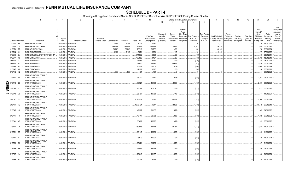# **SCHEDULE D - PART 4**

|                |                             |           | $\overline{2}$                                          |             | 5                    | -6              |               | 8         | 9                  | 10 <sup>10</sup>      |            |               | Change in Book/Adjusted Carrying Value |                  |                      | 16                | 17          | 18          | 19                | 20          | 21                  | 22            |
|----------------|-----------------------------|-----------|---------------------------------------------------------|-------------|----------------------|-----------------|---------------|-----------|--------------------|-----------------------|------------|---------------|----------------------------------------|------------------|----------------------|-------------------|-------------|-------------|-------------------|-------------|---------------------|---------------|
|                |                             |           |                                                         |             |                      |                 |               |           |                    |                       | 11         | 12            | 13                                     | 14               | 15                   |                   |             |             |                   |             |                     |               |
|                |                             |           |                                                         |             |                      |                 |               |           |                    |                       |            |               |                                        |                  |                      |                   |             |             |                   |             |                     |               |
|                |                             |           |                                                         |             |                      |                 |               |           |                    |                       |            |               |                                        |                  |                      |                   |             |             |                   |             |                     | <b>NAIC</b>   |
|                |                             |           |                                                         |             |                      |                 |               |           |                    |                       |            |               | Current                                |                  |                      |                   |             |             |                   | Bond        |                     | Designation   |
|                |                             |           |                                                         |             |                      |                 |               |           |                    |                       |            |               | Year's                                 |                  |                      |                   |             |             |                   | Interest /  |                     | and Admini-   |
|                |                             |           |                                                         |             |                      |                 |               |           |                    |                       | Unrealized | Current       | Other-Than-                            |                  | <b>Total Foreign</b> |                   | Foreign     |             |                   | Stock       | Stated              | strative      |
|                |                             |           |                                                         |             |                      |                 |               |           |                    | Prior Year            | Valuation  | Year's        | Temporary                              | Total Change in  | Exchange             | Book/Adjusted     | Exchange    | Realized    | <b>Total Gain</b> | Dividends   | Contractua          | Symbol/       |
|                |                             |           |                                                         | Disposal    |                      | Number of       |               |           |                    | Book/Adjusted         | Increase   | Amortization) | Impairment                             | <b>B./A.C.V.</b> | Change in            | Carrying Value at | Gain (Loss) | Gain (Loss) | (Loss) on         | Received    | Maturity            | Market        |
|                | <b>CUSIP</b> Identification |           | Description                                             | Date        | Name of Purchaser    | Shares of Stock | Consideration | Par Value | <b>Actual Cost</b> | <b>Carrying Value</b> | (Decrease) | / Accretion   | Recognized                             | $(11+12-13)$     | B./A.C.V.            | Disposal Date     | on Disposal | on Disposal | Disposal          | During Year | Date                | Indicator (a) |
|                | 312903 KY                   |           | FREDDIE MAC REMICS.                                     | 02/15/2019. | PAYDOWN.             |                 | .1,731        | .1,731    | .1,725             | .1,731                |            |               |                                        |                  |                      | .1,731            |             |             | $\cdot$ 0         | .30         | 12/16/2020          |               |
|                | 312945                      | DN        | FREDDIE MAC GOLD POOL                                   | 03/01/2019. | PAYDOWN.             |                 | 186,639       | 186,639   | 175,047            | .176,648              |            | .9,991        |                                        | 9,991            |                      | 186,639           |             |             | . (               | .1,055      | 01/01/2041          |               |
|                | 3133T4 FT                   |           | FREDDIE MAC REMICS.                                     | 03/01/2019. | PAYDOWN.             |                 | .80,242       | 80,242    | 76,719             | 79,752                |            | .490          |                                        | .490             |                      | .80,242           |             |             | C                 | .778        | 02/01/2024          |               |
|                | 31358N                      | W4        | <b>FANNIE MAE REMICS.</b>                               | 03/01/2019. | PAYDOWN.             |                 | .9,149        | 9,149     | .8,371             | 9,034                 |            | .115          |                                        | 115              |                      | .9,149            |             |             | . 0               | .77         | 07/01/2022.         |               |
|                | 31359S                      | 6Y        | FANNIE MAE GRANTOR TRUST 2001-TI                        | 03/01/2019  | PAYDOWN.             |                 |               |           | .314,802           | .2,598                |            | (30)          |                                        | (30)             |                      |                   |             |             | . . (             | .756        | 02/01/2041          |               |
|                | 3136A7                      | ML        | <b>FANNIE MAE-ACES</b>                                  | 03/01/2019. | PAYDOWN.             |                 |               |           | 139,550            | .4,197                |            | (55)          |                                        | (55)             |                      |                   |             |             | . 0               | .3,803      | 12/01/2019.         |               |
|                | 3136AM LC                   |           | <b>FANNIE MAE-ACES</b>                                  | 03/01/2019  | PAYDOWN.             |                 |               |           | 13,486             | .8,464                |            | (119)         |                                        | (119)            |                      |                   |             |             |                   | .288        | 09/01/2024.         |               |
|                | 3136AM                      | <b>M7</b> | <b>FANNIE MAE-ACES</b>                                  | 03/01/2019. | PAYDOWN.             |                 |               |           | 108,430            | .48,481               |            | (3,661)       |                                        | (3,661)          |                      |                   |             |             | . 0               | 3,039       | 07/01/2022.         |               |
|                | 3136AN LJ                   |           | <b>FANNIE MAE-ACES</b>                                  | 03/01/2019  | PAYDOWN.             |                 |               |           | 85,977             | .53,600               |            | (804)         |                                        | (804)            |                      |                   |             |             |                   | .2,460      | 12/01/2024          |               |
|                | 3136AT X2                   |           | <b>FANNIE MAE-ACES</b>                                  | 03/01/2019. | PAYDOWN.             |                 |               |           | .11,289            | 9,817                 |            | (80)          |                                        | (80)             |                      |                   |             |             |                   | .236        | 07/01/2028.         |               |
|                | 31371N V2                   |           | FANNIE MAE POOL                                         | 03/01/2019. | PAYDOWN.             |                 | .505          | .505      | 491                | 499                   |            |               |                                        |                  |                      | .505              |             |             |                   |             | 06/01/2023.         |               |
|                |                             |           |                                                         |             |                      |                 |               |           |                    |                       |            |               |                                        |                  |                      |                   |             |             |                   |             |                     |               |
|                | 3137A1 NA                   |           | FREDDIE MAC MULTIFAMILY<br><b>STRUCTURED PASS</b>       |             | 03/01/2019. PAYDOWN. |                 |               |           | .33,710            | .7,441                |            | (578)         |                                        | (578)            |                      |                   |             |             |                   |             | .1,293  06/01/2020. |               |
|                |                             |           |                                                         |             |                      |                 |               |           |                    |                       |            |               |                                        |                  |                      |                   |             |             |                   |             |                     |               |
| O              | 3137A2 B3                   |           | FREDDIE MAC MULTIFAMILY<br><b>STRUCTURED PASS</b>       |             | 03/01/2019. PAYDOWN. |                 |               |           | .70,927            | 16,732                |            | (1,095)       |                                        | (1,095)          |                      |                   |             |             |                   |             | 2,437 08/01/2020.   |               |
| İΠ             |                             |           |                                                         |             |                      |                 |               |           |                    |                       |            |               |                                        |                  |                      |                   |             |             |                   |             |                     |               |
|                | 3137AH                      | 6D        | FREDDIE MAC MULTIFAMILY<br><b>STRUCTURED PASS</b>       |             | 03/01/2019. PAYDOWN. |                 |               |           | 46,294             | .17,209               |            | (711)         |                                        | (711)            |                      |                   |             |             |                   |             | .1,433 07/01/2021.  |               |
| $\overline{S}$ |                             |           |                                                         |             |                      |                 |               |           |                    |                       |            |               |                                        |                  |                      |                   |             |             |                   |             |                     |               |
| ∸              | 3137AJ                      | MG        | <b>REDDIE MAC MULTIFAMILY</b><br><b>STRUCTURED PASS</b> |             |                      |                 |               |           |                    |                       |            |               |                                        |                  |                      |                   |             |             |                   |             |                     |               |
|                |                             |           |                                                         |             | 03/01/2019. PAYDOWN. |                 |               |           | .25,707            | 10,750                |            | (413)         |                                        | (413)            |                      |                   |             |             |                   |             | 774 10/01/2021.     |               |
|                |                             |           | FREDDIE MAC MULTIFAMILY                                 |             |                      |                 |               |           |                    |                       |            |               |                                        |                  |                      |                   |             |             |                   |             |                     |               |
|                | 3137AQ T3                   | - 2       | STRUCTURED PASS                                         |             | 01/01/2019. PAYDOWN. |                 |               |           | .1,185,534         | .2,522                |            | (2,522)       |                                        | (2,522)          |                      |                   |             |             | . 0               | .25,564     | 01/01/2019.         |               |
|                |                             |           | FREDDIE MAC MULTIFAMILY                                 |             |                      |                 |               |           |                    |                       |            |               |                                        |                  |                      |                   |             |             |                   |             |                     |               |
|                | 3137AR PZ                   |           | <b>STRUCTURED PASS</b>                                  |             | 03/01/2019. PAYDOWN. |                 |               |           | .4,278,734         | .1,917                |            | (1,508)       |                                        | (1,508)          |                      |                   |             |             |                   |             | 186,549 05/01/2019. |               |
|                |                             |           | <b>REDDIE MAC MULTIFAMILY</b>                           |             |                      |                 |               |           |                    |                       |            |               |                                        |                  |                      |                   |             |             |                   |             |                     |               |
|                | 3137AS NK                   |           | <b>STRUCTURED PASS</b>                                  |             | 03/01/2019. PAYDOWN. |                 |               |           | 49,267             | .21,137               |            | (672)         |                                        | (672)            |                      |                   |             |             |                   |             | 1,345 03/01/2022.   |               |
|                |                             |           | FREDDIE MAC MULTIFAMILY                                 |             |                      |                 |               |           |                    |                       |            |               |                                        |                  |                      |                   |             |             |                   |             |                     |               |
|                | 3137AT RX                   |           | <b>STRUCTURED PASS</b>                                  |             | 03/01/2019. PAYDOWN. |                 |               |           | .43,417            | .22,782               |            | (658)         |                                        | (658)            |                      |                   |             |             |                   |             | 1,439 05/01/2022.   |               |
|                |                             |           | <b>REDDIE MAC MULTIFAMILY</b>                           |             |                      |                 |               |           |                    |                       |            |               |                                        |                  |                      |                   |             |             |                   |             |                     |               |
|                | 3137AV XP                   |           | <b>STRUCTURED PASS</b>                                  |             | 03/01/2019. PAYDOWN. |                 |               |           | 35,002             | 15,697                |            | (422)         |                                        | (422)            |                      |                   |             |             |                   |             | .932 07/01/2022.    |               |
|                |                             |           | FREDDIE MAC MULTIFAMILY                                 |             |                      |                 |               |           |                    |                       |            |               |                                        |                  |                      |                   |             |             |                   |             |                     |               |
|                | 3137AY CF                   |           | <b>STRUCTURED PASS</b>                                  |             | 03/01/2019. PAYDOWN. |                 |               |           | 159,648            | 73,418                |            | (1,757)       |                                        | (1,757)          |                      |                   |             |             |                   |             | 3.944 10/01/2022.   |               |
|                |                             |           | FREDDIE MAC MULTIFAMILY                                 |             |                      |                 |               |           |                    |                       |            |               |                                        |                  |                      |                   |             |             |                   |             |                     |               |
|                | 3137B1 BT                   |           | <b>STRUCTURED PASS</b>                                  |             | 03/01/2019. PAYDOWN. |                 |               |           | 33,145             | 15,639                |            | (385)         |                                        | (385)            |                      |                   |             |             |                   |             | 849 11/01/2022.     |               |
|                |                             |           | FREDDIE MAC MULTIFAMILY                                 |             |                      |                 |               |           |                    |                       |            |               |                                        |                  |                      |                   |             |             |                   |             |                     |               |
|                | 3137B7 N2                   |           | STRUCTURED PASS                                         |             | 03/01/2019. PAYDOWN. |                 |               |           | .28,629            | 15,097                |            | (291)         |                                        | (291)            |                      |                   |             |             |                   |             | 645 10/01/2023.     |               |
|                |                             |           | FREDDIE MAC MULTIFAMILY                                 |             |                      |                 |               |           |                    |                       |            |               |                                        |                  |                      |                   |             |             |                   |             |                     |               |
|                | 3137B8 G5                   |           | STRUCTURED PASS                                         |             | 03/01/2019. PAYDOWN. |                 |               |           | .37,821            | .20,236               |            | (378)         |                                        | (378)            |                      |                   |             |             |                   | .867        | 01/01/2024          |               |
|                |                             |           | FREDDIE MAC MULTIFAMILY                                 |             |                      |                 |               |           |                    |                       |            |               |                                        |                  |                      |                   |             |             |                   |             |                     |               |
|                | 3137BB BE                   |           | STRUCTURED PASS                                         |             | 03/01/2019. PAYDOWN. |                 |               |           | .34,949            | 19,326                |            | (345)         |                                        | (345)            |                      |                   |             |             |                   |             | 790 03/01/2024.     |               |
|                |                             |           | FREDDIE MAC MULTIFAMILY                                 |             |                      |                 |               |           |                    |                       |            |               |                                        |                  |                      |                   |             |             |                   |             |                     |               |
|                | 3137BE VJ                   |           | <b>STRUCTURED PASS</b>                                  |             | 03/01/2019. PAYDOWN. |                 |               |           | 28,343             | 19,137                |            | (302)         |                                        | (302)            |                      |                   |             |             |                   |             | 686 09/01/2024      |               |
|                |                             |           | FREDDIE MAC MULTIFAMILY                                 |             |                      |                 |               |           |                    |                       |            |               |                                        |                  |                      |                   |             |             |                   |             |                     |               |
|                | 3137BF XU                   |           | <b>STRUCTURED PASS</b>                                  |             | 03/01/2019. PAYDOWN. |                 |               |           | 15.203             | 9.343                 |            | (139)         |                                        | (139)            |                      |                   |             |             |                   |             | 324 12/01/2024      |               |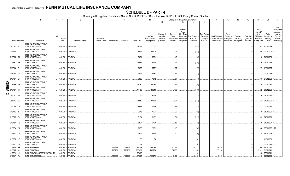|             |           |                             |                                                         |             |                      |                 |               | 8         | 9                  | 10                    |            |               |             | Change in Book/Adjusted Carrying Value |                      | 16                | 17                      | 18          | 19                | 20          | 21               | 22            |
|-------------|-----------|-----------------------------|---------------------------------------------------------|-------------|----------------------|-----------------|---------------|-----------|--------------------|-----------------------|------------|---------------|-------------|----------------------------------------|----------------------|-------------------|-------------------------|-------------|-------------------|-------------|------------------|---------------|
|             |           |                             |                                                         |             |                      |                 |               |           |                    |                       | 11         | 12            | 13          | 14                                     | 15                   |                   |                         |             |                   |             |                  |               |
|             |           |                             |                                                         |             |                      |                 |               |           |                    |                       |            |               |             |                                        |                      |                   |                         |             |                   |             |                  |               |
|             |           |                             |                                                         |             |                      |                 |               |           |                    |                       |            |               |             |                                        |                      |                   |                         |             |                   |             |                  | <b>NAIC</b>   |
|             |           |                             |                                                         |             |                      |                 |               |           |                    |                       |            |               | Current     |                                        |                      |                   |                         |             |                   | Bond        |                  | Designation   |
|             |           |                             |                                                         |             |                      |                 |               |           |                    |                       |            |               | Year's      |                                        |                      |                   |                         |             |                   | Interest /  |                  | and Admini-   |
|             |           |                             |                                                         |             |                      |                 |               |           |                    |                       | Unrealized | Current       | Other-Than- |                                        | <b>Total Foreign</b> |                   | Foreign                 |             |                   | Stock       | Stated           | strative      |
|             |           |                             |                                                         |             |                      |                 |               |           |                    | Prior Year            | Valuation  | Year's        | Temporary   | Total Change ir                        | Exchange             | Book/Adjusted     | Exchange                | Realized    | <b>Total Gain</b> | Dividends   | Contractua       | Symbol/       |
|             |           |                             |                                                         | Disposal    |                      | Number of       |               |           |                    | Book/Adjusted         | Increase   | Amortization) | Impairment  | <b>B./A.C.V.</b>                       | Change in            | Carrying Value at | Gain (Loss)             | Gain (Loss) | (Loss) on         | Received    | Maturity         | Market        |
|             |           | <b>CUSIP</b> Identification | Description                                             | Date        | Name of Purchaser    | Shares of Stock | Consideration | Par Value | <b>Actual Cost</b> | <b>Carrying Value</b> | (Decrease) | / Accretion   | Recognized  | $(11+12-13)$                           | <b>B./A.C.V.</b>     | Disposal Date     | on Disposal on Disposal |             | Disposal          | During Year | Date             | Indicator (a) |
|             | 3137BG K3 |                             | FREDDIE MAC MULTIFAMILY<br>STRUCTURED PASS              |             | 03/01/2019. PAYDOWN. |                 |               |           | 11,921             | 7,337                 |            | . (105)       |             | (105)                                  |                      |                   |                         |             |                   |             | .245 12/01/2024. |               |
|             | 3137BH CZ |                             | <b>REDDIE MAC MULTIFAMILY</b><br><b>STRUCTURED PASS</b> |             | 03/01/2019. PAYDOWN. |                 |               |           | .21,616            | 13,494                |            | (231)         |             | (231)                                  |                      |                   |                         |             |                   |             | 490 01/01/2025.  |               |
|             |           |                             | FREDDIE MAC MULTIFAMILY                                 |             |                      |                 |               |           |                    |                       |            |               |             |                                        |                      |                   |                         |             |                   |             |                  |               |
|             | 3137BK GL |                             | STRUCTURED PASS                                         |             | 03/01/2019. PAYDOWN. |                 |               |           | 7,094              | .5,331                |            | (40)          |             | (40)                                   |                      |                   |                         |             |                   |             | 113 04/01/2030.  |               |
|             |           |                             | FREDDIE MAC MULTIFAMILY                                 |             |                      |                 |               |           |                    |                       |            |               |             |                                        |                      |                   |                         |             |                   |             |                  |               |
|             | 3137BL ME |                             | STRUCTURED PASS                                         |             | 03/01/2019. PAYDOWN. |                 |               |           | 13,086             | .9,478                |            | (175)         |             | (175)                                  |                      |                   |                         |             |                   |             | 416 08/01/2025.  |               |
|             |           |                             | FREDDIE MAC MULTIFAMILY                                 |             |                      |                 |               |           |                    |                       |            |               |             |                                        |                      |                   |                         |             |                   |             |                  |               |
|             | 3137BN 6H |                             | STRUCTURED PASS                                         |             | 03/01/2019. PAYDOWN. |                 |               |           | 7,880              | .5,772                |            | (67)          |             | (67)                                   |                      |                   |                         |             |                   |             | 177 12/01/2025.  |               |
|             |           |                             | FREDDIE MAC MULTIFAMILY                                 |             |                      |                 |               |           |                    |                       |            |               |             |                                        |                      |                   |                         |             |                   |             |                  |               |
|             | 3137BN GU |                             | STRUCTURED PASS                                         |             | 03/01/2019. PAYDOWN. |                 |               |           | 9,431              | .6,981                |            | (91)          |             | (91                                    |                      |                   |                         |             |                   |             | .223 01/01/2026. |               |
|             |           |                             | FREDDIE MAC MULTIFAMILY                                 |             |                      |                 |               |           |                    |                       |            |               |             |                                        |                      |                   |                         |             |                   |             |                  |               |
|             | 3137BP CR |                             | <b>STRUCTURED PASS</b>                                  |             | 03/01/2019. PAYDOWN. |                 |               |           | 9,586              | .7,072                |            | (87)          |             | (87)                                   |                      |                   |                         |             |                   |             | 236 01/01/2026.  |               |
|             |           |                             | FREDDIE MAC MULTIFAMILY                                 |             |                      |                 |               |           |                    |                       |            |               |             |                                        |                      |                   |                         |             |                   |             |                  |               |
|             | 3137BP    | VP                          | <b>STRUCTURED PASS</b>                                  |             | 03/01/2019. PAYDOWN. |                 |               |           | 17,780             | 15,080                |            | (95)          |             | (95)                                   |                      |                   |                         |             |                   |             | .329 01/01/2031  |               |
| <b>QE05</b> |           |                             | FREDDIE MAC MULTIFAMILY                                 |             |                      |                 |               |           |                    |                       |            |               |             |                                        |                      |                   |                         |             |                   |             |                  |               |
|             | 3137BP    | W <sub>3</sub>              | STRUCTURED PASS                                         |             | 03/01/2019. PAYDOWN. |                 |               |           | 17,408             | 13,844                |            | (170)         |             | (170)                                  |                      |                   |                         |             |                   |             | 422 03/01/2026.  |               |
|             |           |                             | FREDDIE MAC MULTIFAMILY                                 |             |                      |                 |               |           |                    |                       |            |               |             |                                        |                      |                   |                         |             |                   |             |                  |               |
| N           | 3137BQ    | YV                          | STRUCTURED PASS                                         |             | 03/01/2019. PAYDOWN. |                 |               |           | .6,118             | .4,676                |            | (55)          |             | (55)                                   |                      |                   |                         |             |                   |             | .136 05/01/2026. |               |
|             |           |                             |                                                         |             |                      |                 |               |           |                    |                       |            |               |             |                                        |                      |                   |                         |             |                   |             |                  |               |
|             |           |                             | FREDDIE MAC MULTIFAMILY                                 |             |                      |                 |               |           |                    |                       |            |               |             |                                        |                      |                   |                         |             |                   |             |                  |               |
|             | 3137BQ ZQ |                             | STRUCTURED PASS                                         |             | 03/01/2019. PAYDOWN. |                 |               |           | .21,952            | 17,630                |            | (237)         |             | (237)                                  |                      |                   |                         |             |                   |             | .622 09/01/2025. |               |
|             |           |                             | FREDDIE MAC MULTIFAMILY                                 |             |                      |                 |               |           |                    |                       |            |               |             |                                        |                      |                   |                         |             |                   |             |                  |               |
|             | 3137BR QL |                             | STRUCTURED PASS                                         |             | 03/01/2019. PAYDOWN. |                 |               |           | 11,444             | .8,899                |            | (99)          |             | (99)                                   |                      |                   |                         |             |                   |             | .257 07/01/2026. |               |
|             |           |                             | FREDDIE MAC MULTIFAMILY                                 |             |                      |                 |               |           |                    |                       |            |               |             |                                        |                      |                   |                         |             |                   |             |                  |               |
|             | 3137BS 5P |                             | STRUCTURED PASS                                         |             | 03/01/2019. PAYDOWN. |                 |               |           | 9,248              | .7,795                |            | (92)          |             | (92)                                   |                      |                   |                         |             |                   |             | .240 08/01/2026. |               |
|             |           |                             | FREDDIE MAC MULTIFAMILY                                 |             |                      |                 |               |           |                    |                       |            |               |             |                                        |                      |                   |                         |             |                   |             |                  |               |
|             | 3137BS PY |                             | STRUCTURED PASS                                         |             | 03/01/2019. PAYDOWN. |                 |               |           | .9,184             | .6,182                |            | (131)         |             | (131)                                  |                      |                   |                         |             |                   |             | .282 08/01/2023. |               |
|             |           |                             | FREDDIE MAC MULTIFAMILY                                 |             |                      |                 |               |           |                    |                       |            |               |             |                                        |                      |                   |                         |             |                   |             |                  |               |
|             | 3137BX R2 |                             | STRUCTURED PASS                                         |             | 03/01/2019. PAYDOWN. |                 |               |           | .6,527             | .5,490                |            | (53)          |             | (53)                                   |                      |                   |                         |             |                   |             | 139 03/01/2027   |               |
|             |           |                             | FREDDIE MAC MULTIFAMILY                                 |             |                      |                 |               |           |                    |                       |            |               |             |                                        |                      |                   |                         |             |                   |             |                  |               |
|             | 3137FA WU |                             | <b>STRUCTURED PASS</b>                                  |             | 03/01/2019. PAYDOWN. |                 |               |           | .2,358             | .2,061                |            | (18)          |             | (18)                                   |                      |                   |                         |             |                   | .48         | 07/01/2027.      | 1FE.          |
|             |           |                             | FREDDIE MAC MULTIFAMILY                                 |             |                      |                 |               |           |                    |                       |            |               |             |                                        |                      |                   |                         |             |                   |             |                  |               |
|             | 3137FK JE |                             | STRUCTURED PASS                                         |             | 03/01/2019. PAYDOWN. |                 |               |           | .2,632             | .2,626                |            | (10)          |             | (10                                    |                      |                   |                         |             |                   | .38         | 10/01/2028.      |               |
|             |           |                             | FREDDIE MAC MULTIFAMILY                                 |             |                      |                 |               |           |                    |                       |            |               |             |                                        |                      |                   |                         |             |                   |             |                  |               |
|             | 3137FK KQ |                             | <b>STRUCTURED PASS</b>                                  |             | 03/01/2019. PAYDOWN. |                 |               |           | 50                 | .50                   |            |               |             |                                        |                      |                   |                         |             |                   |             | 11/01/2033.      |               |
|             |           |                             | FREDDIE MAC MULTIFAMILY                                 |             |                      |                 |               |           |                    |                       |            |               |             |                                        |                      |                   |                         |             |                   |             |                  |               |
|             | 3137FL 2N |                             | <b>STRUCTURED PASS</b>                                  |             | 03/01/2019. PAYDOWN. |                 |               |           | .398               |                       |            |               |             |                                        |                      |                   |                         |             |                   |             | 01/01/2034       |               |
|             | 3138A2    | BE                          | <b>FANNIE MAE POOL</b>                                  |             | 03/01/2019. PAYDOWN. |                 | 194,625       | 194,625   | 182,348            | 184,283               |            | .10,342       |             | .10,342                                |                      | .194,625          |                         |             |                   | 1,165       | 12/01/2040.      |               |
|             | 3138A5    | 4N                          | <b>FANNIE MAE POOL</b>                                  | 03/01/2019. | PAYDOWN.             |                 | .777,730      | 777,730   | 738,469            | 745,770               |            | 31,960        |             | 31,960                                 |                      | .777,730          |                         |             |                   | .3,951      | 01/01/2041       |               |
|             | 313920    | UM                          | FANNIE MAE GRANTOR TRUST 2001-T8.                       |             | 03/01/2019. PAYDOWN. |                 |               |           | 56,663             |                       |            |               |             |                                        |                      |                   |                         |             |                   | .143        | 07/01/2041       |               |
|             | 31393Y AV |                             | <b>FANNIE MAE REMICS</b>                                |             | 03/01/2019. PAYDOWN  |                 | 109.006       | 109.006   | 97,867             | 106.574               |            | .2,432        |             | .2,432                                 |                      | 109.006           |                         |             |                   | .703        | 05/01/2034       |               |
|             |           |                             |                                                         |             |                      |                 |               |           |                    |                       |            |               |             |                                        |                      |                   |                         |             |                   |             |                  |               |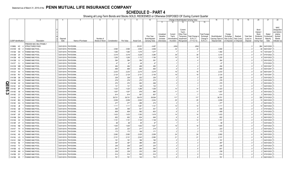|            |                             |                | $\overline{2}$                |          | 5                    | 6               |               | 8         | 9                  | 10                          |                       |                         |                         | Change in Book/Adjusted Carrying Value |                               | 16                                 | 17                      | 18                      | 19                             | 20                    | 21                     | 22                |
|------------|-----------------------------|----------------|-------------------------------|----------|----------------------|-----------------|---------------|-----------|--------------------|-----------------------------|-----------------------|-------------------------|-------------------------|----------------------------------------|-------------------------------|------------------------------------|-------------------------|-------------------------|--------------------------------|-----------------------|------------------------|-------------------|
|            |                             |                |                               |          |                      |                 |               |           |                    |                             | 11                    | 12                      | 13                      | 14                                     | 15                            |                                    |                         |                         |                                |                       |                        |                   |
|            |                             |                |                               |          |                      |                 |               |           |                    |                             |                       |                         |                         |                                        |                               |                                    |                         |                         |                                |                       |                        |                   |
|            |                             |                |                               |          |                      |                 |               |           |                    |                             |                       |                         |                         |                                        |                               |                                    |                         |                         |                                |                       |                        | <b>NAIC</b>       |
|            |                             |                |                               |          |                      |                 |               |           |                    |                             |                       |                         | Current                 |                                        |                               |                                    |                         |                         |                                | Bond                  |                        | Designatior       |
|            |                             |                |                               |          |                      |                 |               |           |                    |                             |                       |                         | Year's                  |                                        |                               |                                    |                         |                         |                                | Interest              |                        | and Admini        |
|            |                             |                |                               |          |                      |                 |               |           |                    |                             | Unrealized            | Current                 | Other-Than              |                                        | <b>Total Foreign</b>          |                                    | Foreign                 |                         |                                | Stock                 | Stated                 | strative          |
|            |                             |                |                               | Disposal |                      | Number of       |               |           |                    | Prior Year<br>Book/Adjusted | Valuation<br>Increase | Year's<br>Amortization) | Temporary<br>Impairment | Total Change ii<br><b>B./A.C.V.</b>    | Exchange                      | Book/Adjusted<br>Carrying Value at | Exchange<br>Gain (Loss) | Realized<br>Gain (Loss) | <b>Total Gain</b><br>(Loss) on | Dividends<br>Received | Contractua<br>Maturity | Symbol/<br>Market |
|            | <b>CUSIP</b> Identification |                | Description                   | Date     | Name of Purchaser    | Shares of Stock | Consideration | Par Value | <b>Actual Cost</b> | Carrying Value              | (Decrease)            | / Accretion             | Recognized              | $(11+12-13)$                           | Change in<br><b>B./A.C.V.</b> | Disposal Date                      | on Disposal on Disposal |                         | Disposal                       | During Year           | Date                   | Indicator (a      |
|            |                             |                | <b>REDDIE MAC MULTIFAMILY</b> |          |                      |                 |               |           |                    |                             |                       |                         |                         |                                        |                               |                                    |                         |                         |                                |                       |                        |                   |
|            | 31398Q HC                   |                | <b>STRUCTURED PASS</b>        |          | 03/01/2019. PAYDOWN. |                 |               |           | .25,031            | .4,487                      |                       | (454)                   |                         | (454)                                  |                               |                                    |                         |                         |                                | .964                  | 04/01/2020.            |                   |
|            | 31410W H9                   |                | FANNIE MAE POOL               |          | 03/01/2019. PAYDOWN. |                 | .3,590        | 3,590     | .3,552             | .3,558                      |                       | .32                     |                         | .32                                    |                               | 3,590                              |                         |                         |                                | 36                    | 06/01/2047             |                   |
|            | 31412B                      | DS             | <b>FANNIE MAE POOL</b>        |          | 03/01/2019. PAYDOWN. |                 | 1,484         | .1,484    | .1,475             | .1,477                      |                       |                         |                         |                                        |                               | .1,484                             |                         |                         |                                | 15                    | 10/01/2047             |                   |
|            | 31412M 2X                   |                | <b>ANNIE MAE POOL</b>         |          | 03/01/2019. PAYDOWN. |                 | .3,319        | .3,319    | .3,228             | .3,280                      |                       | .39                     |                         | .39                                    |                               | 3,319                              |                         |                         |                                |                       | 07/01/2023.            |                   |
|            | 31412M K9                   |                | <b>ANNIE MAE POOL</b>         |          | 03/01/2019. PAYDOWN. |                 |               |           |                    |                             |                       | .15                     |                         | .15                                    |                               | 1,205                              |                         |                         |                                |                       | 03/01/2023.            |                   |
|            |                             |                |                               |          |                      |                 | 1,205         | .1,205    | .1,172             | .1,190                      |                       |                         |                         |                                        |                               |                                    |                         |                         |                                |                       |                        |                   |
|            | 31412M VJ                   |                | FANNIE MAE POOL               |          | 03/01/2019. PAYDOWN  |                 | .364          | .364      | 354                | .361                        |                       |                         |                         |                                        |                               | .364                               |                         |                         |                                |                       | 05/01/2023.            |                   |
|            | 31412T CJ                   |                | FANNIE MAE POOL               |          | 03/01/2019. PAYDOWN  |                 | 47            | .47       | .46                | 47                          |                       |                         |                         |                                        |                               | .47                                |                         |                         |                                |                       | 07/01/2023.            |                   |
|            | 31412W WB                   |                | <b>FANNIE MAE POOL</b>        |          | 03/01/2019. PAYDOWN  |                 | .494          | .494      | 489                | .490                        |                       |                         |                         |                                        |                               | .494                               |                         |                         |                                |                       | 05/01/2047             |                   |
|            | 31412W WC                   |                | FANNIE MAE POOL               |          | 03/01/2019. PAYDOWN  |                 | .699          | .699      | 693                | .694                        |                       |                         |                         |                                        |                               | .699                               |                         |                         |                                |                       | 05/01/2047             |                   |
|            | 31412X K4                   |                | <b>FANNIE MAE POOL</b>        |          | 03/01/2019. PAYDOWN  |                 | .2,233        | .2,233    | .2,215             | .2,218                      |                       | .16                     |                         | .16                                    |                               | .2,233                             |                         |                         |                                | .22                   | 06/01/2047             |                   |
|            | 31413K RV                   |                | FANNIE MAE POOL               |          | 03/01/2019. PAYDOWN  |                 | .2,124        | .2,124    | 2,101              | .2,105                      |                       | .19                     |                         | .19                                    |                               | .2,124                             |                         |                         |                                | .20                   | 10/01/2047             |                   |
|            | 31413M G6                   |                | <b>FANNIE MAE POOL</b>        |          | 03/01/2019. PAYDOWN. |                 | .228          | .228      | .222               | .226                        |                       |                         |                         |                                        |                               | .228                               |                         |                         |                                |                       | 03/01/2023.            |                   |
|            | 31414B                      | AN             | <b>ANNIE MAE POOL</b>         |          | 03/01/2019. PAYDOWN. |                 | .278          | .278      | .270               | .275                        |                       |                         |                         |                                        |                               | .278                               |                         |                         |                                |                       | 03/01/2023.            |                   |
| O          | 31414B                      | H <sub>2</sub> | <b>ANNIE MAE POOL</b>         |          | 03/01/2019. PAYDOWN. |                 | .270          | .270      | 263                | .268                        |                       |                         |                         |                                        |                               | .270                               |                         |                         |                                |                       | 05/01/2023.            |                   |
|            | <b>TT</b> 31414C            | 4H             | <b>ANNIE MAE POOL</b>         |          | 03/01/2019. PAYDOWN. |                 | .131          | 131       | 128                | 130                         |                       |                         |                         |                                        |                               | 131                                |                         |                         |                                |                       | 04/01/2023.            |                   |
| 0          | 31414D                      | 6P             | <b>ANNIE MAE POOL</b>         |          | 03/01/2019. PAYDOWN. |                 | 1,323         | .1,323    | .1,286             | .1,309                      |                       | . 14                    |                         | .14                                    |                               | .1,323                             |                         |                         |                                |                       | 06/01/2023.            |                   |
| <u>ር</u> ክ | 31414D                      | X <sub>8</sub> | <b>ANNIE MAE POOL</b>         |          | 03/01/2019. PAYDOWN. |                 | 1,007         | .1,007    | 979                | .995                        |                       | 11                      |                         | .11                                    |                               | .1,007                             |                         |                         |                                |                       | 05/01/2023.            |                   |
| ယ          | 31414D                      | Z <sub>3</sub> | <b>FANNIE MAE POOL</b>        |          | 03/01/2019. PAYDOWN. |                 | .614          | .614      | 597                | .607                        |                       |                         |                         |                                        |                               | 614                                |                         |                         |                                |                       | 06/01/2023.            |                   |
|            | 31414E                      | 2V             | <b>ANNIE MAE POOL</b>         |          | 03/01/2019. PAYDOWN. |                 | .39,701       | .39,701   | .39,470            | .39,584                     |                       | .117                    |                         | .117                                   |                               | .39,701                            |                         |                         |                                | .328                  | 07/01/2023             |                   |
|            | 31414E BQ                   |                | <b>FANNIE MAE POOL</b>        |          | 03/01/2019. PAYDOWN. |                 |               |           |                    | .2,034                      |                       | .25                     |                         |                                        |                               | .2,059                             |                         |                         |                                | 15                    | 06/01/2023.            |                   |
|            |                             |                |                               |          |                      |                 | .2,059        | .2,059    | 0.2,002            |                             |                       |                         |                         | .25                                    |                               |                                    |                         |                         |                                |                       |                        |                   |
|            | 31414E DA                   |                | <b>ANNIE MAE POOL</b>         |          | 03/01/2019. PAYDOWN. |                 | .277          | .277      | 269                | .274                        |                       |                         |                         |                                        |                               | .277                               |                         |                         |                                |                       | 06/01/2023.            |                   |
|            | 31414E                      | <b>JB</b>      | <b>FANNIE MAE POOL</b>        |          | 03/01/2019. PAYDOWN. |                 | .1,111        | .1,111    | .1,081             | .1,101                      |                       | .10                     |                         | .10                                    |                               | .1,111                             |                         |                         |                                |                       | 06/01/2023.            |                   |
|            | 31414E Q6                   |                | <b>FANNIE MAE POOL</b>        |          | 03/01/2019. PAYDOWN. |                 | .546          | .546      | .531               | .541                        |                       |                         |                         |                                        |                               | .546                               |                         |                         |                                |                       | 07/01/2023.            |                   |
|            | 31414E                      | $V_5$          | <b>FANNIE MAE POOL</b>        |          | 03/01/2019. PAYDOWN. |                 | .609          | .609      | 592                | .603                        |                       |                         |                         |                                        |                               | .609                               |                         |                         |                                |                       | 07/01/2023.            |                   |
|            | 31414F GF                   |                | <b>ANNIE MAE POOL</b>         |          | 03/01/2019. PAYDOWN. |                 | 1,433         | .1,433    | .1,393             | .1,419                      |                       |                         |                         | .14                                    |                               | .1,433                             |                         |                         |                                |                       | 08/01/2023.            |                   |
|            | 31414M DH                   |                | <b>ANNIE MAE POOL</b>         |          | 03/01/2019. PAYDOWN. |                 | .652          | .652      | 634                | .646                        |                       |                         |                         |                                        |                               | .652                               |                         |                         |                                |                       | 06/01/2023.            |                   |
|            | 31414Q X2                   |                | <b>FANNIE MAE POOL</b>        |          | 03/01/2019. PAYDOWN  |                 | 1,151         | .1,151    | .1,120             | .1,138                      |                       |                         |                         |                                        |                               | .1,151                             |                         |                         |                                |                       | 03/01/2023.            |                   |
|            | 31414R CF                   |                | <b>FANNIE MAE POOL</b>        |          | 03/01/2019. PAYDOWN  |                 | .98           | 98        | .95                | 97                          |                       |                         |                         |                                        |                               | 98                                 |                         |                         |                                |                       | 03/01/2023.            |                   |
|            | 31414S NB                   |                | <b>FANNIE MAE POOL</b>        |          | 03/01/2019. PAYDOWN  |                 | 1,545         | .1,545    | .1,502             | .1,527                      |                       | .18                     |                         | .18                                    |                               | .1,545                             |                         |                         |                                |                       | 04/01/2023.            |                   |
|            | 31414T 7H                   |                | <b>FANNIE MAE POOL</b>        |          | 03/01/2019. PAYDOWN  |                 | .223          | .223      | .217               | 219                         |                       |                         |                         |                                        |                               | .223                               |                         |                         |                                |                       | 05/01/2023.            |                   |
|            | 31414T T6                   |                | <b>FANNIE MAE POOL</b>        |          | 03/01/2019. PAYDOWN  |                 | .173          | 173       | 168                | .171                        |                       |                         |                         |                                        |                               | 173                                |                         |                         |                                |                       | 05/01/2023.            |                   |
|            | 31414U K9                   |                | <b>ANNIE MAE POOL</b>         |          | 03/01/2019. PAYDOWN. |                 | .2,082        | .2,082    | .2,025             | .2,058                      |                       | .24                     |                         | .24                                    |                               | .2,082                             |                         |                         |                                |                       | 05/01/2023.            |                   |
|            | 31414U LQ                   |                | <b>FANNIE MAE POOL</b>        |          | 03/01/2019. PAYDOWN. |                 | .2,101        | .2,101    | .2,043             | .2,080                      |                       | .21                     |                         | .21                                    |                               | .2,101                             |                         |                         |                                | 16                    | 05/01/2023.            |                   |
|            | 31414V DM                   |                | <b>ANNIE MAE POOL</b>         |          | 03/01/2019. PAYDOWN. |                 | .191          | .191      | 186                | 190                         |                       |                         |                         |                                        |                               | .191                               |                         |                         |                                |                       | 04/01/2023.            |                   |
|            | 31415A                      | 5E             | <b>FANNIE MAE POOL</b>        |          | 03/01/2019. PAYDOWN. |                 | .397          | .397      | .386               | .393                        |                       |                         |                         |                                        |                               | .397                               |                         |                         |                                |                       | 05/01/2023.            |                   |
|            | 31415A TV                   |                | <b>ANNIE MAE POOL</b>         |          | 03/01/2019. PAYDOWN. |                 | .236          | .236      | 229                | .234                        |                       |                         |                         |                                        |                               | .236                               |                         |                         |                                |                       | 03/01/2023.            |                   |
|            | 31415B                      | 4Z             | <b>FANNIE MAE POOL</b>        |          | 03/01/2019. PAYDOWN. |                 | .601          | .601      | 584                | .594                        |                       |                         |                         |                                        |                               | .601                               |                         |                         |                                |                       | 06/01/2023.            |                   |
|            | 31415B AN                   |                | <b>ANNIE MAE POOL</b>         |          | 03/01/2019. PAYDOWN. |                 | .239          | .239      | 232                | .236                        |                       |                         |                         |                                        |                               | .239                               |                         |                         |                                |                       | 06/01/2023.            |                   |
|            |                             |                |                               |          |                      |                 |               |           |                    |                             |                       |                         |                         |                                        |                               |                                    |                         |                         |                                |                       |                        |                   |
|            | 31415B                      | DY             | <b>FANNIE MAE POOL</b>        |          | 03/01/2019. PAYDOWN. |                 | .514          | .514      | .500               | .510                        |                       |                         |                         |                                        |                               | .514                               |                         |                         |                                |                       | 07/01/2023.            |                   |
|            | 31415B K5                   |                | <b>FANNIE MAE POOL</b>        |          | 03/01/2019. PAYDOWN. |                 | .761          | .761      | .740               | .753                        |                       |                         |                         |                                        |                               | .761                               |                         |                         |                                |                       | 06/01/2023.            |                   |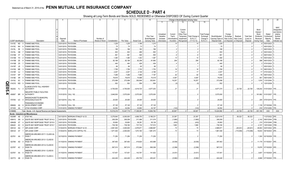|                            |                             |                                                               |                      |                                  |                 |               | 8          | 9                  | 10 <sup>10</sup> |            |               | Change in Book/Adjusted Carrying Value |                  |                      | 16                | 17          | 18          | 19                | 20          | 21                          | 22            |
|----------------------------|-----------------------------|---------------------------------------------------------------|----------------------|----------------------------------|-----------------|---------------|------------|--------------------|------------------|------------|---------------|----------------------------------------|------------------|----------------------|-------------------|-------------|-------------|-------------------|-------------|-----------------------------|---------------|
|                            |                             |                                                               |                      |                                  |                 |               |            |                    |                  | 11         | 12            | 13                                     | 14               | 15                   |                   |             |             |                   |             |                             |               |
|                            |                             |                                                               |                      |                                  |                 |               |            |                    |                  |            |               |                                        |                  |                      |                   |             |             |                   |             |                             |               |
|                            |                             |                                                               |                      |                                  |                 |               |            |                    |                  |            |               |                                        |                  |                      |                   |             |             |                   |             |                             | <b>NAIC</b>   |
|                            |                             |                                                               |                      |                                  |                 |               |            |                    |                  |            |               | Current                                |                  |                      |                   |             |             |                   | Bond        |                             | Designation   |
|                            |                             |                                                               |                      |                                  |                 |               |            |                    |                  |            |               | Year's                                 |                  |                      |                   |             |             |                   | Interest /  |                             | and Admini-   |
|                            |                             |                                                               |                      |                                  |                 |               |            |                    |                  | Unrealized | Current       | Other-Than-                            |                  | <b>Total Foreign</b> |                   | Foreign     |             |                   | Stock       | Stated                      | strative      |
|                            |                             |                                                               |                      |                                  |                 |               |            |                    | Prior Year       | Valuation  | Year's        | Temporary                              | Total Change in  | Exchange             | Book/Adjusted     | Exchange    | Realized    | <b>Total Gain</b> | Dividends   | Contractua                  | Symbol/       |
|                            |                             |                                                               | Disposal             |                                  | Number of       |               |            |                    | Book/Adjusted    | Increase   | Amortization) | Impairment                             | <b>B./A.C.V.</b> | Change in            | Carrying Value at | Gain (Loss) | Gain (Loss) | (Loss) on         | Received    | Maturity                    | Market        |
|                            | <b>CUSIP</b> Identification | Description                                                   | Date                 | Name of Purchaser                | Shares of Stock | Consideration | Par Value  | <b>Actual Cost</b> | Carrying Value   | (Decrease) | / Accretion   | Recognized                             | $(11+12-13)$     | <b>B./A.C.V.</b>     | Disposal Date     | on Disposal | on Disposal | Disposal          | During Year | Date                        | Indicator (a) |
|                            | 31415C ND                   | <b>FANNIE MAE POOL</b>                                        | 03/01/2019.          | PAYDOWN.                         |                 | .1,229        | 1,229      | .1,196             | .1,215           |            |               |                                        | 14               |                      | .1,229            |             |             |                   |             | 05/01/2023                  |               |
| 31415C                     | <b>NH</b>                   | FANNIE MAE POOL                                               | 03/01/2019.          | PAYDOWN.                         |                 | .75           | .75        | 73                 | .74              |            |               |                                        |                  |                      | .75               |             |             |                   |             | 05/01/2023                  |               |
| 31415L                     | 5E                          | FANNIE MAE POOL                                               | 03/01/2019           | Paydown.                         |                 | .188          | .188       | 183                | 186              |            |               |                                        |                  |                      | .188              |             |             |                   |             | 06/01/2023                  |               |
|                            | GB                          | <b>FANNIE MAE POOL</b>                                        | 03/01/2019.          | PAYDOWN.                         |                 | .503          | .503       | .489               | 500              |            |               |                                        |                  |                      | .503              |             |             |                   |             | 05/01/2023.                 |               |
| 31415L                     |                             |                                                               |                      |                                  |                 |               |            |                    |                  |            |               |                                        |                  |                      |                   |             |             |                   |             |                             |               |
| 31415M                     | 5T                          | <b>FANNIE MAE POOL</b>                                        | 03/01/201            | PAYDOWN.                         |                 | .561          | 561        | .546               | .555             |            |               |                                        |                  |                      | .561              |             |             |                   |             | 06/01/2023                  |               |
| 31415M                     | YH                          | <b>FANNIE MAE POOL</b>                                        | 03/01/2019           | PAYDOWN.                         |                 | .1,380        | .1,380     | .1,342             | .1,367           |            | .14           |                                        | .14              |                      | .1,380            |             |             |                   |             | 05/01/2023.                 |               |
| 31415M                     | ZE                          | FANNIE MAE POOL                                               | 03/01/201            | PAYDOWN.                         |                 | .82,188       | 82,188     | 82,258             | .81,982          |            | .206          |                                        | .206             |                      | .82,188           |             |             |                   | .598        | 06/01/2023.                 |               |
|                            | 31415M ZS                   | <b>FANNIE MAE POOL</b>                                        | 03/01/2019.          | PAYDOWN.                         |                 | .440          | .440       | .428               | 436              |            |               |                                        |                  |                      | .440              |             |             |                   |             | 07/01/2023.                 |               |
| 31415P JD                  |                             | <b>FANNIE MAE POOL</b>                                        | 03/01/201            | PAYDOWN.                         |                 | .66           | .66        | 65                 | 66               |            |               |                                        |                  |                      | 66                |             |             |                   |             | 05/01/2023.                 |               |
|                            | 31415Q ME                   | <b>FANNIE MAE POOL</b>                                        | 03/01/2019.          | PAYDOWN.                         |                 | .1,769        | 1,769      | .1,720             | .1,753           |            | .16           |                                        | 16               |                      | .1,769            |             |             |                   | .13         | 08/01/2023.                 |               |
| 31415R UJ                  |                             | <b>FANNIE MAE POOL</b>                                        | 03/01/2019.          | PAYDOWN.                         |                 | .2,207        | .2,207     | .2,146             | .2,189           |            |               |                                        | .17              |                      | .2,207            |             |             |                   |             | 07/01/2023.                 |               |
|                            | 31415T NP                   | <b>FANNIE MAE POOL</b>                                        |                      | 03/01/2019. PAYDOWN.             |                 | 7,289         | .7,289     | .7,088             | .7,197           |            | .92           |                                        | .92              |                      | 7,289             |             |             |                   | .79         | 08/01/2023.                 |               |
|                            | 31419E XR                   | <b>FANNIE MAE POOL</b>                                        | 03/01/2019.          | PAYDOWN.                         |                 | 79,616        | .79,616    | 74,898             | 75,519           |            | .4,097        |                                        | .4,097           |                      | 79,616            |             |             |                   | .561        | 09/01/2040                  |               |
|                            | 31419J SC                   | <b>FANNIE MAE POOL</b>                                        |                      | 03/01/2019. PAYDOWN.             |                 | .373,098      | 373,098    | .350,848           | 353,841          |            | 19,257        |                                        | .19,257          |                      | .373,098          |             |             |                   |             | 1,816 11/01/2040.           |               |
| QE05.<br>31421D            | WD                          | <b>FANNIE MAE POOL</b>                                        |                      | 03/01/2019. PAYDOWN.             |                 | .552          | 552        | 559                | .558             |            |               |                                        | .(5              |                      | .552              |             |             |                   |             | 12/01/2038.                 |               |
|                            |                             |                                                               |                      |                                  |                 |               |            |                    |                  |            |               |                                        |                  |                      |                   |             |             |                   |             |                             |               |
| 452252                     | FJ                          | LLINOIS STATE TOLL HIGHWAY<br><b>AUTHORITY</b>                |                      | 01/10/2019. CALL 100.            |                 | 4,700,000     | .4,700,000 | .4,619,724         | .4,677,253       |            | .21           |                                        | .21              |                      | 4,677,274         |             | 22,726      | .22,726           |             | 129,242 01/01/2024. 1FE.    |               |
|                            |                             |                                                               |                      |                                  |                 |               |            |                    |                  |            |               |                                        |                  |                      |                   |             |             |                   |             |                             |               |
| $\blacktriangle$<br>45656T | <b>BR</b>                   | <b>NDUSTRY PUBLIC FACILITIES</b><br><b>AUTHORITY</b>          | 01/01/2019. CALL 102 |                                  |                 | 3,646,500     | .3,575,000 | .3,575,000         | .3,575,000       |            |               |                                        |                  |                      | .3,575,000        |             |             |                   |             | .161,662 01/01/2027. 1FE.   |               |
|                            |                             |                                                               |                      |                                  |                 |               |            |                    |                  |            |               |                                        |                  |                      |                   |             |             |                   |             |                             |               |
|                            |                             | MASSACHUSETTS MUNICIPAL                                       |                      |                                  |                 |               |            |                    |                  |            |               |                                        |                  |                      |                   |             |             |                   |             |                             |               |
|                            | 575765 UC                   | WHOLESALE ELECTR                                              |                      | 02/13/2019. CALL 100.            |                 | .25,000       | .25,000    | .25,000            | .25,000          |            |               |                                        |                  |                      | 25,000            |             |             |                   |             | .205   07/01/2019.   1FE.   |               |
|                            |                             | PANHANDLE ECONOMIC                                            |                      |                                  |                 |               |            |                    |                  |            |               |                                        |                  |                      |                   |             |             |                   |             |                             |               |
|                            | 69848A AA                   | DEVELOPMENT CORP                                              |                      | 01/15/2019. CALL 100.            |                 | .57,145       | .57,145    | .57,145            | .57,145          |            |               |                                        |                  |                      | .57,145           |             |             |                   |             | .1,139   07/15/2048.   1FE  |               |
| 917435                     | AA                          | UTAH HOUSING CORP                                             | 01/01/2019.          | <b>SINKING PAYMENT</b>           |                 | 34.054        | .34.054    | .33,893            | .34,197          |            | (143)         |                                        | (143)            |                      | .34.054           |             |             |                   |             | .918 07/01/2050. 1FE.       |               |
| 3199999.                   |                             | Total - Bonds - U.S. Special Revenue and Special Assessments. |                      |                                  |                 | 10,519,218    | 10,447,718 | .17,306,081        | 10,904,782       |            | .60,907       |                                        | .60.907          |                      | 10,424,992        |             | .22,726     | .22,726           | .551,180    | <b>XXX</b>                  | <b>XXX</b>    |
|                            |                             | <b>Bonds - Industrial and Miscellaneous</b>                   |                      |                                  |                 |               |            |                    |                  |            |               |                                        |                  |                      |                   |             |             |                   |             |                             |               |
|                            | 00206R AE                   | AT&T INC                                                      |                      | 02/13/2019. MORGAN STANLEY & CO. |                 | .5,279,940    | .6,000,000 | 4,668,750          | .5,198,231       |            | 23,387        |                                        | 23,387           |                      | 5,221,618         |             | .58,322     | .58,322           |             | 11/27/2022. 2FE.            |               |
| 00841U                     | AN                          | AGATE BAY MORTGAGE TRUST 2014-2                               | 03/01/2019.          | PAYDOWN.                         |                 | .309,359      | 309,359    | .311,486           | 311,019          |            | (1,660)       |                                        | (1,660)          |                      | .309,359          |             |             | )…                |             | 2,142 09/01/2044. 1FM.      |               |
| 00842B                     | AT                          | AGATE BAY MORTGAGE TRUST 2015-5                               | 03/01/2019.          | PAYDOWN.                         |                 | .35,693       | .35,693    | .36,281            | .36,126          |            | (432)         |                                        | (432)            |                      | 35,693            |             |             |                   |             | .215   07/01/2045.   1FM.   |               |
| 00842C                     | AC                          | AGATE BAY MORTGAGE TRUST 2015-7                               |                      | 03/01/2019. PAYDOWN.             |                 | 739,180       | .739,180   | .737,732           | 737,515          |            | .1,665        |                                        | .1,665           |                      | 739,180           |             |             | C                 |             | .4,157   10/01/2045.   1FM. |               |
|                            | 00912X AQ                   | AIR LEASE CORP                                                | 01/04/2019.          | <b>MORGAN STANLEY &amp; CO</b>   |                 | .2,961,930    | .3,000,000 | .2,978,671         | .2,989,897       |            | .74           |                                        | .74              |                      | .2,989,971        |             | (28,041)    | (28,041)          | .49,063     | 02/01/2022. 2FE.            |               |
|                            | 00912X AT                   | AIR LEASE CORP.                                               |                      | 01/04/2019. BARCLAYS CAPITAL FIX |                 | .1,871,540    | .2,000,000 | .1,973,160         | .1,981,474       |            | .73           |                                        | .73              |                      | .1,981,546        |             | (110,006)   | (110,006)         |             | 18,833 09/15/2023. 2FE.     |               |
|                            |                             |                                                               |                      |                                  |                 |               |            |                    |                  |            |               |                                        |                  |                      |                   |             |             |                   |             |                             |               |
|                            | 023761 AA                   | <b>\MERICAN AIRLINES 2017-1 CLASS AA</b><br>PASS <sub>1</sub> |                      | 02/15/2019. SINKING PAYMENT      |                 | .71,250       | .71,250    | 71,250             | .71,250          |            |               |                                        |                  |                      | 71,250            |             |             |                   |             | .1,300 02/15/2029. 1FE.     |               |
|                            |                             |                                                               |                      |                                  |                 |               |            |                    |                  |            |               |                                        |                  |                      |                   |             |             |                   |             |                             |               |
|                            | 023766 AD                   | <b>MERICAN AIRLINES 2013-1 CLASS B</b><br>PASS TH             |                      | 01/15/2019. SINKING PAYMENT.     |                 | .397,463      | .397,463   | .419,820           | 403,999          |            | (6, 536)      |                                        | (6, 536)         |                      | 397,463           |             |             |                   |             |                             |               |
|                            |                             |                                                               |                      |                                  |                 |               |            |                    |                  |            |               |                                        |                  |                      |                   |             |             |                   |             |                             |               |
|                            |                             | MERICAN AIRLINES 2013-2 CLASS B                               |                      |                                  |                 |               |            |                    |                  |            |               |                                        |                  |                      |                   |             |             |                   |             |                             |               |
|                            | 02376T AC                   | PASS TH                                                       |                      | 01/15/2019. SINKING PAYMENT      |                 | .567,010      | 567,010    | .572,964           | 569,308          |            | (2,298)       |                                        | (2,298)          |                      | .567,010          |             |             |                   |             | .15,876   07/15/2020. 3FE.  |               |
|                            |                             | <b>\MERICAN AIRLINES 2016-1 CLASS B</b>                       |                      |                                  |                 |               |            |                    |                  |            |               |                                        |                  |                      |                   |             |             |                   |             |                             |               |
|                            | 02376Y AA                   | PASS TH                                                       |                      | 01/15/2019. SINKING PAYMENT      |                 | .137,401      | 137,401    | 143,767            | 141,832          |            | (4, 431)      |                                        | (4, 431)         |                      | .137,401          |             |             |                   |             | 3,607 01/15/2024. 2FE.      |               |
|                            |                             | MERICAN AIRLINES 2013-1 CLASS A                               |                      |                                  |                 |               |            |                    |                  |            |               |                                        |                  |                      |                   |             |             |                   |             |                             |               |
|                            | 023772 AB                   | <b>PASS TH</b>                                                |                      | 01/15/2019. SINKING PAYMENT      |                 | 444.449       | 444.449    | 453,709            | 450.441          |            | (5,992)       |                                        | (5,992)          |                      | 444.449           |             |             | $\Omega$ .        |             | 8,889 07/15/2025. 1FE.      |               |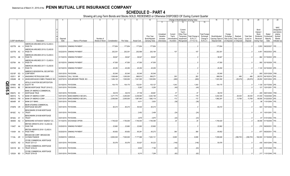|        |                             |           |          |                                                   |                      |                             |                 |               |            | q                  | 10             |            |              |                       | Change in Book/Adjusted Carrying Value |                      | 16                            | 17          | 18          | 19                | 20                | 21                        | 22                      |
|--------|-----------------------------|-----------|----------|---------------------------------------------------|----------------------|-----------------------------|-----------------|---------------|------------|--------------------|----------------|------------|--------------|-----------------------|----------------------------------------|----------------------|-------------------------------|-------------|-------------|-------------------|-------------------|---------------------------|-------------------------|
|        |                             |           |          |                                                   |                      |                             |                 |               |            |                    |                | 11         | 12           | 13                    | 14                                     | 15                   |                               |             |             |                   |                   |                           |                         |
|        |                             |           |          |                                                   |                      |                             |                 |               |            |                    |                |            |              |                       |                                        |                      |                               |             |             |                   |                   |                           |                         |
|        |                             |           |          |                                                   |                      |                             |                 |               |            |                    |                |            |              |                       |                                        |                      |                               |             |             |                   |                   |                           | <b>NAIC</b>             |
|        |                             |           |          |                                                   |                      |                             |                 |               |            |                    |                |            |              | Current               |                                        |                      |                               |             |             |                   | Bond              |                           | Designation             |
|        |                             |           |          |                                                   |                      |                             |                 |               |            |                    |                | Unrealized | Current      | Year's<br>Other-Than- |                                        | <b>Total Foreign</b> |                               | Foreign     |             |                   | Interest<br>Stock | Stated                    | and Admini-<br>strative |
|        |                             |           |          |                                                   |                      |                             |                 |               |            |                    | Prior Year     | Valuation  | Year's       | Temporary             | Total Change i                         | Exchange             | Book/Adjusted                 | Exchange    | Realized    | <b>Total Gain</b> | Dividends         | Contractua                | Symbol/                 |
|        |                             |           |          |                                                   | Disposal             |                             | Number of       |               |            |                    | Book/Adjusted  | Increase   | Amortization | Impairment            | <b>B./A.C.V.</b>                       | Change in            | Carrying Value at Gain (Loss) |             | Gain (Loss) | (Loss) on         | Received          | Maturity                  | Market                  |
|        | <b>CUSIP Identification</b> |           |          | Description                                       | Date                 | Name of Purchaser           | Shares of Stock | Consideration | Par Value  | <b>Actual Cost</b> | Carrying Value | (Decrease) | / Accretion  | Recognized            | $(11+12-13)$                           | B./A.C.V.            | Disposal Date                 | on Disposal | on Disposal | Disposal          | During Year       | Date                      | Indicator (a)           |
|        |                             |           |          | AMERICAN AIRLINES 2015-2 CLASS A                  |                      |                             |                 |               |            |                    |                |            |              |                       |                                        |                      |                               |             |             |                   |                   |                           |                         |
|        | 02377B AA                   |           |          | PASS TH                                           |                      | 03/22/2019. SINKING PAYMENT |                 | 177,654       | .177,654   | 177,654            | .177,654       |            |              |                       |                                        |                      | 177,654                       |             |             |                   | .3,553            | 09/22/2027.               | 1FE.                    |
|        |                             |           |          | AMERICAN AIRLINES 2015-2 CLASS B                  |                      |                             |                 |               |            |                    |                |            |              |                       |                                        |                      |                               |             |             |                   |                   |                           |                         |
|        | 02377B AC                   |           |          | PASS TH                                           |                      | 03/22/2019. SINKING PAYMENT |                 | .202,30       | .202,301   | .202,589           | .202,194       |            | .107         |                       | .107                                   |                      | 202,301                       |             |             |                   | .4,451            | 09/22/2023. 2FE.          |                         |
|        |                             |           |          | AMERICAN AIRLINES 2013-2 CLASS A                  |                      |                             |                 |               |            |                    |                |            |              |                       |                                        |                      |                               |             |             |                   |                   |                           |                         |
|        | 02377U AB                   |           |          | PASS TH                                           |                      | 01/15/2019. SINKING PAYMENT |                 | .38,947       | .38,947    | .38,947            | 38,947         |            |              |                       |                                        |                      | .38,947                       |             |             |                   |                   | .964 01/15/2023. 2FE.     |                         |
|        |                             |           |          | AMERICAN AIRLINES 2017-1 CLASS A                  |                      |                             |                 |               |            |                    |                |            |              |                       |                                        |                      |                               |             |             |                   |                   |                           |                         |
|        | 02378A AA                   |           |          | PASS TH                                           |                      | 02/15/2019. SINKING PAYMENT |                 | .47,500       | .47,500    | .47,500            | .47,500        |            |              |                       |                                        |                      | .47,500                       |             |             |                   | .950              | 02/15/2029.               | 1FE.                    |
|        |                             |           |          | AMERICAN AIRLINES 2017-1 CLASS B                  |                      |                             |                 |               |            |                    |                |            |              |                       |                                        |                      |                               |             |             |                   |                   |                           |                         |
|        | 02378W AA                   |           |          | PASS TH                                           |                      | 02/15/2019. SINKING PAYMENT |                 | .45,250       | .45,250    | .45,250            | .45,250        |            |              |                       |                                        |                      | .45,250                       |             |             |                   |                   | $.1,120$ 02/15/2025. 2FE. |                         |
|        |                             |           |          | AMRESCO RESIDENTIAL SECURITIES                    |                      |                             |                 |               |            |                    |                |            |              |                       |                                        |                      |                               |             |             |                   |                   |                           |                         |
|        | 03215P EQ                   |           |          | <b>CORP MORT</b>                                  |                      | 03/01/2019. PAYDOWN         |                 | .83,545       | 83,545     | .83,545            | .83,545        |            |              |                       |                                        |                      | .83,545                       |             |             |                   | .800              | 02/01/2028.               | 1FM.                    |
|        | 032511                      | <b>BF</b> |          | ANADARKO PETROLEUM CORP.                          | 03/29/2019.          | CALL 100.849.               |                 | 1,008,490     | .1,000,000 | .988,810           | .999,271       |            | .263         |                       | 263                                    |                      | .999,534                      |             | .466        | .466              | .28,570           | 06/15/2019.               | 2FE.                    |
|        | 03524B AE                   |           |          | ANHEUSER-BUSCH INBEV FINANCE INC                  | 02/07/2019           | NON-BROKER TRADE, BO.       |                 | 1,494,120     | .1,500,000 | 1,541,505          | 1,523,852      |            | (460)        |                       | (460)                                  |                      | 1,523,392                     |             | (29,272)    | (29, 272)         | .29,292           | 02/01/2024. 2FE.          |                         |
|        |                             |           |          | APOLLO AVIATION SECURITIZATION                    |                      |                             |                 |               |            |                    |                |            |              |                       |                                        |                      |                               |             |             |                   |                   |                           |                         |
|        | 03766K                      | AB        |          | EQUITY TR                                         | 03/15/2019           | PAYDOWN.                    |                 | .104,170      | 104,170    | 102,051            | 103,127        |            | .1,043       |                       | .1,043                                 |                      | 104,170                       |             |             |                   | 1,129             | 03/17/2036.               | 2FE.                    |
| QE05.5 | 05491U                      | BE        |          | BBCMS MORTGAGE TRUST 2018-C2.                     |                      | 03/01/2019. PAYDOWN         |                 |               |            | .5,262             | .5,250         |            | (40)         |                       | (40)                                   |                      |                               |             |             |                   | 121               | 12/01/2051                | 1FE.                    |
|        |                             |           |          | BANC OF AMERICA COMMERCIAL                        |                      |                             |                 |               |            |                    |                |            |              |                       |                                        |                      |                               |             |             |                   |                   |                           |                         |
|        | 05947U                      | 6C        |          | MORTGAGE TRUS                                     |                      | 03/01/2019. PAYDOWN         |                 | 39,018        | .39,018    | .37,749            | 38,981         |            | .37          |                       | 37                                     |                      | 39,018                        |             |             |                   |                   | .405 09/01/2045.          | 1FM.                    |
|        | 06051G                      | - FL      |          | BANK OF AMERICA CORP.                             | 03/01/2019.          | <b>BANC/AMERICA SECUR.L</b> |                 | 3,271,775     | .3,250,000 | .3,238,940         | .3,242,166     |            | 179          |                       | .179                                   |                      | .3,242,345                    |             | 29,430      | .29,430           | .51,030           | 10/22/2026.               | 2FE.                    |
|        | 06051G                      | FM        |          | <b>BANK OF AMERICA CORP.</b>                      | 03/01/2019.          | <b>BANC/AMERICA SECUR.L</b> |                 | .2,006,060    | .2,000,000 | 1,987,940          | .1,992,118     |            | .172         |                       | .172                                   |                      | 1,992,291                     |             | .13,769     | .13,769           | .49,556           | 01/22/2025.               | 2FE.                    |
|        | 06540R AF                   |           |          | <b>BANK 2017-BNK9.</b>                            |                      | 03/01/2019. PAYDOWN.        |                 |               |            | .4,411             | .3,933         |            | (38)         |                       | (38)                                   |                      |                               |             |             |                   | .98               | 11/01/2054.               |                         |
|        |                             |           |          | <b>BEAR STEARNS COMMERCIAL</b>                    |                      |                             |                 |               |            |                    |                |            |              |                       |                                        |                      |                               |             |             |                   |                   |                           |                         |
|        | 07387B CR                   |           |          | <b>MORTGAGE SECURIT</b>                           |                      | 03/01/2019. PAYDOWN.        |                 | .60,210       | .60,210    | .55,544            | 60,210         |            |              |                       |                                        |                      | .60,210                       |             |             |                   |                   | .523 10/01/2042. 1FM      |                         |
|        |                             |           |          |                                                   |                      |                             |                 |               |            |                    |                |            |              |                       |                                        |                      |                               |             |             |                   |                   |                           |                         |
|        | 08162C AJ                   |           |          | BENCHMARK 2018-B6 MORTGAGE<br><b>TRUST</b>        |                      | 03/01/2019. PAYDOWN.        |                 |               |            | .2,452             | .2,408         |            | (24)         |                       | (24)                                   |                      |                               |             |             |                   | 61                | 10/01/2051.               |                         |
|        |                             |           |          | BENCHMARK 2018-B8 MORTGAGE                        |                      |                             |                 |               |            |                    |                |            |              |                       |                                        |                      |                               |             |             |                   |                   |                           |                         |
|        | 08162U AY                   |           |          | Trust                                             | 03/01/2019.          | PAYDOWN.                    |                 |               |            | .2,878             | .2,875         |            | (23)         |                       | (23)                                   |                      |                               |             |             |                   | .67               | 01/01/2052.               | IFE.                    |
|        | 084659 AQ                   |           |          | BERKSHIRE HATHAWAY ENERGY CO.                     | 01/14/2019.          | <b>EXCHANGE OFFER</b>       |                 | .1,749,420    | .1,750,000 | .1,749,440         | .1,749,395     |            | .25          |                       | .25                                    |                      | .1,749,420                    |             |             |                   | .36,558           | 01/15/2049.               |                         |
|        |                             |           |          |                                                   |                      |                             |                 |               |            |                    |                |            |              |                       |                                        |                      |                               |             |             |                   |                   |                           |                         |
|        | 11042T AA                   |           |          | BRITISH AIRWAYS 2018-1 CLASS AA<br>PASS THR       |                      | 03/20/2019. SINKING PAYMENT |                 | .22,662       | .22,662    | 22,662             | 22,662         |            |              |                       |                                        |                      | .22,662                       |             |             |                   |                   | 215 09/20/2031            | IFE.                    |
|        |                             |           |          |                                                   |                      |                             |                 |               |            |                    |                |            |              |                       |                                        |                      |                               |             |             |                   |                   |                           |                         |
|        | 11043H AA                   |           |          | BRITISH AIRWAYS 2018-1 CLASS A<br>PASS THRO       |                      | 03/20/2019. SINKING PAYMENT |                 | .65,652       | .65,652    | .65,261            | .65,272        |            | 380          |                       | .380                                   |                      | .65,652                       |             |             |                   | .677              | 09/20/2031                | FE.                     |
|        |                             |           |          |                                                   |                      |                             |                 |               |            |                    |                |            |              |                       |                                        |                      |                               |             |             |                   |                   |                           |                         |
|        | 11134L AR                   |           |          | BROADCOM CORP / BROADCOM<br><b>CAYMAN FINANCE</b> | 03/29/2019. VARIOUS. |                             |                 | .6,852,045    | .7,500,000 | 7,177,998          | .7,202,131     |            | .6,695       |                       | .6,695                                 |                      | 7,208,826                     |             | (356, 781)  | (356,781)         |                   | .182,000 01/15/2028. 2FE. |                         |
|        |                             |           |          |                                                   |                      |                             |                 |               |            |                    |                |            |              |                       |                                        |                      |                               |             |             |                   |                   |                           |                         |
|        | 12527E AD                   |           |          | CFCRE COMMERCIAL MORTGAGE<br><b>TRUST 2011-C1</b> |                      | 03/01/2019. PAYDOWN.        |                 | .50,076       | .50,076    | .50,827            | .50,222        |            | (146)        |                       | (146)                                  |                      | .50,076                       |             |             |                   |                   | .435 04/01/2044.          | 1FM.                    |
|        |                             |           |          |                                                   |                      |                             |                 |               |            |                    |                |            |              |                       |                                        |                      |                               |             |             |                   |                   |                           |                         |
|        | 12531W BC                   |           |          | CFCRE COMMERCIAL MORTGAGE<br>TRUST 2016-C3        |                      | 03/01/2019. PAYDOWN.        |                 |               |            | 9,935              | 7,198          |            | (83)         |                       | (83)                                   |                      |                               |             |             |                   |                   | .229 01/01/2048.          |                         |
|        |                             |           |          |                                                   |                      |                             |                 |               |            |                    |                |            |              |                       |                                        |                      |                               |             |             |                   |                   |                           |                         |
|        | 12532A BD                   |           | $\Omega$ | CFCRE COMMERCIAL MORTGAGE<br><b>TRUST 2016-C6</b> |                      | 03/01/2019. PAYDOWN         |                 |               |            | .9.215             | .7.208         |            | (82)         |                       | (82)                                   |                      |                               |             |             | . 0               |                   | .217 11/01/2049.          | 1FF                     |
|        |                             |           |          |                                                   |                      |                             |                 |               |            |                    |                |            |              |                       |                                        |                      |                               |             |             |                   |                   |                           |                         |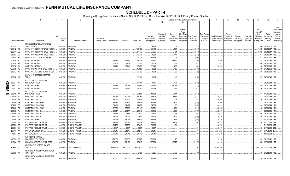|     |                             |           | 2                                                  |             | -5                           |                 |               | 8          | 9                  | 10             |            |               |                   | Change in Book/Adjusted Carrying Value |                      | 16                   | 17          | 18          | 19                | 20                | 21                         | 22                         |
|-----|-----------------------------|-----------|----------------------------------------------------|-------------|------------------------------|-----------------|---------------|------------|--------------------|----------------|------------|---------------|-------------------|----------------------------------------|----------------------|----------------------|-------------|-------------|-------------------|-------------------|----------------------------|----------------------------|
|     |                             |           |                                                    |             |                              |                 |               |            |                    |                | 11         | 12            | 13                | 14                                     | 15                   |                      |             |             |                   |                   |                            |                            |
|     |                             |           |                                                    |             |                              |                 |               |            |                    |                |            |               |                   |                                        |                      |                      |             |             |                   |                   |                            | <b>NAIC</b>                |
|     |                             |           |                                                    |             |                              |                 |               |            |                    |                |            |               | Current<br>Year's |                                        |                      |                      |             |             |                   | Bond              |                            | Designation<br>and Admini- |
|     |                             |           |                                                    |             |                              |                 |               |            |                    |                | Unrealized | Current       | Other-Than-       |                                        | <b>Total Foreign</b> |                      | Foreign     |             |                   | Interest<br>Stock | Stated                     | strative                   |
|     |                             |           |                                                    |             |                              |                 |               |            |                    | Prior Year     | Valuation  | Year's        | Temporary         | Total Change ir                        | Exchange             | Book/Adjusted        | Exchange    | Realized    | <b>Total Gain</b> | <b>Dividends</b>  | Contractua                 | Symbol/                    |
|     |                             |           |                                                    | Disposal    |                              | Number of       |               |            |                    | Book/Adjusted  | Increase   | Amortization) | Impairment        | <b>B./A.C.V.</b>                       | Change in            | Carrying Value at    | Gain (Loss) | Gain (Loss) | (Loss) on         | Received          | Maturity                   | Market                     |
|     | <b>CUSIP</b> Identification |           | Description                                        | Date        | Name of Purchaser            | Shares of Stock | Consideration | Par Value  | <b>Actual Cost</b> | Carrying Value | (Decrease) | / Accretion   | Recognized        | $(11+12-13)$                           | <b>B./A.C.V.</b>     | <b>Disposal Date</b> | on Disposal | on Disposal | Disposal          | During Year       | Date                       | Indicator (a)              |
|     |                             |           | CFCRE COMMERCIAL MORTGAGE                          |             |                              |                 |               |            |                    |                |            |               |                   |                                        |                      |                      |             |             |                   |                   |                            |                            |
|     | 12532C BE                   |           | <b>TRUST 2017-C8</b>                               |             | 03/01/2019. PAYDOWN          |                 |               |            | 5,966              | .4,975         |            | (57)          |                   | (57)                                   |                      |                      |             |             | . 0               |                   | .148 06/01/2050.           | 1FE.                       |
|     | 12591Q AS                   |           | COMM 2014-UBS4 MORTGAGE TRUST                      |             | 03/01/2019. PAYDOWN          |                 |               |            | 133,182            | 66,434         |            | (334)         |                   | (334)                                  |                      |                      |             |             | . 0               | 1,939             | 08/01/2047                 | IFE.                       |
|     | 12591Y                      | BE        | COMM 2014-UBS3 MORTGAGE TRUST                      | 03/01/2019. | PAYDOWN.                     |                 |               |            | .57,175            | .55,665        |            | .(461)        |                   | (461                                   |                      |                      |             |             | . 0               | .1,983            | 06/01/2047                 | FE.                        |
|     | 12592K                      | <b>BD</b> | COMM 2014-UBS5 MORTGAGE TRUST                      | 03/01/2019  | PAYDOWN.                     |                 |               |            | .10,773            | .4,963         |            | (117)         |                   | (117                                   |                      |                      |             |             |                   | .267              | 09/01/2047                 | IFE.                       |
|     | 12592M                      | <b>BL</b> | COMM 2014-LC17 MORTGAGE TRUST                      | 03/01/2019  | PAYDOWN.                     |                 |               |            | .26,236            | 11,616         |            | (206)         |                   | (206)                                  |                      |                      |             |             | - 0               | .553              | 10/01/2047                 | IFE.                       |
|     | 12592U                      | AQ        | CSMLT 2015-1 TRUST                                 | 03/01/201   | PAYDOWN.                     |                 | .79,826       | .79,826    | .81,772            | 81,497         |            | (1,670)       |                   | (1,670)                                |                      | .79,826              |             |             |                   | .415              | 05/01/2045                 | IFM.                       |
|     | 12592U                      | AW        | CSMLT 2015-1 TRUST                                 | 03/01/2019  | PAYDOWN.                     |                 | .31,401       | .31,401    | .30,990            | 31,084         |            | .317          |                   | 317                                    |                      | 31,401               |             |             |                   | .204              | 05/01/2045.                | <b>IFM</b>                 |
|     | 12592U                      | AX        | CSMLT 2015-1 TRUST                                 | 03/01/201   | PAYDOWN.                     |                 | .33,243       | .33,243    | .32,505            | .32,643        |            | 600           |                   | 600                                    |                      | .33,243              |             |             |                   | 216               | 05/01/2045.                | IFM.                       |
|     | 12593G                      | AG        | COMM 2015-PC1 MORTGAGE TRUST                       | 03/01/2019  | PAYDOWN.                     |                 |               |            | .15,650            | .8,922         |            | (155)         |                   | (155)                                  |                      |                      |             |             |                   | .379              | 07/01/2050.                | IFE.                       |
|     | 12595E AE                   |           | COMM 2017-COR2 MORTGAGE TRUST                      | 03/01/2019  | PAYDOWN.                     |                 |               |            | 3,792              | .3,308         |            | (32)          |                   | (32)                                   |                      |                      |             |             |                   | .85               | 09/01/2050.                | 1FE.                       |
|     | 12626B AF                   |           | COMM 2013-CCRE10 MORTGAGE<br><b>TRUST</b>          |             | 03/01/2019. PAYDOWN          |                 |               |            | .13,161            | .6,435         |            | (118)         |                   | (118)                                  |                      |                      |             |             |                   |                   | .287 08/01/2046.           | 1FE.                       |
|     |                             |           | CSAIL 2015-C3 COMMERCIAL                           |             |                              |                 |               |            |                    |                |            |               |                   |                                        |                      |                      |             |             |                   |                   |                            |                            |
| O   | 12635F                      | AV        | MORTGAGE TRUST                                     |             | 03/01/2019. PAYDOWN.         |                 |               |            | .13,461            | .8,135         |            | .(128)        |                   | . (128). .                             |                      |                      |             |             |                   | .334              | 08/01/2048.                | 1FE.                       |
| Ш   | 12637L                      | AQ        | CSMLT 2015-2 TRUST<br>- 2                          | 03/01/2019. | PAYDOWN.                     |                 | .52,733       | .52,733    | .54,447            | 54,130         |            | (1, 397)      |                   | (1,397)                                |                      | .52,733              |             |             | . 0               | .344              | 08/01/2045.                | IFM.                       |
| 92. | 12637L                      | AR        | CSMLT 2015-2 TRUST                                 |             | 03/01/2019. PAYDOWN          |                 | .33,095       | .33,095    | .32,365            | .32,514        |            | .581          |                   | .581                                   |                      | .33,095              |             |             |                   |                   | .216 08/01/2045.           | 1FM.                       |
|     |                             |           | CSAIL 2016-C7 COMMERCIAL                           |             |                              |                 |               |            |                    |                |            |               |                   |                                        |                      |                      |             |             |                   |                   |                            |                            |
| ၈   | 12637U                      | AY        | <b>MORTGAGE TRUST</b><br>- 5                       |             | 03/01/2019. PAYDOWN.         |                 |               |            | .23,985            | .18,638        |            | (214)         |                   | (214)                                  |                      |                      |             |             |                   | .601              | 11/01/2049.                | 1FE.                       |
|     | 12646U                      | AD        | CSMC TRUST 2013-IVR1                               |             | 03/01/2019. PAYDOWN          |                 | 70,371        | 70,371     | 67,751             | .68,523        |            | .1,847        |                   | .1,847                                 |                      | .70,371              |             |             |                   |                   | .372 03/01/2043.           | 1FM.                       |
|     | 12647P                      | AS        | <b>CSMC TRUST 2013-7.</b>                          | 03/01/2019. | PAYDOWN.                     |                 | .50,020       | .50,020    | .49,504            | .49,692        |            | .328          |                   | 328                                    |                      | .50,020              |             |             |                   |                   | .279 08/01/2043.           | 1FM.                       |
|     | 12648F                      | AR        | CSMC TRUST 2014-SAF1.                              | 03/01/2019. | PAYDOWN.                     |                 | .30,910       | .30,910    | .31,937            | .31,533        |            | (624)         |                   | (624)                                  |                      | .30,910              |             |             |                   |                   | .212 03/01/2044.           | 1FM.                       |
|     | 12648X                      | DD        | CSMC TRUST 2014-WIN1.                              | 03/01/2019. | PAYDOWN.                     |                 | .64,421       | .64,421    | 64,657             | 64,529         |            | (108)         |                   | (108)                                  |                      | .64,421              |             |             |                   | .424              | 09/01/2044.                | 1FM.                       |
|     | 12649D                      | AQ        | CSMC TRUST 2014-WIN2.                              | 03/01/2019  | PAYDOWN.                     |                 | .32,809       | .32,809    | .33,143            | 33,071         |            | (261)         |                   | (261)                                  |                      | .32,809              |             |             |                   |                   | .218 10/01/2044.           | IFM.                       |
|     | 12649R                      | AV        | CSMC TRUST 2015-2                                  | 03/01/2019. | PAYDOWN.                     |                 | .23,517       | 23,517     | .24,049            | .23,886        |            | .(369)        |                   | (369)                                  |                      | .23,517              |             |             |                   | 154               | 02/01/2045.                | 1FM.                       |
|     | 12649R                      | AW        | CSMC TRUST 2015-2                                  | 03/01/2019  | PAYDOWN.                     |                 | .29,851       | .29,851    | .29,570            | .29,636        |            | .215          |                   | 215                                    |                      | .29,851              |             |             |                   | 196               | 02/01/2045.                | IFM.                       |
|     | 12649X BD                   |           | CSMC TRUST 2015-3.                                 | 03/01/2019  | PAYDOWN.                     |                 | .28,799       | .28,799    | .29,591            | .29,429        |            | (629)         |                   | (629)                                  |                      | .28,799              |             |             |                   | 189               | 03/01/2045.                | IFM.                       |
|     | 12650U                      | AH        | CSMLT 2015-3 TRUST.                                | 03/01/2019  | PAYDOWN.                     |                 | .78,299       | .78,299    | .78,935            | 78,748         |            | (449)         |                   | (449)                                  |                      | .78,299              |             |             |                   |                   | .513 11/01/2045.           | 1FM.                       |
|     | 126650                      | BP        | CVS PASS-THROUGH TRUST                             | 03/10/2019  | <b>SINKING PAYMENT</b>       |                 | .96,295       | .96,295    | .93,502            | .94,462        |            | .1,834        |                   | .1,834                                 |                      | .96,295              |             |             |                   | .970              | 12/10/2028.                | 2FE.                       |
|     | 126650                      | BQ        | CVS PASS-THROUGH TRUST                             | 03/10/2019. | SINKING PAYMENT              |                 | 20,759        | .20,759    | .20,640            | 20,678         |            | 81            |                   | 81                                     |                      | .20,759              |             |             |                   | .241              | 01/10/2030                 |                            |
|     | 126650                      | BY        | CVS PASS-THROUGH TRUST                             | 03/10/2019  | <b>SINKING PAYMENT</b>       |                 | .8,397        | .8,397     | 8,397              | .8,397         |            |               |                   |                                        |                      | .8,397               |             |             |                   | 83                | 01/10/2034                 |                            |
|     | 12677#                      | AA        | CVS CAREMARK CORP.                                 | 03/15/2019. | <b>SINKING PAYMENT</b>       |                 | .24,245       | .24,245    | .24,245            | .24,245        |            |               |                   |                                        |                      | 24,245               |             |             | . 0               | .221              | 01/15/2040                 |                            |
|     | 12695* AA                   |           | CVS LEASE BACK.                                    | 03/10/2019. | <b>SINKING PAYMENT</b>       |                 | .24,746       | .24,746    | .24,746            | 24,746         |            |               |                   |                                        |                      | 24,746               |             |             |                   | .141              | 10/10/2038.                |                            |
|     | 14855J AB                   |           | CASTLELAKE AIRCRAFT<br>SECURITIZATION TRUST        |             | 03/15/2019. PAYDOWN.         |                 | 173,630       | 173,630    | 173,579            | .173,606       |            | .25           |                   | .25                                    |                      | 173,630              |             |             |                   | .969              | 08/15/2041                 |                            |
|     | 16164A AC                   |           | CHASE MORTGAGE FINANCE CORP                        |             | 03/01/2019. PAYDOWN          |                 | .164,126      | 164,126    | 168,510            | 167,854        |            | (3,727)       |                   | (3,727)                                |                      | 164,126              |             |             |                   |                   | .1,035   12/01/2045.       |                            |
|     |                             |           | CHICAGO PKG METERS LLC 4.52                        |             |                              |                 |               |            |                    |                |            |               |                   |                                        |                      |                      |             |             |                   |                   |                            |                            |
|     | 167885 A*                   |           | 15JUL24<br>CITIGROUP COMMERCIAL MORTGAGE           |             | 01/30/2019. CALL 107.0854494 |                 | .9,530,605    | .8,900,000 | .8,900,000         | .8,900,000     |            |               |                   |                                        |                      | 8,900,000            |             |             |                   |                   | 664,128   07/15/2024. 2FE. |                            |
|     | 17290X AY                   |           | <b>TRUST 2016</b>                                  |             | 03/01/2019. PAYDOWN          |                 |               |            | 8,120              | .5,925         |            | (76)          |                   | (76)                                   |                      |                      |             |             |                   |                   | .203 04/01/2049.           | 1FE.                       |
|     | 173067 EQ                   |           | CITIGROUP COMMERCIAL MORTGAGE<br><b>TRUST 2004</b> |             | 03/01/2019. PAYDOWN          |                 | .327.157      | 327.157    | 274.812            | 325.415        |            | 1.742         |                   | 1.742                                  |                      | .327.157             |             |             | $\Omega$          |                   | .2.810 10/01/2041.         | 1FM                        |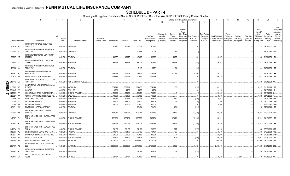# **SCHEDULE D - PART 4**

|     |                             |             |                                                    |             |                                   |                 |               | 8          | -9                 | 10                |            |               | Change in Book/Adjusted Carrying Value |                  |                  | 16                          | 17          | 18          | 19                | 20               | 21                        | 22                         |
|-----|-----------------------------|-------------|----------------------------------------------------|-------------|-----------------------------------|-----------------|---------------|------------|--------------------|-------------------|------------|---------------|----------------------------------------|------------------|------------------|-----------------------------|-------------|-------------|-------------------|------------------|---------------------------|----------------------------|
|     |                             |             |                                                    |             |                                   |                 |               |            |                    |                   | 11         | 12            | 13                                     | 14               | 15               |                             |             |             |                   |                  |                           |                            |
|     |                             |             |                                                    |             |                                   |                 |               |            |                    |                   |            |               |                                        |                  |                  |                             |             |             |                   |                  |                           |                            |
|     |                             |             |                                                    |             |                                   |                 |               |            |                    |                   |            |               |                                        |                  |                  |                             |             |             |                   |                  |                           | <b>NAIC</b>                |
|     |                             |             |                                                    |             |                                   |                 |               |            |                    |                   |            |               | Current<br>Year's                      |                  |                  |                             |             |             |                   | Bond<br>Interest |                           | Designation<br>and Admini- |
|     |                             |             |                                                    |             |                                   |                 |               |            |                    |                   | Unrealized | Current       | Other-Than-                            |                  | Total Foreign    |                             | Foreign     |             |                   | Stock            | Stated                    | strative                   |
|     |                             |             |                                                    |             |                                   |                 |               |            |                    | <b>Prior Year</b> | Valuation  | Year's        | Temporary                              | Total Change in  | Exchange         | Book/Adjusted               | Exchange    | Realized    | <b>Total Gain</b> | Dividends        | Contractua                | Symbol/                    |
|     |                             |             |                                                    | Disposal    |                                   | Number of       |               |            |                    | Book/Adjusted     | Increase   | Amortization) | Impairment                             | <b>B./A.C.V.</b> | Change in        | Carrying Value at           | Gain (Loss) | Gain (Loss) | (Loss) on         | Received         | Maturity                  | Market                     |
|     | <b>CUSIP Identification</b> |             | Description                                        | Date        | Name of Purchaser                 | Shares of Stock | Consideration | Par Value  | <b>Actual Cost</b> | Carrying Value    | (Decrease) |               | / Accretion   Recognized               | $(11+12-13)$     | <b>B./A.C.V.</b> | Disposal Date   on Disposal |             | on Disposal | Disposal          | During Year      | Date                      | Indicator (a)              |
|     |                             |             | CITICORP MORTGAGE SECURITIES                       |             |                                   |                 |               |            |                    |                   |            |               |                                        |                  |                  |                             |             |             |                   |                  |                           |                            |
|     |                             | 17312D AC 2 | <b>TRUST SERIE</b>                                 |             | 03/01/2019. PAYDOWN.              |                 | .17,722       | .17,722    | 16,517             | .17,722           |            |               |                                        |                  |                  | .17,722                     |             |             |                   |                  | .179 09/01/2037. 1FM      |                            |
|     |                             |             | CITIGROUP COMMERCIAL MORTGAGE                      |             |                                   |                 |               |            |                    |                   |            |               |                                        |                  |                  |                             |             |             |                   |                  |                           |                            |
|     | 17322Y AJ                   | - 9         | <b>TRUST 2014</b>                                  |             | 03/01/2019. PAYDOWN.              |                 |               |            | 10,884             | .6,293            |            | (87)          |                                        | (87)             |                  |                             |             |             |                   | .232             | 10/01/2047. 1FE.          |                            |
|     |                             |             | CITIGROUP MORTGAGE LOAN TRUST                      |             |                                   |                 |               |            |                    |                   |            |               |                                        |                  |                  |                             |             |             |                   |                  |                           |                            |
|     |                             | 17323T AF 7 | 2015-RP2                                           |             | 03/01/2019. PAYDOWN.              |                 | 49,377        | 49,377     | 48,002             | 48,322            |            | .1,055        |                                        | .1,055           |                  | .49,377                     |             |             |                   |                  | .350 01/01/2053. 1FM.     |                            |
|     |                             |             | CITIGROUP MORTGAGE LOAN TRUST                      |             |                                   |                 |               |            |                    |                   |            |               |                                        |                  |                  |                             |             |             |                   |                  |                           |                            |
|     |                             | 17324V AQ 7 | 2015-PS1                                           |             | 03/01/2019. PAYDOWN.              |                 | 86,563        | 86,563     | 88,121             | .87,611           |            | (1,048)       |                                        | (1,048)          |                  | .86,563                     |             |             |                   |                  | .752 09/01/2042. 1FM.     |                            |
|     |                             |             | CITIGROUP COMMERCIAL MORTGAGE                      |             |                                   |                 |               |            |                    |                   |            |               |                                        |                  |                  |                             |             |             |                   |                  |                           |                            |
|     | 17326D AJ                   |             | <b>TRUST 2017</b>                                  |             | 03/01/2019. PAYDOWN.              |                 |               |            | .7,116             | .6,272            |            | (64)          |                                        | (64)             |                  |                             |             |             |                   |                  | 164 09/01/2050. 1FE.      |                            |
|     |                             |             | COLLEGIATE FUNDING SERVICES                        |             |                                   |                 |               |            |                    |                   |            |               |                                        |                  |                  |                             |             |             |                   |                  |                           |                            |
|     | 19458L BD                   |             | <b>EDUCATION LO</b>                                |             | 03/28/2019. PAYDOWN.              |                 | 220,542       | .220,542   | .208,825           | 209,776           |            | .10,766       |                                        | .10,766          |                  | .220,542                    |             |             |                   | .1,717           | 12/28/2037. 1FE.          |                            |
|     | 20047P AP                   | - 2         | COMM 2005-LP5 MORTGAGE TRUST                       |             | 03/01/2019. PAYDOWN.              |                 | 166,719       | 166,719    | .150,881           | 166,719           |            |               |                                        |                  |                  | 166,719                     |             |             |                   | .1,053           | 05/01/2043. 1FM.          |                            |
|     |                             | 21075W EV 3 | CONTIMORTGAGE HOME EQUITY LOAN<br>TRUST 199        |             | 03/15/2019. NON-BROKER TRADE, BO. |                 |               |            |                    |                   |            |               |                                        |                  |                  |                             |             |             |                   |                  | 67,916  04/01/2028. 6*    |                            |
| C   |                             |             |                                                    |             |                                   |                 |               |            |                    |                   |            |               |                                        |                  |                  |                             |             |             |                   |                  |                           |                            |
| E05 | 21079V                      | AB<br>- 9   | CONTINENTAL AIRLINES 2010-1 CLASS<br><b>B PASS</b> |             | 01/12/2019. MATURITY.             |                 | .353,911      | .353,911   | .364,435           | 354,044           |            | (133)         |                                        | (133)            |                  | 353,911                     |             |             |                   |                  | .10,617 01/12/2019. 1FE.  |                            |
|     |                             |             |                                                    |             |                                   |                 |               |            |                    |                   |            |               |                                        |                  |                  |                             |             |             |                   |                  |                           |                            |
|     | 22160@                      | AA<br>-6    | COSTCO                                             |             | 03/15/2019. CALL 100              |                 | .4,269        | .4,269     | 4,269              | 4,269             |            |               |                                        |                  |                  | .4,269                      |             |             |                   |                  | 06/15/2043.               |                            |
|     | 22536#                      | AA          | CREDIT LEASE-BACK PASS-THRU TR                     | 03/10/2019. | <b>SINKING PAYMENT</b>            |                 | .70,650       | 70,650     | .70,651            | 70,651            |            | . (1          |                                        | .(1              |                  | .70,650                     |             |             |                   | .468             | 12/10/2035.               |                            |
|     | 228027                      | AA          | VESSEL MANAGEMENT SERVICES INC                     |             | 02/15/2019. CALL 100.             |                 | .79,000       | .79,000    | 79,000             | .79,000           |            |               |                                        |                  |                  | .79,000                     |             |             |                   | .1,356           | 08/15/2036.               |                            |
|     | 22944P                      | AE          | CSMC TRUST 2013-TH1.                               |             | 03/01/2019. PAYDOWN.              |                 | 70,977        | .70,977    | .72,118            | .71,827           |            | (850)         |                                        | (850)            |                  | .70,977                     |             |             |                   | .547             | 02/01/2043. 1FM.          |                            |
|     | 233046                      | AD<br>-3    | DB MASTER FINANCE LLC.                             |             | 02/20/2019. PAYDOWN.              |                 | 12,500        | 12,500     | 12,520             | 12,505            |            | (5)           |                                        | . (5             |                  | .12,500                     |             |             |                   | 124              | 02/20/2045. 2AM           |                            |
|     | 233046                      | AE          | DB MASTER FINANCE LLC.                             |             | 02/20/2019. PAYDOWN.              |                 | 10,000        | 10,000     | .10,000            | 10,000            |            |               |                                        |                  |                  | 10,000                      |             |             |                   | 91               | 11/20/2047.               | 2AM                        |
|     | 23312L                      | AW<br>-8    | DBJPM 16-C1 MORTGAGE TRUST                         |             | 03/01/2019. PAYDOWN.              |                 |               |            | 29,434             | 21,401            |            | (261)         |                                        | (261)            |                  |                             |             |             |                   |                  | 715   05/01/2049.   1FE.  |                            |
|     |                             |             | DELTA AIR LINES 2002-1 CLASS G-1                   |             |                                   |                 |               |            |                    |                   |            |               |                                        |                  |                  |                             |             |             |                   |                  |                           |                            |
|     |                             | 247367 AX 3 | <b>PASS TH</b>                                     |             | 01/02/2019. PAYDOWN.              |                 | .468,976      | 468,976    | 523,741            | 492,487           |            | (23,510)      |                                        | (23, 510)        |                  | .468,976                    |             |             |                   |                  | .15,753 07/02/2024. 1FE.  |                            |
|     |                             |             | DELTA AIR LINES 2007-1 CLASS A PASS                |             |                                   |                 |               |            |                    |                   |            |               |                                        |                  |                  |                             |             |             |                   |                  |                           |                            |
|     | 247367 BH                   |             | <b>THRO</b>                                        |             | 02/10/2019. SINKING PAYMENT       |                 | 232,261       | .232,261   | .265,769           | .245,284          |            | (13,023)      |                                        | (13,023)         |                  | .232,261                    |             |             |                   |                  | 7,921 08/10/2022. 1FE.    |                            |
|     |                             |             | DELTA AIR LINES 2007-1 CLASS B PASS                |             |                                   |                 |               |            |                    |                   |            |               |                                        |                  |                  |                             |             |             |                   |                  |                           |                            |
|     |                             | 247367 BJ 3 | <b>THRO</b>                                        |             | 02/10/2019. SINKING PAYMENT       |                 | .370,199      | .370,199   | .418,227           | 398,138           |            | (27, 939)     |                                        | (27, 939)        |                  | 370,199                     |             |             |                   |                  | 14,847 08/10/2022. 2FE.   |                            |
|     |                             |             | DELTA AIR LINES 2015-1 CLASS B PASS                |             |                                   |                 |               |            |                    |                   |            |               |                                        |                  |                  |                             |             |             |                   |                  |                           |                            |
|     |                             | 24737A AA 5 | <b>THRO</b>                                        |             | 01/30/2019. SINKING PAYMENT       |                 | .30,105       | .30,105    | 31,159             | .30,832           |            | (727)         |                                        | (727)            |                  | .30,105                     |             |             |                   | .640             | 07/30/2023. 2FE.          |                            |
|     | 255396                      | AB<br>-9    | DIVIDEND SOLAR LOANS 2018-1 LLC.                   |             | 03/20/2019. PAYDOWN.              |                 | 70,576        | .70,576    | 70,132             | .70,151           |            | .425          |                                        | .425             |                  | .70,576                     |             |             |                   |                  | .535   07/20/2038.   1FE. |                            |
|     | 25755T                      | AK          | DOMINO'S PIZZA MASTER ISSUER LLC                   |             | 01/25/2019. PAYDOWN.              |                 | .20,000       | 0.20,000   | 19,993             | 19,993            |            |               |                                        |                  |                  | .20,000                     |             |             |                   |                  | .216 07/25/2048. 2AM      |                            |
|     | 290408                      | AB<br>- q   | ELWOOD ENERGY LLC.                                 | 01/05/2019. | <b>SINKING PAYMENT</b>            |                 | 215,520       | 215,520    | 216,508            | .216,126          |            | (606)         |                                        | (606)            |                  | 215,520                     |             |             |                   | .8,792           | 07/05/2026. 3FE.          |                            |
|     | 29273R                      | AK          | ENERGY TRANSFER OPERATING LP.                      |             | 03/15/2019. MATURITY.             |                 | .3,000,000    | .3,000,000 | .2,997,840         | .3,000,000        |            |               |                                        |                  |                  | .3,000,000                  |             |             |                   |                  | .145,500 03/15/2019. 2FE. |                            |
|     |                             |             | ENTERPRISE PRODUCTS OPERATING                      |             |                                   |                 |               |            |                    |                   |            |               |                                        |                  |                  |                             |             |             |                   |                  |                           |                            |
|     |                             | 29379V AC 7 | <b>LLC</b>                                         |             | 01/31/2019. MATURITY.             |                 | .2,500,000    | .2,500,000 | .2,018,995         | 2,493,908         |            | .6,092        |                                        | .6,092           |                  | .2,500,000                  |             |             |                   |                  | 81,250 01/31/2019. 2FE.   |                            |
|     |                             |             | CITIGROUP COMMERCIAL MORTGAGE                      |             |                                   |                 |               |            |                    |                   |            |               |                                        |                  |                  |                             |             |             |                   |                  |                           |                            |
|     | 29429C AJ                   |             | <b>TRUST 2016</b>                                  |             | 03/01/2019. PAYDOWN.              |                 |               |            | 14,349             | 10,463            |            | (139)         |                                        | (139)            |                  |                             |             |             |                   |                  | .358   04/01/2049.   1FE. |                            |
|     |                             | 302471 CA 3 | FMAC LOAN RECEIVABLES TRUST<br>1998-B              |             | 03/01/2019. VARIOUS.              |                 | .23.167       | .23.167    | 19.009             | 18.452            |            |               |                                        |                  |                  | 18.620                      |             | .4.548      | .4.548            |                  | 130 11/01/2020. 6*        |                            |
|     |                             |             |                                                    |             |                                   |                 |               |            |                    |                   |            |               |                                        |                  |                  |                             |             |             |                   |                  |                           |                            |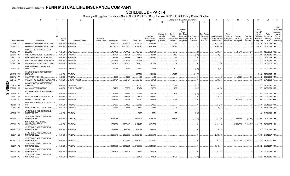# **SCHEDULE D - PART 4**

|                         |                             |           | 2                                                         |                      | -5                                                  | -6              |               | 8          | 9                  | 10             |                         |                    | Change in Book/Adjusted Carrying Value                           |                                  | 16                | 17                  | 18            | 19                | 20                                       | 21                          | 22                                                               |
|-------------------------|-----------------------------|-----------|-----------------------------------------------------------|----------------------|-----------------------------------------------------|-----------------|---------------|------------|--------------------|----------------|-------------------------|--------------------|------------------------------------------------------------------|----------------------------------|-------------------|---------------------|---------------|-------------------|------------------------------------------|-----------------------------|------------------------------------------------------------------|
|                         |                             |           |                                                           |                      |                                                     |                 |               |            |                    |                | 11                      | 12                 | 13<br>14                                                         | 15                               |                   |                     |               |                   |                                          |                             |                                                                  |
|                         |                             |           |                                                           |                      |                                                     |                 |               |            |                    | Prior Year     | Unrealized<br>Valuation | Current<br>Year's  | Current<br>Year's<br>Other-Than-<br>Total Change in<br>Temporary | <b>Total Foreign</b><br>Exchange | Book/Adjusted     | Foreign<br>Exchange | Realized      | <b>Total Gain</b> | Bond<br>Interest /<br>Stock<br>Dividends | Stated<br>Contractua        | <b>NAIC</b><br>Designation<br>and Admini-<br>strative<br>Symbol/ |
|                         |                             |           |                                                           | Disposal             |                                                     | Number of       |               |            |                    | Book/Adjusted  | Increase                | Amortization)      | <b>B./A.C.V.</b><br>Impairment                                   | Change in                        | Carrying Value at | Gain (Loss)         | Gain (Loss)   | (Loss) on         | Received                                 | Maturity                    | Market                                                           |
|                         | <b>CUSIP</b> Identification |           | Description                                               | Date                 | Name of Purchaser                                   | Shares of Stock | Consideration | Par Value  | <b>Actual Cost</b> | Carrying Value | (Decrease)              | / Accretion<br>.62 | $(11+12-13)$<br>Recognized                                       | <b>B./A.C.V.</b>                 | Disposal Date     | on Disposal         | on Disposal   | Disposal          | During Year                              | Date                        | Indicator (a)<br>1FM.                                            |
|                         | 30290H AG                   |           | FREMF 2012-K708 MORTGAGE TRUST                            | 01/01/2019.          | PAYDOWN.                                            |                 | .6,347,000    | .6,347,000 | .5,346,211         | .6,346,938     |                         |                    |                                                                  | .62                              | .6,347,000        |                     |               |                   |                                          | 19,415 02/01/2045.          |                                                                  |
|                         | 30290K AQ                   |           | FREMF 2012-K709 MORTGAGE TRUST                            |                      | 03/01/2019. PAYDOWN.                                |                 | .10,000,000   | 10,000,000 | .8,397,280         | .9,947,815     |                         | .52,185            | 52,185                                                           |                                  | .10,000,000       |                     |               |                   | .98,763                                  | 04/01/2045.                 | 1FM.                                                             |
|                         | 31739E AA                   |           | FINANCE AMER STRUCTURED 2.0<br>26DEC68                    | 03/25/2019.          | <b>CALL 100.</b>                                    |                 | .127,152      | 127,152    | 128,423            | 128,423        |                         |                    |                                                                  | (2                               | .128,421          |                     | (1,270)       | (1,270)           | .325                                     | 12/26/2068.                 | 1FE.                                                             |
|                         | 33767C AV                   |           | FIRSTKEY MORTGAGE TRUST 2015-1                            | 03/01/2019           | PAYDOWN.                                            |                 | .45,421       | .45,421    | .46,822            | .46,410        |                         | (2)<br>(989)       |                                                                  | . (989)                          | .45,421           |                     |               |                   | .298                                     | 03/01/2045.                 | 1FM.                                                             |
|                         | 33767C AW                   |           | FIRSTKEY MORTGAGE TRUST 2015-1.                           | 03/01/2019           | PAYDOWN.                                            |                 | .32,583       | .32,583    | 31,677             | .31,787        |                         | .796               |                                                                  | .796                             | .32,583           |                     |               |                   |                                          | .213 03/01/2045.            | 1FM.                                                             |
|                         | 33850T                      | AC        | FLAGSTAR MORTGAGE TRUST 2018-                             | 03/01/2019           | PAYDOWN.                                            |                 | .252,283      | 252,283    | .246,922           |                |                         | .5,361             |                                                                  | .5,361                           | .252,283          |                     |               |                   | 957                                      | 03/01/2048.                 | 1FE.                                                             |
|                         | 35040T                      | AA        | FOUNDATION FINANCE TRUST 2016-1                           |                      | 03/15/2019. PAYDOWN.                                |                 | .127,700      | 127,700    | 127,683            | 127,696        |                         |                    |                                                                  |                                  | 127,700           |                     |               |                   |                                          | 837 06/15/2035.             | 1FE.                                                             |
|                         |                             |           |                                                           |                      |                                                     |                 |               |            |                    |                |                         |                    |                                                                  |                                  |                   |                     |               |                   |                                          |                             |                                                                  |
|                         | 36186X AD                   |           | <b>GMAC COMMERCIAL MORTGAGE</b><br>ASSET CORP             |                      | 03/10/2019. PAYDOWN.                                |                 | 25,963        | .25,963    | .26,509            | .26,482        |                         | (520)              |                                                                  | (520)                            | .25,963           |                     |               |                   |                                          | .224 07/10/2050. 1FE.       |                                                                  |
|                         |                             |           | <b>GS MORTGAGE SECURITIES TRUST</b>                       |                      |                                                     |                 |               |            |                    |                |                         |                    |                                                                  |                                  |                   |                     |               |                   |                                          |                             |                                                                  |
|                         | 36192K AW                   |           | 2012-GCJ7                                                 | 03/01/2019.          | PAYDOWN.                                            |                 |               |            | .227,724           | .111,146       |                         | (3,277)            | (3,277)                                                          |                                  |                   |                     |               |                   |                                          | .9,946 05/01/2045.          | 1FE.                                                             |
|                         | 36244W AA                   |           | GSAMP TRUST 2006-S5.                                      | 03/25/2019           | PAYDOWN.                                            |                 | .2,723        | .2,723     | 98                 | 98             |                         |                    |                                                                  |                                  | .98               |                     | .2,625        | .2,625            |                                          | 09/25/2036.                 | 1FM                                                              |
|                         | 36249@ AA                   |           | GSA GTH I U S GOVT LEA 4.56 15MAY38                       |                      | 03/15/2019. SINKING PAYMENT                         |                 | .39,407       | .39,407    | .39,408            | .39,408        |                         |                    |                                                                  |                                  | .39,407           |                     |               |                   |                                          | 296 05/15/2038.             |                                                                  |
| O                       |                             |           | <b>GS MORTGAGE SECURITIES TRUST</b><br>2014-GC20          |                      |                                                     |                 |               |            | .25,796            | .16,097        |                         | (371)              |                                                                  | (371)                            |                   |                     |               |                   |                                          |                             |                                                                  |
| m                       | 36252W                      | AZ        |                                                           |                      | 03/01/2019. PAYDOWN.<br>03/09/2019. SINKING PAYMENT |                 | 68,700        | .68,700    |                    | .69,533        |                         |                    |                                                                  | (832)                            | 68,700            |                     |               |                   |                                          | .621 04/01/2047.            | 1FE.                                                             |
| $\overline{\mathbf{S}}$ | 36298G                      | AA        | <b>GSPA MONETIZATION TRUST.</b>                           |                      |                                                     |                 |               |            | .70,074            |                |                         | (832)              |                                                                  |                                  |                   |                     |               |                   |                                          | 737   10/09/2029. 2FE.      |                                                                  |
| $\infty$                | 36416U                      | <b>BG</b> | GALTON FUNDING MORTGAGE TRUST<br>2017-1                   | 03/01/2019.          | PAYDOWN.                                            |                 | .31,689       | .31,689    | .32,461            | .32,223        |                         | (535)              |                                                                  | (535                             | .31,689           |                     |               |                   | .201                                     | 07/01/2056.                 | 1FE.                                                             |
|                         | 36877*                      | AA        | GENCONN ENERGY LLC 4.73 25JUL41                           | 01/15/2019.          | <b>CALL 100.</b>                                    |                 | .118,421      | 118,421    | 118,421            | .118,421       |                         |                    |                                                                  |                                  | .118,421          |                     |               |                   |                                          | .2,645 07/25/2041.          | 1PL                                                              |
|                         | 393505                      | <b>NC</b> | CONSECO FINANCE CORP.                                     |                      | 03/15/2019. PAYDOWN.                                |                 | .116,338      | 131,212    | 128,290            |                |                         | 7,244              |                                                                  | .7,244                           | .131,212          |                     | (14,874)      | (14, 874)         |                                          | 1,708 07/15/2027. 6FE.      |                                                                  |
|                         |                             |           |                                                           |                      |                                                     |                 |               |            |                    | 123,968        |                         |                    |                                                                  |                                  |                   |                     |               |                   |                                          |                             |                                                                  |
|                         | 396789 FY                   |           | COMMERCIAL MORTGAGE TRUST 2004<br>GG1                     | 02/01/2019           | PAYDOWN.                                            |                 | 27,685        | 27,685     | .26,300            | 27,685         |                         |                    |                                                                  |                                  | 27,685            |                     |               |                   |                                          | .215 06/01/2036.            | 1FM.                                                             |
|                         | 440405                      | AF<br>-5  | HORIZON AIRCRAFT FINANCE I LTD.                           |                      | 03/15/2019. PAYDOWN.                                |                 | .25,641       | .25,641    | .25,640            | .25,640        |                         |                    |                                                                  |                                  | 25,641            |                     |               |                   | .338                                     | 12/15/2038. 2FE.            |                                                                  |
|                         |                             |           |                                                           |                      |                                                     |                 |               |            |                    |                |                         |                    |                                                                  |                                  |                   |                     |               |                   |                                          |                             |                                                                  |
|                         | 46590K AN                   |           | JP MORGAN CHASE COMMERCIAL<br>MORTGAGE SECU               |                      | 03/01/2019. PAYDOWN.                                |                 |               |            | .9,263             | .5,551         |                         | (105)              |                                                                  | (105)                            |                   |                     |               |                   |                                          | .260 01/01/2049. 1FE.       |                                                                  |
|                         |                             |           | <b>JP MORGAN CHASE COMMERCIAL</b>                         |                      |                                                     |                 |               |            |                    |                |                         |                    |                                                                  |                                  |                   |                     |               |                   |                                          |                             |                                                                  |
|                         | 46590R AG                   |           | <b>MORTGAGE SECU</b>                                      |                      | 02/14/2019. VARIOUS.                                |                 | .2,142,083    |            | .2,832,825         | .2,225,068     |                         | (37,518)           | (37, 518)                                                        |                                  | .2.187.550        |                     | (45,466)      | (45, 466)         |                                          | 81.308 08/01/2049. 1FE.     |                                                                  |
|                         |                             |           | MORTGAGE PASS THROUGH                                     |                      |                                                     |                 |               |            |                    |                |                         |                    |                                                                  |                                  |                   |                     |               |                   |                                          |                             |                                                                  |
|                         | 46625M DA                   |           | <b>CERTIFICATES SERIE</b>                                 |                      | 03/01/2019. PAYDOWN.                                |                 | .1,930,901    | .9,388,442 | .4,121,526         | .4,121,526     |                         |                    |                                                                  |                                  | .4,121,526        |                     | (2, 190, 625) | (2, 190, 625)     | .1,351,877                               | 04/01/2035. 1FM.            |                                                                  |
|                         |                             |           | <b>JP MORGAN CHASE COMMERCIAL</b>                         |                      |                                                     |                 |               |            |                    |                |                         |                    |                                                                  |                                  |                   |                     |               |                   |                                          |                             |                                                                  |
|                         | 46625Y CW                   |           | MORTGAGE SECU                                             |                      | 03/01/2019. PAYDOWN.                                |                 | 675,772       | .675,772   | .613,263           | .675,772       |                         |                    |                                                                  |                                  | 675,772           |                     |               | 0                 | 7,941                                    | 07/01/2041. 2FM.            |                                                                  |
|                         |                             |           | JP MORGAN CHASE COMMERCIAL                                |                      |                                                     |                 |               |            |                    |                |                         |                    |                                                                  |                                  |                   |                     |               |                   |                                          |                             |                                                                  |
|                         | 46625Y DG                   | - 5       | MORTGAGE SECU                                             |                      | 02/01/2019. PAYDOWN.                                |                 | .2,005,773    | .2,005,773 | .1,790,152         | .2,005,773     |                         |                    |                                                                  |                                  | .2,005,773        |                     |               | . . 0             |                                          | 11,203 01/01/2037. 1FM.     |                                                                  |
|                         | 46625Y QX                   |           | <b>JP MORGAN CHASE COMMERCIAL</b><br>MORTGAGE SECU        | 03/01/2019. VARIOUS. |                                                     |                 |               | 1,305,897  | .1,070,836         | .1,305,897     |                         |                    |                                                                  |                                  | .1,301,023        |                     | (1,301,023)   | (1,301,023)       |                                          | .5,859   09/01/2037. 4FM.   |                                                                  |
|                         | 46629P AE                   |           | <b>JP MORGAN CHASE COMMERCIAL</b><br><b>MORTGAGE SECU</b> |                      | 03/01/2019. PAYDOWN.                                |                 | .3,949,734    | .3,949,734 | .3,109,579         | .3,949,734     |                         |                    |                                                                  |                                  | .3,949,734        |                     |               |                   |                                          | 23,052 05/01/2047. 1FM.     |                                                                  |
|                         |                             |           |                                                           |                      |                                                     |                 |               |            |                    |                |                         |                    |                                                                  |                                  |                   |                     |               |                   |                                          |                             |                                                                  |
|                         | 46630J AE                   |           | <b>JP MORGAN CHASE COMMERCIAL</b><br>MORTGAGE SECU        |                      | 03/01/2019. PAYDOWN.                                |                 | 141,209       | 141,209    | .114,048           | 141,209        |                         |                    |                                                                  |                                  | 141,209           |                     |               |                   |                                          | .1,320   01/01/2049.   1FM. |                                                                  |
|                         | 46638U AE                   | - 6       | JP MORGAN CHASE COMMERCIAL<br>MORTGAGE SECU               |                      | 03/01/2019. PAYDOWN.                                |                 |               |            | 85.675             | 47.523         |                         | (1.498)            |                                                                  | (1.498)                          |                   |                     |               | $\mathbf{0}$      |                                          | .4.722 10/01/2045. 1FE.     |                                                                  |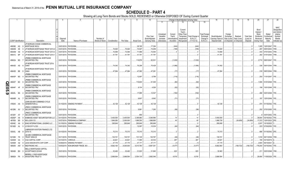# **SCHEDULE D - PART 4**

|        |                             |           | 2                                                                     |                          | -5                                | 6                            |                         | 8                        | 9                     | 10                                                   |                                                   |                                               | Change in Book/Adjusted Carrying Value                                                                                       |                                                                   | 16                                                                | 17                                 | 18                                     | 19                                         | 20                                                                  | 21                                       | 22                                                                                          |
|--------|-----------------------------|-----------|-----------------------------------------------------------------------|--------------------------|-----------------------------------|------------------------------|-------------------------|--------------------------|-----------------------|------------------------------------------------------|---------------------------------------------------|-----------------------------------------------|------------------------------------------------------------------------------------------------------------------------------|-------------------------------------------------------------------|-------------------------------------------------------------------|------------------------------------|----------------------------------------|--------------------------------------------|---------------------------------------------------------------------|------------------------------------------|---------------------------------------------------------------------------------------------|
|        |                             |           |                                                                       |                          |                                   |                              |                         |                          |                       |                                                      | 11                                                | 12                                            | 13<br>14                                                                                                                     | 15                                                                |                                                                   |                                    |                                        |                                            |                                                                     |                                          |                                                                                             |
|        | <b>CUSIP</b> Identification |           | Description                                                           | Disposal<br>Date         | Name of Purchaser                 | Number of<br>Shares of Stock | Consideration           | Par Value                | <b>Actual Cost</b>    | <b>Prior Year</b><br>Book/Adjusted<br>Carrying Value | Unrealized<br>Valuation<br>Increase<br>(Decrease) | Current<br>Year's<br>Amortization) Impairment | Current<br>Year's<br>Other-Than-<br>Total Change in<br>Temporary<br><b>B./A.C.V.</b><br>Accretion Recognized<br>$(11+12-13)$ | <b>Total Foreign</b><br>Exchange<br>Change in<br><b>B./A.C.V.</b> | Book/Adjusted<br>Carrying Value at<br>Disposal Date   on Disposal | Foreign<br>Exchange<br>Gain (Loss) | Realized<br>Gain (Loss)<br>on Disposal | <b>Total Gain</b><br>(Loss) on<br>Disposal | Bond<br>Interest /<br>Stock<br>Dividends<br>Received<br>During Year | Stated<br>Contractua<br>Maturity<br>Date | <b>NAIC</b><br>Designation<br>and Admini-<br>strative<br>Symbol/<br>Market<br>Indicator (a) |
|        |                             |           | <b>JP MORGAN CHASE COMMERCIAL</b>                                     |                          |                                   |                              |                         |                          |                       |                                                      |                                                   |                                               |                                                                                                                              |                                                                   |                                                                   |                                    |                                        |                                            |                                                                     |                                          |                                                                                             |
|        | 46639E AG                   |           | MORTGAGE SECU                                                         |                          | 03/01/2019. PAYDOWN.              |                              |                         |                          | .28,195               | 17,394                                               |                                                   | (444)                                         | (444)                                                                                                                        |                                                                   |                                                                   |                                    |                                        | 0                                          |                                                                     | 1,005 12/01/2047.                        | 1FE.                                                                                        |
|        | 46640B                      | AK        | JP MORGAN MORTGAGE TRUST 2013-                                        | 03/01/2019               | PAYDOWN.                          |                              | .74,024                 | 74,024                   | 74,527                | 74,209                                               |                                                   | (185)                                         | (185)                                                                                                                        |                                                                   | 74,024                                                            |                                    |                                        |                                            | 457                                                                 | 05/01/2043.                              | 1FM.                                                                                        |
|        | 46640M                      | AS        | JP MORGAN MORTGAGE TRUST 2013-                                        | 03/01/2019               | PAYDOWN.                          |                              | .72,069                 | .72,069                  | 71,966                | .72,064                                              |                                                   |                                               |                                                                                                                              |                                                                   | .72,069                                                           |                                    |                                        |                                            |                                                                     | 443 07/01/2043.                          | 1FM.                                                                                        |
|        | 46641C BP                   |           | JP MORGAN MORTGAGE TRUST 2014-                                        |                          | 03/01/2019. PAYDOWN.              |                              | .41,791                 | .41,791                  | 41,791                | .41,791                                              |                                                   |                                               |                                                                                                                              |                                                                   | .41,791                                                           |                                    |                                        |                                            |                                                                     | 262 01/01/2044.                          | 1FM                                                                                         |
|        | 46643A BG                   |           | <b>JPMBB COMMERCIAL MORTGAGE</b><br>SECURITIES TRU                    |                          | 03/01/2019. PAYDOWN.              |                              |                         |                          | 119,979               | .62,531                                              |                                                   | (1,030)                                       | (1,030)                                                                                                                      |                                                                   |                                                                   |                                    |                                        |                                            |                                                                     | .2,710   09/01/2047.   1FE.              |                                                                                             |
|        |                             | - 6       | JP MORGAN MORTGAGE TRUST 2014-                                        |                          |                                   |                              | 74.342                  |                          |                       |                                                      |                                                   |                                               |                                                                                                                              |                                                                   |                                                                   |                                    |                                        |                                            |                                                                     |                                          |                                                                                             |
|        | 46643D AS                   |           | OAK4                                                                  |                          | 03/01/2019. PAYDOWN.              |                              |                         | 74.342                   | 76,206                | .75,428                                              |                                                   | (1,086)                                       | (1,086)                                                                                                                      |                                                                   | 74,342                                                            |                                    |                                        |                                            |                                                                     | .338 09/01/2044.                         | 1FM                                                                                         |
|        | 46643D BE                   |           | JP MORGAN MORTGAGE TRUST 2014-<br>OAK4                                |                          | 03/01/2019. PAYDOWN.              |                              | .47,264                 | .47,264                  | .47,362               | .47,281                                              |                                                   | .(17                                          | (17)                                                                                                                         |                                                                   | .47,264                                                           |                                    |                                        |                                            |                                                                     | .318 09/01/2044. 1FM.                    |                                                                                             |
|        | 46643P BG                   |           | JPMBB COMMERCIAL MORTGAGE<br>SECURITIES TRU                           |                          | 03/01/2019. PAYDOWN.              |                              |                         |                          | 12,687                | .6,799                                               |                                                   | (116)                                         | (116)                                                                                                                        |                                                                   |                                                                   |                                    |                                        | . (                                        |                                                                     | .293 11/01/2047. 1FE.                    |                                                                                             |
|        | 46643T                      | BC        | <b>JPMBB COMMERCIAL MORTGAGE</b><br>SECURITIES TRU                    |                          | 03/01/2019. PAYDOWN.              |                              |                         |                          | 116,600               | .61,045                                              |                                                   | (82)                                          | (82)                                                                                                                         |                                                                   |                                                                   |                                    |                                        | . 0                                        |                                                                     | .1,500 01/01/2048. 1FE.                  |                                                                                             |
| QE05.9 | 46644F                      | AF        | <b>JPMBB COMMERCIAL MORTGAGE</b><br>SECURITIES TRU                    |                          | 03/01/2019. PAYDOWN.              |                              |                         |                          | .8,154                | .4,526                                               |                                                   | (92)                                          | (92)                                                                                                                         |                                                                   |                                                                   |                                    |                                        |                                            |                                                                     | .199   10/01/2048.   1FE.                |                                                                                             |
|        | 16645L                      | BA        | <b>JPMBB COMMERCIAL MORTGAGE</b><br><b>SECURITIES TRU</b>             |                          | 03/01/2019. PAYDOWN.              |                              |                         |                          | 17,995                | 12,547                                               |                                                   | (182)                                         | (182)                                                                                                                        |                                                                   |                                                                   |                                    |                                        |                                            |                                                                     | .466   03/01/2049.   1FE.                |                                                                                             |
|        | 46646R AL                   |           | JPMDB COMMERCIAL MORTGAGE<br>SECURITIES TRU                           |                          | 03/01/2019. PAYDOWN.              |                              |                         |                          | 8,807                 | .6,942                                               |                                                   | (71)                                          | .71                                                                                                                          |                                                                   |                                                                   |                                    |                                        |                                            |                                                                     | .197   12/01/2049.   1FE.                |                                                                                             |
|        | 478045 AA                   |           | JOHN SEVIER COMBINED CYCLE<br><b>GENERATION LL</b>                    |                          | 01/15/2019. SINKING PAYMENT       |                              | .42,128                 | .42,128                  | 42,128                | 42,128                                               |                                                   |                                               |                                                                                                                              |                                                                   | .42,128                                                           |                                    |                                        |                                            |                                                                     | .974   01/15/2042. 1FE.                  |                                                                                             |
|        | 48128K AV                   |           | JPMCC COMMERCIAL MORTGAGE<br>SECURITIES TRU                           |                          | 03/01/2019. PAYDOWN.              |                              |                         |                          | .8,981                | .7,265                                               |                                                   | (96)                                          | (96)                                                                                                                         |                                                                   |                                                                   |                                    |                                        |                                            |                                                                     | .252 07/01/2050. 1FE.                    |                                                                                             |
|        |                             |           | <b>JPMCC COMMERCIAL MORTGAGE</b>                                      |                          |                                   |                              |                         |                          |                       |                                                      |                                                   |                                               |                                                                                                                              |                                                                   |                                                                   |                                    |                                        |                                            |                                                                     |                                          |                                                                                             |
|        | 48128Y AY                   |           | SECURITIES TRU                                                        | 03/01/2019.              | PAYDOWN.                          |                              |                         |                          | 859                   |                                                      |                                                   | 12                                            |                                                                                                                              |                                                                   |                                                                   |                                    |                                        | C                                          |                                                                     | 03/01/2052.                              | 1FE.                                                                                        |
|        | 48283P<br>487836            | AA<br>BS  | KABBAGE ASSET SECURITIZATION LLO<br>KELLOGG CO.                       | 03/15/2019<br>03/27/2019 | PAYDOWN<br>PERSHING & COMPANY     |                              | .3,400,000<br>1,964,080 | .3,400,000<br>.2,000,000 | .3,399,980            | .3,399,986<br>1,998,695                              |                                                   | .45                                           | .14<br>.45                                                                                                                   |                                                                   | .3,400,000<br>1,998,739                                           |                                    |                                        | (34, 659)                                  | .38,854                                                             | 03/15/2022.                              | 1FE.<br>2FE.                                                                                |
|        | 49549C                      | AA        | KING INTERNATIONAL LEASING LLC.                                       | 01/15/2019               | <b>SINKING PAYMENT</b>            |                              | 295,849                 | .295,849                 | 1,998,200<br>.295,849 | .295,849                                             |                                                   |                                               | 0.5                                                                                                                          |                                                                   | 295,849                                                           |                                    | (34,659)                               |                                            | .2.037                                                              | .17,372 12/01/2023.<br>10/15/2022.       |                                                                                             |
|        | 50190D AL                   |           | CCM 2017-LC26                                                         |                          | 03/01/2019. PAYDOWN.              |                              |                         |                          | 12,097                | .10,034                                              |                                                   | (64)                                          | (64)                                                                                                                         |                                                                   |                                                                   |                                    |                                        |                                            | .223                                                                | 07/03/2050.                              | 1FE.                                                                                        |
|        |                             |           |                                                                       |                          |                                   |                              |                         |                          |                       |                                                      |                                                   |                                               |                                                                                                                              |                                                                   |                                                                   |                                    |                                        |                                            |                                                                     |                                          |                                                                                             |
|        | 50543L AB                   | - 8       | ABRADOR AVIATION FINANCE LTD<br>2016-1A                               |                          | 03/15/2019. PAYDOWN.              |                              | 70,313                  | 70,313                   | 70,310                | 70,310                                               |                                                   |                                               |                                                                                                                              |                                                                   | 70,313                                                            |                                    |                                        |                                            |                                                                     | .666   01/15/2042. 2FE.                  |                                                                                             |
|        | 52108H                      | F8        | <b>LB-UBS COMMERCIAL MORTGAGE</b><br><b>TRUST 2004-C4</b>             |                          | 03/11/2019. PAYDOWN.              |                              | .130,721                | 130,721                  | 131,129               | 130,767                                              |                                                   | (46)                                          | (46)                                                                                                                         |                                                                   | .130,721                                                          |                                    |                                        | . (                                        |                                                                     | .1,516 06/11/2036.                       |                                                                                             |
|        | 52465#                      | AA        | CGA CAPITAL CORP.                                                     | 03/10/2019.              | VARIOUS.                          |                              | .22,621                 | 22,621                   | .11,085               | .22,334                                              |                                                   | .287                                          | .287                                                                                                                         |                                                                   | .22,621                                                           |                                    |                                        |                                            | 190                                                                 | 03/10/2019                               |                                                                                             |
|        | 52465#                      | AZ<br>- 8 | LEGG MASON MTG CAP CORP                                               | 03/08/2019.              | <b>SINKING PAYMENT</b>            |                              | .47,170                 | .47,170                  | 47,171                | .47,171                                              |                                                   | (1                                            | (*                                                                                                                           |                                                                   | 47,170                                                            |                                    |                                        |                                            | .2,804                                                              | 06/10/2021                               |                                                                                             |
|        | 585055                      | AW        | MEDTRONIC INC.                                                        |                          | 03/05/2019. NON-BROKER TRADE, BO. |                              | .8,692,160              | .8,000,000               | .9,015,760            | .8,887,361                                           |                                                   | (4, 477)                                      | (4, 477)                                                                                                                     |                                                                   | .8,882,883                                                        |                                    | (190,723)                              | (190, 723)                                 |                                                                     | 176,000 03/15/2042. 1FE.                 |                                                                                             |
|        | 585498 BH                   |           | <b>MELLO MORTGAGE CAPITAL</b><br>ACCEPTANCE 2018-M                    |                          | 03/01/2019. PAYDOWN               |                              | .32,463                 | .32,463                  | 31,823                | 31,840                                               |                                                   | 623                                           | .623                                                                                                                         |                                                                   | .32,463                                                           |                                    |                                        |                                            |                                                                     | .211 05/01/2048. 1FM.                    |                                                                                             |
|        | 589929 PX                   |           | <b>MERRILL LYNCH MORTGAGE</b><br><b>INVESTORS TRUST S</b><br>$\Omega$ |                          | 03/05/2019. PAYDOWN.              |                              | 2.688.564               | 2.688.564                | 2.554.135             | 2.682.046                                            |                                                   | 6.518                                         | .6.518                                                                                                                       |                                                                   | 2.688.564                                                         |                                    |                                        | $\Omega$                                   |                                                                     | .29.484 11/05/2026. 1FE.                 |                                                                                             |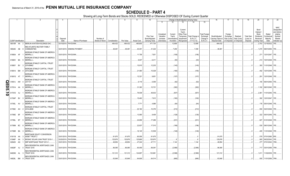# **SCHEDULE D - PART 4**

|            |           |                             |                                                           |          |                             |                 |               | 8         | 9                  | 10 <sup>°</sup>             |                                     |                                    | Change in Book/Adjusted Carrying Value                      |                                     |                                               | 16                                 | 17                  | 18                                    | 19                             | 20                                                   | 21                               | 22                                                                         |
|------------|-----------|-----------------------------|-----------------------------------------------------------|----------|-----------------------------|-----------------|---------------|-----------|--------------------|-----------------------------|-------------------------------------|------------------------------------|-------------------------------------------------------------|-------------------------------------|-----------------------------------------------|------------------------------------|---------------------|---------------------------------------|--------------------------------|------------------------------------------------------|----------------------------------|----------------------------------------------------------------------------|
|            |           |                             |                                                           |          |                             |                 |               |           |                    |                             | 11                                  | 12                                 | 13                                                          | 14                                  | 15                                            |                                    |                     |                                       |                                |                                                      |                                  |                                                                            |
|            |           |                             |                                                           | Disposal |                             | Number of       |               |           |                    | Prior Year<br>Book/Adjusted | Unrealized<br>Valuation<br>Increase | Current<br>Year's<br>Amortization) | Current<br>Year's<br>Other-Than-<br>Temporary<br>Impairment | Total Change in<br><b>B./A.C.V.</b> | <b>Total Foreign</b><br>Exchange<br>Change in | Book/Adjusted<br>Carrying Value at | Foreign<br>Exchange | Realized<br>Gain (Loss)   Gain (Loss) | <b>Total Gain</b><br>(Loss) on | Bond<br>Interest /<br>Stock<br>Dividends<br>Received | Stated<br>Contractua<br>Maturity | <b>NAIC</b><br>Designation<br>and Admini-<br>strative<br>Symbol/<br>Market |
|            |           | <b>CUSIP</b> Identification | Description                                               | Date     | Name of Purchaser           | Shares of Stock | Consideration | Par Value | <b>Actual Cost</b> | <b>Carrying Value</b>       | (Decrease)                          | / Accretion                        | Recognized                                                  | $(11+12-13)$                        | B./A.C.V.                                     | Disposal Date                      |                     | on Disposal on Disposal               | Disposal                       | During Year                                          | Date                             | Indicator (a)                                                              |
|            |           | 59010R AA 2                 | MERLIN AVIATION HOLDINGS DAC.                             |          | 03/15/2019. PAYDOWN.        |                 | .484,432      | .484,432  | .465,805           | 471,734                     |                                     | 12,699                             |                                                             | 12,699                              |                                               | 484,432                            |                     |                                       | - 0                            |                                                      | $2,703$ 12/15/2032.              | 1FE                                                                        |
|            |           |                             |                                                           |          |                             |                 |               |           |                    |                             |                                     |                                    |                                                             |                                     |                                               |                                    |                     |                                       |                                |                                                      |                                  |                                                                            |
|            | 59524E AB |                             | MID-ATLANTIC MILITARY FAMILY<br><b>COMMUNITIES</b>        |          | 02/01/2019. SINKING PAYMENT |                 | 48,481        | .48,481   | 40,491             | .41,222                     |                                     | 7,259                              |                                                             | .7,259                              |                                               | .48,481                            |                     |                                       |                                |                                                      | .1,270   08/01/2050.   1FE       |                                                                            |
|            |           |                             | MORGAN STANLEY BANK OF AMERICA                            |          |                             |                 |               |           |                    |                             |                                     |                                    |                                                             |                                     |                                               |                                    |                     |                                       |                                |                                                      |                                  |                                                                            |
|            | 61690A AF |                             | <b>MERRILL L</b>                                          |          | 03/01/2019. PAYDOWN         |                 |               |           | 11,706             | 7,831                       |                                     | (106)                              |                                                             | (106)                               |                                               |                                    |                     |                                       |                                |                                                      | .271   12/01/2047.   1FE.        |                                                                            |
|            |           |                             | MORGAN STANLEY BANK OF AMERICA                            |          |                             |                 |               |           |                    |                             |                                     |                                    |                                                             |                                     |                                               |                                    |                     |                                       |                                |                                                      |                                  |                                                                            |
|            | 61690V BA |                             | <b>MERRILL L</b>                                          |          | 03/01/2019. PAYDOWN.        |                 |               |           | .9,407             | .6,411                      |                                     | (93)                               |                                                             | (93)                                |                                               |                                    |                     |                                       |                                |                                                      | .213   10/01/2048.   1FE.        |                                                                            |
|            |           |                             |                                                           |          |                             |                 |               |           |                    |                             |                                     |                                    |                                                             |                                     |                                               |                                    |                     |                                       |                                |                                                      |                                  |                                                                            |
|            | 61690Y BV |                             | MORGAN STANLEY CAPITAL I TRUST<br>2016-BNK2               |          | 03/01/2019. PAYDOWN         |                 |               |           | 15,915             | 12,203                      |                                     | (145)                              |                                                             | (145)                               |                                               |                                    |                     |                                       |                                |                                                      | .393   11/01/2049.   1FE.        |                                                                            |
|            |           |                             | MORGAN STANLEY CAPITAL I TRUST                            |          |                             |                 |               |           |                    |                             |                                     |                                    |                                                             |                                     |                                               |                                    |                     |                                       |                                |                                                      |                                  |                                                                            |
|            | 61691A BM |                             | 2015-UBS8                                                 |          | 03/01/2019. PAYDOWN         |                 |               |           | 21,580             | 15,028                      |                                     | (185)                              |                                                             | (185)                               |                                               |                                    |                     |                                       |                                |                                                      | .492 12/01/2048. 1FE.            |                                                                            |
|            |           |                             |                                                           |          |                             |                 |               |           |                    |                             |                                     |                                    |                                                             |                                     |                                               |                                    |                     |                                       |                                |                                                      |                                  |                                                                            |
|            | 61691G AT |                             | MORGAN STANLEY BANK OF AMERICA<br><b>MERRILL L</b>        |          | 03/01/2019. PAYDOWN.        |                 |               |           | 12,321             | 9,651                       |                                     | (107)                              |                                                             | (107)                               |                                               |                                    |                     |                                       |                                |                                                      | .291   12/01/2049.   1FE.        |                                                                            |
|            |           |                             |                                                           |          |                             |                 |               |           |                    |                             |                                     |                                    |                                                             |                                     |                                               |                                    |                     |                                       |                                |                                                      |                                  |                                                                            |
|            | 61691J AW |                             | MORGAN STANLEY CAPITAL I TRUST<br>2017-H1                 |          | 03/01/2019. PAYDOWN.        |                 |               |           | .6,118             | .5,059                      |                                     | (62)                               |                                                             | (62)                                |                                               |                                    |                     |                                       |                                |                                                      | .155   06/01/2050.   1FE.        |                                                                            |
| <u>ရ</u>   |           |                             |                                                           |          |                             |                 |               |           |                    |                             |                                     |                                    |                                                             |                                     |                                               |                                    |                     |                                       |                                |                                                      |                                  |                                                                            |
|            | 61761A    | AA                          | <b>IORGAN STANLEY BANK OF AMERICA</b><br><b>MERRILL L</b> |          | 03/01/2019. PAYDOWN.        |                 |               |           | 31,383             | .15,701                     |                                     | (382)                              |                                                             | (382)                               |                                               |                                    |                     |                                       |                                |                                                      | .1,192 08/01/2045. 1FE.          |                                                                            |
| <b>OS.</b> |           |                             |                                                           |          |                             |                 |               |           |                    |                             |                                     |                                    |                                                             |                                     |                                               |                                    |                     |                                       |                                |                                                      |                                  |                                                                            |
| ∸          | 61761D AJ |                             | MORGAN STANLEY BANK OF AMERICA<br><b>MERRILL L</b>        |          | 03/01/2019. PAYDOWN.        |                 |               |           | 78,538             | .48,632                     |                                     | (507)                              |                                                             | (507)                               |                                               |                                    |                     |                                       |                                |                                                      | 2,361   11/01/2045.   1FE.       |                                                                            |
| $\bullet$  |           |                             |                                                           |          |                             |                 |               |           |                    |                             |                                     |                                    |                                                             |                                     |                                               |                                    |                     |                                       |                                |                                                      |                                  |                                                                            |
|            | 61764P BV |                             | MORGAN STANLEY BANK OF AMERICA<br><b>MERRILL L</b>        |          | 03/01/2019. PAYDOWN.        |                 |               |           | 15,463             | 7,612                       |                                     | (160)                              |                                                             | (160)                               |                                               |                                    |                     |                                       |                                |                                                      | .392 12/01/2047. 1FE.            |                                                                            |
|            |           |                             |                                                           |          |                             |                 |               |           |                    |                             |                                     |                                    |                                                             |                                     |                                               |                                    |                     |                                       |                                |                                                      |                                  |                                                                            |
|            |           | 61765L AV 2                 | MORGAN STANLEY BANK OF AMERICA<br><b>MERRILL L</b>        |          | 03/01/2019. PAYDOWN.        |                 |               |           | .7,771             | .4,988                      |                                     | (64)                               |                                                             | (64)                                |                                               |                                    |                     |                                       |                                |                                                      | .176   05/01/2048.   1FE.        |                                                                            |
|            |           |                             |                                                           |          |                             |                 |               |           |                    |                             |                                     |                                    |                                                             |                                     |                                               |                                    |                     |                                       |                                |                                                      |                                  |                                                                            |
|            | 61766C AH |                             | MORGAN STANLEY CAPITAL I TRUST<br>2016-UBS9               |          |                             |                 |               |           | .22,182            | 15,376                      |                                     | (212)                              |                                                             | (212)                               |                                               |                                    |                     |                                       |                                |                                                      | .550 03/01/2049. 1FE.            |                                                                            |
|            |           |                             |                                                           |          | 03/01/2019. PAYDOWN.        |                 |               |           |                    |                             |                                     |                                    |                                                             |                                     |                                               |                                    |                     |                                       |                                |                                                      |                                  |                                                                            |
|            | 61766E BF |                             | MORGAN STANLEY BANK OF AMERICA<br><b>MERRILL L</b>        |          | 03/01/2019. PAYDOWN.        |                 |               |           | 13,090             | .9,409                      |                                     | (128)                              |                                                             | (128)                               |                                               |                                    |                     |                                       |                                |                                                      | .322 05/01/2049. 1FE.            |                                                                            |
|            |           |                             |                                                           |          |                             |                 |               |           |                    |                             |                                     |                                    |                                                             |                                     |                                               |                                    |                     |                                       |                                |                                                      |                                  |                                                                            |
|            | 61766L BT |                             | <b>MORGAN STANLEY BANK OF AMERICA</b><br><b>MERRILL L</b> |          | 03/01/2019. PAYDOWN.        |                 |               |           | .24,656            | .17,286                     |                                     |                                    |                                                             |                                     |                                               |                                    |                     |                                       |                                |                                                      | .627 01/01/2049. 1FE.            |                                                                            |
|            |           |                             |                                                           |          |                             |                 |               |           |                    |                             |                                     | (231)                              |                                                             | (231)                               |                                               |                                    |                     |                                       |                                |                                                      |                                  |                                                                            |
|            | 61766N BC |                             | <b><i>IORGAN STANLEY BANK OF AMERICA</i></b>              |          |                             |                 |               |           | .22,837            |                             |                                     |                                    |                                                             |                                     |                                               |                                    |                     |                                       |                                |                                                      |                                  |                                                                            |
|            |           |                             | <b>MERRILL L</b>                                          |          | 03/01/2019. PAYDOWN         |                 |               |           |                    | .17,510                     |                                     | (196)                              |                                                             | (196)                               |                                               |                                    |                     |                                       |                                |                                                      | .530 09/01/2049. 1FE.            |                                                                            |
|            | 61766R BA |                             | MORGAN STANLEY BANK OF AMERICA<br><b>MERRILL L</b>        |          |                             |                 |               |           |                    | 12,509                      |                                     |                                    |                                                             |                                     |                                               |                                    |                     |                                       |                                |                                                      | .405   11/01/2049.   1FE.        |                                                                            |
|            |           |                             |                                                           |          | 03/01/2019. PAYDOWN.        |                 |               |           | 16,145             |                             |                                     | (149)                              |                                                             | (149)                               |                                               |                                    |                     |                                       |                                |                                                      |                                  |                                                                            |
|            |           |                             | <b>MORTGAGE EQUITY CONVERSION</b>                         |          |                             |                 |               |           |                    |                             |                                     |                                    |                                                             |                                     |                                               |                                    |                     |                                       |                                |                                                      |                                  |                                                                            |
|            | 61911B AA |                             | ASSET TRUST 2                                             |          | 03/01/2019. PAYDOWN.        |                 | .91,675       | .91,675   | .90,056            | .91,675                     |                                     |                                    |                                                             |                                     |                                               | .91,675                            |                     |                                       |                                |                                                      | .579 07/01/2060. 5FE.            |                                                                            |
|            | 61946F AA |                             | MOSAIC SOLAR LOAN TRUST 2018-1.                           |          | 03/20/2019. PAYDOWN.        |                 | 125,876       | 125,876   | 125,869            | 125,870                     |                                     |                                    |                                                             |                                     |                                               | 125,876                            |                     |                                       |                                |                                                      | .905   06/22/2043.   1FE.        |                                                                            |
|            | 62942K AG |                             | NRP MORTGAGE TRUST 2013-1.                                |          | 03/01/2019. PAYDOWN.        |                 | 48,854        | .48,854   | .47,244            | .47,711                     |                                     | .1,144                             |                                                             | 1,144                               |                                               | .48,854                            |                     |                                       |                                |                                                      | .277 07/01/2043. 1FM.            |                                                                            |
|            |           |                             | NEW RESIDENTIAL MORTGAGE LOAN                             |          |                             |                 |               |           |                    |                             |                                     |                                    |                                                             |                                     |                                               |                                    |                     |                                       |                                |                                                      |                                  |                                                                            |
|            |           | 64829F AJ 0                 | <b>TRUST 2016</b>                                         |          | 03/01/2019. PAYDOWN.        |                 | .86,085       | .86,085   | .90,059            | .89,081                     |                                     | (2,996)                            |                                                             | (2,996)                             |                                               | .86,085                            |                     |                                       |                                |                                                      | .717   03/01/2056.   1FM.        |                                                                            |
|            |           |                             | <b>NEW RESIDENTIAL MORTGAGE LOAN</b>                      |          |                             |                 |               |           |                    |                             |                                     |                                    |                                                             |                                     |                                               |                                    |                     |                                       |                                |                                                      |                                  |                                                                            |
|            | 64829G AL |                             | <b>TRUST 2016</b>                                         |          | 03/01/2019. PAYDOWN.        |                 | .121,312      | 121,312   | 124,897            | 123,881                     |                                     | (2, 568)                           |                                                             | (2,568)                             |                                               | .121,312                           |                     |                                       |                                |                                                      | 1,011   11/02/2035.   1FE.       |                                                                            |
|            |           |                             | NEW RESIDENTIAL MORTGAGE LOAN                             |          |                             |                 |               |           |                    |                             |                                     |                                    |                                                             |                                     |                                               |                                    |                     |                                       |                                |                                                      |                                  |                                                                            |
|            | 64829L BM | -9                          | TRUST 2016                                                |          | 03/01/2019. PAYDOWN.        |                 | 63.848        | .63.848   | 64.606             | .64.514                     |                                     | (666)                              |                                                             | (666)                               |                                               | .63.848                            |                     |                                       | $\Omega$ .                     |                                                      | .555 11/01/2056. 1FM.            |                                                                            |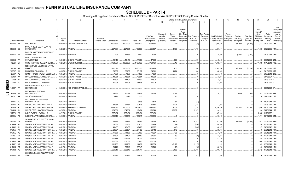|              |                             |           |    | 2                                  |             | - 5                    | - 6             |               | 8           | -9                 | 10                    |            |              | Change in Book/Adjusted Carrying Value |                  |                      | 16                | 17          | 18          | 19                | 20          | 21                          | 22               |
|--------------|-----------------------------|-----------|----|------------------------------------|-------------|------------------------|-----------------|---------------|-------------|--------------------|-----------------------|------------|--------------|----------------------------------------|------------------|----------------------|-------------------|-------------|-------------|-------------------|-------------|-----------------------------|------------------|
|              |                             |           |    |                                    |             |                        |                 |               |             |                    |                       | 11         | 12           | 13                                     | 14               | 15                   |                   |             |             |                   |             |                             |                  |
|              |                             |           |    |                                    |             |                        |                 |               |             |                    |                       |            |              |                                        |                  |                      |                   |             |             |                   |             |                             |                  |
|              |                             |           |    |                                    |             |                        |                 |               |             |                    |                       |            |              |                                        |                  |                      |                   |             |             |                   |             |                             | <b>NAIC</b>      |
|              |                             |           |    |                                    |             |                        |                 |               |             |                    |                       |            |              | Current                                |                  |                      |                   |             |             |                   | Bond        |                             | Designation      |
|              |                             |           |    |                                    |             |                        |                 |               |             |                    |                       |            |              | Year's                                 |                  |                      |                   |             |             |                   | Interest /  |                             | and Admini-      |
|              |                             |           |    |                                    |             |                        |                 |               |             |                    |                       | Unrealized | Current      | Other-Than-                            |                  | <b>Total Foreigr</b> |                   | Foreign     |             |                   | Stock       | Stated                      | strative         |
|              |                             |           |    |                                    |             |                        |                 |               |             |                    | Prior Year            | Valuation  | Year's       | Temporary                              | Total Change in  | Exchange             | Book/Adjusted     | Exchange    | Realized    | <b>Total Gain</b> | Dividends   | Contractua                  | Symbol/          |
|              |                             |           |    |                                    | Disposal    |                        | Number of       |               |             |                    | Book/Adjusted         | Increase   | Amortization | Impairment                             | <b>B./A.C.V.</b> | Change in            | Carrying Value at | Gain (Loss) | Gain (Loss) | (Loss) on         | Received    | Maturity                    | Market           |
|              | <b>CUSIP</b> Identification |           |    | Description                        | Date        | Name of Purchaser      | Shares of Stock | Consideration | Par Value   | <b>Actual Cost</b> | <b>Carrying Value</b> | (Decrease) | / Accretion  | Recognized                             | $(11+12-13)$     | <b>B./A.C.V.</b>     | Disposal Date     | on Disposal | on Disposal | Disposal          | During Year | Date                        | Indicator (a)    |
|              | 65473Q BE                   |           |    | NISOURCE INC                       | 03/05/2019. | DEUTSCHE BANC/ALEX B   |                 | .2,901,690    | 0.3,000,000 | 2,999,520          | .2,999,564            |            | (14)         |                                        | (14              |                      | .2,999,550        |             | . (97, 860) | (97,860)          |             | .32,573 05/15/2027.         | 2FE.             |
|              |                             |           |    | <b>NOMURA HOME EQUITY LOAN INC</b> |             |                        |                 |               |             |                    |                       |            |              |                                        |                  |                      |                   |             |             |                   |             |                             |                  |
|              | 65536H BE                   |           |    | <b>HOME EQUITY</b>                 |             | 03/25/2019. PAYDOWN    |                 | .227,301      | .227,301    | 152,860            | .225,597              |            | .1,703       |                                        | .1,703           |                      | .227,301          |             |             | 0                 |             | .1,080   09/25/2035.   1FM. |                  |
|              |                             |           |    |                                    |             |                        |                 |               |             |                    |                       |            |              |                                        |                  |                      |                   |             |             |                   |             |                             |                  |
|              |                             |           |    | NOMURA ASSET ACCEPTANCE CORP       |             |                        |                 |               |             |                    |                       |            |              |                                        |                  |                      |                   |             |             |                   |             |                             |                  |
|              | 65536W AA                   |           |    | <b>ALTERNATIVE</b>                 |             | 03/25/2019. PAYDOWN.   |                 | (401          | .12,969     | .4,060             | .4,060                |            |              |                                        |                  |                      | .4,060            |             | (4,461)     | (4,461)           |             | 08/25/2036. 1FM.            |                  |
|              |                             |           |    | OFFUTT AFB AMERICA FIRST           |             |                        |                 |               |             |                    |                       |            |              |                                        |                  |                      |                   |             |             |                   |             |                             |                  |
|              | 67085K AA                   |           |    | <b>COMMUNITY LLC</b>               | 03/01/2019  | <b>SINKING PAYMENT</b> |                 | .18,413       | .18,413     | .17,585            | .17,604               |            | .809         |                                        | .809             |                      | .18,413           |             |             | . . 0             | .503        | 09/01/2050.                 | 2FE.             |
|              | 68233J BF                   |           |    | ONCOR ELECTRIC DELIVERY CO LLC.    | 01/24/2019. | <b>EXCHANGE OFFER</b>  |                 | .1,498,391    | 1,500,000   | 1,498,530          | 1,498,404             |            | (13)         |                                        | (13)             |                      | 1,498,391         |             |             | 0                 |             | .11,788   11/15/2048. 1FE.  |                  |
|              |                             |           |    | PENSKE TRUCK LEASING CO LP / PTL   |             |                        |                 |               |             |                    |                       |            |              |                                        |                  |                      |                   |             |             |                   |             |                             |                  |
|              | 709599 AZ                   |           |    | <b>FINANCE</b>                     | 03/18/2019. | JEFFERIES & COMPANY    |                 | .2,977,590    | 3,000,000   | 2,988,360          | 2,989,418             |            | .436         |                                        | .436             |                      | .2,989,854        |             | (12,264)    | (12, 264)         |             | .62,542 03/10/2025. 2FE.    |                  |
|              | 72650T                      | AA        |    | PLAINS END FINANCING LLC.          | 01/15/2019  | <b>SINKING PAYMENT</b> |                 | .66,635       | .66,635     | .63,137            | .64,811               |            | .1,824       |                                        | .1,824           |                      | .66,635           |             |             | 0                 | .1,001      | 04/15/2028.                 | 3FE.             |
|              | 72703P                      | AB        |    | PLANET FITNESS MASTER ISSUER LLC   | 03/05/2019. | PAYDOWN.               |                 | .7,500        | .7,500      | .7,500             | .7,500                |            |              |                                        |                  |                      | .7,500            |             |             | 0                 | .87         | 09/05/2048.                 |                  |
|              |                             |           |    |                                    |             |                        |                 |               |             |                    |                       |            |              |                                        |                  |                      |                   |             |             |                   |             |                             |                  |
|              | 73019#                      | AA        |    | PNC EQUIP FIN LLC 3.0 13SEP27      | 03/13/2019  | <b>SINKING PAYMENT</b> |                 | .43,264       | .43,264     | .43,264            | .43,264               |            |              |                                        |                  |                      | 43,264            |             |             | 0                 |             | 09/13/2027                  |                  |
|              | 73019#                      | AB        |    | PNC EQUIP FIN LLC 3.0 13SEP27      | 03/13/2019  | <b>SINKING PAYMENT</b> |                 | .44,892       | .44,892     | .44,892            | .44,892               |            |              |                                        |                  |                      | 44,892            |             |             | . . 0             |             | 09/13/2027                  |                  |
| <u>ရ</u>     | 73019#                      | AC        |    | PNC EQUIP FIN LLC 3.0 13SEP27.     | 03/13/2019. | <b>SINKING PAYMENT</b> |                 | .41,008       | .41,008     | .41,008            | .41,008               |            |              |                                        |                  |                      | .41,008           |             |             | $\cdot$ .0        |             | 09/13/2027.                 |                  |
|              |                             |           |    | PRUDENTIAL HOME MORTGAGE           |             |                        |                 |               |             |                    |                       |            |              |                                        |                  |                      |                   |             |             |                   |             |                             |                  |
| $\mathbf{S}$ | 743947                      | AA        |    | SECURITIES CO I                    | 03/28/2019. | NON-BROKER TRADE, BO.  |                 |               |             |                    |                       |            |              |                                        |                  |                      |                   |             |             | 0                 |             | .46 08/01/2022.             |                  |
|              |                             |           |    | RITE AID PASS THROUGH              |             |                        |                 |               |             |                    |                       |            |              |                                        |                  |                      |                   |             |             |                   |             |                             |                  |
|              | 767759                      | AB        |    | <b>CERTIFICATES</b>                | 03/01/2019  | PAYDOWN.               |                 | .76,260       | .70,791     | .38,404            | .63,593               |            | .7,197       |                                        | .7,197           |                      | .70,791           |             | .5,469      | .5,469            |             | .802 01/01/2021.            | 4FE.             |
|              | 784037                      | AA        |    | SCF RC FUNDING II LLC.             | 03/25/2019. | PAYDOWN.               |                 | .5,223        | .5,223      | .5,203             |                       |            | .20          |                                        | 20               |                      | .5,223            |             |             | 0                 | .18         | 06/25/2047. 1FE.            |                  |
|              |                             |           |    |                                    |             |                        |                 |               |             |                    |                       |            |              |                                        |                  |                      |                   |             |             |                   |             |                             |                  |
|              |                             |           |    | SG COMMERCIAL MORTGAGE             |             |                        |                 |               |             |                    |                       |            |              |                                        |                  |                      |                   |             |             |                   |             |                             |                  |
|              | 78419C AG                   |           |    | <b>SECURITIES TRUST</b>            | 03/01/2019. | PAYDOWN.               |                 |               |             | .8,965             | .6,529                |            | (87)         |                                        | (87)             |                      |                   |             |             | . . 0             | .230        | 10/01/2048.                 | 1FE.             |
|              | 78442G                      | - FJ      |    | SLM STUDENT LOAN TRUST 2003-1      | 03/17/2019  | PAYDOWN.               |                 | .32,984       | .32,984     | .30,675            | .30,881               |            | .2,104       |                                        | .2,104           |                      | .32,984           |             |             | $\cdot$ .0        | .273        | 06/15/2037.                 | I <sub>2FE</sub> |
|              | 78442G                      | <b>RJ</b> |    | SLM STUDENT LOAN TRUST 2005-10     | 01/10/2019  | PERSHING & COMPANY     |                 | 4,998,047     | 5,000,000   | 4,625,000          | 4,784,741             |            | .1,705       |                                        | 1,705            |                      | 4,786,446         |             | 211,601     | 211,601           | .31,049     | 10/26/2026.                 | 1AM.             |
|              | 78443B                      | AK        |    | SLM STUDENT LOAN TRUST 2006-10.    | 01/25/2019  | PAYDOWN.               |                 | .134,831      | 134,831     | .119,494           | .121,844              |            | 12,987       |                                        | .12,987          |                      | .134,831          |             |             |                   | .934        | 03/25/2044.                 |                  |
|              | 797224                      | <b>AC</b> |    | SAN CLEMENTE LEASING LLC.          | 02/22/2019  | <b>SINKING PAYMENT</b> |                 | .337,484      | .337,484    | .337,484           | .337,484              |            |              |                                        |                  |                      | .337,484          |             |             |                   | .2,556      | 11/22/2022.                 |                  |
|              | 80306A AC                   |           |    | SAPPHIRE AVIATION FINANCE I LTD.   | 03/15/2019. | PAYDOWN.               |                 | 190,019       | 190,019     | 190,017            | .190,016              |            |              |                                        |                  |                      | .190,019          |             |             | - 0               | .1,871      | 03/15/2040. 3FE.            |                  |
|              |                             |           |    |                                    |             |                        |                 |               |             |                    |                       |            |              |                                        |                  |                      |                   |             |             |                   |             |                             |                  |
|              |                             |           |    | SAXON ASSET SECURITIES TR 2000-2   |             |                        |                 |               |             |                    |                       |            |              |                                        |                  |                      |                   |             |             |                   |             |                             |                  |
|              | 805564                      | GA        |    | <b>MORT LN</b>                     | 02/01/2019  | PAYDOWN.               |                 | .10,731       | .63,686     | .51,586            | .59,283               |            | .4,403       |                                        | .4,403           |                      | .63,686           |             | (52, 955)   | (52, 955)         | .401        | 07/01/2030.                 | 4FM.             |
|              | 81744N AH                   |           |    | SEQUOIA MORTGAGE TRUST 2012-6      | 03/01/2019  | PAYDOWN.               |                 | .80,030       | .80,030     | .80,830            | .80,424               |            | (394)        |                                        | (394)            |                      | .80,030           |             |             |                   | .570        | 12/01/2042. 1FM.            |                  |
|              | 81744V AH                   |           |    | SEQUOIA MORTGAGE TRUST 2012-4      | 03/01/2019  | PAYDOWN.               |                 | .46,457       | .46,457     | .47,620            | .46,897               |            | (440)        |                                        | (440)            |                      | .46,457           |             |             | 0                 | .317        | 09/01/2042.                 | 1FM.             |
|              | 81745A                      | AF        |    | SEQUOIA MORTGAGE TRUST 2013-5      | 03/01/2019. | PAYDOWN.               |                 | .88,957       | .88,957     | .87,400            | .88,418               |            | .540         |                                        | .540             |                      | .88,957           |             |             | 0                 |             | .516 05/01/2043.            | 1FM.             |
|              | 81745E                      | AD        |    | SEQUOIA MORTGAGE TRUST 2013-8      | 03/01/2019. | PAYDOWN.               |                 | 71,660        | .71,660     | .70,899            | 71,237                |            | .423         |                                        | .423             |                      | 71,660            |             |             | . . 0             |             | 425 06/01/2043.             | 1FM.             |
|              | 81745L                      | BN        |    | SEQUOIA MORTGAGE TRUST 2014-4.     | 03/01/2019. | PAYDOWN.               |                 | 34,892        | .34,892     | .35,080            | 34,981                |            | (89)         |                                        | (89)             |                      | .34,892           |             |             | . . 0             | .225        | 11/01/2044.                 | 1FM              |
|              | 81745M                      | AE        |    | SEQUOIA MORTGAGE TRUST 2013-2.     | 03/01/2019  | PAYDOWN.               |                 | .151,714      | 151,714     |                    |                       |            | .10          |                                        | .10              |                      |                   |             |             | 0                 | .899        | 02/01/2043.                 |                  |
|              |                             |           |    |                                    |             |                        |                 |               |             | 151,335            | .151,704              |            |              |                                        |                  |                      | .151,714          |             |             |                   |             |                             |                  |
|              | 81745Q                      | AA        |    | SEQUOIA MORTGAGE TRUST 2015-1      | 03/01/2019  | PAYDOWN.               |                 | 132,386       | 132,386     | 133,875            | 132,386               |            |              |                                        |                  |                      | .132,386          |             |             | 0                 | 1,006       | 01/01/2045.                 | 1FM.             |
|              | 81745Y                      | AZ        |    | SEQUOIA MORTGAGE TRUST 2013-12     | 03/01/2019  | PAYDOWN.               |                 | .111,232      | 111,232     | .114,669           | .113,359              |            | (2, 127)     |                                        | (2, 127)         |                      | .111,232          |             |             | 0                 | .685        | 12/01/2043.                 | 1FM.             |
|              | 81746R                      | CB        |    | SEQUOIA MORTGAGE TRUST 2016-2.     | 03/01/2019  | PAYDOWN.               |                 | 30,716        | .30,716     | .30,745            | .30,740               |            | (23)         |                                        | (23)             |                      | 30,716            |             |             | 0                 | 192         | 08/01/2046.                 | 1FM.             |
|              | 81748H AU                   |           |    | SEQUOIA MORTGAGE TRUST 2018-8      | 03/01/2019  | PAYDOWN.               |                 | .366,810      | .366,810    | .364,747           |                       |            | .2,063       |                                        | .2,063           |                      | .366,810          |             |             |                   | .2,012      | 11/01/2048. 1FE             |                  |
|              |                             |           |    | SHELLPOINT CO-ORIGINATOR TRUST     |             |                        |                 |               |             |                    |                       |            |              |                                        |                  |                      |                   |             |             |                   |             |                             |                  |
|              | 82280Q BZ                   |           | ્ર | 2015-1                             |             | 03/01/2019. PAYDOWN.   |                 | .27,620       | .27.620     | .27.019            | 27.153                |            | .467         |                                        | .467             |                      | .27.620           |             |             | $\Omega$          |             | .176 08/01/2045.            | 1FM.             |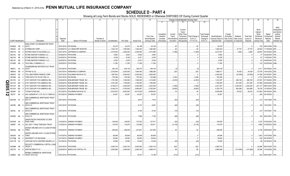# **SCHEDULE D - PART 4**

|               |                             |     |                                                    |                  |                                   | 6               |               |            | 9                  | 10             |            |                  |             | Change in Book/Adjusted Carrying Value |                               | 16                | 17                      | 18          | 19                | 20               | 21                       | 22            |
|---------------|-----------------------------|-----|----------------------------------------------------|------------------|-----------------------------------|-----------------|---------------|------------|--------------------|----------------|------------|------------------|-------------|----------------------------------------|-------------------------------|-------------------|-------------------------|-------------|-------------------|------------------|--------------------------|---------------|
|               |                             |     |                                                    |                  |                                   |                 |               |            |                    |                | 11         | 12               | 13          | 14                                     | 15 <sub>1</sub>               |                   |                         |             |                   |                  |                          |               |
|               |                             |     |                                                    |                  |                                   |                 |               |            |                    |                |            |                  |             |                                        |                               |                   |                         |             |                   |                  |                          |               |
|               |                             |     |                                                    |                  |                                   |                 |               |            |                    |                |            |                  |             |                                        |                               |                   |                         |             |                   |                  |                          |               |
|               |                             |     |                                                    |                  |                                   |                 |               |            |                    |                |            |                  |             |                                        |                               |                   |                         |             |                   |                  |                          | <b>NAIC</b>   |
|               |                             |     |                                                    |                  |                                   |                 |               |            |                    |                |            |                  | Current     |                                        |                               |                   |                         |             |                   | Bond             |                          | Designation   |
|               |                             |     |                                                    |                  |                                   |                 |               |            |                    |                |            |                  | Year's      |                                        |                               |                   |                         |             |                   | Interest         |                          | and Admini-   |
|               |                             |     |                                                    |                  |                                   |                 |               |            |                    |                | Unrealized | Current          | Other-Than- |                                        | <b>Total Foreign</b>          |                   | Foreign                 |             |                   | Stock            | Stated                   | strative      |
|               |                             |     |                                                    |                  |                                   |                 |               |            |                    | Prior Year     | Valuation  | Year's           | Temporary   | Total Change in                        | Exchange                      | Book/Adjusted     | Exchange                | Realized    | <b>Total Gain</b> | <b>Dividends</b> | Contractua               | Symbol/       |
|               | <b>CUSIP</b> Identification |     |                                                    | Disposal<br>Date |                                   | Number of       |               |            |                    | Book/Adjusted  | Increase   | Amortization)    | Impairment  | <b>B./A.C.V.</b>                       | Change in<br><b>B./A.C.V.</b> | Carrying Value at | Gain (Loss)             | Gain (Loss) | (Loss) on         | Received         | Maturity                 | Market        |
|               |                             |     | Description                                        |                  | Name of Purchaser                 | Shares of Stock | Consideration | Par Value  | <b>Actual Cost</b> | Carrying Value | (Decrease) | / Accretion      | Recognized  | $(11+12-13)$                           |                               | Disposal Date     | on Disposal on Disposal |             | Disposal          | During Year      | Date                     | Indicator (a) |
|               |                             |     | SHELLPOINT CO-ORIGINATOR TRUST                     |                  |                                   |                 |               |            |                    |                |            |                  |             |                                        |                               |                   |                         |             |                   |                  |                          |               |
|               | 82280Q CB                   |     | 2015-1                                             |                  | 03/01/2019. PAYDOWN.              |                 | .24,275       | .24,275    | .24,188            | 24,193         |            | .82              |             | 82                                     |                               | .24,275           |                         |             |                   |                  | .155   08/01/2045.   1FM |               |
|               | 855244                      | AS  | <b>STARBUCKS CORP</b>                              |                  | 03/28/2019. U.S. BANCORP INVESTM  |                 | 1,532,130     | 1,500,000  | 1,484,430          | .1,484,360     |            | .64              |             | .64                                    |                               | 1,484,423         |                         | .47,707     | .47,707           | .25,500          | 11/15/2048. 2FE.         |               |
|               | 85917D AA                   |     | SOTERA HEALTH HOLDINGS LLC.                        | 03/21/2019.      | JEFFERIES & COMPANY               |                 | .2,015,000    | 2,000,000  | .2,025,000         | 2,013,586      |            | (1,280)          |             | (1,280)                                |                               | .2,012,307        |                         | .2,693      | 2,693             | .46,944          | 05/15/2023. 5FE.         |               |
|               | 86212U                      | AB  | STORE MASTER FUNDING LLC.                          | 03/20/2019.      | PAYDOWN.                          |                 | .9,952        | .9,952     | .9,949             | .9,953         |            |                  |             |                                        |                               | .9,952            |                         |             |                   | .77              | 03/20/2043.              | 1FE.          |
|               | 86213A                      | AB  | STORE MASTER FUNDING LLC.                          |                  | 03/20/2019. PAYDOWN.              |                 | .9,329        | .9,329     | 9,321              | .9,330         |            |                  |             |                                        |                               | .9,329            |                         |             |                   | -81              | 11/20/2043.              | 1FE.          |
|               | 86213C                      | AB  | STORE MASTER FUNDING I LLC                         |                  | 03/20/2019. PAYDOWN.              |                 | .6,250        | .6,250     | .6,247             | .6,249         |            |                  |             |                                        |                               | .6,250            |                         |             |                   | .43              | 04/20/2045.              | 1FE.          |
|               | 87342R AB                   |     | TACO BELL FUNDING LLC.                             |                  | 02/25/2019. PAYDOWN.              |                 | .11,250       | .11,250    | 11,250             | .11,250        |            |                  |             |                                        |                               | .11,250           |                         |             |                   |                  | .123 05/25/2046. 2AM.    |               |
|               |                             |     |                                                    |                  |                                   |                 |               |            |                    |                |            |                  |             |                                        |                               |                   |                         |             |                   |                  |                          |               |
|               |                             |     | THUNDERROAD MOTORCYCLE TRUST                       |                  |                                   |                 |               |            |                    |                |            |                  |             |                                        |                               |                   |                         |             |                   |                  |                          |               |
|               | 88607J AA                   |     | 2016-1                                             |                  | 03/15/2019. PAYDOWN.              |                 | .349,138      | .349,138   | .349,272           | 349,140        |            | $\mathcal{L}(2)$ |             |                                        |                               | 349,138           |                         |             |                   | .2,311           | 09/15/2022. 1FE          |               |
|               | 886546                      | AB  | TIFFANY & CO.                                      |                  | 03/27/2019. PERSHING & COMPANY.   |                 | .2,030,940    | 2,000,000  | 1,994,040          | 1,996,286      |            | .225             |             | .225                                   |                               | 1,996,511         |                         | .34,429     | .34,429           | .37,578          | 10/01/2024. 2FE.         |               |
|               | 88947E                      | AS  | TOLL BROTHERS FINANCE CORP.                        |                  | 03/21/2019. GOLDMAN SACHS & CO.   |                 | 1,967,500     | 2,000,000  | .2,000,000         | 2,000,000      |            |                  |             |                                        |                               | .2,000,000        |                         | (32,500)    | (32,500)          | 51,458           | 03/15/2027. 3FE.         |               |
|               | 891098                      | AA  | TORO MTG FTG TR 2017-RE 4.0                        |                  | 03/01/2019. PAYDOWN.              |                 | 725,356       | .725,356   | 730,700            | 722,996        |            | .2,359           |             | .2,359                                 |                               | 725,356           |                         |             |                   | .4,774           | 04/01/2074. 1FE.         |               |
|               | 90131H                      | AV  | 21ST CENTURY FOX AMERICA INC.                      |                  | 03/20/2019. NON-BROKER TRADE, BO. |                 | .1,781,595    | 1,350,000  | 1,508,220          | 1,414,690      |            | (2,253)          |             | (2, 253)                               |                               | 1,412,437         |                         | 369,158     | 369,158           | .87,281          | 07/15/2024. 2FE.         |               |
| <u>с</u><br>П | 90131H                      |     | 21ST CENTURY FOX AMERICA INC.                      |                  | 03/20/2019. NON-BROKER TRADE, BO. |                 | .2,321,093    | 1,790,000  | 1,790,000          | 1,790,000      |            |                  |             |                                        |                               | 1,790,000         |                         | 531,093     | 531,093           | .87,486          | 02/23/2025. 2FE.         |               |
|               | 90131H                      | BE  | 21ST CENTURY FOX AMERICA INC.                      |                  | 03/20/2019. NON-BROKER TRADE, BO. |                 | .6,746,012    | 4,300,000  | 4,460,089          | 4,422,559      |            | (1,092)          |             | (1,092)                                |                               | 4,421,467         |                         | .2,324,545  | 2,324,545         | .231,131         | 08/01/2034.              | 2FE           |
| ეე            | 90131H                      | BG  | 21ST CENTURY FOX AMERICA INC.                      | 03/20/2019.      | NON-BROKER TRADE, BO.             |                 | .6,346,316    | 4,700,000  | .5,880,687         | 5,792,583      |            | (9,853)          |             | (9,853)                                |                               | .5,782,730        |                         | 563,586     | .563,586          | 79,378           | 12/15/2035. 2FE.         |               |
|               | 902494                      | AX  | TYSON FOODS INC                                    |                  | 02/12/2019. GOLDMAN SACHS & CO.   |                 | 6,533,670     | 6,500,000  | 6,514,365          | 6,508,604      |            | .44              |             | .44                                    |                               | .6,508,648        |                         | .25,022     | .25,022           | .127,662         | 08/15/2024.              |               |
|               | 90272*                      | AA  | UHC (SENIOR NT) CTL PA 3.5 15MAY33                 |                  | 03/15/2019. SINKING PAYMENT       |                 | .34,257       | 34,257     | .34,257            | 34,257         |            |                  |             |                                        |                               | .34,257           |                         |             |                   | .200             | 05/15/2033.              |               |
| N             |                             |     |                                                    |                  |                                   |                 |               |            |                    |                |            |                  |             |                                        |                               |                   |                         |             |                   |                  |                          |               |
|               |                             |     | <b>JBS COMMERCIAL MORTGAGE TRUST</b><br>2017-C7    |                  |                                   |                 |               |            |                    |                |            |                  |             |                                        |                               |                   |                         |             |                   |                  | .212 12/01/2050. 1FE     |               |
|               | 90276W AT                   |     |                                                    |                  | 03/01/2019. PAYDOWN.              |                 |               |            | .8,815             | .7,910         |            | (83)             |             | (83)                                   |                               |                   |                         |             |                   |                  |                          |               |
|               |                             |     | <b>JBS COMMERCIAL MORTGAGE TRUST</b>               |                  |                                   |                 |               |            |                    |                |            |                  |             |                                        |                               |                   |                         |             |                   |                  |                          |               |
|               | 90278K BB                   |     | 2018-C14                                           |                  | 03/01/2019. PAYDOWN.              |                 |               |            | .8,127             | 8,091          |            | (65)             |             | (65)                                   |                               |                   |                         |             |                   |                  | .194   12/01/2051. 1FE   |               |
|               |                             |     | <b>JBS COMMERCIAL MORTGAGE TRUST</b>               |                  |                                   |                 |               |            |                    |                |            |                  |             |                                        |                               |                   |                         |             |                   |                  |                          |               |
|               | 90278L AZ                   |     | 2018-C15                                           |                  | 03/01/2019. PAYDOWN.              |                 |               |            | .8,704             | .8,702         |            | (74)             |             | (74)                                   |                               |                   |                         |             |                   |                  | 215 32/01/2051. 1FE      |               |
|               |                             |     | <b>JBS COMMERCIAL MORTGAGE TRUST</b>               |                  |                                   |                 |               |            |                    |                |            |                  |             |                                        |                               |                   |                         |             |                   |                  |                          |               |
|               | 90353D BA                   |     | 2018-C12                                           |                  | 03/01/2019. PAYDOWN.              |                 |               |            | .7,969             | .7,726         |            | (66)             |             | (66)                                   |                               |                   |                         |             |                   |                  | .184   08/01/2051. 1FE   |               |
|               |                             |     | JNION PACIFIC RAILROAD CO 2006                     |                  |                                   |                 |               |            |                    |                |            |                  |             |                                        |                               |                   |                         |             |                   |                  |                          |               |
|               | 90783W AA                   |     | PASS THRO                                          |                  | 01/02/2019. SINKING PAYMENT       |                 | .126,935      | 126,935    | .127,022           | .127,017       |            | (83)             |             | (. (83)                                |                               | .126,935          |                         |             |                   | 3,723            | 07/02/2030. 1FE.         |               |
|               | 909287 AA                   |     | JAL 2007-1 PASS THROUGH TRUST                      |                  | 01/02/2019. SINKING PAYMENT       |                 | .116,476      | 116,476    | 125,299            | 120,611        |            | (4, 135)         |             | (4, 135)                               |                               | .116,476          |                         |             |                   | .3,865           | 07/02/2022. 2FE.         |               |
|               |                             |     |                                                    |                  |                                   |                 |               |            |                    |                |            |                  |             |                                        |                               |                   |                         |             |                   |                  |                          |               |
|               | 90932Q AB                   | - 2 | JNITED AIRLINES 2014-2 CLASS B PASS<br><b>THRO</b> |                  | 03/03/2019. SINKING PAYMENT       |                 | .248,046      | .248,046   | .247,847           | .247,954       |            | .92              |             | .92                                    |                               | 248,046           |                         |             |                   | .5,736           | 09/03/2022. 2FE.         |               |
|               |                             |     |                                                    |                  |                                   |                 |               |            |                    |                |            |                  |             |                                        |                               |                   |                         |             |                   |                  |                          |               |
|               |                             |     | JNITED AIRLINES 2016-1 CLASS B PASS                |                  |                                   |                 |               |            |                    |                |            |                  |             |                                        |                               |                   |                         |             |                   |                  |                          |               |
|               | 90933H AA                   |     | <b>THRO</b>                                        |                  | 01/07/2019. SINKING PAYMENT       |                 | .85,648       | .85,648    | .85,648            | .85,648        |            |                  |             |                                        |                               | .85,648           |                         |             |                   | 1,563            | 01/07/2026.              |               |
|               | 91474@ AA                   |     | <b>JNIVERSITY OF MICHIGAN</b>                      |                  | 03/15/2019. SINKING PAYMENT       |                 | .39,093       | .39,093    | .39,093            | .39,093        |            |                  |             |                                        |                               | .39,093           |                         |             |                   | .230             | 06/15/2039.              |               |
|               | 92211M AC                   |     | VANTAGE DATA CENTERS ISSUER LLC                    |                  | 03/15/2019. PAYDOWN               |                 | .10,000       | .10,000    | .10,044            | .10,040        |            | (40)             |             | (40)                                   |                               | .10,000           |                         |             |                   | .68              | 02/16/2043. 1FE.         |               |
|               |                             |     | VELOCITY COMMERCIAL CAPITAL LOAN                   |                  |                                   |                 |               |            |                    |                |            |                  |             |                                        |                               |                   |                         |             |                   |                  |                          |               |
|               | 92258M AB                   |     | TRUST <sub>2</sub>                                 |                  | 03/01/2019. PAYDOWN.              |                 | .2,063,724    | .2,063,724 | .2,063,082         | .2,063,102     |            | .622             |             | .622                                   |                               | .2,063,724        |                         |             |                   | .22,995          | 06/01/2045. 1FE.         |               |
|               | 92277G AJ                   |     | <b>VENTAS REALTY LP</b>                            |                  | 02/20/2019. BARCLAYS CAPITAL FIX. |                 | 2,853,690     | .3,000,000 | .2,994,330         | 2,995,410      |            | .86              |             | .86                                    |                               | .2,995,496        |                         | (141,806)   | (141,806)         | .34,396          | 10/15/2026. 2FE.         |               |
|               |                             |     | <b><i>NFRBS COMMERCIAL MORTGAGE</i></b>            |                  |                                   |                 |               |            |                    |                |            |                  |             |                                        |                               |                   |                         |             |                   |                  |                          |               |
|               | 92890K BD                   |     | TRUST 2014-C22                                     |                  | 03/01/2019. PAYDOWN.              |                 |               |            | 19.331             | .13.188        |            | (213)            |             | (213)                                  |                               |                   |                         |             |                   |                  | .523 09/01/2057. 1FE.    |               |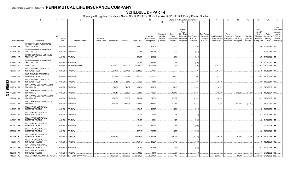|              |           |                             |                                                                  |          |                                 |                 |               |            | 9                  | 10                          |                                     |                                    |                                                             | Change in Book/Adjusted Carrying Value |                                  | 16                                 | 17                                 | 18                      | 19                             | 20                                                        | 21                               | 22                                                                         |
|--------------|-----------|-----------------------------|------------------------------------------------------------------|----------|---------------------------------|-----------------|---------------|------------|--------------------|-----------------------------|-------------------------------------|------------------------------------|-------------------------------------------------------------|----------------------------------------|----------------------------------|------------------------------------|------------------------------------|-------------------------|--------------------------------|-----------------------------------------------------------|----------------------------------|----------------------------------------------------------------------------|
|              |           |                             |                                                                  |          |                                 |                 |               |            |                    |                             | 11                                  | 12                                 | 13                                                          | 14                                     | 15                               |                                    |                                    |                         |                                |                                                           |                                  |                                                                            |
|              |           |                             |                                                                  | Disposal |                                 | Number of       |               |            |                    | Prior Year<br>Book/Adjusted | Unrealized<br>Valuation<br>Increase | Current<br>Year's<br>Amortization) | Current<br>Year's<br>Other-Than-<br>Temporary<br>Impairment | Total Change in<br><b>B./A.C.V.</b>    | <b>Total Foreign</b><br>Exchange | Book/Adjusted<br>Carrying Value at | Foreign<br>Exchange<br>Gain (Loss) | Realized<br>Gain (Loss) | <b>Total Gain</b><br>(Loss) on | Bond<br>Interest<br>Stock<br><b>Dividends</b><br>Received | Stated<br>Contractua<br>Maturity | <b>NAIC</b><br>Designation<br>and Admini-<br>strative<br>Symbol/<br>Market |
|              |           | <b>CUSIP Identification</b> | Description                                                      | Date     | Name of Purchaser               | Shares of Stock | Consideration | Par Value  | <b>Actual Cost</b> | Carrying Value              | (Decrease)                          | Accretion                          | Recognized                                                  | $(11+12-13)$                           | Change in<br><b>B./A.C.V.</b>    | Disposal Date                      | on Disposal                        | on Disposal             | Disposal                       | During Year                                               | Date                             | Indicator (a)                                                              |
|              | 92890N AA |                             | <b><i>NFRBS COMMERCIAL MORTGAGE</i></b><br>TRUST 2012-C10        |          | 03/01/2019. PAYDOWN             |                 |               |            | .22,830            | 12,403                      |                                     | (256)                              |                                                             | (256)                                  |                                  |                                    |                                    |                         |                                | .704                                                      | 12/01/2045.                      | 1FE.                                                                       |
|              | 92930R AF |                             | <b><i>NFRBS COMMERCIAL MORTGAGE</i></b><br>TRUST 2012-C9         |          | 03/01/2019. PAYDOWN             |                 |               |            | .29,144            | 14,218                      |                                     | (292)                              |                                                             | (292)                                  |                                  |                                    |                                    |                         |                                | .872                                                      | 11/01/2045.                      | 1FE.                                                                       |
|              | 92935J AE | - 5                         | <b><i>NF-RBS COMMERCIAL MORTGAGE</i></b><br>TRUST 2011-C2        |          | 03/01/2019. PAYDOWN             |                 |               |            | .23,688            | .10,819                     |                                     | (381)                              |                                                             | (381                                   |                                  |                                    |                                    |                         |                                | 1,067                                                     | 02/01/2044.                      | 1FE.                                                                       |
|              | 92939K AH |                             | <b><i>NFRBS COMMERCIAL MORTGAGE</i></b><br>TRUST 2014-C24        |          | 03/01/2019. PAYDOWN             |                 |               |            | 22,364             | 13,780                      |                                     | (256)                              |                                                             | (256)                                  |                                  |                                    |                                    |                         |                                | .539                                                      | 11/01/2047                       |                                                                            |
|              | 92940P AC |                             | <b>WRKCO INC</b>                                                 |          | 02/20/2019. EXCHANGE OFFER      |                 | .5,051,457    | .5.000.000 | .5,052,430         | .5,052,183                  |                                     | (726)                              |                                                             | (726)                                  |                                  | .5,051,457                         |                                    |                         |                                | .52,403                                                   | 03/15/2029. 2FE.                 |                                                                            |
|              | 929766 7N |                             | <b><i>NACHOVIA BANK COMMERCIAL</i></b><br>MORTGAGE TRUST         |          | 03/01/2019. PAYDOWN             |                 | 297,101       | .297,101   | .281,503           | 297,101                     |                                     |                                    |                                                             |                                        |                                  | .297,101                           |                                    |                         |                                | 2,646                                                     | 10/01/2044.                      | 1FM.                                                                       |
|              | 929766 KS |                             | WACHOVIA BANK COMMERCIAL<br>MORTGAGE TRUST                       |          | 03/01/2019. PAYDOWN             |                 | .101,321      | 101,321    | .99,150            | .100,301                    |                                     | .1,020                             |                                                             | .1,020                                 |                                  | .101,321                           |                                    |                         |                                | .1,041                                                    | 10/01/2035.                      | 1FM.                                                                       |
|              | 929766 WU |                             | WACHOVIA BANK COMMERCIAL<br>MORTGAGE TRUST                       |          | 03/01/2019. PAYDOWN.            |                 | .8.81         | .8,816     | 8,336              | .8,816                      |                                     |                                    |                                                             |                                        |                                  | .8,816                             |                                    |                         |                                | .90                                                       | 10/05/2041                       | 1FM.                                                                       |
| <b>QE05.</b> | 94982D    | AA                          | <b><i>NELLS FARGO MORTGAGE BACKED</i></b><br><b>SECURITIES 2</b> |          | 03/01/2019. PAYDOWN             |                 | .54,451       | 54.451     | .49,831            | .45,436                     |                                     | .9.015                             |                                                             | 9,015                                  |                                  | .54,451                            |                                    |                         | - 0                            | .359                                                      | 08/01/2035.                      | 1FM.                                                                       |
| د<br>ω       | 949834    | AA                          | <b>WELLS FARGO MORTGAGE BACKED</b><br><b>SECURITIES 2</b>        |          | 03/01/2019. PAYDOWN.            |                 | 73,71         | .86,006    | 78,906             | 70,691                      |                                     | .15,315                            |                                                             | 15,315                                 |                                  | .86,006                            |                                    | (12,294)                | (12, 294)                      | .862                                                      | 10/01/2037.                      | 1FM.                                                                       |
|              | 94983D AL |                             | <b><i>NELLS FARGO MORTGAGE BACKED</i></b><br><b>SECURITIES 2</b> |          | 03/01/2019. PAYDOWN             |                 | 100,603       | 100,603    | .91,274            | 84,301                      |                                     | 16,302                             |                                                             | .16,302                                |                                  | 100,603                            |                                    |                         |                                | .461                                                      | 05/01/2035.                      | 1FM.                                                                       |
|              | 94986L AK |                             | <b><i>NELLS FARGO MORTGAGE BACKED</i></b><br><b>SECURITIES 2</b> |          | 03/01/2019. PAYDOWN.            |                 | .126,981      | 144,098    | 135,882            | .113,817                    |                                     | .30,281                            |                                                             | .30,281                                |                                  | .144.098                           |                                    | (17,117)                | (17, 117)                      |                                                           | .773 12/04/2037.                 | 1FM.                                                                       |
|              | 94989T BC |                             | WELLS FARGO COMMERCIAL<br><b>MORTGAGE TRUST 20</b>               |          | 03/01/2019. PAYDOWN.            |                 |               |            | 18,645             | 16,917                      |                                     | (231                               |                                                             | (231)                                  |                                  |                                    |                                    |                         |                                |                                                           | 552 09/01/2058.                  | 1FE.                                                                       |
|              | 94989W AV |                             | <b>WELLS FARGO COMMERCIAL</b><br>MORTGAGE TRUST 20               |          | 03/01/2019. PAYDOWN.            |                 |               |            | .8,797             | .5,974                      |                                     | (74)                               |                                                             | (74)                                   |                                  |                                    |                                    |                         |                                |                                                           | .202 11/01/2048.                 | 1FE.                                                                       |
|              | 94989Y BC |                             | <b>WELLS FARGO COMMERCIAL</b><br>MORTGAGE TRUST 20               |          | 03/01/2019. PAYDOWN.            |                 |               |            | 13,406             | .9,311                      |                                     | (126)                              |                                                             | (126)                                  |                                  |                                    |                                    |                         |                                |                                                           | .332 01/01/2059.                 | 1FE.                                                                       |
|              | 95000C BE |                             | <b>WELLS FARGO COMMERCIAL</b><br><b>MORTGAGE TRUST 20</b>        |          | 03/01/2019. PAYDOWN.            |                 |               |            | .27,105            | 18,251                      |                                     | (266)                              |                                                             | (266)                                  |                                  |                                    |                                    |                         |                                |                                                           | .717 01/01/2059.                 |                                                                            |
|              | 95000D BG | -5                          | <b><i>NELLS FARGO COMMERCIAL</i></b><br>MORTGAGE TRUST 20        |          | 03/01/2019. PAYDOWN.            |                 |               |            | .29,716            | 20,978                      |                                     | (299)                              |                                                             | (299)                                  |                                  |                                    |                                    |                         |                                |                                                           | .782 06/01/2049.                 |                                                                            |
|              | 95000H BJ |                             | <b><i>NELLS FARGO COMMERCIAL</i></b><br>MORTGAGE TRUST 20        |          | 02/14/2019. VARIOUS.            |                 | .2,213,280    |            | .2,875,672         | .2,224,265                  |                                     | (38, 135)                          |                                                             | (38, 135)                              |                                  | .2,186,130                         |                                    | 27,151                  | .27,151                        | .86,236                                                   | 10/01/2049.                      |                                                                            |
|              | 95000J AY |                             | WELLS FARGO COMMERCIAL<br>MORTGAGE TRUST 20                      |          | 03/01/2019. PAYDOWN.            |                 |               |            | 13,345             | 10,287                      |                                     | (140)                              |                                                             | (140)                                  |                                  |                                    |                                    |                         |                                | .340                                                      | 12/01/2059.                      | 1FE.                                                                       |
|              | 95000K BE |                             | <b>WELLS FARGO COMMERCIAL</b><br><b>MORTGAGE TRUST 20</b>        |          | 03/01/2019. PAYDOWN             |                 |               |            | .23,199            | .17,919                     |                                     | (244)                              |                                                             | (244)                                  |                                  |                                    |                                    |                         |                                | .601                                                      | 11/01/2049.                      |                                                                            |
|              | 95001R AY |                             | <b>WELLS FARGO COMMERCIAL</b><br>MORTGAGE TRUST 20               |          | 03/01/2019. PAYDOWN             |                 |               |            | .4,582             | .4,570                      |                                     | (37)                               |                                                             | (37)                                   |                                  |                                    |                                    |                         |                                | 107                                                       | 01/01/2052.                      | 1FE.                                                                       |
|              | 958254 AB | $\overline{0}$              | WESTERN MIDSTREAM OPERATING LP                                   |          | 03/18/2019. JEFFERIES & COMPANY |                 | .3.021.360    | .3.000.000 | .2.975.820         | 2.990.404                   |                                     | 413                                |                                                             | 413                                    |                                  | 2.990.817                          |                                    | .30.543                 | .30.543                        | .86.333                                                   | 07/01/2022. 2FE                  |                                                                            |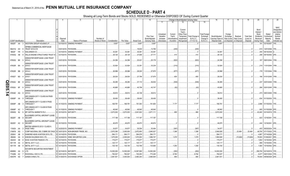|             |                             |           |     |                                                   | 4           |                             |                 |               | 8           | 9                  | 10 <sup>°</sup> |                         |                   |                                               | Change in Book/Adjusted Carrying Value |                                  | 16                | 17                      | 18          | 19                | 20                                     | 21                        | 22                                                               |
|-------------|-----------------------------|-----------|-----|---------------------------------------------------|-------------|-----------------------------|-----------------|---------------|-------------|--------------------|-----------------|-------------------------|-------------------|-----------------------------------------------|----------------------------------------|----------------------------------|-------------------|-------------------------|-------------|-------------------|----------------------------------------|---------------------------|------------------------------------------------------------------|
|             |                             |           |     |                                                   |             |                             |                 |               |             |                    |                 | 11                      | 12                | 13                                            | 14                                     | 15                               |                   |                         |             |                   |                                        |                           |                                                                  |
|             |                             |           |     |                                                   |             |                             |                 |               |             |                    | Prior Year      | Unrealized<br>Valuation | Current<br>Year's | Current<br>Year's<br>Other-Than-<br>Temporary | Total Change in                        | <b>Total Foreign</b><br>Exchange | Book/Adjusted     | Foreign                 | Realized    | <b>Total Gain</b> | Bond<br>Interest<br>Stock<br>Dividends | Stated<br>Contractua      | <b>NAIC</b><br>Designation<br>and Admini-<br>strative<br>Symbol/ |
|             |                             |           |     |                                                   | Disposal    |                             | Number of       |               |             |                    | Book/Adjusted   | Increase                | Amortization      | Impairment                                    | <b>B./A.C.V.</b>                       | Change in                        | Carrying Value at | Exchange<br>Gain (Loss) | Gain (Loss) | (Loss) on         | Received                               | Maturity                  | Market                                                           |
|             | <b>CUSIP</b> Identification |           |     | Description                                       | Date        | Name of Purchaser           | Shares of Stock | Consideration | Par Value   | <b>Actual Cost</b> | Carrying Value  | (Decrease)              | / Accretion       | Recognized                                    | $(11+12-13)$                           | <b>B./A.C.V.</b>                 | Disposal Date     | on Disposal             | on Disposal | Disposal          | During Year                            | Date                      | Indicator (a)                                                    |
|             | 95829T AA 3                 |           |     | WESTERN GROUP HOUSING LP.                         |             | 03/15/2019. SINKING PAYMENT |                 | .5,657        | .5,657      | .5,657             | .5,657          |                         |                   |                                               |                                        |                                  | 5,657             |                         |             |                   |                                        | .191 03/15/2057.          | 1FE.                                                             |
|             |                             |           |     | <b><i>NFRBS COMMERCIAL MORTGAGE</i></b>           |             |                             |                 |               |             |                    |                 |                         |                   |                                               |                                        |                                  |                   |                         |             |                   |                                        |                           |                                                                  |
|             | 96221Q AH                   |           | - 6 | TRUST 2013-C18                                    |             | 03/01/2019. PAYDOWN         |                 |               |             | .18,633            | .13,780         |                         | (245)             |                                               | (245)                                  |                                  |                   |                         |             |                   |                                        | .615   12/01/2046.   1FE  |                                                                  |
|             | 96928*                      | FR        | -3  | WALGREEN CO.                                      |             | 03/15/2019. SINKING PAYMENT |                 | .30,081       | .30,081     | 30,081             | .30,081         |                         |                   |                                               |                                        |                                  | 30,081            |                         |             |                   | .255                                   | 09/15/2038.               |                                                                  |
|             | 97063Q AB                   |           |     | WILLIS ENGINE STRUCTURED TRUST                    |             | 03/15/2019. PAYDOWN         |                 | .28,125       | .28,125     | .27,646            | .27,711         |                         | .414              |                                               | .414                                   |                                  | .28,125           |                         |             |                   | .298                                   | 08/15/2042. 2FE.          |                                                                  |
|             |                             |           |     | WINWATER MORTGAGE LOAN TRUST                      |             |                             |                 |               |             |                    |                 |                         |                   |                                               |                                        |                                  |                   |                         |             |                   |                                        |                           |                                                                  |
|             | 97652Q BK                   |           |     | 2014-2                                            |             | 03/01/2019. PAYDOWN.        |                 | .24,356       | .24,356     | 25,421             | .25,178         |                         | (822)             |                                               | (822)                                  |                                  | 24,356            |                         |             |                   | .167                                   | 09/01/2044. 1FM.          |                                                                  |
|             |                             |           |     | WINWATER MORTGAGE LOAN TRUST                      |             |                             |                 |               |             |                    |                 |                         |                   |                                               |                                        |                                  |                   |                         |             |                   |                                        |                           |                                                                  |
|             | 97652R BA                   |           |     | 2014-3                                            |             | 03/01/2019. PAYDOWN         |                 | .32,924       | .32,924     | .33,351            | .33,234         |                         | (310)             |                                               | (310)                                  |                                  | .32,924           |                         |             |                   |                                        | .219   11/01/2044.   1FM. |                                                                  |
|             | 97652R BB                   |           |     | WINWATER MORTGAGE LOAN TRUST<br>2014-3            |             | 03/01/2019. PAYDOWN         |                 | .26,998       | .26,998     | 28,020             | .27,875         |                         | (877)             |                                               | (877)                                  |                                  | .26,998           |                         |             |                   |                                        | .179   11/01/2044.   1FM. |                                                                  |
|             |                             |           |     | WINWATER MORTGAGE LOAN TRUST                      |             |                             |                 |               |             |                    |                 |                         |                   |                                               |                                        |                                  |                   |                         |             |                   |                                        |                           |                                                                  |
|             | 97652T BD                   |           |     | 2015-1                                            |             | 03/01/2019. PAYDOWN         |                 | .28,530       | .28,530     | .27,796            | .27,875         |                         | .655              |                                               | .655                                   |                                  | .28,530           |                         |             |                   |                                        | 186 01/01/2045. 1FM.      |                                                                  |
|             |                             |           |     | WINWATER MORTGAGE LOAN TRUST                      |             |                             |                 |               |             |                    |                 |                         |                   |                                               |                                        |                                  |                   |                         |             |                   |                                        |                           |                                                                  |
|             | 97652U BE                   |           |     | 2015-2                                            |             | 03/01/2019. PAYDOWN         |                 | .36,285       | .36,285     | .37,110            | .36,834         |                         | (549)             |                                               | (549)                                  |                                  | .36,285           |                         |             |                   |                                        | .237 02/01/2045. 1FM.     |                                                                  |
| <b>QE05</b> |                             |           |     | WINWATER MORTGAGE LOAN TRUST                      |             |                             |                 |               |             |                    |                 |                         |                   |                                               |                                        |                                  |                   |                         |             |                   |                                        |                           |                                                                  |
|             | 97652U                      | <b>BF</b> |     | 2015-2                                            |             | 03/01/2019. PAYDOWN         |                 | .40,685       | .40,685     | .40,799            | .40,747         |                         | (62)              |                                               | (62)                                   |                                  | .40,685           |                         |             |                   |                                        | .266 02/01/2045. 1FM.     |                                                                  |
| د           |                             |           |     | WINWATER MORTGAGE LOAN TRUST                      |             |                             |                 |               |             |                    |                 |                         |                   |                                               |                                        |                                  |                   |                         |             |                   |                                        |                           |                                                                  |
| 4           | 97654D                      | AQ        | - q | 2015-5                                            |             | 03/01/2019. PAYDOWN         |                 | .39,814       | .39,814     | .40,138            | .39,814         |                         |                   |                                               |                                        |                                  | .39,814           |                         |             |                   |                                        | .273 08/01/2045. 1FM.     |                                                                  |
|             |                             |           |     | AIR CANADA 2017-1 CLASS AA PASS<br><b>THROUGH</b> |             |                             |                 |               |             | .38,400            | .38,400         |                         |                   |                                               |                                        |                                  | .38,400           |                         |             |                   | .634                                   |                           |                                                                  |
|             | 00908P                      | AA        |     |                                                   |             | 01/15/2019. SINKING PAYMENT |                 | .38,400       | .38,400     |                    |                 |                         |                   |                                               |                                        |                                  |                   |                         |             |                   |                                        | 01/15/2030. 1FE.          |                                                                  |
|             | 00908P AB                   |           |     | AIR CANADA 2017-1 CLASS A PASS<br>THROUGH T       |             | 01/15/2019. SINKING PAYMENT |                 | .168,781      | 168,781     | .161,363           | .161,604        |                         | .7,177            |                                               | .7,177                                 |                                  | .168,781          |                         |             |                   |                                        | .2,996 01/15/2030. 1FE.   |                                                                  |
|             |                             |           |     | AIR CANADA 2017-1 CLASS B PASS                    |             |                             |                 |               |             |                    |                 |                         |                   |                                               |                                        |                                  |                   |                         |             |                   |                                        |                           |                                                                  |
|             | 00908P AC                   |           |     | THROUGH T                                         |             | 01/15/2019. SINKING PAYMENT |                 | .48,942       | .48,942     | .48,942            | .48,942         |                         |                   |                                               | . 0                                    |                                  | .48,942           |                         |             |                   | .905                                   | 01/15/2026. 2FE.          |                                                                  |
|             | 05565Q BJ                   |           |     | BP CAPITAL MARKETS PLC.                           |             | 03/10/2019. MATURITY.       |                 | .2,672,000    | .2,672,000  | .2,641,622         | .2,671,111      |                         | .889              |                                               | .889                                   |                                  | .2,672,000        |                         |             |                   |                                        | .63,460 03/10/2019. 1FE.  |                                                                  |
|             |                             |           |     | BLACKBIRD CAPITAL AIRCRAFT LEASE                  |             |                             |                 |               |             |                    |                 |                         |                   |                                               |                                        |                                  |                   |                         |             |                   |                                        |                           |                                                                  |
|             | 09228Y AB                   |           |     | <b>SECURIT</b>                                    |             | 03/15/2019. PAYDOWN.        |                 | 117,188       | .117,188    | .117,187           | .117,187        |                         |                   |                                               |                                        |                                  | .117,188          |                         |             |                   |                                        | .823   12/16/2041.   1FE  |                                                                  |
|             |                             |           |     | BLACKBIRD CAPITAL AIRCRAFT LEASE                  |             |                             |                 |               |             |                    |                 |                         |                   |                                               |                                        |                                  |                   |                         |             |                   |                                        |                           |                                                                  |
|             | 09228Y AC                   |           |     | <b>SECURIT</b>                                    |             | 03/15/2019. PAYDOWN.        |                 | .46,875       | .46,875     | .46,873            | .46,874         |                         |                   |                                               |                                        |                                  | .46,875           |                         |             |                   |                                        | .444   12/16/2041. 2FE.   |                                                                  |
|             |                             |           |     | BRITISH AIRWAYS 2013-1 CLASS A                    |             |                             |                 |               |             |                    |                 |                         |                   |                                               |                                        |                                  |                   |                         |             |                   |                                        |                           |                                                                  |
|             | 11042A AA                   |           |     | PASS THRO                                         |             | 03/20/2019. SINKING PAYMENT |                 | 34,877        | .34,877     | 35,554             | .35,464         |                         | (587)             |                                               | (587)                                  |                                  | 34,877            |                         |             |                   |                                        | .403 06/20/2024. 1FE.     |                                                                  |
|             | 21987B                      | AQ        |     | CORP NACIONAL DEL COBRE DE CHILE                  | 02/01/2019. | NON-BROKER TRADE, BO.       |                 | .2,970,390    | .3,000,000  | .2,872,650         | .2,945,527      |                         | .1,399            |                                               | .1,399                                 |                                  | .2,946,926        |                         | 23,464      | .23,464           |                                        | .49,750 07/17/2022. 1FE.  |                                                                  |
|             | 25264V                      | AB        |     | DIAMOND HEAD AVIATION 2015 LTD.                   | 03/14/2019. | PAYDOWN.                    |                 | .594,171      | 594,171     | 594,078            | 594,171         |                         |                   |                                               |                                        |                                  | .594,171          |                         |             |                   | 4,867                                  | 07/14/2028. 2FE.          |                                                                  |
|             | 296464                      | AA        |     | ESKOM HOLDINGS SOC LTD.                           | 03/29/2019. | <b>HSBC SECURITIES (USA</b> |                 | 1,975,000     | .2,000,000  | 1,970,000          | 1,989,747       |                         | .1,079            |                                               | .1,079                                 |                                  | 1,990,826         |                         | (15,826)    | (15,826)          | .78,583                                | 01/26/2021. 5FE.          |                                                                  |
|             | 48244X                      | AB        |     | <b>KDAC AVIATION FINANCE LTD</b>                  | 03/15/2019. | PAYDOWN.                    |                 | .175,077      | .175,077    | .175,077           | 175,077         |                         |                   |                                               |                                        |                                  | .175,077          |                         |             |                   | .1,802                                 | 12/15/2042. 2FE.          |                                                                  |
|             | 59111R                      | AA        |     | METAL 2017-1 LLC                                  | 03/15/2019. | PAYDOWN.                    |                 | .125,117      | 125,117     | 125,117            | .125,117        |                         |                   |                                               |                                        |                                  | .125,117          |                         |             |                   | .958                                   | 10/15/2042. 1FE.          |                                                                  |
|             | 59111R AB                   |           |     | METAL 2017-1 LLC                                  |             | 03/15/2019. PAYDOWN         |                 | .135,150      | 135,150     | 133,799            | .133,900        |                         | .1,250            |                                               | .1,250                                 |                                  | .135,150          |                         |             |                   | .1,464                                 | 10/15/2042. 2FE.          |                                                                  |
|             | 66989G                      | AA        |     | NOVARTIS SECURITIES INVESTMENT<br>LTD             |             | 02/10/2019. MATURITY.       |                 | .14,000,000   | .14,000,000 | 14,067,890         | 14,000,262      |                         | (262)             |                                               | (262)                                  |                                  | 14,000,000        |                         |             |                   | .358,750                               | 02/10/2019. 1FE.          |                                                                  |
|             | 77426N AC                   |           |     | ROCKWALL CDO II LTD.                              |             | 02/01/2019. PAYDOWN         |                 | 782,027       | .782,027    | .720,293           | 773,245         |                         | .8,782            |                                               | .8,782                                 |                                  | 782,027           |                         |             |                   | .6,477                                 | 08/01/2024.               | 1FE.                                                             |
|             | 80007R AD                   |           |     | SANDS CHINA LTD.                                  |             | 01/29/2019. EXCHANGE OFFER  |                 | .2,881,501    | .3,000,000  | .2,880,240         | 2,880,645       |                         | 856               |                                               | .856                                   |                                  | 2,881,501         |                         |             |                   | .76,500                                | 08/08/2028. 2FE.          |                                                                  |
|             |                             |           |     |                                                   |             |                             |                 |               |             |                    |                 |                         |                   |                                               |                                        |                                  |                   |                         |             |                   |                                        |                           |                                                                  |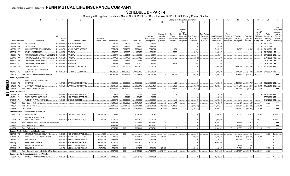# **SCHEDULE D - PART 4**

|             |                                  |                                    | 2                                                          |                   | -5                                | -6              |               | 8            | -9                 | 10             |            |              |                   | Change in Book/Adjusted Carrying Value |                  | 16                | 17          | 18          | 19                | 20               | 21                      | 22                         |
|-------------|----------------------------------|------------------------------------|------------------------------------------------------------|-------------------|-----------------------------------|-----------------|---------------|--------------|--------------------|----------------|------------|--------------|-------------------|----------------------------------------|------------------|-------------------|-------------|-------------|-------------------|------------------|-------------------------|----------------------------|
|             |                                  |                                    |                                                            |                   |                                   |                 |               |              |                    |                | 11         | 12           | 13                | 14                                     | 15               |                   |             |             |                   |                  |                         |                            |
|             |                                  |                                    |                                                            |                   |                                   |                 |               |              |                    |                |            |              |                   |                                        |                  |                   |             |             |                   |                  |                         |                            |
|             |                                  |                                    |                                                            |                   |                                   |                 |               |              |                    |                |            |              |                   |                                        |                  |                   |             |             |                   |                  |                         | <b>NAIC</b>                |
|             |                                  |                                    |                                                            |                   |                                   |                 |               |              |                    |                |            |              | Current<br>Year's |                                        |                  |                   |             |             |                   | Bond<br>Interest |                         | Designation<br>and Admini- |
|             |                                  |                                    |                                                            |                   |                                   |                 |               |              |                    |                | Unrealized | Current      | Other-Than-       |                                        | Total Foreign    |                   | Foreign     |             |                   | Stock            | Stated                  | strative                   |
|             |                                  |                                    |                                                            |                   |                                   |                 |               |              |                    | Prior Year     | Valuation  | Year's       | Temporary         | Total Change ii                        | Exchange         | Book/Adjusted     | Exchange    | Realized    | <b>Total Gain</b> | Dividends        | Contractua              | Symbol/                    |
|             |                                  |                                    |                                                            | Disposal          |                                   | Number of       |               |              |                    | Book/Adjusted  | Increase   | Amortization | Impairment        | B./A.C.V.                              | Change in        | Carrying Value at | Gain (Loss) | Gain (Loss) | (Loss) on         | Received         | Maturity                | Market                     |
|             | CUSIP Identificatior             |                                    | Description                                                | Date              | Name of Purchaser                 | Shares of Stock | Consideration | Par Value    | <b>Actual Cost</b> | Carrying Value | (Decrease) | / Accretion  | Recognized        | $(11+12-13)$                           | <b>B./A.C.V.</b> | Disposal Date     | on Disposa  | on Disposal | Disposal          | During Year      | Date                    | Indicator (a)              |
|             | 805649                           | AA                                 | SAYARRA LTD.                                               | 01/29/201         | <b>SINKING PAYMENT</b>            |                 | .98,120       | .98,120      | .98,120            | .98,120        |            |              |                   |                                        |                  | .98,120           |             |             |                   | .680             | 10/29/2021              |                            |
|             | 805649                           | AB<br>- 6                          | SAYARRA LTD.                                               | 01/29/2019        | SINKING PAYMENT.                  |                 | .338,560      | .338,560     | .338,560           | .338,560       |            |              |                   |                                        |                  | .338,560          |             |             | . 0               | .2,179           | 04/14/2022              |                            |
|             | 806854                           | AB                                 | SCHLUMBERGER INVESTMENT SA                                 | 03/13/201         | <b>WELLS FARGO SECS LLC</b>       |                 | 7,875,404     | 7,824,000    | 7,794,041          | 7,814,813      |            | .904         |                   | .904                                   |                  | 7,815,717         |             | .59,687     | 59,687            |                  | 129,813 09/14/2021.     | 1FE.                       |
|             | 85572R                           | AA                                 | START LTD/BERMUDA                                          | 03/15/201         | PAYDOWN.                          |                 | .663,987      | .663,987     | .657,852           | .658,192       |            | .5,795       |                   | .5,795                                 |                  | .663,987          |             |             |                   |                  | .4,512 05/15/2043.      | 1FE.                       |
|             | 886065                           | AB                                 | <b>THUNDERBOLT II AIRCRAFT LEASE LTD</b>                   | 03/15/201         | PAYDOWN.                          |                 | .53,571       | .53,571      | .53,569            | .53,571        |            |              |                   |                                        |                  | .53,571           |             |             | . 0               | 453              | 09/15/2038. 2FE.        |                            |
|             | 88606W                           | AA                                 | HUNDERBOLT AIRCRAFT LEASE LTD.                             | 03/15/201         | PAYDOWN.                          |                 | 77,196        | .77,196      | .77,628            | .21,402        |            | (432)        |                   | (432)                                  |                  | .77,196           |             |             | 0                 |                  | 444 05/17/2032.         | 1FE.                       |
|             | 88606W                           | AB                                 | <b>THUNDERBOLT AIRCRAFT LEASE LTD</b>                      | 03/15/201         | <b>PAYDOWN</b>                    |                 | .22,639       | .22,639      | .22,465            | .22,639        |            |              |                   |                                        |                  | .22,639           |             |             | . 0               | .217             | 05/17/2032.             | 2FE.                       |
|             | 88606W                           | AC<br>- 6                          | HUNDERBOLT AIRCRAFT LEASE LTD                              | 03/15/201         | PAYDOWN.                          |                 | .33,539       | .33,539      | .30,510            | 31,511         |            | .2,028       |                   | .2,028                                 |                  | .33,539           |             |             | - 0               | .252             | 05/17/2032.             | 3FE.                       |
|             | 893830                           | BK<br>$\overline{a}$               | TRANSOCEAN INC.                                            | 01/31/2019.       | <b>BARCLAYS CAPITAL FIX</b>       |                 | 1,885,000     | .2,000,000   | .2,000,000         | .2,000,000     |            |              |                   |                                        |                  | .2,000,000        |             | (115,000)   | (115,000)         |                  | 39,875 11/01/2025. 4FE. |                            |
|             |                                  |                                    | Z CAPITAL CREDIT PARTNERS CLO                              |                   |                                   |                 |               |              |                    |                |            |              |                   |                                        |                  |                   |             |             |                   |                  |                         |                            |
|             | 98877E AG 8                      |                                    | 2015-1 LTD                                                 |                   | 03/01/2019. PERSHING & COMPANY    |                 | .13,930,000   | 14,000,000   | .14,000,000        | 14,000,000     |            |              |                   |                                        |                  | 14,000,000        |             | (70,000)    | (70,000)          |                  | .190,766 07/16/2027.    | 1FE                        |
|             | 3899999.                         |                                    | Total - Bonds - Industrial and Miscellaneous               |                   |                                   |                 | 212.044.758   | 212,146,034  | 209,711,615        | 212.229.030    | $\Omega$   | .65,716      | $\Omega$          | .65.716                                |                  | .211,915,181      |             | (509.515)   | (509, 515)        | .5.742.073       | <b>XXX</b>              | <b>XXX</b>                 |
|             | <b>Bonds - Hybrid Securities</b> |                                    |                                                            |                   |                                   |                 |               |              |                    |                |            |              |                   |                                        |                  |                   |             |             |                   |                  |                         |                            |
|             |                                  |                                    | BANK OF NEW YORK MELLON                                    |                   |                                   |                 |               |              |                    |                |            |              |                   |                                        |                  |                   |             |             |                   |                  |                         |                            |
| <u>ဂ</u> ္ဂ | 064058                           | AB<br>- 6                          | CORP/THE                                                   |                   | 01/07/2019. BANC/AMERICA SECUR.   |                 | 1,750,000     | .2,000,000   | .1,852,500         | .1,858,736     |            | .23          |                   | .23                                    |                  | 1,858,759         |             | (108, 759)  | (108, 759)        |                  | 4,750 12/29/2049. 2FE   |                            |
|             | 48126H                           | AC.                                | JPMORGAN CHASE & CO                                        |                   | 02/14/2019. BANC/AMERICA SECUR.   |                 | 9,573,750     | .9,250,000   | .9,585,313         | .9,565,124     |            | (6.020)      |                   | (6,020)                                |                  | 9.559.104         |             | .14.646     | 14,646            | 216,296          | 10/29/2049. 2FE.        |                            |
| ဌ           | 1899999.                         |                                    | Total - Bonds - Hybrid Securities                          |                   |                                   |                 | .11,323,750   | 11,250,000   | .11,437,813        | 11,423,860     | $\Omega$   | (5,997)      | $\Omega$          | (5,997)                                | $\Omega$         | .11,417,863       |             | (94.113)    | (94.113)          | .221,046         | <b>XXX</b>              | <b>XXX</b>                 |
|             | Bonds - Bank Loans               |                                    |                                                            |                   |                                   |                 |               |              |                    |                |            |              |                   |                                        |                  |                   |             |             |                   |                  |                         |                            |
| ပာ          | 29373U                           | AC.<br>- 5                         | <b>ENVISION HEALTHCARE CORP</b>                            | 03/29/2019        | NON-BROKER TRADE, BO              |                 | .8,750        | .8,750       | .8,728             | .8,728         |            |              |                   |                                        |                  | .8,730            |             | .20         | 20                |                  | .134 10/11/2025. 4FE.   |                            |
|             | 87422L                           | AK<br>- 6                          | TALEN ENERGY SUPPLY LLC                                    | 03/29/201         | NON-BROKER TRADE, BO.             |                 | .20,076       | .20,076      | .20,076            | .20,076        |            |              |                   |                                        |                  | .20,076           |             |             | . 0               |                  | 07/06/2023. 3FE.        |                            |
|             | 91911U                           | AH<br>$\mathbf{3}$                 | <b>VALEANT PHARMACEUTICALS</b>                             |                   | 01/04/2019. EXCHANGE OFFER        |                 | .990.073      | 1.000.000    | .990.000           | .990.064       |            |              |                   |                                        |                  | .990.073          |             |             |                   |                  | 11/27/2025.             | 3FE.                       |
|             | 3299999                          |                                    | Total - Bonds - Bank Loans                                 |                   |                                   |                 | 1,018,899     | 1,028,826    | .1,018,804         | .1,018,868     |            | .11          | $\Omega$          | .11                                    |                  | .1,018,879        |             | .20         | .20               | .134             | XXX                     | <b>XXX</b>                 |
|             | 3399997                          |                                    | Total - Bonds - Part 4                                     |                   |                                   |                 | .324,641,792  | 325,457,772  | .330,648,551       | .326,623,752   | (360, 650) | .131,038     | $\Omega$          | (229.612)                              |                  | .324,594,427      |             | (663, 227)  | (663, 227)        | .7,720,969       | <b>XXX</b>              | XXX                        |
|             | 3399999.                         |                                    | Total - Bonds.                                             |                   |                                   |                 | .324.641.792  | .325.457.772 | .330.648.551       | .326.623.752   | (360.650)  | .131.038     | $\Omega$          | (229.612)                              | $\Omega$         | .324.594.427      |             | (663.227)   | (663.227)         | .7.720.969       | <b>XXX</b>              | XXX                        |
|             |                                  |                                    | Preferred Stocks - Industrial and Miscellaneous            |                   |                                   |                 |               |              |                    |                |            |              |                   |                                        |                  |                   |             |             |                   |                  |                         |                            |
|             | 172967 34                        |                                    | CITIGROUP INC.                                             |                   | 03/22/2019. CANTOR FITZGERALD &   | .85,385.000     | .2,336,913    |              | 2,304,541          | .2,304,541     |            |              |                   |                                        |                  | .2,304,541        |             | .32,372     | 32,372            | .36,689          | XXX                     | P3FEL.                     |
|             |                                  |                                    | DNP SELECT MANDATORY                                       |                   |                                   |                 |               |              |                    |                |            |              |                   |                                        |                  |                   |             |             |                   |                  |                         |                            |
|             | 23325P                           | 2#<br>$\overline{0}$               | <b>REDEEMABLE PFD</b>                                      |                   | 03/08/2019. NON-BROKER TRADE, BO. | .70.000         | .7,000,000    |              | .7,000,000         | .7,000,000     |            |              |                   |                                        |                  | .7,000,000        |             |             | $\sqrt{ }$        | .55,033          | <b>XXX</b>              | P1FEU                      |
|             | 3499999.                         |                                    | Total - Preferred Stocks - Industrial and Miscellaneous    |                   |                                   |                 | 9,336,913     | <b>XXX</b>   | 9,304,541          | .9,304,541     | $\Omega$   | $\Omega$     | $\Omega$          | $\cap$                                 |                  | .9,304,541        |             | .32.372     | 32,372            | .91,722          | <b>XXX</b>              | <b>XXX</b>                 |
|             | 3999997                          |                                    | Total - Preferred Stocks - Part 4                          |                   |                                   |                 | .9,336,913    | XXX          | 9,304,541          | .9,304,541     | 0          | $0$          | 0                 | 0                                      | $\Omega$         | .9,304,541        |             | .32,372     | .32,372           | 91,722           | XXX                     | <b>XXX</b>                 |
|             | 3999999.                         |                                    | <b>Total - Preferred Stocks</b>                            |                   |                                   |                 | 9,336,913     | <b>XXX</b>   | .9.304.541         | .9.304.541     | $\Omega$   |              | $\Omega$          | $\Omega$                               |                  | .9.304.541        |             | .32.372     | .32,372           | 91,722           | <b>XXX</b>              | <b>XXX</b>                 |
|             |                                  |                                    | Common Stocks - Industrial and Miscellaneous               |                   |                                   |                 |               |              |                    |                |            |              |                   |                                        |                  |                   |             |             |                   |                  |                         |                            |
|             | 02376R                           | 10                                 | AMERICAN AIRLINES GROUP INC                                | 02/20/2019        | NON-BROKER TRADE, BO              | .0.010          |               | XXX          |                    |                |            |              |                   |                                        |                  |                   |             |             | . 0               |                  | XXX                     |                            |
|             | 035710                           | 40                                 | ANNALY CAPITAL MANAGEMENT INC                              | 01/24/201         | WELLS FARGO SECS LLC              | .96,000.000     | .988,720      | XXX          | .1,188,628         | .942,720       | .245,908   |              |                   | .245,908                               |                  | 1,188,628         |             | (199,908)   | (199, 908)        | 28,800           | <b>XXX</b>              |                            |
|             | 256163                           | 10<br>- 6                          | DOCUSIGN INC.                                              | 01/17/201         | MERRILL LYNCH PIERCE              | 36,148.000      | 1,580,852     | XXX          | .1,475,937         | .480,319       | .7,310     |              |                   | .7,310                                 |                  | 1,475,937         |             | 104,915     | 104,915           |                  | <b>XXX</b>              |                            |
|             | 31338@                           | 10 <sup>°</sup><br>- 6             | FHLB OF PITTSBURGH.                                        | 01/17/2019        | NON-BROKER TRADE, BO              | .60,000.000     | 6,000,000     | XXX          | .6,000,000         | 6,000,000      |            |              |                   |                                        |                  | 6,000,000         |             |             |                   |                  | <b>XXX</b>              |                            |
|             | 76029N                           | 10 <sup>°</sup><br>- 6             | REPLIMUNE GROUP INC                                        | 03/06/201         | <b>MERRILL LYNCH PIERCE</b>       | 15,749.000      | .219,736      | XXX          | .213,871           |                |            |              |                   |                                        |                  | .213,87'          |             | .5,864      | .5,864            |                  | XXX                     |                            |
|             | 98980G                           | 10 <sup>10</sup><br>$\overline{2}$ | <b>ZSCALER INC</b>                                         |                   | 01/11/2019. MERRILL LYNCH PIERCE  | .7,476.000      | .338,198      | <b>XXX</b>   | .316,387           | .293,134       | 23,253     |              |                   | .23,253                                |                  | .316,387          |             | .21,812     | 21,812            |                  | XXX                     |                            |
|             | 9099999.                         |                                    | Total - Common Stocks - Industrial and Miscellaneous       |                   |                                   |                 | 9.127.506     | <b>XXX</b>   | .9.194.823         | 7.716.173      | .276.471   |              |                   | .276.471                               |                  | 9.194.823         |             | (67.317)    | (67.317)          | .28.801          | <b>XXX</b>              | <b>XXX</b>                 |
|             |                                  |                                    | <b>Common Stocks - Parent, Subsidiaries and Affiliates</b> |                   |                                   |                 |               |              |                    |                |            |              |                   |                                        |                  |                   |             |             |                   |                  |                         |                            |
|             |                                  |                                    | AADGE# 10 G HODNOD TOMMICEND AND KENT                      | 03/31/2010 010ECT |                                   | 1.000.000       | 6,420,922     | <b>VVV</b>   | <b>26 175 446</b>  | 6.430.922      |            |              |                   |                                        |                  | G 120.922         |             |             |                   |                  | <b>VVV</b>              | $\pm$                      |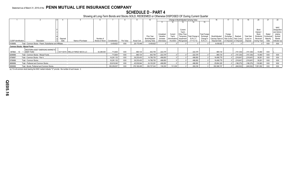# **SCHEDULE D - PART 4**

Showing all Long-Term Bonds and Stocks SOLD, REDEEMED or Otherwise DISPOSED OF During Current Quarter

|                                     |                                                              |          |                                     |                 |               |            |                    |                |            |                |             | Change in Book/Adjusted Carrying Value |                      |                   |                         |             |                   | 20                           |            | 22           |
|-------------------------------------|--------------------------------------------------------------|----------|-------------------------------------|-----------------|---------------|------------|--------------------|----------------|------------|----------------|-------------|----------------------------------------|----------------------|-------------------|-------------------------|-------------|-------------------|------------------------------|------------|--------------|
|                                     |                                                              |          |                                     |                 |               |            |                    |                |            |                |             |                                        |                      |                   |                         |             |                   |                              |            |              |
|                                     |                                                              |          |                                     |                 |               |            |                    |                |            |                |             |                                        |                      |                   |                         |             |                   |                              |            |              |
|                                     |                                                              |          |                                     |                 |               |            |                    |                |            |                |             |                                        |                      |                   |                         |             |                   |                              |            | <b>NAIC</b>  |
|                                     |                                                              |          |                                     |                 |               |            |                    |                |            |                | Current     |                                        |                      |                   |                         |             |                   | Bond                         |            | Designation  |
|                                     |                                                              |          |                                     |                 |               |            |                    |                |            |                | Year's      |                                        |                      |                   |                         |             |                   | Interest                     |            | and Admini-  |
|                                     |                                                              |          |                                     |                 |               |            |                    |                | Unrealized | Current        | Other-Than- |                                        | <b>Total Foreign</b> |                   | Foreian                 |             |                   | Stock                        | Stated     | strative     |
|                                     |                                                              |          |                                     |                 |               |            |                    | Prior Year     | Valuation  | Year's         |             | Temporary   Total Change in            | Exchange             | Book/Adjusted     | Exchange                | Realized    | <b>Total Gain</b> | Dividends                    | Contractua | Symbol/      |
|                                     |                                                              | Disposal |                                     | Number of       |               |            |                    | Book/Adjusted  | Increase   | (Amortization) | Impairment  | B./A.C.V.                              | Change in            | Carrying Value at | Gain (Loss)             | Gain (Loss) | (Loss) on         | Received                     | Maturity   | Market       |
| <b>CUSIP</b> Identification         | Description                                                  | Date     | Name of Purchaser                   | Shares of Stock | Consideration | Par Value  | <b>Actual Cost</b> | Carrying Value | (Decrease) | Accretion      | Recognized  | $(11+12-13)$                           | <b>B./A.C.V.</b>     | Disposal Date     | on Disposal on Disposal |             | Disposal          | During Year                  | Date       | Indicator (a |
| 9199999.                            | Total - Common Stocks - Parent, Subsidiaries and Affiliates. |          |                                     |                 | .6.439.822    | XXX        | 26.175.446         | .6,439,822     |            |                |             |                                        |                      | .6,439,822        |                         |             |                   |                              | <b>XXX</b> | XXX          |
| <b>Common Stocks - Mutual Funds</b> |                                                              |          |                                     |                 |               |            |                    |                |            |                |             |                                        |                      |                   |                         |             |                   |                              |            |              |
|                                     | <b>WESTERN ASSET EMERGING MARKETS</b>                        |          |                                     |                 |               |            |                    |                |            |                |             |                                        |                      |                   |                         |             |                   |                              |            |              |
| 95766A 10                           | <b>DEBT FUND</b>                                             |          | . 03/11/2019. WELLS FARGO SECS LLC. | .52,299.000     | 713,804       | <b>XXX</b> | .865,134           | .642,755       | .222,379   |                |             | .222.379                               |                      | .865,134          |                         | (151, 330)  | .(151, 330)       | 10,460                       | <b>XXX</b> |              |
| 9299999.                            | Total - Common Stocks - Mutual Funds.                        |          |                                     |                 | 713,804       | <b>XXX</b> | .865,134           | .642,755       | .222,379   |                |             | .222.379                               |                      | .865,134          |                         | (151,330)   | (151, 330)        | 10,460                       | XXX        | XXX          |
| 9799997.                            | Total - Common Stocks - Part 4.                              |          |                                     |                 | 16,281,132    | XXX        | .36,235,403        | 14,798,750     | .498,850   |                |             | .498,850                               |                      | 16,499,779        |                         | (218,647)   | (218, 647)        | .39,261                      | <b>XXX</b> | XXX          |
| 9799999.                            | Total - Common Stocks.                                       |          |                                     |                 | 16,281,132    | XXX        | 36,235,403         | 14,798,750     | .498,850   |                |             | .498,850                               |                      | 16,499,779        |                         | (218,647)   | .(218,647)        | 39,261                       | XXX        | XXX          |
| 9899999.                            | Total - Preferred and Common Stocks.                         |          |                                     |                 | 25,618,045    | <b>XXX</b> | .45,539,944        | 24,103,291     | .498,850   |                |             | .498,850                               |                      | .25,804,320       |                         | (186, 275)  | (186, 275)        | .130,983                     | XXX        | XXX          |
| 9999999.                            | Total - Bonds, Preferred and Common Stocks.                  |          |                                     |                 | 350,259,837   | <b>XXX</b> | 376,188,495        | 350,727,043    | 138,200    | 131,038        |             | .269,238                               |                      | 350,398,747       |                         | (849,502)   |                   | $\ldots$ (849,502) 7,851,952 | <b>XXX</b> | XXX          |

(a) For all common stock bearing the NAIC market indicator "U" provide: the number of such issues: 2.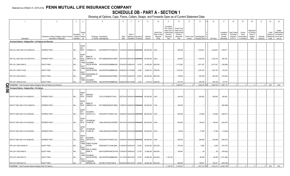# **SCHEDULE DB - PART A - SECTION 1**

|    | $\overline{1}$                                                              | $\overline{2}$                                                             | $\mathbf{3}$                                | $\overline{4}$                                     | 5                                                                  |                                                                          | 6             |                                                          | 8      | 9                         | 10                                                   | 11                                                                                              | 12                                                                               | 13       | 14                                           | 16         | 17                                                | 18                                                         | 19                                                  | 20                                                       | 21                    | 22                 | 23                                                                                     |
|----|-----------------------------------------------------------------------------|----------------------------------------------------------------------------|---------------------------------------------|----------------------------------------------------|--------------------------------------------------------------------|--------------------------------------------------------------------------|---------------|----------------------------------------------------------|--------|---------------------------|------------------------------------------------------|-------------------------------------------------------------------------------------------------|----------------------------------------------------------------------------------|----------|----------------------------------------------|------------|---------------------------------------------------|------------------------------------------------------------|-----------------------------------------------------|----------------------------------------------------------|-----------------------|--------------------|----------------------------------------------------------------------------------------|
|    | Description                                                                 | Description of Item(s) Hedged, Used for Income<br>Generation or Replicated | Schedule<br>/ Exhibit Risk(s)<br>Identifier | Type(s<br>of<br>(a)                                | Exchange, Counterparty<br>or Central Clearinghouse                 |                                                                          | Trade<br>Date | Date of<br>Maturity or Number of<br>Expiration Contracts |        | Notional<br>Amount        | Strike Price,<br>Rate of Index<br>Received<br>(Paid) | Cumulative<br>Prior Year(s)<br>Initial Cost of<br>Undiscounted<br>Premium<br>(Received)<br>Paid | Current Year<br>Initial Cost of<br>Undiscounted<br>Premium<br>(Received)<br>Paid | Income   | Current Year Book/Adjusted<br>Carrying Value | Fair Value | Unrealized<br>Valuation<br>Increase<br>(Decrease) | <b>Total Foreign</b><br>Exchange<br>Change in<br>B./A.C.V. | Current<br>Year's<br>(Amortization<br>) / Accretion | Adjustment<br>to Carrying<br>Value of<br>Hedged<br>Items | Potential<br>Exposure | Credit<br>Entity   | Hedge<br>Effectiveness<br>Quality of at Inception<br>Reference and at Year-<br>end (b) |
|    | Purchased Options - Hedging Other - Call Options and Warrants               |                                                                            |                                             |                                                    |                                                                    |                                                                          |               |                                                          |        |                           |                                                      |                                                                                                 |                                                                                  |          |                                              |            |                                                   |                                                            |                                                     |                                                          |                       |                    |                                                                                        |
|    | IRS CALL SWO USD 2.5% 04/08/2019.                                           | <b>INTEREST RATE.</b>                                                      | N/A.                                        | <b>INTER</b><br><b>EST</b><br>RATE<br><b>INTER</b> | CITIBANK N.A E57ODZWZ7FF32TWEFA76 01/30/2019 04/08/2019 #########  |                                                                          |               |                                                          |        | .150,000,000 2.500        |                                                      |                                                                                                 | 356,250                                                                          |          | 1,524,621                                    | 1,524,621  | 1,168,371                                         |                                                            |                                                     |                                                          |                       |                    |                                                                                        |
|    | IRS CALL SWO USD 2.5% 06/07/2019.                                           | <b>INTEREST RATE</b>                                                       | N/A                                         | <b>EST</b><br>RATE<br>EQUIT                        | <b>BANK OF</b><br>AMERICA, N.A                                     | B4TYDEB6GKMZO031MB27 03/07/2019 06/07/2019 #########                     |               |                                                          |        | $.100,000,000$ 2.500      |                                                      |                                                                                                 | 335,000                                                                          |          | 1,325,742                                    | 1,325,742  | 990,742                                           |                                                            |                                                     |                                                          |                       |                    |                                                                                        |
|    | SPX US C 2650 04/08/19.                                                     | <b>EQUITY RISK</b>                                                         | N/A                                         | Y/INDE<br>EQUIT                                    | GOLDMAN<br>SACHS INTERN                                            | W22LROWP2IHZNBB6K528 03/19/2019 04/08/2019 15,700                        |               |                                                          |        | .41,605,000   2650.000    |                                                      |                                                                                                 | 3,115,822                                                                        |          | 2,917,427                                    | 2,917,427  | (198,395)                                         |                                                            |                                                     |                                                          |                       |                    |                                                                                        |
|    | SPX US C 2768 01/15/20.                                                     | <b>EQUITY RISK</b>                                                         | N/A                                         | Y/INDE<br><b>EQUIT</b>                             | GOLDMAN<br>SACHS INTERN                                            | W22LROWP2IHZNBB6K528                                                     |               | 02/26/2019 01/15/2020                                    | 6,084  | .16,840,512 2768.000      |                                                      |                                                                                                 | 1,075,043                                                                        |          | 1,204,183                                    | .1,204,183 | .129,140                                          |                                                            |                                                     |                                                          |                       |                    |                                                                                        |
|    | SPX US C 2835 04/04/19                                                      | <b>EQUITY RISK</b>                                                         | N/A                                         | Y/INDE<br><b>EQUIT</b>                             | <b>UNION BANK OF</b><br>SWITZE                                     | 549300SGDHJDHGZYMB20 03/15/2019 04/04/2019 36,000                        |               |                                                          |        | .102,060,000   2835.000   |                                                      |                                                                                                 | 728,820                                                                          |          | .593,359                                     | .593,359   | (135,461)                                         |                                                            |                                                     |                                                          |                       |                    |                                                                                        |
|    | SPX US C 2938 02/14/20.                                                     | <b>EQUITY RISK</b>                                                         | N/A.                                        | Y/INDE                                             | GOLDMAN<br>SACHS INTERN W22LROWP2IHZNBB6K528 02/26/2019 02/14/2020 |                                                                          |               |                                                          | .2,544 | 7,474,272 2938.000.       |                                                      |                                                                                                 | 231,072                                                                          |          | .263,790                                     | .263,790   | .32,718                                           |                                                            |                                                     |                                                          |                       |                    |                                                                                        |
|    | 0089999999. Total-Purchased Options-Hedging Other-Call Options and Warrants |                                                                            |                                             |                                                    |                                                                    |                                                                          |               |                                                          |        |                           |                                                      |                                                                                                 | 5,842,007                                                                        | $\Omega$ | 7,829,122                                    | .7,829,122 | .1,987,115                                        |                                                            |                                                     |                                                          | $\Omega$              | <b>XXX</b>         | <b>XXX</b>                                                                             |
|    | Purchased Options - Hedging Other - Put Options                             |                                                                            |                                             |                                                    |                                                                    |                                                                          |               |                                                          |        |                           |                                                      |                                                                                                 |                                                                                  |          |                                              |            |                                                   |                                                            |                                                     |                                                          |                       |                    |                                                                                        |
| ရွ | IRS PUT SWO USD 2.4% 04/29/2019.                                            | <b>INTEREST RATE</b>                                                       | N/A                                         | <b>INTER</b><br>EST<br>RATE                        | <b>MORGAN</b><br><b>STANLEY</b>                                    | 17331LVCZKQKX5T7XV54 03/27/2019 04/29/2019 ########## .120,000,000 2.400 |               |                                                          |        |                           |                                                      |                                                                                                 | 540.000                                                                          |          | 800,902                                      | .800,902   | 260,902                                           |                                                            |                                                     |                                                          |                       |                    |                                                                                        |
|    | IRS PUT SWO USD 2.75% 04/08/2019.                                           | <b>INTEREST RATE</b>                                                       | N/A                                         | <b>INTER</b><br><b>EST</b><br>RATE                 | <b>BANK OF</b><br>AMERICA, N.A.                                    | B4TYDEB6GKMZO031MB27 01/08/2019 04/08/2019 #########                     |               |                                                          |        | .150,000,000 2.750        |                                                      |                                                                                                 | .505,500                                                                         |          |                                              |            | (505, 499)                                        |                                                            |                                                     |                                                          |                       |                    |                                                                                        |
|    | IRS PUT SWO USD 4.0% 02/28/2020.                                            | <b>INTEREST RATE.</b>                                                      | N/A.                                        | <b>INTER</b><br><b>EST</b><br>RATE                 | <b>GOLDMAN</b><br>SACHS & CO.                                      | KD3XUN7C6T14HNAYLU02 02/28/2019 02/28/2020 #########                     |               |                                                          |        | .200,000,000 4.000        |                                                      |                                                                                                 | .380,000                                                                         |          | 133,929                                      | 133,929    | (246,071)                                         |                                                            |                                                     |                                                          |                       |                    |                                                                                        |
|    | IRS PUT SWO USD 4.0% 03/02/2020.                                            | <b>INTEREST RATE</b>                                                       | N/A                                         | <b>INTER</b><br><b>EST</b><br>RATE                 | <b>JP MORGAN</b><br>CHASE BK,                                      | 7H6GLXDRUGQFU57RNE97. 03/01/2019 03/02/2020 #########                    |               |                                                          |        | .200,000,000 4.000        |                                                      |                                                                                                 | 460,000                                                                          |          | .136,543                                     | .136,543   | (323,457)                                         |                                                            |                                                     |                                                          |                       |                    |                                                                                        |
|    | IRS PUT SWO USD 4.0% 03/23/2020.                                            | <b>INTEREST RATE.</b>                                                      | N/A                                         | <b>INTER</b><br><b>EST</b><br>RATE                 | <b>JP MORGAN</b><br>CHASE BK,                                      | 7H6GLXDRUGQFU57RNE97. 03/22/2019 03/23/2020 #########                    |               |                                                          |        | $.100,000,000$ 4.000.     |                                                      |                                                                                                 | .90,000                                                                          |          | .77,356                                      | 77,356     | (12,644)                                          |                                                            |                                                     |                                                          |                       |                    |                                                                                        |
|    | IRS PUT SWO USD 4.0% 08/28/2020.                                            | <b>INTEREST RATE</b>                                                       | N/A                                         | <b>INTER</b><br><b>EST</b><br>RATE<br><b>EQUIT</b> | GOLDMAN<br>SACHS & CO,                                             | KD3XUN7C6T14HNAYLU02 02/28/2019 08/28/2020 #########                     |               |                                                          |        | .100,000,000 4.000        |                                                      |                                                                                                 | .502,500                                                                         |          | .209,299                                     | .209,299   | (293,201)                                         |                                                            |                                                     |                                                          |                       |                    |                                                                                        |
|    | SPX US P 2200 04/30/2019.                                                   | <b>EQUITY RISK</b>                                                         | N/A                                         | Y/INDE<br><b>EQUIT</b>                             | <b>CREDIT SUISSE</b><br><b>INTERN</b>                              | E58DKGMJYYYJLN8C3868                                                     |               | 01/04/2019 04/30/2019                                    | 16,000 | 35,200,000 2200.000.      |                                                      |                                                                                                 | 473.440                                                                          |          | .2,693                                       | .2,693     | (470,747)                                         |                                                            |                                                     |                                                          |                       |                    |                                                                                        |
|    | SPX US P 2400 04/08/19.                                                     | <b>EQUITY RISK</b>                                                         | N/A                                         | Y/INDE<br>EQUIT                                    | <b>WELLS FARGO</b><br>BANK, N.                                     | KB1H1DSPRFMYMCUFXT09. 01/08/2019 04/08/2019  15,700                      |               |                                                          |        | $.37,680,000$   2400.000. |                                                      |                                                                                                 | 794,891                                                                          |          | .69                                          | 69         | (794,822)                                         |                                                            |                                                     |                                                          |                       |                    |                                                                                        |
|    | SPX US P 2400 06/07/19.                                                     | <b>EQUITY RISK</b>                                                         | N/A                                         | Y/INDE<br>EQUIT                                    | <b>GOLDMAN</b><br>SACHS INTERN                                     | W22LROWP2IHZNBB6K528 12/11/2018 06/07/2019                               |               |                                                          | 18,700 | .44,880,000   2400.000    |                                                      | 1,102,739                                                                                       |                                                                                  |          | .88,369                                      | 88,369     | (1,701,090)                                       |                                                            |                                                     |                                                          |                       |                    |                                                                                        |
|    | SPX US P 2500 05/21/19.                                                     | <b>EQUITY RISK</b>                                                         | N/A.                                        | Y/INDE                                             | CANADIAN<br><b>IMPERIAL BA</b><br>2IGI19DL77OX0HC3ZE78             |                                                                          |               | 02/20/2019 05/21/2019                                    | 36,000 | $.90,000,000$   2500.000. |                                                      |                                                                                                 | 628,200                                                                          |          | 182,051                                      | 182,051    | (446, 149)                                        |                                                            |                                                     |                                                          |                       |                    |                                                                                        |
|    | 0099999999. Total-Purchased Options-Hedging Other-Put Options               |                                                                            |                                             |                                                    |                                                                    |                                                                          |               |                                                          |        |                           |                                                      | .1,102,739                                                                                      | .4,374,531                                                                       | 0        | 1,631,212                                    | .1,631,212 | (4,532,778)                                       |                                                            |                                                     | $\sqrt{ }$                                               |                       | <b>XXX</b><br>.o I | XXX                                                                                    |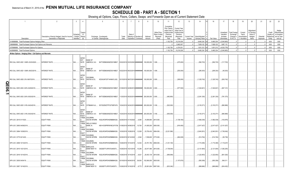# **SCHEDULE DB - PART A - SECTION 1**

|        |                                                               | $\overline{2}$                                                             | $\mathbf{3}$          | $\Delta$                                                                             | 5                                                                      | -6            |                                                          | -8    | 9                                                   | 10 <sup>10</sup>                                     | 11                                                                                              | 12                                                                                      | 13                     | 14                                | 16                         | 17                                                | 18                                                         | 19                                                  | 20                                                       | 21                    | 22               | 23                                                                                    |
|--------|---------------------------------------------------------------|----------------------------------------------------------------------------|-----------------------|--------------------------------------------------------------------------------------|------------------------------------------------------------------------|---------------|----------------------------------------------------------|-------|-----------------------------------------------------|------------------------------------------------------|-------------------------------------------------------------------------------------------------|-----------------------------------------------------------------------------------------|------------------------|-----------------------------------|----------------------------|---------------------------------------------------|------------------------------------------------------------|-----------------------------------------------------|----------------------------------------------------------|-----------------------|------------------|---------------------------------------------------------------------------------------|
|        | Description                                                   | Description of Item(s) Hedged, Used for Income<br>Generation or Replicated | Schedul<br>Identifier | Type(s)<br>of<br>/ Exhibit Risk(s)                                                   | Exchange, Counterparty<br>or Central Clearinghouse                     | Trade<br>Date | Date of<br>Maturity or Number of<br>Expiration Contracts |       | Notional<br>Amount                                  | Strike Price,<br>Rate of Index<br>Received<br>(Paid) | Cumulative<br>Prior Year(s)<br>Initial Cost of<br>Undiscounted<br>Premium<br>(Received)<br>Paid | <b>Current Year</b><br>Initial Cost of<br>Undiscounted<br>Premium<br>(Received)<br>Paid | Current Year<br>Income | Book/Adjusted<br>Carrying Value e | Fair Value                 | Unrealized<br>Valuation<br>Increase<br>(Decrease) | <b>Total Foreign</b><br>Exchange<br>Change in<br>B./A.C.V. | Current<br>Year's<br>(Amortization<br>) / Accretion | Adiustment<br>to Carrying<br>Value of<br>Hedged<br>Items | Potential<br>Exposure | Credit<br>Entity | Hedge<br>Effectiveness<br>Quality of at Inception<br>Reference and at Year<br>end (b) |
|        | 0149999999. Total-Purchased Options-Hedging Other.            |                                                                            |                       |                                                                                      |                                                                        |               |                                                          |       |                                                     |                                                      | .1,102,739                                                                                      | .10,216,538                                                                             |                        | .9,460,334 XX                     | 9,460,334                  | (2, 545, 663)                                     |                                                            |                                                     |                                                          |                       | <b>XXX</b>       | XXX                                                                                   |
|        | 0369999999. Total-Purchased Options-Call Options and Warrants |                                                                            |                       |                                                                                      |                                                                        |               |                                                          |       |                                                     |                                                      |                                                                                                 | 5,842,007                                                                               |                        | 7,829,122<br><b>XX</b>            | .7,829,122                 | 1,987,115                                         | $\Omega$                                                   |                                                     |                                                          |                       | <b>XXX</b>       | XXX                                                                                   |
|        | 0379999999. Total-Purchased Options-Put Options               |                                                                            |                       |                                                                                      |                                                                        |               |                                                          |       |                                                     |                                                      | 1,102,739                                                                                       | 4,374,531                                                                               |                        | .1,631,212 XX                     | 1,631,212                  | (4,532,778)                                       | 0                                                          |                                                     |                                                          | $\bigcap$             | XXX              | XXX                                                                                   |
|        | 0429999999. Total-Purchased Options.                          |                                                                            |                       |                                                                                      |                                                                        |               |                                                          |       |                                                     |                                                      | 1,102,739                                                                                       | 10,216,538                                                                              | $0-1$                  | .9,460,334<br>XX                  | 9,460,334                  | (2,545,663)                                       | $\sqrt{2}$                                                 |                                                     |                                                          | .0 <sub>1</sub>       | XXX              | XXX                                                                                   |
|        | Written Options - Hedging Other - Call Options and Warrants   |                                                                            |                       |                                                                                      |                                                                        |               |                                                          |       |                                                     |                                                      |                                                                                                 |                                                                                         |                        |                                   |                            |                                                   |                                                            |                                                     |                                                          |                       |                  |                                                                                       |
|        | IRS CALL SWO USD 1.938% 03/23/2020.                           | <b>INTEREST RATE</b>                                                       | <b>V/A</b>            | <b>INTER</b><br>EST<br><b>BANK OF</b><br>RATE<br>AMERICA, N.A                        | B4TYDEB6GKMZO031MB27 03/22/2019 03/23/2020 ######### 100,000,000 1.938 |               |                                                          |       |                                                     |                                                      |                                                                                                 | (475,000)                                                                               |                        | (592,703)                         | (592, 703)                 | (117,703)                                         |                                                            |                                                     |                                                          |                       |                  |                                                                                       |
|        | IRS CALL SWO USD 1.938% 09/23/2019.                           | <b>INTEREST RATE.</b>                                                      | <b>VA.</b>            | <b>INTER</b><br><b>EST</b><br>BANK OF<br>RATE<br>AMERICA, N.A                        | B4TYDEB6GKMZO031MB27                                                   |               | 03/22/2019 09/23/2019 #########                          |       | .100,000,000 1.938.                                 |                                                      |                                                                                                 | (250,000)                                                                               |                        | (295,303)                         | (295, 303)                 | (45,303)                                          |                                                            |                                                     |                                                          |                       |                  |                                                                                       |
| O      | IRS CALL SWO USD 2.5% 06/07/2019.                             | <b>INTEREST RATE.</b>                                                      | N/A                   | <b>INTER</b><br>EST<br>GOLDMAN<br>RATE<br>SACHS & CO,                                | KD3XUN7C6T14HNAYLU02                                                   |               |                                                          |       |                                                     |                                                      |                                                                                                 | (395,000)                                                                               |                        | (1,325,742)                       | (1,325,742)                | (930,742)                                         |                                                            |                                                     |                                                          |                       |                  |                                                                                       |
| Ш<br>თ | IRS CALL SWO USD 2.50% 04/08/2019.                            | <b>INTEREST RATE.</b>                                                      | N/A                   | <b>INTER</b><br><b>EST</b><br><b>BANK OF</b><br>AMERICA, N.A<br>RATE                 | B4TYDEB6GKMZO031MB27                                                   |               |                                                          |       |                                                     |                                                      |                                                                                                 | (577,500)                                                                               |                        | (1,524,621)                       | (1,524,621)                | (947,121)                                         |                                                            |                                                     |                                                          |                       |                  |                                                                                       |
|        | IRS CALL SWO USD 2.93% 05/20/2019.                            | INTEREST RATE.                                                             | N/A.                  | <b>INTER</b><br><b>EST</b><br>BANK OF<br>RATE<br>AMERICA, N.A<br><b>INTER</b>        | B4TYDEB6GKMZO031MB27                                                   |               | 11/20/2018 05/20/2019 #########                          |       | .200,000,000 2.930                                  |                                                      | (482, 800)                                                                                      |                                                                                         |                        | (2,261,330)                       | (2,261,330)                | (781,373)                                         |                                                            |                                                     |                                                          |                       |                  |                                                                                       |
|        | IRS CALL SWO USD 3.18% 04/24/2019.                            | <b>INTEREST RATE</b>                                                       | N/A                   | <b>EST</b><br>RATE<br><b>INTER</b>                                                   | CITIBANK N.A E57ODZWZ7FF32TWEFA76                                      |               |                                                          |       | 10/24/2018 04/24/2019 ########## .200,000,000 3.180 |                                                      | (522,000)                                                                                       |                                                                                         |                        | (3, 153, 371)                     | (3, 153, 371)              | (890,869)                                         |                                                            |                                                     |                                                          |                       |                  |                                                                                       |
|        | IRS CALL SWO USD 3.18% 04/24/2019.                            | <b>INTEREST RATE.</b>                                                      | N/A.                  | <b>EST</b><br>BANK OF<br>RATE<br>AMERICA, N.A<br>EQUIT<br>Y/INDE<br><b>GOLDMAN</b>   | B4TYDEB6GKMZO031MB27.                                                  |               |                                                          |       | 10/24/2018 04/24/2019 ########## .200,000,000 3.180 |                                                      | (555,000)                                                                                       |                                                                                         |                        | (3, 153, 371)                     | (3, 153, 371)              | (890,869)                                         |                                                            |                                                     |                                                          |                       |                  |                                                                                       |
|        | SPX US C 2615 01/15/20.                                       | <b>EQUITY RISK</b>                                                         | N/A.                  | EQUIT                                                                                | SACHS INTERN W22LROWP2IHZNBB6K528                                      |               | 02/26/2019 01/15/2020                                    | 6,084 | .15,909,660   2615.000                              |                                                      |                                                                                                 | (1,728,160)                                                                             |                        | (1,882,039)                       | (1,882,039)                | (153,879)                                         |                                                            |                                                     |                                                          |                       |                  |                                                                                       |
|        | SPX US C 2650 04/08/2019                                      | <b>EQUITY RISK</b>                                                         | N/A                   | Y/INDE<br><b>WELLS FARGO</b><br>BANK, N.<br><b>EQUIT</b><br>Y/INDE<br><b>GOLDMAN</b> | KB1H1DSPRFMYMCUFXT09. 01/08/2019 04/08/2019 15,700                     |               |                                                          |       | $41,605,000$ 2650.000.                              |                                                      |                                                                                                 | (816,400)                                                                               |                        | (2,917,427)                       | (2,917,427)                | (2,101,027)                                       |                                                            |                                                     |                                                          |                       |                  |                                                                                       |
|        | SPX US C 2694 10/28/2019.                                     | <b>EQUITY RISK</b>                                                         | N/A                   | <b>EQUIT</b>                                                                         | SACHS INTERN W22LROWP2IHZNBB6K528                                      |               | 10/30/2018 10/28/2019 12,528                             |       | 33,750,432                                          | 2694.000.                                            | (2,221,590)                                                                                     |                                                                                         |                        | (2,843,551)                       | (2,843,551)                | (1,736,542)                                       |                                                            |                                                     |                                                          |                       |                  |                                                                                       |
|        | SPX US C 2775 02/14/20.                                       | <b>EQUITY RISK</b>                                                         | N/A                   | Y/INDE<br>GOLDMAN<br><b>EQUIT</b>                                                    | SACHS INTERN W22LROWP2IHZNBB6K528                                      |               | 02/26/2019 02/14/2020 2,544                              |       | 7,059,600 2775.000                                  |                                                      |                                                                                                 | (464,026)                                                                               |                        | (514,764)                         | (514, 764)                 | (50,739)                                          |                                                            |                                                     |                                                          |                       |                  |                                                                                       |
|        | SPX US C 2806 10/14/2019.                                     | <b>EQUITY RISK</b>                                                         | N/A                   | Y/INDE<br>GOLDMAN<br><b>EQUIT</b><br>Y/INDE<br><b>BARCLAYS</b>                       | SACHS INTERN W22LROWP2IHZNBB6K528                                      |               | 10/26/2018 10/14/2019 12,032                             |       | 33,761,792 2806.000                                 |                                                      | (1,331,100)                                                                                     |                                                                                         |                        | (1,710,395)                       | (1,710,395)                | (1,118,237)                                       |                                                            |                                                     |                                                          |                       |                  |                                                                                       |
|        | SPX US C 2815 10/21/2019.<br>SPX US C 2816 10/14/2019.        | <b>EQUITY RISK</b><br><b>EQUITY RISK</b>                                   | N/A<br>N/A            | BANK NEW YO<br><b>EQUIT</b><br>Y/INDE<br>GOLDMAN                                     | G5GSEF7VJP5I7OUK5573<br>SACHS INTERN W22LROWP2IHZNBB6K528.             |               | 10/26/2018 10/21/2019 15,246<br>10/26/2018 10/14/2019    | 9,021 | .42,917,490   2815.000<br>25,403,136 2816.000.      |                                                      | (1,738,044)<br>(956, 948)                                                                       |                                                                                         |                        | (2, 121, 804)<br>(1,222,953)      | (2,121,804)<br>(1,222,953) | (1,382,205)<br>(801,020)                          |                                                            |                                                     |                                                          |                       |                  |                                                                                       |
|        | SPX US C 2835 04/04/19.                                       | <b>EQUITY RISK</b>                                                         | N/A                   | <b>EQUIT</b><br>Y/INDE<br>GOLDMAN<br><b>EQUIT</b>                                    | SACHS INTERN W22LROWP2IHZNBB6K528                                      |               | 03/19/2019 04/04/2019 36,000                             |       | .102,060,000   2835.000.                            |                                                      |                                                                                                 | (1, 157, 670)                                                                           |                        | (593, 359)                        | (593, 359)                 | 564,311                                           |                                                            |                                                     |                                                          |                       |                  |                                                                                       |
|        | SPX US C 2857 10/16/2019                                      | <b>EQUITY RISK</b>                                                         | N/A                   | Y/INDE<br><b>BARCLAYS</b><br>X<br>BANK NEW YO                                        | G5GSEF7VJP5I7OUK5573 10/26/2018 10/16/2019 8,772 25,061,604 2857.000   |               |                                                          |       |                                                     |                                                      | (833,340)                                                                                       |                                                                                         |                        | (969, 666)                        | (969, 666)                 | (634,432)                                         |                                                            |                                                     |                                                          |                       |                  |                                                                                       |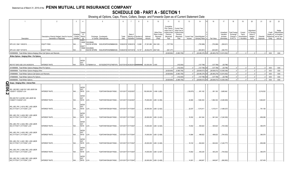# **SCHEDULE DB - PART A - SECTION 1**

|                  |                                                                                                 | $\overline{2}$                                                             | $\overline{3}$                     | $\Delta$                                                          | -5                                                                                           | 6             | 8<br>$\overline{7}$                                      | 9                       | 10                                                   | 11                                                                                              | 12                                                                               | 13             | 14                                                        | 16                      | 17                                  | 18                                                                      | 19                                                  | 20                                                       | 21                    | 22                                         | 23                                                           |
|------------------|-------------------------------------------------------------------------------------------------|----------------------------------------------------------------------------|------------------------------------|-------------------------------------------------------------------|----------------------------------------------------------------------------------------------|---------------|----------------------------------------------------------|-------------------------|------------------------------------------------------|-------------------------------------------------------------------------------------------------|----------------------------------------------------------------------------------|----------------|-----------------------------------------------------------|-------------------------|-------------------------------------|-------------------------------------------------------------------------|-----------------------------------------------------|----------------------------------------------------------|-----------------------|--------------------------------------------|--------------------------------------------------------------|
|                  | Description                                                                                     | Description of Item(s) Hedged, Used for Income<br>Generation or Replicated | Schedul<br>/ Exhibit<br>Identifier | Type(s)<br>of<br>Risk(s)<br>(a)                                   | Exchange, Counterparty<br>or Central Clearinghouse                                           | Trade<br>Date | Date of<br>Maturity or Number of<br>Expiration Contracts | Notional<br>Amount      | Strike Price,<br>Rate of Index<br>Received<br>(Paid) | Cumulative<br>Prior Year(s)<br>Initial Cost of<br>Undiscounted<br>Premium<br>(Received)<br>Paid | Current Year<br>Initial Cost of<br>Undiscounted<br>Premium<br>(Received)<br>Paid | Income         | Current Year Book/Adjusted<br>Carrying Value e Fair Value |                         | Valuation<br>Increase<br>(Decrease) | Unrealized   Total Foreign<br>Exchange<br>Change in<br><b>B./A.C.V.</b> | Current<br>Year's<br>(Amortization<br>) / Accretion | Adjustment<br>to Carrying<br>Value of<br>Hedged<br>Items | Potential<br>Exposure | Credit<br>Reference and at Year-<br>Entity | Hedge<br>Effectiveness<br>Quality of at Inception<br>end (b) |
|                  |                                                                                                 |                                                                            |                                    | equit<br>Y/INDE<br>GOLDMAN                                        |                                                                                              |               |                                                          |                         |                                                      |                                                                                                 |                                                                                  |                |                                                           |                         |                                     |                                                                         |                                                     |                                                          |                       |                                            |                                                              |
|                  | SPX US C 2941 10/8/2019.                                                                        | <b>EQUITY RISK</b>                                                         | N/A                                | <b>EQUIT</b>                                                      | SACHS INTERN W22LROWP2IHZNBB6K528                                                            |               | 10/26/2018 10/08/2019 12,680                             | $37,291,880$   2941.000 |                                                      | (727, 705)                                                                                      |                                                                                  |                | (793,986                                                  | (793,986).              | (508,021)                           |                                                                         |                                                     |                                                          |                       |                                            |                                                              |
|                  | SPX US C 2947 10/7/2019.                                                                        | <b>EQUITY RISK</b>                                                         | N/A.                               | Y/INDE<br>GOLDMAN                                                 | SACHS INTERN W22LROWP2IHZNBB6K528                                                            |               | 10/26/2018 10/07/2019<br>10.157                          | 29,932,679 2947.000.    |                                                      | .(561,377                                                                                       |                                                                                  |                | (603,891                                                  | (603,891                | (384, 781)                          |                                                                         |                                                     |                                                          |                       |                                            |                                                              |
|                  | 0509999999. Total-Written Options-Hedging Other-Call Options and Warrants.                      |                                                                            |                                    |                                                                   |                                                                                              |               |                                                          |                         |                                                      | (9,929,904)                                                                                     | (5,863,756)                                                                      |                | (28,480,276) XX                                           | (28, 480, 276)          | (12, 910, 552)                      | 0                                                                       |                                                     |                                                          | .0 <sub>1</sub>       | <b>XXX</b>                                 | XXX                                                          |
|                  | Written Options - Hedging Other - Put Options                                                   |                                                                            |                                    |                                                                   |                                                                                              |               |                                                          |                         |                                                      |                                                                                                 |                                                                                  |                |                                                           |                         |                                     |                                                                         |                                                     |                                                          |                       |                                            |                                                              |
|                  |                                                                                                 | <b>INTEREST RATE</b>                                                       |                                    | <b>INTER</b><br>EST                                               |                                                                                              |               |                                                          |                         |                                                      |                                                                                                 |                                                                                  |                |                                                           |                         |                                     |                                                                         |                                                     |                                                          |                       |                                            |                                                              |
|                  | IRS PUT SWO USD 2.6% 04/29/2019.<br>0519999999. Total-Written Options-Hedging Other-Put Options |                                                                            |                                    | RATE                                                              | 000,000 CITIBANK N.A E57ODZWZ7FF32TWEFA76 03/27/2019 04/29/2019 ########## 120,000,000 2.600 |               |                                                          |                         |                                                      | $\sqrt{ }$                                                                                      | (102,000)<br>(102,000)                                                           | $\Omega$ .     | (127, 796)<br>$(127, 796)$ XX                             | (127,796)<br>(127, 796) | (25,796)<br>(25,796)                | 0                                                                       |                                                     |                                                          | $\Omega$ .            | <b>XXX</b>                                 | XXX                                                          |
|                  | 0569999999. Total-Written Options-Hedging Other                                                 |                                                                            |                                    |                                                                   |                                                                                              |               |                                                          |                         |                                                      | (9.929.904)                                                                                     | (5,965,756)                                                                      | $\Omega$       | $(28,608,072)$ XX                                         | (28,608,072)            | (12, 936, 348)                      | $\Omega$                                                                |                                                     |                                                          |                       | <b>XXX</b>                                 | XXX                                                          |
|                  | 0789999999. Total-Written Options-Call Options and Warrants.                                    |                                                                            |                                    |                                                                   |                                                                                              |               |                                                          |                         |                                                      | (9,929,904)                                                                                     | (5,863,756)                                                                      | $\Omega$       | (28, 480, 276)                                            | (28, 480, 276)          | (12, 910, 552)                      | 0                                                                       |                                                     |                                                          |                       | XXX                                        | XXX                                                          |
|                  | 0799999999. Total-Written Options-Put Options                                                   |                                                                            |                                    |                                                                   |                                                                                              |               |                                                          |                         |                                                      |                                                                                                 | (102,000).                                                                       |                | .(127,796)                                                | (127.796                | (25,796)                            | 0                                                                       |                                                     |                                                          |                       | <b>XXX</b>                                 | XXX                                                          |
|                  | 0849999999. Total-Written Options.                                                              |                                                                            |                                    |                                                                   |                                                                                              |               |                                                          |                         |                                                      | (9,929,904)                                                                                     | (5,965,756)                                                                      | 0 <sup>1</sup> | $(28,608,072)$ XX                                         | (28,608,072)            | (12, 936, 348)                      | $\mathbf{0}$                                                            |                                                     |                                                          | $0-1$                 | <b>XXX</b>                                 | XXX                                                          |
|                  | Swaps - Hedging Other - Interest Rate                                                           |                                                                            |                                    |                                                                   |                                                                                              |               |                                                          |                         |                                                      |                                                                                                 |                                                                                  |                |                                                           |                         |                                     |                                                                         |                                                     |                                                          |                       |                                            |                                                              |
| m<br>0<br>თ<br>N | IRS USD REC 2.456 PAY USD LIBOR 3M<br>12202017 12222027 LCH                                     | <b>INTEREST RATE</b>                                                       | <b>VA.</b>                         | <b>INTER</b><br><b>EST</b><br><b>RATE</b><br>LCH.<br><b>INTER</b> | F226TOH6YD6XJB17KS62                                                                         |               | 12/31/2017 12/22/2027                                    |                         | .150,000,000   2.456 / (LIB3)                        |                                                                                                 |                                                                                  | (128,875)      | 951,162                                                   | .951,162                | 3,685,942                           |                                                                         |                                                     |                                                          | 2,216,532             |                                            |                                                              |
|                  | IRS USD PAY 2.46 REC USD LIBOR 3M<br>01262017 01222047 LCH                                      | <b>INTEREST RATE.</b>                                                      | N/A.                               | <b>EST</b><br>RATE<br>LCH.                                        | F226TOH6YD6XJB17KS62                                                                         |               | 12/31/2017 01/22/2047                                    |                         | 70,000,000   LIB3 / (2.456).                         |                                                                                                 |                                                                                  | .40,680        | 1,882,304                                                 | 1,882,304               | (3,480,609)                         |                                                                         |                                                     |                                                          | .1,846,491            |                                            |                                                              |
|                  | IRS_USD_PAY_2.4219_REC_USD LIBOR<br>3M_01/17/2017_01/17/2047_LCH                                | <b>INTEREST RATE.</b>                                                      | N/A.                               | <b>INTER</b><br><b>EST</b><br>RATE<br>LCH.                        | F226TOH6YD6XJB17KS62                                                                         |               | 12/31/2017 01/17/2047                                    |                         | 30,000,000   LIB3 / (2.422).                         |                                                                                                 |                                                                                  | .22,037        | 1,015,411                                                 | .1,015,411              | (1,488,327)                         |                                                                         |                                                     |                                                          | 791,158               |                                            |                                                              |
|                  | IRS_USD_PAY_2.4229_REC_USD LIBOR<br>3M_01/17/2017_01/17/2047_LCH                                | INTEREST RATE.                                                             | N/A                                | <b>INTER</b><br><b>EST</b><br>RATE<br>LCH.                        | F226TOH6YD6XJB17KS62                                                                         |               | 12/31/2017 01/17/2047                                    |                         | 25,000,000   LIB3 / (2.423).                         |                                                                                                 |                                                                                  | .18,302        | 841,044                                                   | .841,044                | (1,240,393)                         |                                                                         |                                                     |                                                          | .659,299              |                                            |                                                              |
|                  | IRS_USD_PAY_2.4242_REC_USD LIBOR<br>3M_01/17/2017_01/17/2047_LCH                                | <b>INTEREST RATE.</b>                                                      | N/A.                               | <b>INTER</b><br><b>EST</b><br>RATE<br>LCH.                        | F226TOH6YD6XJB17KS62                                                                         |               | 12/31/2017 01/17/2047                                    |                         | .15,000,000 LIB3 / (2.424).                          |                                                                                                 |                                                                                  | 10,932         | 500,624                                                   | .500,624                | (744,329)                           |                                                                         |                                                     |                                                          | .395,579              |                                            |                                                              |
|                  | IRS_USD_PAY_2.4255_REC_USD LIBOR<br>3M_01/17/2017_01/17/2047_LCH                                | <b>INTEREST RATE.</b>                                                      | N/A                                | <b>INTER</b><br><b>EST</b><br>RATE<br>LCH                         | F226TOH6YD6XJB17KS62                                                                         |               | 12/31/2017 01/17/2047                                    |                         | $.15,000,000$ LIB3 / (2.426).                        |                                                                                                 |                                                                                  | .10,884        | .496,622                                                  | .496,622                | (744,423)                           |                                                                         |                                                     |                                                          | .395,579              |                                            |                                                              |
|                  | IRS_USD_PAY_2.4261_REC_USD LIBOR<br>3M_01/17/2017_01/17/2047_LCH                                | INTEREST RATE.                                                             | N/A                                | <b>INTER</b><br>EST<br>RATE<br>LCH                                | F226TOH6YD6XJB17KS62                                                                         |               | 12/31/2017 01/17/2047                                    |                         | $25,000,000$ LIB3 / (2.426).                         |                                                                                                 |                                                                                  | .18,102        | 824,624                                                   | .824,624                | (1,240,777)                         |                                                                         |                                                     |                                                          | .659,299              |                                            |                                                              |
|                  | IRS USD PAY 2.4266 REC USD LIBOR<br>3M_01/17/2017_01/17/2047_LCH                                | INTEREST RATE.                                                             | N/A                                | <b>INTER</b><br><b>EST</b><br>RATE<br>LCH.                        | F226TOH6YD6XJB17KS62                                                                         |               | 12/31/2017 01/17/2047                                    |                         | .15,000,000   LIB3 / (2.427).                        |                                                                                                 |                                                                                  | 10,842         | .493,235                                                  | .493,235                | (744,502)                           |                                                                         |                                                     |                                                          | .395,579              |                                            |                                                              |
|                  | IRS USD PAY 2.4285 REC USD LIBOR<br>3M 01/17/2017 01/17/2047 LCH                                | <b>INTEREST RATE.</b>                                                      | N/A.                               | <b>INTER</b><br><b>EST</b><br>RATE<br>LCH.                        | F226TOH6YD6XJB17KS62                                                                         |               | 12/31/2017 01/17/2047                                    |                         | .20,000,000   LIB3 / (2.429).                        |                                                                                                 |                                                                                  | 14.361         | .649.847                                                  | .649.847                | (992,852)                           |                                                                         |                                                     |                                                          | .527,439              |                                            |                                                              |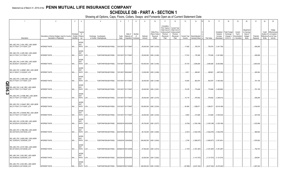# **SCHEDULE DB - PART A - SECTION 1**

|   | $\overline{1}$                                                     | $\overline{2}$                                                             | $\mathbf{3}$                        | $\overline{4}$                     | 5                                                  | 6             |                                     | 8                         | 9                  | 10                                                   | 11                                                                                              | 12                                                                                      | 13       | 14<br>15                                         | 16                     | 17                                                | 18                                                                | 19                                                  | 20                                                       | 21                    | 22                                          | 23                                                                |
|---|--------------------------------------------------------------------|----------------------------------------------------------------------------|-------------------------------------|------------------------------------|----------------------------------------------------|---------------|-------------------------------------|---------------------------|--------------------|------------------------------------------------------|-------------------------------------------------------------------------------------------------|-----------------------------------------------------------------------------------------|----------|--------------------------------------------------|------------------------|---------------------------------------------------|-------------------------------------------------------------------|-----------------------------------------------------|----------------------------------------------------------|-----------------------|---------------------------------------------|-------------------------------------------------------------------|
|   | Description                                                        | Description of Item(s) Hedged, Used for Income<br>Generation or Replicated | Schedule<br>/ Exhibit<br>Identifier | Type(s)<br>of<br>Risk(s)<br>(a)    | Exchange, Counterparty<br>or Central Clearinghouse | Trade<br>Date | Date of<br>Maturity o<br>Expiration | Number<br>of<br>Contracts | Notional<br>Amount | Strike Price,<br>Rate of Index<br>Received<br>(Paid) | Cumulative<br>Prior Year(s)<br>Initial Cost of<br>Undiscounted<br>Premium<br>(Received)<br>Paid | <b>Current Year</b><br>Initial Cost of<br>Jndiscounted<br>Premium<br>(Received)<br>Paid | Income   | Current Year   Book/Adjusted<br>Carrying Value e | Fair Value             | Unrealized<br>Valuation<br>Increase<br>(Decrease) | <b>Total Foreign</b><br>Exchange<br>Change in<br><b>B./A.C.V.</b> | Current<br>Year's<br>(Amortization<br>) / Accretion | Adiustment<br>to Carrying<br>Value of<br>Hedged<br>Items | Potential<br>Exposure | Credit<br>Quality of<br>Reference<br>Entity | Hedge<br>Effectiveness<br>at Inception<br>and at Year-<br>end (b) |
|   |                                                                    |                                                                            |                                     | <b>INTER</b>                       |                                                    |               |                                     |                           |                    |                                                      |                                                                                                 |                                                                                         |          |                                                  |                        |                                                   |                                                                   |                                                     |                                                          |                       |                                             |                                                                   |
|   | IRS_USD_PAY_2.4341_REC_USD LIBOR<br>3M_01/17/2017_01/17/2047_LCH   | <b>INTEREST RATE.</b>                                                      | N/A                                 | <b>EST</b><br>RATE                 | LCH.<br>F226TOH6YD6XJB17KS62 12/31/2017 01/17/2047 |               |                                     |                           |                    | 25,000,000   LIB3 / (2.434).                         |                                                                                                 |                                                                                         | .17,602  | 783,574                                          |                        | 783,574 (1,241,738)                               |                                                                   |                                                     |                                                          | 659,299               |                                             |                                                                   |
|   | IRS_USD_PAY_2.4355_REC_USD LIBOR<br>3M_01/17/2017_01/17/2047_LCH   | <b>INTEREST RATE.</b>                                                      | N/A                                 | <b>INTER</b><br><b>EST</b><br>RATE | LCH.<br>F226TOH6YD6XJB17KS62                       |               | 12/31/2017 01/17/2047               |                           |                    | 25,000,000   LIB3 / (2.436).                         |                                                                                                 |                                                                                         | .17,514  | 776,390                                          | .776,390               | (1,241,906)                                       |                                                                   |                                                     |                                                          | 659,299               |                                             |                                                                   |
|   | IRS_USD_PAY_2.4447_REC_USD LIBOR<br>3M_05/24/2017_05/24/2047_LCH   | <b>INTEREST RATE.</b>                                                      | N/A                                 | <b>INTER</b><br><b>EST</b><br>RATE | F226TOH6YD6XJB17KS62<br>LCH.                       |               | 12/31/2017 05/24/2047               |                           |                    | .100,000,000   LIB3 / (2.445).                       |                                                                                                 |                                                                                         | 57,419   | 2,938,266                                        | .2,938,266             | (5,002,959)                                       |                                                                   |                                                     |                                                          | .2,653,635            |                                             |                                                                   |
|   | IRS_USD_PAY_2.455891_REC_USD LIBOR<br>3M_01/19/2017_01/22/2047_LCH | <b>INTEREST RATE.</b>                                                      | N/A                                 | <b>INTER</b><br><b>EST</b><br>RATE | F226TOH6YD6XJB17KS62<br>LCH.                       |               | 12/31/2017 05/24/2047               |                           |                    | .10,000,000   LIB3 / (2.456).                        |                                                                                                 |                                                                                         | .5,811   | .268,901                                         | .268,901               | (497,230)                                         |                                                                   |                                                     |                                                          | .265,364              |                                             |                                                                   |
| ┍ | IRS_USD_PAY_2.4564_REC_USD LIBOR<br>3M_01/17/2017_01/17/2047_LCH   | <b>INTEREST RATE.</b>                                                      | N/A.                                | <b>INTER</b><br><b>EST</b><br>RATE | LCH.<br>F226TOH6YD6XJB17KS62 12/31/2017 01/17/2047 |               |                                     |                           |                    | 30,000,000 LIB3 / (2.456).                           |                                                                                                 |                                                                                         | 19,450   | 802,974                                          | $.802,974$ $\parallel$ | (1,493,300)                                       |                                                                   |                                                     |                                                          | 791,158               |                                             |                                                                   |
| Ш | IRS_USD_PAY_2.461_REC_USD LIBOR<br>3M_01/17/2017_01/17/2047_LCH    | <b>INTEREST RATE.</b>                                                      | $N/A$                               | <b>INTER</b><br><b>EST</b><br>RATE | F226TOH6YD6XJB17KS62 12/31/2017 01/17/2047<br>LCH. |               |                                     |                           |                    | 30,000,000   LIB3 / (2.461).                         |                                                                                                 |                                                                                         | .19,105  | 774,649                                          |                        | 774,649 (1,493,963)                               |                                                                   |                                                     |                                                          | 791,158               |                                             |                                                                   |
|   | IRS_USD_PAY_2.47386_REC_USD LIBOR<br>3M_01/17/2017_01/17/2047_LCH  | <b>INTEREST RATE.</b>                                                      | N/A                                 | <b>INTER</b><br><b>EST</b><br>RATE | F226TOH6YD6XJB17KS62<br>LCH.                       |               | 12/31/2017 01/17/2047               |                           |                    | 25,000,000   LIB3 / (2.474).                         |                                                                                                 |                                                                                         | .15,119  | .579,552                                         | .579,552               | (1,246,514)                                       |                                                                   |                                                     |                                                          | .659,299              |                                             |                                                                   |
|   | IRS_USD_PAY_2.534447_REC_USD LIBOR<br>3M_01/17/2017_01/17/2047_LCH | <b>INTEREST RATE.</b>                                                      | N/A                                 | <b>INTER</b><br><b>EST</b><br>RATE | LCH.<br>F226TOH6YD6XJB17KS62                       |               | 12/31/2017 01/17/2047               |                           |                    | 120,000,000   LIB3 / (2.534).                        |                                                                                                 |                                                                                         | 54,384   | 1,289,571                                        | 1,289,571              | (6,018,198)                                       |                                                                   |                                                     |                                                          | 3,164,633             |                                             |                                                                   |
|   | IRS_USD_PAY_2.534448_REC_USD LIBOR<br>3M_01/17/2017_01/17/2047_LCH | <b>INTEREST RATE.</b>                                                      | N/A.                                | <b>INTER</b><br><b>EST</b><br>RATE | LCH.<br>F226TOH6YD6XJB17KS62                       |               | 12/31/2017 01/17/2047               |                           |                    | 20,000,000   LIB3 / (2.534).                         |                                                                                                 |                                                                                         | .9,064   | 214,928                                          | .214,928               | (1,003,033)                                       |                                                                   |                                                     |                                                          | .527,439              |                                             |                                                                   |
|   | IRS_USD_PAY_2.6765_REC_USD LIBOR<br>3M_02/22/2019_02/22/2029_LCH   | <b>INTEREST RATE.</b>                                                      | $N/A$                               | <b>INTER</b><br><b>EST</b><br>RATE | LCH.<br>F226TOH6YD6XJB17KS62                       |               | 02/20/2019 02/22/2029               |                           |                    | .65,700,000   LIB3 / (2.677).                        |                                                                                                 |                                                                                         | (5,794)  | (1,530,199)                                      |                        | $(1,530,199)$ $(1,530,199)$                       |                                                                   |                                                     |                                                          | .1,033,959            |                                             |                                                                   |
|   | IRS_USD_PAY_2.7996_REC_USD LIBOR<br>3M_03/01/2019_03/01/2034_LCH   | <b>INTEREST RATE.</b>                                                      | N/A                                 | <b>INTER</b><br><b>EST</b><br>RATE | LCH.<br>F226TOH6YD6XJB17KS62 02/27/2019 03/01/2034 |               |                                     |                           |                    | .46,100,000   LIB3 / (2.800).                        |                                                                                                 |                                                                                         | (3,301)  | (1,622,478)                                      |                        | (1,622,478)   (1,622,478)                         |                                                                   |                                                     |                                                          | .890,600              |                                             |                                                                   |
|   | IRS_USD_PAY_2.8028_REC_USD LIBOR<br>3M_12/24/2018_12/24/2020_LCH   | <b>INTEREST RATE.</b>                                                      | N/A                                 | <b>INTER</b><br><b>EST</b><br>RATE | F226TOH6YD6XJB17KS62<br>LCH.                       |               | 12/20/2018 12/24/2020               |                           |                    | .300,000,000   LIB3 / (2.803).                       |                                                                                                 |                                                                                         | 2,748    | (1,860,877)                                      |                        | $(1,860,877)$ $(1,051,651)$                       |                                                                   |                                                     |                                                          | .1,976,922            |                                             |                                                                   |
|   | IRS_USD_PAY_2.8137_REC_USD LIBOR<br>3M_03/12/2019_03/12/2049_LCH   | <b>INTEREST RATE.</b>                                                      | N/A                                 | <b>INTER</b><br><b>EST</b><br>RATE | F226TOH6YD6XJB17KS62<br>LCH.                       |               | 03/08/2019 03/12/2049               |                           |                    | 27,500,000   LIB3 / (2.814).                         |                                                                                                 |                                                                                         | (1,167)  | (1,351,487)                                      |                        | $(1,351,487)$ $(1,351,487)$                       |                                                                   |                                                     |                                                          | 752,740               |                                             |                                                                   |
|   | IRS_USD_PAY_2.822_REC_USD LIBOR<br>3M_02/26/2020_02/26/2050_LCH    | <b>INTEREST RATE.</b>                                                      | N/A                                 | <b>INTER</b><br><b>EST</b><br>RATE | LCH.<br>F226TOH6YD6XJB17KS62 02/22/2019 02/26/2050 |               |                                     |                           |                    | 22,500,000 LIB3 / (2.822).                           |                                                                                                 |                                                                                         |          | (1, 121, 573)                                    |                        | $(1,121,573)$ (1,121,573)                         |                                                                   |                                                     |                                                          | 625,681               |                                             |                                                                   |
|   | IRS USD PAY 2.835 REC USD LIBOR<br>3M 02/09/2018 02/13/2028 LCH    | <b>INTEREST RATE.</b>                                                      | $N/A$                               | <b>INTER</b><br><b>EST</b><br>RATE | F226TOH6YD6XJB17KS62 02/09/2018 02/13/2028<br>LCH. |               |                                     |                           |                    | .226,000,000   LIB3 / (2.835).                       |                                                                                                 |                                                                                         | (97,889) | (8,237,322)                                      |                        | $(8,237,322)$ $(5,470,242)$                       |                                                                   |                                                     |                                                          | .3,367,220            |                                             |                                                                   |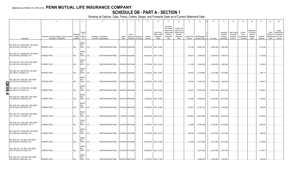### **SCHEDULE DB - PART A - SECTION 1**

|   |                                                                       | $\overline{2}$                                                             | $\mathbf{3}$           | $\overline{4}$                           | 5                                                  | 6             |                                 | 8                     | 9                  | 10 <sup>1</sup>                                      | 11                                                                                              | 12                                                                               | 13         | 14                                             | 16         |                                           | 17                                                | 18                                                         | 19                                                  | 20                                                      | 21                    | 22                             | 23                                                                          |
|---|-----------------------------------------------------------------------|----------------------------------------------------------------------------|------------------------|------------------------------------------|----------------------------------------------------|---------------|---------------------------------|-----------------------|--------------------|------------------------------------------------------|-------------------------------------------------------------------------------------------------|----------------------------------------------------------------------------------|------------|------------------------------------------------|------------|-------------------------------------------|---------------------------------------------------|------------------------------------------------------------|-----------------------------------------------------|---------------------------------------------------------|-----------------------|--------------------------------|-----------------------------------------------------------------------------|
|   | Description                                                           | Description of Item(s) Hedged, Used for Income<br>Generation or Replicated | Schedule<br>Identifier | Type(s)<br>of<br>/ Exhibit Risk(s)<br>(a | Exchange, Counterparty<br>or Central Clearinghouse | Trade<br>Date | Date of<br>Expiration Contracts | Maturity or Number of | Notional<br>Amount | Strike Price.<br>Rate of Index<br>Received<br>(Paid) | Cumulative<br>Prior Year(s)<br>Initial Cost of<br>Undiscounted<br>Premium<br>(Received)<br>Paid | Current Year<br>Initial Cost of<br>Undiscounted<br>Premium<br>(Received)<br>Paid | Income     | Current Year   Book/Adjusted<br>Carrying Value | Fair Value |                                           | Unrealized<br>Valuation<br>Increase<br>(Decrease) | <b>Total Foreign</b><br>Exchange<br>Change in<br>B./A.C.V. | Current<br>Year's<br>(Amortization<br>) / Accretion | Adjustmen<br>to Carrying<br>Value of<br>Hedged<br>ltems | Potential<br>Exposure | Credit<br>Quality of<br>Entity | Hedge<br>Effectiveness<br>at Inception<br>Reference and at Year-<br>end (b) |
|   | IRS_USD_PAY_2.84029_REC_USD LIBOR<br>3M_02/15/2018_02/20/2025_LCH     | <b>INTEREST RATE</b>                                                       | N/A                    | <b>INTER</b><br><b>EST</b><br>RATE       | LCH.<br>F226TOH6YD6XJB17KS62                       |               | 02/15/2018 02/20/2025           |                       |                    | .100,000,000   LIB3 / (2.835).                       |                                                                                                 |                                                                                  | (47, 146)  | (2,909,185)                                    |            | (2,909,185)                               | (1,564,956)                                       |                                                            |                                                     |                                                         | .1,214,355            |                                |                                                                             |
|   | IRS_USD_PAY_2.84029_REC_USD LIBOR<br>3M_02/15/2018_02/20/2025_LCH     | <b>INTEREST RATE.</b>                                                      | N/A.                   | <b>INTER</b><br>EST<br>RATE              | LCH.<br>F226TOH6YD6XJB17KS62                       |               | 02/15/2018 02/20/2025           |                       |                    | .100,000,000   LIB3 / (2.840)                        |                                                                                                 |                                                                                  | (48,521)   | (2,939,520)                                    |            | (2,939,520)                               | (1,564,007)                                       |                                                            |                                                     |                                                         | 1,214,355             |                                |                                                                             |
|   | IRS_USD_PAY_2.8414_REC_USD LIBOR<br>3M_02/27/2019_02/27/2049_LCH      | <b>INTEREST RATE</b>                                                       | N/A                    | <b>INTER</b><br><b>EST</b><br>RATE       | F226TOH6YD6XJB17KS62<br>LCH.                       |               | 02/25/2019 02/27/2049           |                       |                    | 30,700,000   LIB3 / (2.841)                          |                                                                                                 |                                                                                  | (8, 129)   | (1,685,336)                                    |            | (1,685,336)                               | (1,685,336)                                       |                                                            |                                                     |                                                         | .839,832              |                                |                                                                             |
|   | IRS_USD_PAY_2.86130_REC_US LIBOR<br>3M_2/2/2018_2/6/2028_LCH          | <b>INTEREST RATE</b>                                                       | N/A.                   | <b>INTER</b><br><b>EST</b><br>RATE       | LCH.<br>F226TOH6YD6XJB17KS62                       |               | 02/02/2018 02/06/2021           |                       |                    | 81,900,000   LIB3 / (2.861)                          |                                                                                                 |                                                                                  | (36,491)   | (3, 152, 898)                                  |            | (3, 152, 898)                             | (1,973,955)                                       |                                                            |                                                     |                                                         | .558,113              |                                |                                                                             |
| n | IRS USD PAY 2.892 REC USD LIBOR<br>3M_02/15/2018_02/20/2028_LCH       | <b>INTEREST RATE.</b>                                                      | N/A                    | <b>INTER</b><br><b>EST</b><br>RATE       | LCH.<br>F226TOH6YD6XJB17KS62 02/15/2018 02/20/2028 |               |                                 |                       |                    | .63,600,000   LIB3 / (2.920)                         |                                                                                                 |                                                                                  | (43,533)   | (2,760,129)                                    |            | $\ldots$ (2,760,129) $\ldots$ (1,540,405) |                                                   |                                                            |                                                     |                                                         | .948,612              |                                |                                                                             |
| A | <b>O IRS USD PAY 2.95150 REC US LIBOR</b><br>3M_2/5/2018_2/7/2048_LCH | <b>INTEREST RATE.</b>                                                      | N/A                    | <b>INTER</b><br><b>EST</b><br>RATE       | F226TOH6YD6XJB17KS62<br>LCH.                       |               | 02/05/2018 02/07/2048           |                       |                    | .176,000,000   LIB3 / (2.952).                       |                                                                                                 |                                                                                  |            | $(94,671)$ (13,491,639)                        |            | $(13,491,639)$ $(9,355,924)$              |                                                   |                                                            |                                                     |                                                         | 4,728,861             |                                |                                                                             |
|   | IRS_USD_PAY_2.9833_REC_USD LIBOR<br>3M_09/06/2018_09/06/2048_LCH      | <b>INTEREST RATE</b>                                                       | N/A                    | <b>INTER</b><br><b>EST</b><br>RATE       | LCH<br>F226TOH6YD6XJB17KS62                        |               | 09/04/2018 09/06/2048           |                       |                    | .48,200,000   LIB3 / (2.983)                         |                                                                                                 |                                                                                  | (34,022)   | (4,082,635)                                    |            | (4,082,635)                               | (2,610,903)                                       |                                                            |                                                     |                                                         | 1,308,023             |                                |                                                                             |
|   | IRS USD PAY 2.9844 REC USD LIBOR<br>3M_06/15/2018_06/15/2025_LCH      | <b>INTEREST RATE.</b>                                                      | N/A                    | <b>INTER</b><br><b>EST</b><br>RATE       | LCH.<br>F226TOH6YD6XJB17KS62                       |               | 06/13/2018 06/15/2025           |                       |                    | .80,000,000   LIB3 / (2.984)                         |                                                                                                 |                                                                                  | (45,027)   | (3, 120, 734)                                  |            | (3,120,734)                               | (1,325,559)                                       |                                                            |                                                     |                                                         | .997,092              |                                |                                                                             |
|   | IRS_USD_PAY_3.0205_REC_USD LIBOR<br>3M_11/23/2018_11/23/2023_LCH      | <b>INTEREST RATE</b>                                                       | N/A.                   | <b>INTER</b><br><b>EST</b><br>RATE       | CH.<br>F226TOH6YD6XJB17KS62                        |               | 11/20/2018 11/23/2023           |                       |                    | .300,000,000   LIB3 / (3.021)                        |                                                                                                 |                                                                                  | (283, 887) | (9,651,698)                                    |            | $(9,651,698)$ $(3,476,639)$               |                                                   |                                                            |                                                     |                                                         | 3,235,293             |                                |                                                                             |
|   | IRS_USD_PAY_3.0235_REC_USD LIBOR<br>3M_06/15/2018_06/15/2028_LCH_P    | <b>INTEREST RATE.</b>                                                      | N/A                    | <b>INTER</b><br><b>EST</b><br>RATE       | F226TOH6YD6XJB17KS62 06/13/2018 06/15/2028<br>LCH. |               |                                 |                       |                    | .110,000,000   LIB3 / (3.024)                        |                                                                                                 |                                                                                  | (72,665)   | (5,794,383)                                    |            | (5,794,383)                               | (2,763,628)                                       |                                                            |                                                     |                                                         | 1,669,722             |                                |                                                                             |
|   | IRS USD PAY 3.03080 REC USD LIBOR<br>3M_04/26/2018_04/30/2028_LCH     | <b>INTEREST RATE.</b>                                                      | N/A                    | <b>INTER</b><br><b>EST</b><br>RATE       | F226TOH6YD6XJB17KS62 04/26/2018 04/30/2028<br>LCH. |               |                                 |                       |                    | 65,700,000   LIB3 / (3.031)                          |                                                                                                 |                                                                                  | . (58,218) | (3,478,524)                                    |            | (3,478,524)                               | (1,610,169)                                       |                                                            |                                                     |                                                         | .990,438              |                                |                                                                             |
|   | IRS_USD_PAY_3.05_REC_USD LIBOR<br>3M_02/19/2019_02/19/2022_LCH        | <b>INTEREST RATE</b>                                                       | N/A.                   | <b>INTER</b><br><b>EST</b><br>RATE       | LCH.<br>F226TOH6YD6XJB17KS62 02/15/2019 02/19/2022 |               |                                 |                       |                    | .150,000,000   LIB3 / (3.050)                        |                                                                                                 |                                                                                  | .(75, 425) | (3,013,399)                                    |            | $\dots$ (3,013,399) $(3,013,399)$         |                                                   |                                                            |                                                     |                                                         | 1,275,695             |                                |                                                                             |
|   | IRS_USD_PAY_3.07_REC_USD LIBOR<br>3M_07/31/2020_07/31/2030_LCH        | <b>INTEREST RATE.</b>                                                      | N/A                    | <b>INTER</b><br><b>EST</b><br>RATE       | F226TOH6YD6XJB17KS62 07/27/2018 07/31/2030<br>LCH. |               |                                 |                       |                    | .66,500,000   LIB3 / (3.070).                        |                                                                                                 |                                                                                  |            | (3,627,820)                                    |            | (3,627,820)                               | (1,874,790)                                       |                                                            |                                                     |                                                         | 1,119,813             |                                |                                                                             |
|   | IRS USD PAY 3.105 REC USD LIBOR<br>3M 08/07/2019 08/07/2034 LCH       | <b>INTEREST RATE.</b>                                                      | $N/A$ .                | <b>INTER</b><br><b>EST</b><br>RATE       | LCH.<br>F226TOH6YD6XJB17KS62                       |               | 08/03/2018 08/07/2034           |                       |                    | .47,500,000   LIB3 / (3.105).                        |                                                                                                 |                                                                                  |            | (3.484.094)                                    |            | $(3,484,094)$ $(1,785,687)$               |                                                   |                                                            |                                                     |                                                         | .930,939              |                                |                                                                             |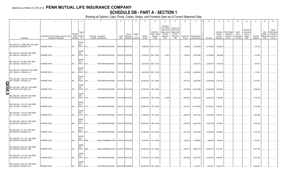### **SCHEDULE DB - PART A - SECTION 1**

|             |                                                                    |                                                                                                  | $\mathbf{3}$           | $\Delta$                                   | 5                                                  | 6             |                                      | $\mathbf{g}$              | $\mathsf{q}$       | 10                                                   | 11                                                                                              | 12                                                                                      | 13          | 14                                                                  | 15<br>16   | 17                                                | 18                                                         | 19                                                  | 20                                                       | 21                    | 22               | 23                                                                                     |
|-------------|--------------------------------------------------------------------|--------------------------------------------------------------------------------------------------|------------------------|--------------------------------------------|----------------------------------------------------|---------------|--------------------------------------|---------------------------|--------------------|------------------------------------------------------|-------------------------------------------------------------------------------------------------|-----------------------------------------------------------------------------------------|-------------|---------------------------------------------------------------------|------------|---------------------------------------------------|------------------------------------------------------------|-----------------------------------------------------|----------------------------------------------------------|-----------------------|------------------|----------------------------------------------------------------------------------------|
|             | Description                                                        | Description of Item(s) Hedged, Used for Income   / Exhibit   Risk(s)<br>Generation or Replicated | Schedule<br>Identifier | Type(s<br>of<br>(a)                        | Exchange, Counterparty<br>or Central Clearinghouse | Trade<br>Date | Date of<br>Maturity or<br>Expiration | Number<br>of<br>Contracts | Notional<br>Amount | Strike Price,<br>Rate of Index<br>Received<br>(Paid) | Cumulative<br>Prior Year(s)<br>Initial Cost of<br>Undiscounted<br>Premium<br>(Received)<br>Paid | <b>Current Year</b><br>Initial Cost of<br>Undiscounted<br>Premium<br>(Received)<br>Paid | Income      | Current Year   Book/Adjusted   d<br>Carrying Value   e   Fair Value |            | Unrealized<br>Valuation<br>Increase<br>(Decrease) | <b>Total Foreign</b><br>Exchange<br>Change in<br>B./A.C.V. | Current<br>Year's<br>(Amortization<br>) / Accretion | Adjustment<br>to Carrying<br>Value of<br>Hedged<br>Items | Potential<br>Exposure | Credit<br>Entity | Hedge<br>Effectiveness<br>Quality of at Inception<br>Reference and at Year-<br>end (b) |
|             |                                                                    |                                                                                                  |                        | <b>INTER</b>                               |                                                    |               |                                      |                           |                    |                                                      |                                                                                                 |                                                                                         |             |                                                                     |            |                                                   |                                                            |                                                     |                                                          |                       |                  |                                                                                        |
|             | IRS_USD_PAY_3.163980_REC_USD LIBOR<br>3M_09/25/2018_09/25/2033_LCH | INTEREST RATE.                                                                                   | N/A                    | EST<br>RATE<br>LCH.                        | F226TOH6YD6XJB17KS62 09/21/2018 09/25/2033         |               |                                      |                           |                    | 39,800,000   LIB3 / (3.164).                         |                                                                                                 |                                                                                         | (38,588)    | (3, 192, 585)                                                       |            | (3,192,585)  (1,428,591                           |                                                            |                                                     |                                                          | 757,734               |                  |                                                                                        |
|             | IRS_USD_PAY_3.255_REC_USD LIBOR<br>3M_10/26/2018_10/26/2033_LCH    | <b>INTEREST RATE.</b>                                                                            | N/A                    | <b>INTER</b><br><b>EST</b><br>RATE<br>LCH  | F226TOH6YD6XJB17KS62                               |               | 10/24/2018 10/26/2033                |                           |                    | 27,000,000   LIB3 / (3.255).                         | (3,927)                                                                                         |                                                                                         | (38,291)    | (2,475,068)                                                         |            | $(2,475,068)$ (963,665)                           |                                                            |                                                     |                                                          | 515,544               |                  |                                                                                        |
|             | IRS_USD_PAY_3.27_REC_USD LIBOR<br>3M_10/26/2020_10/26/2030_LCH     | <b>INTEREST RATE.</b>                                                                            | N/A                    | <b>INTER</b><br><b>EST</b><br>RATE<br>LCH. | F226TOH6YD6XJB17KS62                               |               | 10/23/2018 10/26/2030                |                           |                    | .48,000,000   LIB3 / (3.270).                        |                                                                                                 |                                                                                         |             | (3,380,718)                                                         |            | $(3,380,718)$ (1,365,319)                         |                                                            |                                                     |                                                          | 816,735               |                  |                                                                                        |
|             | IRS_USD_PAY_3.30494_REC_USD LIBOR<br>3M_11/05/2018_11/05/2048_LCH  | INTEREST RATE.                                                                                   | N/A                    | <b>INTER</b><br>RATE<br>LCH.               | F226TOH6YD6XJB17KS62                               |               | 11/01/2018 11/05/2048                |                           |                    | $.26,200,000$ LIB3 / (3.305).                        |                                                                                                 |                                                                                         | (41,336)    | (4,030,904)                                                         |            | $(4,030,904)$ (1,463,023)                         |                                                            |                                                     |                                                          | 712,981               |                  |                                                                                        |
| ┍           | IRS_USD_REC_1.4725_PAY_USD LIBOR<br>3M_11/07/2016_11/07/2023_LCH   | <b>INTEREST RATE.</b>                                                                            | N/A                    | <b>INTER</b><br><b>EST</b><br>RATE<br>LCH. | F226TOH6YD6XJB17KS62                               |               | 12/31/2017 11/07/2023                |                           |                    | .150,000,000  1.473 / (LIB3).                        |                                                                                                 |                                                                                         | (451,741)   | (5,368,796)                                                         |            | (5,368,796) 2,165,192                             |                                                            |                                                     |                                                          | 1,610,007             |                  |                                                                                        |
| Ш<br>0<br>ത | IRS USD REC 1.4835 PAY USD LIBOR<br>3M_07/01/2016_07/01/2028_LCH   | <b>INTEREST RATE.</b>                                                                            | N/A                    | <b>INTER</b><br><b>EST</b><br>RATE<br>LCH. | F226TOH6YD6XJB17KS62                               |               | 12/31/2017 07/01/2028                |                           |                    | .170,000,000  1.484 / (LIB3).                        |                                                                                                 |                                                                                         | (555,598)   | (12,944,398)                                                        |            | (12,944,398) 4,549,906                            |                                                            |                                                     |                                                          | 2,586,609             |                  |                                                                                        |
| ת           | IRS_USD_REC_1.585_PAY_USD LIBOR<br>3M_06/23/2016_06/23/2031_LCH    | <b>INTEREST RATE.</b>                                                                            | N/A                    | <b>INTER</b><br><b>EST</b><br>RATE<br>LCH. | F226TOH6YD6XJB17KS62                               |               | 01/01/2018 06/23/2031                |                           |                    | .100,000,000   1.585 / (LIB3).                       | (2,248)                                                                                         |                                                                                         | (305,366)   | (9,522,332)                                                         |            | $(9,522,332)$ 3,195,386                           |                                                            |                                                     |                                                          | .1,749,168            |                  |                                                                                        |
|             | IRS_USD_REC_1.675_PAY_USD LIBOR<br>3M_11/07/2016_11/07/2026_LCH    | <b>INTEREST RATE.</b>                                                                            | N/A                    | <b>INTER</b><br><b>EST</b><br>RATE<br>LCH. | F226TOH6YD6XJB17KS62                               |               | 12/31/2017 11/07/2026                |                           |                    | .228,000,000   1.675 / (LIB3).                       |                                                                                                 |                                                                                         | (571,221)   | (10,742,291)                                                        |            | $(10,742,291)$ 5,060,357                          |                                                            |                                                     |                                                          | ,3,145,028            |                  |                                                                                        |
|             | IRS_USD_REC_1.725_PAY_USD LIBOR<br>3M_11/01/2016_11/01/2026_LCH    | <b>INTEREST RATE.</b>                                                                            | N/A                    | <b>INTER</b><br><b>EST</b><br>RATE<br>LCH. | F226TOH6YD6XJB17KS62                               |               | 12/31/2017 11/01/2026                |                           |                    | .110,500,000 1.725 / (LIB3).                         |                                                                                                 |                                                                                         | (260,779) . | (4,801,933)                                                         |            | $(4,801,933)$ 2,441,744                           |                                                            |                                                     |                                                          | .1,522,588            |                  |                                                                                        |
|             | IRS_USD_REC_1.885_PAY_USD LIBOR<br>3M_09/07/2017_09/07/2024_LCH    | <b>INTEREST RATE.</b>                                                                            | N/A                    | <b>INTER</b><br><b>EST</b><br>RATE<br>LCH. | F226TOH6YD6XJB17KS62                               |               | 12/31/2017 09/07/2024                |                           |                    | .200,000,000   1.885 / (LIB3).                       |                                                                                                 |                                                                                         | (418,275)   | (4,233,155)                                                         |            | $(4,233,155)$ 3,243,399                           |                                                            |                                                     |                                                          | 2,333,203             |                  |                                                                                        |
|             | IRS USD REC 1.91 PAY USD LIBOR<br>3M_08/23/2017_08/23/2024_LCH     | <b>INTEREST RATE.</b>                                                                            | N/A                    | <b>INTER</b><br><b>EST</b><br>RATE<br>LCH. | F226TOH6YD6XJB17KS62 12/31/2017 08/23/2024         |               |                                      |                           |                    | .170,000,000 1.910 / (LIB3).                         |                                                                                                 |                                                                                         | (321,178)   | (3,353,302)                                                         |            | $(3,353,302)$ 2,693,893                           |                                                            |                                                     |                                                          | 1,975,723             |                  |                                                                                        |
|             | IRS_USD_REC_1.971_PAY_USD LIBOR<br>3M_04/20/2015_04/20/2025_CME    | <b>INTEREST RATE.</b>                                                                            | N/A.                   | <b>INTER</b><br><b>EST</b><br>RATE<br>CME. | SNZ2OJLFK8MNNCLQOF39. 12/31/2017 04/20/2025        |               |                                      |                           |                    | $.50,000,000$   1.971 / (LIB3).                      |                                                                                                 |                                                                                         | (90,233)    | (985, 555)                                                          | (985, 555) | 895,409                                           |                                                            |                                                     |                                                          | 615,441               |                  |                                                                                        |
|             | IRS_USD_REC_2.037_PAY_USD LIBOR<br>3M_02/09/2016_02/09/2031_CME    | <b>INTEREST RATE.</b>                                                                            | N/A                    | <b>INTER</b><br><b>EST</b><br>RATE<br>CME. | SNZ2OJLFK8MNNCLQOF39.                              |               | 12/31/2017 02/09/2031                |                           |                    | .210,000,000 2.037 / (LIB3).                         |                                                                                                 |                                                                                         | (323,571)   | (9,825,107)                                                         |            | $(9,825,107)$ 6,701,054                           |                                                            |                                                     |                                                          | 3,617,739             |                  |                                                                                        |
|             | IRS_USD_REC_2.112_PAY_USD LIBOR<br>3M_08/30/2017_08/31/2027_LCH    | <b>INTEREST RATE.</b>                                                                            | N/A                    | <b>INTER</b><br><b>EST</b><br>RATE<br>LCH. | F226TOH6YD6XJB17KS62 12/31/2017 08/31/2027         |               |                                      |                           |                    | .170,700,000 2.112 / (LIB3).                         |                                                                                                 |                                                                                         | (261,990)   | (3,334,778)                                                         |            | $(3,334,778)$ 4,090,338                           |                                                            |                                                     |                                                          | 2,477,306             |                  |                                                                                        |
|             | IRS USD REC 2.445 PAY USD LIBOR<br>3M 02/26/2021 02/26/2023 LCH    | <b>INTEREST RATE.</b>                                                                            | $N/A$ .                | <b>INTER</b><br><b>EST</b><br>RATE<br>LCH. | F226TOH6YD6XJB17KS62 02/22/2019 02/26/2023         |               |                                      |                           |                    | .300,000,000 2.445 / (LIB3).                         |                                                                                                 |                                                                                         |             | 1,546,155                                                           |            | $.1,546,155$ 1,546,155                            |                                                            |                                                     |                                                          | .2,966,941            |                  |                                                                                        |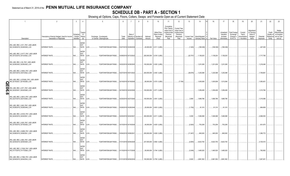### **SCHEDULE DB - PART A - SECTION 1**

|    |                                                                           | $\overline{2}$                                                             | $\mathbf{3}$                                | $\overline{4}$                     | 5                                                  | 6             |                                 | 8                     | 9                  | 10 <sup>1</sup>                                      | 11                                                                                              | 12                                                                               | 13        | 14                                                    | 16         | 17                                                | 18                                                         | 19                                                  | 20                                                       | 21                    | 22                             | 23                                                                          |
|----|---------------------------------------------------------------------------|----------------------------------------------------------------------------|---------------------------------------------|------------------------------------|----------------------------------------------------|---------------|---------------------------------|-----------------------|--------------------|------------------------------------------------------|-------------------------------------------------------------------------------------------------|----------------------------------------------------------------------------------|-----------|-------------------------------------------------------|------------|---------------------------------------------------|------------------------------------------------------------|-----------------------------------------------------|----------------------------------------------------------|-----------------------|--------------------------------|-----------------------------------------------------------------------------|
|    | Description                                                               | Description of Item(s) Hedged, Used for Income<br>Generation or Replicated | Schedule<br>/ Exhibit Risk(s)<br>Identifier | Type(s)<br>of<br>(a)               | Exchange, Counterparty<br>or Central Clearinghouse | Trade<br>Date | Date of<br>Expiration Contracts | Maturity or Number of | Notional<br>Amount | Strike Price.<br>Rate of Index<br>Received<br>(Paid) | Cumulative<br>Prior Year(s)<br>Initial Cost of<br>Undiscounted<br>Premium<br>(Received)<br>Paid | Current Year<br>Initial Cost of<br>Undiscounted<br>Premium<br>(Received)<br>Paid | Income    | Current Year   Book/Adjusted<br><b>Carrying Value</b> | Fair Value | Unrealized<br>Valuation<br>Increase<br>(Decrease) | <b>Total Foreign</b><br>Exchange<br>Change in<br>B./A.C.V. | Current<br>Year's<br>(Amortization<br>) / Accretion | Adjustment<br>to Carrying<br>Value of<br>Hedged<br>ltems | Potential<br>Exposure | Credit<br>Quality of<br>Entity | Hedge<br>Effectiveness<br>at Inception<br>Reference and at Year-<br>end (b) |
|    | IRS_USD_REC_2.511_PAY_USD LIBOR<br>3M_03/29/2019_03/29/2039_LCH           | <b>INTEREST RATE</b>                                                       | N/A                                         | <b>INTER</b><br><b>EST</b><br>RATE | LCH.<br>F226TOH6YD6XJB17KS62                       |               | 03/27/2019 03/29/2039           |                       |                    | $.20,000,000$   2.511 / (LIB3)                       |                                                                                                 |                                                                                  | (1,545)   | (188,308)                                             | (188, 308) | (188,308)                                         |                                                            |                                                     |                                                          | .447,305              |                                |                                                                             |
|    | IRS_USD_REC_2.5177_PAY_USD LIBOR<br>3M_03/12/2019_03/12/2022_LCH          | <b>INTEREST RATE.</b>                                                      | N/A.                                        | <b>INTER</b><br>EST<br>RATE        | LCH.<br>F226TOH6YD6XJB17KS62                       |               | 03/08/2019 03/12/2022           |                       |                    | .200,000,000 2.518 / (LIB3).                         |                                                                                                 |                                                                                  | (22, 757) | 1,138,203                                             | 1,138,203  | 1,138,203                                         |                                                            |                                                     |                                                          | 1,717,756             |                                |                                                                             |
|    | IRS_USD_REC_2.52_PAY_USD LIBOR<br>3M_02/26/2020_02/26/2025_LCH            | <b>INTEREST RATE.</b>                                                      | N/A                                         | <b>INTER</b><br><b>EST</b><br>RATE | F226TOH6YD6XJB17KS62 02/22/2019 02/26/2025<br>LCH. |               |                                 |                       |                    | .100,000,000 2.520 / (LIB3).                         |                                                                                                 |                                                                                  |           | 1,231,638                                             | 1,231,638  | 1,231,638                                         |                                                            |                                                     |                                                          | 1,216,046             |                                |                                                                             |
|    | IRS_USD_REC_2.5404_PAY_USD LIBOR<br>3M_03/01/2019_03/01/2022_LCH          | <b>INTEREST RATE</b>                                                       | N/A.                                        | <b>INTER</b><br><b>EST</b><br>RATE | LCH.<br>F226TOH6YD6XJB17KS62 02/27/2019 03/01/2022 |               |                                 |                       |                    | .200,000,000   2.540 / (LIB3).                       |                                                                                                 |                                                                                  | (28, 878) | 1,230,098                                             | 1,230,098  | 1,230,098                                         |                                                            |                                                     |                                                          | 1,708,961             |                                |                                                                             |
| n  | IRS USD REC 2.570000 PAY USD LIBOR<br>3M_02/19/2021_02/19/2026_LCH        | <b>INTEREST RATE.</b>                                                      | N/A                                         | <b>INTER</b><br><b>EST</b><br>RATE | LCH.<br>F226TOH6YD6XJB17KS62 02/19/2019 02/19/2026 |               |                                 |                       |                    | .80,000,000 2.570 / (LIB3).                          |                                                                                                 | (7,156)                                                                          |           | 1,005,938                                             | .1,005,938 | 1,013,094                                         |                                                            |                                                     |                                                          | .1,050,401            |                                |                                                                             |
| П  | <b>NO IRS USD REC 2.571 PAY USD LIBOR</b><br>3M_02/22/2021_02/22/2026_LCH | <b>INTEREST RATE.</b>                                                      | N/A                                         | <b>INTER</b><br><b>EST</b><br>RATE | F226TOH6YD6XJB17KS62 02/19/2019 02/22/2026<br>LCH. |               |                                 |                       |                    | .100,000,000 2.571 / (LIB3).                         |                                                                                                 |                                                                                  |           | 1,259,408                                             | .1,259,408 | 1,259,408                                         |                                                            |                                                     |                                                          | 1,313,784             |                                |                                                                             |
| ၈. | IRS_USD_REC_2.5913_PAY_USD LIBOR<br>3M_02/27/2019_02/27/2026_LCH          | <b>INTEREST RATE</b>                                                       | N/A                                         | <b>INTER</b><br><b>EST</b><br>RATE | LCH<br>F226TOH6YD6XJB17KS62                        |               | 02/25/2019 02/27/2026           |                       |                    | .100,000,000 2.591 / (LIB3)                          |                                                                                                 |                                                                                  | 2,859     | 1,668,786                                             | 1,668,786  | 1,668,786                                         |                                                            |                                                     |                                                          | 1,315,086             |                                |                                                                             |
|    | IRS USD REC 2.603 PAY USD LIBOR<br>3M_03/28/2019_03/28/2049_LCH           | <b>INTEREST RATE.</b>                                                      | N/A                                         | <b>INTER</b><br><b>EST</b><br>RATE | LCH.<br>F226TOH6YD6XJB17KS62                       |               | 03/26/2019 03/28/2049           |                       |                    | $.25,000,000$ 2.603 / (LIB3).                        |                                                                                                 |                                                                                  | (1,792)   | .91,315                                               | 91,315     | 91,315                                            |                                                            |                                                     |                                                          | 684,809               |                                |                                                                             |
|    | IRS_USD_REC_2.6105_PAY_USD LIBOR<br>3M_02/22/2019_02/22/2021_LCH          | <b>INTEREST RATE</b>                                                       | N/A.                                        | <b>INTER</b><br><b>EST</b><br>RATE | LCH.<br>F226TOH6YD6XJB17KS62                       |               | 02/20/2019 02/22/2021           |                       |                    | .300,000,000 2.611 / (LIB3).                         |                                                                                                 |                                                                                  | .5,009    | 1,046,068                                             | .1,046,068 | 1,046,068                                         |                                                            |                                                     |                                                          | 2,068,353             |                                |                                                                             |
|    | IRS_USD_REC_2.625_PAY_USD LIBOR<br>3M_03/19/2019_03/19/2029_LCH           | <b>INTEREST RATE.</b>                                                      | N/A                                         | <b>INTER</b><br><b>EST</b><br>RATE | F226TOH6YD6XJB17KS62 03/15/2019 03/19/2029<br>LCH. |               |                                 |                       |                    | .40,000,000   2.625 / (LIB3)                         |                                                                                                 |                                                                                  | (2,920)   | .753,259                                              | .753,259   | 753,259                                           |                                                            |                                                     |                                                          | 631,675               |                                |                                                                             |
|    | IRS USD REC 2.6288 PAY USD LIBOR<br>3M_03/06/2019_03/06/2021_LCH          | <b>INTEREST RATE.</b>                                                      | N/A                                         | <b>INTER</b><br><b>EST</b><br>RATE | LCH.<br>F226TOH6YD6XJB17KS62 03/04/2019 03/06/2021 |               |                                 |                       |                    | .200,000,000 2.629 / (LIB3).                         |                                                                                                 |                                                                                  | (11,547)  | 845,000                                               | .845,000   | 845,000                                           |                                                            |                                                     |                                                          | .1,390,772            |                                |                                                                             |
|    | IRS_USD_REC_2.682_PAY_USD LIBOR<br>3M_02/04/2019_02/04/2029_LCH           | <b>INTEREST RATE</b>                                                       | N/A.                                        | <b>INTER</b><br><b>EST</b><br>RATE | LCH.<br>F226TOH6YD6XJB17KS62 01/31/2019 02/04/2029 |               |                                 |                       |                    | .237,000,000 2.682 / (LIB3)                          |                                                                                                 |                                                                                  | (2,805)   | 5,623,750                                             | 5,623,750  | 5,623,750                                         |                                                            |                                                     |                                                          | 3,720,510             |                                |                                                                             |
|    | IRS_USD_REC_2.7438_PAY_USD LIBOR<br>3M_01/17/2019_01/17/2029_LCH          | <b>INTEREST RATE.</b>                                                      | N/A                                         | <b>INTER</b><br><b>EST</b><br>RATE | F226TOH6YD6XJB17KS62 01/15/2019 01/17/2029<br>LCH. |               |                                 |                       |                    | 50,000,000 2.744 / (LIB3).                           |                                                                                                 |                                                                                  | (3,046)   | .1,465,525                                            | .1,465,525 | .1,465,525                                        |                                                            |                                                     |                                                          | 782,952               |                                |                                                                             |
|    | IRS USD REC 2.7496 PAY USD LIBOR<br>3M 02/04/2019 02/04/2034 LCH          | <b>INTEREST RATE.</b>                                                      | $N/A$ .                                     | <b>INTER</b><br><b>EST</b><br>RATE | F226TOH6YD6XJB17KS62 01/31/2019 02/04/2034<br>LCH. |               |                                 |                       |                    | 100,000,000 2.750 / (LIB3).                          |                                                                                                 |                                                                                  | .9.520    | 2,861,552                                             | .2,861,552 | 2,861,552                                         |                                                            |                                                     |                                                          | 1,927,451             |                                |                                                                             |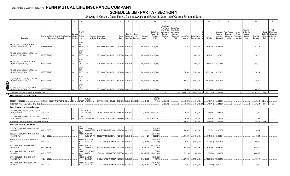# **SCHEDULE DB - PART A - SECTION 1**

|        |                                                                                             | $\overline{2}$                                                             | $\mathbf{3}$                        | $\overline{4}$                     |                                                   | 5                                                     | 6             |                                      | 8                         | $\mathsf{Q}$       | 10 <sup>10</sup>                                     | 11                                                                                              | 12                                                                                      | 13                     | 14<br>15                          | 16                          | 17                                                | 18                                                                | 19                                                 | 20                                                       | 21                    | 22                                          | 23                                                                |
|--------|---------------------------------------------------------------------------------------------|----------------------------------------------------------------------------|-------------------------------------|------------------------------------|---------------------------------------------------|-------------------------------------------------------|---------------|--------------------------------------|---------------------------|--------------------|------------------------------------------------------|-------------------------------------------------------------------------------------------------|-----------------------------------------------------------------------------------------|------------------------|-----------------------------------|-----------------------------|---------------------------------------------------|-------------------------------------------------------------------|----------------------------------------------------|----------------------------------------------------------|-----------------------|---------------------------------------------|-------------------------------------------------------------------|
|        | Description                                                                                 | Description of Item(s) Hedged, Used for Income<br>Generation or Replicated | Schedule<br>/ Exhibit<br>Identifier | Type(s)<br>nf<br>Risk(s)<br>(a)    |                                                   | Exchange, Counterparty<br>or Central Clearinghouse    | Trade<br>Date | Date of<br>Maturity or<br>Expiration | Number<br>of<br>Contracts | Notional<br>Amount | Strike Price,<br>Rate of Index<br>Received<br>(Paid) | Cumulative<br>Prior Year(s)<br>Initial Cost of<br>Undiscounted<br>Premium<br>(Received)<br>Paid | <b>Current Year</b><br>Initial Cost of<br>Jndiscounted<br>Premium<br>(Received)<br>Paid | Current Year<br>Income | Book/Adjusted<br>Carrying Value e | Fair Value                  | Unrealized<br>Valuation<br>Increase<br>(Decrease) | <b>Total Foreign</b><br>Exchange<br>Change in<br><b>B./A.C.V.</b> | Current<br>Year's<br>Amortization<br>) / Accretion | Adjustment<br>to Carrying<br>Value of<br>Hedged<br>ltems | Potential<br>Exposure | Credit<br>Quality of<br>Reference<br>Entity | Hedge<br>Effectiveness<br>at Inception<br>and at Year-<br>end (b) |
|        |                                                                                             |                                                                            |                                     | <b>INTER</b>                       |                                                   |                                                       |               |                                      |                           |                    |                                                      |                                                                                                 |                                                                                         |                        |                                   |                             |                                                   |                                                                   |                                                    |                                                          |                       |                                             |                                                                   |
|        | IRS_USD_REC_3.0_PAY_USD LIBOR<br>3M_01/07/2019_01/07/2029_LCH                               | <b>INTEREST RATE.</b>                                                      | N/A.                                | <b>EST</b><br>RATE                 | LCH.                                              | F226TOH6YD6XJB17KS62                                  |               | 01/03/2019 01/07/2029                |                           |                    | .100,000,000 3.000 / (LIB3).                         |                                                                                                 |                                                                                         | .47,833                | 5,186,049                         | .5,186,049                  | 5,186,049                                         |                                                                   |                                                    |                                                          | 1,563,715             |                                             |                                                                   |
|        | IRS USD REC 3.0475 PAY USD LIBOR<br>3M_07/31/2020_07/31/2022_LCH                            | <b>INTEREST RATE.</b>                                                      | N/A.                                | <b>INTER</b><br><b>EST</b><br>RATE | CH.                                               | F226TOH6YD6XJB17KS62                                  |               | 07/27/2018 07/31/2022                |                           |                    | .300,000,000 3.048 / (LIB3).                         |                                                                                                 |                                                                                         |                        | 4,999,512                         | .4,999,512                  | .1,805,282                                        |                                                                   |                                                    |                                                          | .2,740,113            |                                             |                                                                   |
|        | IRS_USD_REC_3.07_PAY_USD LIBOR<br>3M_08/07/2019_08/07/2021_LCH                              | <b>INTEREST RATE.</b>                                                      | N/A                                 | <b>INTER</b><br><b>EST</b><br>RATE | LCH.                                              | F226TOH6YD6XJB17KS62                                  |               | 08/03/2018 08/07/2021                |                           |                    | .300,000,000 3.070 / (LIB3).                         |                                                                                                 |                                                                                         |                        | .4,429,562                        | .4,429,562                  | 1,533,549                                         |                                                                   |                                                    |                                                          | .2,302,470            |                                             |                                                                   |
|        | IRS_USD_REC_3.2426_PAY_USD LIBOR<br>3M_10/05/2018_10/05/2033_LCH                            | <b>INTEREST RATE.</b>                                                      | N/A.                                | <b>INTER</b><br><b>EST</b><br>RATE | LCH.                                              | F226TOH6YD6XJB17KS62                                  |               | 10/03/2018 10/05/2033                |                           |                    | .300,000,000 3.243 / (LIB3).                         |                                                                                                 |                                                                                         | 355,038                | 27,001,806                        | 27,001,806 .10,753,407      |                                                   |                                                                   |                                                    |                                                          | 5,716,954             |                                             |                                                                   |
| ▛      | IRS USD REC 3.2436 PAY USD LIBOR<br>3M_10/05/2018_10/05/2038_LCH                            | <b>INTEREST RATE.</b>                                                      | N/A                                 | <b>INTER</b><br><b>EST</b><br>RATE | LCH.                                              | F226TOH6YD6XJB17KS62                                  |               | 10/03/2018 10/05/2038                |                           |                    | .160,000,000 3.244 / (LIB3).                         |                                                                                                 |                                                                                         | 189,753                | 17,038,498                        | 17,038,498                  | 6,892,193                                         |                                                                   |                                                    |                                                          | 3,535,309             |                                             |                                                                   |
| m<br>0 | IRS_USD_REC_3.258_PAY_USD LIBOR<br>3M_10/05/2018_10/05/2038_LCH                             | <b>INTEREST RATE.</b>                                                      | N/A.                                | <b>INTER</b><br>EST<br>RATE LCH    |                                                   | F226TOH6YD6XJB17KS62                                  |               | 10/03/2018 10/05/2038                |                           |                    | .300,000,000 3.258 / (LIB3).                         |                                                                                                 |                                                                                         | .366,588               | .32,628,078                       | 32,628,078                  | .12,932,024                                       |                                                                   |                                                    |                                                          | .6,628,705            |                                             |                                                                   |
|        | 0919999999. Total-Swaps-Hedging Other-Interest Rate.                                        |                                                                            |                                     |                                    |                                                   |                                                       |               |                                      |                           |                    |                                                      | (6, 175)                                                                                        | (7, 156)                                                                                | (3,497,262)            | $(28, 161, 282)$ XX               | (28, 161, 282)              | .15,982,029                                       | $\Omega$                                                          |                                                    |                                                          | 117,602,378           | XXX                                         | XXX                                                               |
|        |                                                                                             |                                                                            |                                     |                                    |                                                   |                                                       |               |                                      |                           |                    |                                                      |                                                                                                 |                                                                                         |                        |                                   |                             |                                                   |                                                                   |                                                    |                                                          |                       |                                             |                                                                   |
|        | Swaps - Hedging Other - Credit Default                                                      |                                                                            |                                     |                                    |                                                   |                                                       |               |                                      |                           |                    |                                                      |                                                                                                 |                                                                                         |                        |                                   |                             |                                                   |                                                                   |                                                    |                                                          |                       |                                             |                                                                   |
|        | CDS BOA 5 M 09-20-2019.                                                                     | 530715AD3 LIBERTY INTERACTIVE LLC.                                         | D1.                                 |                                    | <b>BANK OF</b><br>CREDIT AMERICA, N.A.            | B4TYDEB6GKMZO031MB27. 01/01/2018 09/20/2019 5,000,000 |               |                                      |                           | 5,000,000          | <b>CREDIT</b><br><b>EVENT</b><br>(5.000)             | 232,700                                                                                         |                                                                                         | (62, 500)              | (113,705)                         | (113, 705)                  | 54.969                                            |                                                                   |                                                    |                                                          | .17,211               | 3FE.                                        |                                                                   |
|        | 0929999999. Total-Swaps-Hedging Other-Credit Default                                        |                                                                            |                                     |                                    |                                                   |                                                       |               |                                      |                           |                    |                                                      | 232,700                                                                                         | $\Omega$                                                                                | (62, 500)              | $(113,705)$ XX                    | (113,705)                   | 54.969                                            |                                                                   |                                                    |                                                          | 17,211                | XXX                                         | XXX                                                               |
|        | Swaps - Hedging Other - Foreign Exchange                                                    |                                                                            |                                     |                                    |                                                   |                                                       |               |                                      |                           |                    |                                                      |                                                                                                 |                                                                                         |                        |                                   |                             |                                                   |                                                                   |                                                    |                                                          |                       |                                             |                                                                   |
|        | XCCY_EUR_PAY_4.625_REC_USD_7.55_06/2<br>7/2018_06/27/2028                                   | <b>CURRENCY</b>                                                            | N/A                                 | <b>CURR</b><br><b>ENCY</b>         | <b>BANK OF</b><br>AMERICA, N.A                    | B4TYDEB6GKMZO031MB27. 09/18/2018 06/27/2028           |               |                                      |                           |                    | .12,151,500 7.550 / (4.625)                          |                                                                                                 |                                                                                         | .94,411                | .818,380                          | .818,380                    | 281,030                                           |                                                                   |                                                    |                                                          | 184,780               |                                             |                                                                   |
|        | XCCY_EUR_PAY_5.00_REC_USD_8.197_10/0<br>1/2018 10/01/2026                                   | <b>CURRENCY</b>                                                            | $N/A$ .                             | <b>CURR</b><br><b>ENCY</b>         | CITIBANK N.A                                      | E57ODZWZ7FF32TWEFA76 09/28/2018 10/01/2026            |               |                                      |                           |                    | .11,917,500 8.197 / (5.000)                          |                                                                                                 |                                                                                         | .98.036                | .750.780                          | .750.780                    | 312.030                                           |                                                                   |                                                    |                                                          | 163.291               |                                             |                                                                   |
|        | 0939999999. Total-Swaps-Hedging Other-Foreign Exchange                                      |                                                                            |                                     |                                    |                                                   |                                                       |               |                                      |                           |                    |                                                      |                                                                                                 |                                                                                         | 192,447                | $.1,569,160$ XX                   | .1,569,160                  | 593,060                                           |                                                                   |                                                    |                                                          | .348,071              | XXX                                         | XXX                                                               |
|        | Swaps - Hedging Other - Total Return                                                        |                                                                            |                                     |                                    |                                                   |                                                       |               |                                      |                           |                    |                                                      |                                                                                                 |                                                                                         |                        |                                   |                             |                                                   |                                                                   |                                                    |                                                          |                       |                                             |                                                                   |
|        | GDDUEAFE - USD LIBOR 3M + 0.35 BP MAT<br>09/24/2020 - FLT                                   | VAGLB HEDGE.                                                               | N/A                                 | EQUIT                              | Y/INDE GOLDMAN                                    | SACHS INTERN W22LROWP2IHZNBB6K528                     |               | 09/20/2018 09/24/2020                |                           | 25,339,612         | LIB3+35.000<br>(GDDUEA)                              |                                                                                                 |                                                                                         | .199,835               | .967,792                          | .967,792                    | (2, 240, 874)                                     |                                                                   |                                                    |                                                          | 154,534               |                                             |                                                                   |
|        | GDDUEAFE - USD LIBOR 3M + 0.57 BP MAT<br>08/29/2019 - FLT                                   | VAGLB HEDGE.                                                               | $N/A$                               | <b>EQUIT</b><br>Y/INDE<br>EQUIT    | <b>BARCLAYS</b><br>BANK NEW YO                    | G5GSEF7VJP5I7OUK5573                                  |               | 12/31/2017 08/29/2019                |                           | .54,954,121        | LIB3+57.000<br>(GDDUEA)                              |                                                                                                 |                                                                                         | .446,307               | (1,445,530)                       | (1,445,530)                 | (5, 185, 681)                                     |                                                                   |                                                    |                                                          | .176,731              |                                             |                                                                   |
|        | RU20INTR- USD LIBOR 3M +1 BP MAT 02-07<br>2020                                              | VAGLB HEDGE.                                                               | $N/A$                               | Y/INDE<br>EQUIT                    | <b>JP MORGAN</b><br>CHASE BK,                     | 7H6GLXDRUGQFU57RNE97. 02/05/2018 02/07/2020           |               |                                      |                           | 45,541,957         | LIB3+1.000<br>(RU20IN)                               |                                                                                                 |                                                                                         | .305,944               | (2,252,154)                       | (2,252,154)                 | (6,083,152)                                       |                                                                   |                                                    |                                                          | .210,866              |                                             |                                                                   |
|        | SPTR - USD LIBOR 3M - .02 BP MAT<br>08/09/2019 - FLT                                        | VAGLB HEDGE.                                                               | N/A                                 | Y/INDE<br>EQUIT                    | <b>BANK OF</b><br>AMERICA, N.A                    | B4TYDEB6GKMZO031MB27. 02/07/2019 08/09/2019           |               |                                      |                           | .99,709,210        | SPTR / (LIB3-<br>2.000                               |                                                                                                 |                                                                                         | (363, 310)             | 5,083,356                         | .5,083,356                  | 5,083,356                                         |                                                                   |                                                    |                                                          | (298, 672)            |                                             |                                                                   |
|        | SPTR - USD LIBOR 3M + .22 BP MAT<br>05/29/2020                                              | VAGLB HEDGE.                                                               | $N/A$                               | EQUIT                              | Y/INDE WELLS FARGO<br>BANK, N.                    | KB1H1DSPRFMYMCUFXT09 08/27/2018 05/29/2020            |               |                                      |                           | 100,087,785        | <b>SPTR</b><br>(LIB3+22.000)                         |                                                                                                 |                                                                                         | (725,258)              | (959, 683)                        | (959, 683)                  | .11,904,305                                       |                                                                   |                                                    |                                                          | (540,007)             |                                             |                                                                   |
|        | SPTR - USD LIBOR 3M + 0.09 BP MAT<br>03/22/2021 - FLT<br>SPTR - USD LIBOR 3M + 0.095 BP MAT | VAGLB HEDGE.                                                               | N/A                                 | Y/INDE<br><b>EQUIT</b>             | <b>JP MORGAN</b><br>CHASE BK,<br>Y/INDE JP MORGAN | 7H6GLXDRUGQFU57RNE97. 12/18/2018 03/22/202            |               |                                      |                           | 136,602,288        | LIB3+9.000<br>(SPTR)<br>LIB3+9.500                   |                                                                                                 |                                                                                         | 976,963                | (16, 338, 213)                    | $(16,338,213)$ (18,366,642) |                                                   |                                                                   |                                                    |                                                          | .960,617              |                                             |                                                                   |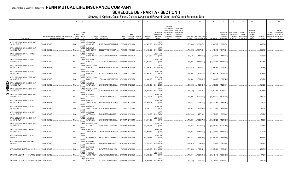# **SCHEDULE DB - PART A - SECTION 1**

|                                                                                        | $\overline{2}$                                                             | $\overline{3}$                    |                                                                | 5                                                  | 6             | -8                                                       | -9                 | 10 <sup>1</sup>                                      | 11                                                                                              | 12                                                                                      | 13          | 14                                               | 16             | 17                                                | 18                                                         | 19                                                  | 20                                                       | 21                    | 22                             | 23                                                                          |
|----------------------------------------------------------------------------------------|----------------------------------------------------------------------------|-----------------------------------|----------------------------------------------------------------|----------------------------------------------------|---------------|----------------------------------------------------------|--------------------|------------------------------------------------------|-------------------------------------------------------------------------------------------------|-----------------------------------------------------------------------------------------|-------------|--------------------------------------------------|----------------|---------------------------------------------------|------------------------------------------------------------|-----------------------------------------------------|----------------------------------------------------------|-----------------------|--------------------------------|-----------------------------------------------------------------------------|
| Description                                                                            | Description of Item(s) Hedged, Used for Income<br>Generation or Replicated | Schedul<br>/ Exhibit<br>dentifier | Type(s<br>of<br>Risk(s)<br>(a)                                 | Exchange, Counterparty<br>or Central Clearinghouse | Trade<br>Date | Date of<br>Maturity or Number of<br>Expiration Contracts | Notional<br>Amount | Strike Price,<br>Rate of Index<br>Received<br>(Paid) | Cumulative<br>Prior Year(s)<br>Initial Cost of<br>Undiscounted<br>Premium<br>(Received)<br>Paid | <b>Current Year</b><br>Initial Cost of<br>Undiscounted<br>Premium<br>(Received)<br>Paid | Income      | Current Year   Book/Adjusted<br>Carrying Value e | Fair Value     | Unrealized<br>Valuation<br>Increase<br>(Decrease) | Fotal Foreign<br>Exchange<br>Change in<br><b>B./A.C.V.</b> | Current<br>Year's<br>(Amortization<br>) / Accretion | Adiustment<br>to Carrying<br>Value of<br>Hedged<br>Items | Potential<br>Exposure | Credit<br>Quality of<br>Entity | Hedge<br>Effectiveness<br>at Inception<br>Reference and at Year-<br>end (b) |
|                                                                                        |                                                                            |                                   | equit<br>Y/INDE                                                |                                                    |               |                                                          |                    | <b>SPTR</b>                                          |                                                                                                 |                                                                                         |             |                                                  |                |                                                   |                                                            |                                                     |                                                          |                       |                                |                                                                             |
| SPTR - USD LIBOR 3M + 0.105 BP MAT<br>12/23/2019 - FLT                                 | VAGLB HEDGE                                                                | N/A                               | <b>JP MORGAN</b><br>CHASE BK,<br>EQUIT                         | 7H6GLXDRUGQFU57RNE97.                              |               | 01/17/2019 12/23/2019                                    | .151,069,795       | (LIB3+10.500)                                        |                                                                                                 |                                                                                         | (823,926)   | 12,066,739                                       | .12,066,739    | 12,066,739                                        |                                                            |                                                     |                                                          | .(646,036             |                                |                                                                             |
| SPTR - USD LIBOR 3M + 0.125 BP MAT<br>01/30/2020 - FLT                                 | <b>VAGLB HEDGE</b>                                                         | N/A                               | Y/INDE<br><b>BARCLAYS</b><br>BANK NEW YO<br>EQUIT              | G5GSEF7VJP5I7OUK5573                               |               | 01/28/2019 01/30/2020                                    | 149.963.580        | <b>SPTR</b><br>(LIB3+12.500)                         |                                                                                                 |                                                                                         | (730,679).  | 11,473,616                                       | 11,473,616     | .11,473,616                                       |                                                            |                                                     |                                                          | .(685,424)            |                                |                                                                             |
| SPTR - USD LIBOR 3M + 0.14 BP MAT<br>01/30/2020 - FLT                                  | <b>VAGLB HEDGE</b>                                                         | N/A                               | Y/INDE<br><b>GOLDMAN</b><br>SACHS INTERN                       | W22LROWP2IHZNBB6K528                               |               | 01/30/2019 02/03/2020                                    | 67,347,892         | LIB3+14.000<br>(SPTR                                 |                                                                                                 |                                                                                         | 317.468     | (4, 137, 631)                                    | (4, 137, 631)  | (4, 137, 631)                                     |                                                            |                                                     |                                                          | .309.832              |                                |                                                                             |
| SPTR - USD LIBOR 3M + 0.15 BP MAT<br>01/30/2020 - FLT                                  | VAGLB HEDGE                                                                | N/A                               | <b>EQUIT</b><br>Y/INDE<br>DEUTSCHE<br><b>BANK SA</b>           | 7LTWFZYICNSX8D621K86                               |               | 01/28/2019 01/30/2020                                    | 149,963,609        | LIB3+15.000<br>(SPTR                                 |                                                                                                 |                                                                                         | 737,032     | (11, 473, 587)                                   | (11,473,587)   | (11, 473, 587)                                    |                                                            |                                                     |                                                          | .685,424              |                                |                                                                             |
| SPTR - USD LIBOR 3M + 0.16 BP MAT<br>06/10/2019 - FLT                                  | VAGLB HEDGE                                                                | N/A                               | <b>EQUIT</b><br>Y/INDE<br>WELLS FARGO<br>BANK, N.              | KB1H1DSPRFMYMCUFXT09.                              |               | 12/06/2018 06/10/2019                                    | 149,896,180        | <b>SPTR</b><br>(LIB3+16.000)                         |                                                                                                 |                                                                                         | (1,079,663) | 8,708,784                                        | 8,708,784      | 19,046,888                                        |                                                            |                                                     |                                                          | (330, 555)            |                                |                                                                             |
| SPTR - USD LIBOR 3M + 0.16 BP MAT                                                      |                                                                            |                                   | <b>EQUIT</b><br>Y/INDE<br>DEUTSCHE                             |                                                    |               |                                                          |                    | LIB3+16.000                                          |                                                                                                 |                                                                                         |             |                                                  |                |                                                   |                                                            |                                                     |                                                          |                       |                                |                                                                             |
| 07/21/2020 - FLT<br>SPTR - USD LIBOR 3M + 0.175 BP MAT                                 | VAGLB HEDGE                                                                | N/A                               | <b>BANK SA</b><br><b>EQUIT</b><br>Y/INDE<br><b>WELLS FARGO</b> | 7LTWFZYICNSX8D621K86                               |               | 01/17/2019 07/21/2020                                    | .151,069,795       | (SPTR<br>LIB3+17.500                                 |                                                                                                 |                                                                                         | 850,048     | (12,066,739)                                     | (12,066,739)   | (12,066,739)                                      |                                                            |                                                     |                                                          | 864,401               |                                |                                                                             |
| 03/23/2020 - FLT                                                                       | VAGLB HEDGE                                                                | N/A                               | BANK, N.<br><b>EQUI</b>                                        | KB1H1DSPRFMYMCUFXT09.                              |               | 12/12/2018 03/23/2020                                    | .93,642,203        | (SPTR                                                |                                                                                                 |                                                                                         | 689,544     | (7,094,607)                                      | (7,094,607)    | (12,097,495)                                      |                                                            |                                                     |                                                          | 463,700               |                                |                                                                             |
| $\bullet$ SPTR - USD LIBOR 3M + 0.235 BP MAT<br>09/02/2020 - FLT                       | VAGLB HEDGE                                                                | N/A                               | Y/INDE<br>CANADIAN<br>IMPERIAL BA<br><b>EQUIT</b>              | 2IGI19DL77OX0HC3ZE78.                              |               | 08/29/2018 09/02/2020                                    | 120,833,958        | <b>SPTR</b><br>(LIB3+23.500                          |                                                                                                 |                                                                                         | (886,578)   | (1,880,235)                                      | (1,880,235)    | 14,285,166                                        |                                                            |                                                     |                                                          | (721, 824)            |                                |                                                                             |
| $\bigcirc$ SPTR - USD LIBOR 3M + 0.275 BP MAT<br>$\overline{\bullet}$ 11/18/2020 - FLT | VAGLB HEDGE                                                                | N/A                               | Y/INDE<br><b>WELLS FARGO</b><br>bank, n.<br>EQUIT              | KB1H1DSPRFMYMCUFXT09.                              |               | 11/14/2018 11/18/2020                                    | .99,084,853        | <b>SPTR</b><br>(LIB3+27.500                          |                                                                                                 |                                                                                         | (725,436)   | 5,707,713                                        | .5,707,713     | .12,584,551                                       |                                                            |                                                     |                                                          | (634, 135)            |                                |                                                                             |
| SPTR - USD LIBOR 3M + 0.305 BP MAT<br>06/24/2019 - FLT                                 | VAGLB HEDGE                                                                | N/A                               | Y/INDE<br>CANADIAN<br><b>IMPERIAL BA</b>                       | 2IGI19DL77OX0HC3ZE78.                              |               | 12/31/2017 06/24/2019                                    | .100,134,231       | LIB3+30.500<br>(SPTR                                 |                                                                                                 |                                                                                         | 777.209     | (19,669,136)                                     | (19,669,136)   | (14, 387, 200)                                    |                                                            |                                                     |                                                          | .241,610              |                                |                                                                             |
| SPTR - USD LIBOR 3M + 0.31 BP MAT<br>06/11/2019 - FLT                                  | VAGLB HEDGE.                                                               | N/A                               | <b>EQUIT</b><br>Y/INDE<br><b>BANK OF</b><br>AMERICA, N.A       | B4TYDEB6GKMZO031MB27.                              |               | 12/31/2017 06/11/2019                                    | 100,000,013        | LIB3+31.000<br>(SPTR                                 |                                                                                                 |                                                                                         | .760,323    | (20, 933, 157)                                   | (20, 933, 157) | (14, 522, 878)                                    |                                                            |                                                     |                                                          | .222,070              |                                |                                                                             |
| SPTR - USD LIBOR 3M + 0.31 BP MAT<br>07/22/2020 - FLT                                  | VAGLB HEDGE.                                                               | N/A                               | <b>EQUIT</b><br>Y/INDE<br>GOLDMAN                              | SACHS INTERN W22LROWP2IHZNBB6K528.                 |               | 12/31/2017 07/22/2020                                    | .99,839,733        | LIB3+31.000<br>(SPTR                                 |                                                                                                 |                                                                                         | .403,657    | (19,113,990)                                     | (19,113,990)   | (14, 285, 166)                                    |                                                            |                                                     |                                                          | .571,867              |                                |                                                                             |
| SPTR - USD LIBOR 3M + 0.34 BP MAT                                                      |                                                                            |                                   | <b>EQUIT</b><br>Y/INDE<br>CANADIAN                             |                                                    |               |                                                          |                    | <b>SPTR</b>                                          |                                                                                                 |                                                                                         |             |                                                  |                |                                                   |                                                            |                                                     |                                                          |                       |                                |                                                                             |
| 09/10/2019 - FLT<br>SPTR - USD LIBOR 3M + 0.345 BP MAT                                 | VAGLB HEDGE.                                                               | N/A                               | <b>MPERIAL BA</b><br><b>EQUIT</b><br>Y/INDE<br><b>CANADIAN</b> | 2IGI19DL77OX0HC3ZE78.                              |               | 06/08/2018 09/10/2019                                    | 131,170,080        | (LIB3+34.000)<br>LIB3+34.500                         |                                                                                                 |                                                                                         | (1,007,484) | 4,777,032                                        | .4,777,032     | 16,325,904                                        |                                                            |                                                     |                                                          | (438,281              |                                |                                                                             |
| 12/11/2019 - FLT                                                                       | VAGLB HEDGE.                                                               | N/A                               | <b>MPERIAL BA</b><br>EQUIT                                     | 2IGI19DL77OX0HC3ZE78.                              |               | 12/31/2017 12/11/2019                                    | .100,021,138       | (SPTR<br>LIB3+33.500                                 |                                                                                                 |                                                                                         | 769,236     | (18,558,723)                                     | (18, 558, 723) | (14, 240, 269)                                    |                                                            |                                                     |                                                          | 418,009               |                                |                                                                             |
| SPTR - USD LIBOR 3M + 0.355 BP MAT<br>08/15/2019 - FLT                                 | VAGLB HEDGE                                                                | N/A                               | Y/INDE<br>CREDIT SUISSE<br>NTERN<br><b>EQUIT</b>               | E58DKGMJYYYJLN8C3868.                              |               | 12/31/2017 08/15/2019                                    | 120,605,544        | (SPTR                                                |                                                                                                 |                                                                                         | .886,353    | (15,338,186)                                     | (15,338,186)   | (16, 325, 498)                                    |                                                            |                                                     |                                                          | 369,446               |                                |                                                                             |
| SPTR - USD LIBOR 3M + 0.4 BP MAT<br>09/12/2019 - FLT                                   | VAGLB HEDGE                                                                | N/A                               | Y/INDE<br>BANK OF<br><b>MERICA, N.A</b><br><b>EQUIT</b>        | B4TYDEB6GKMZO031MB27.                              |               | 12/31/2017 06/12/2019                                    | 129,999,983        | LIB3+40.000<br>(SPTR)                                |                                                                                                 |                                                                                         | 1,009,263   | (13, 119, 642)                                   | (13,119,642)   | (17, 187, 252)                                    |                                                            |                                                     |                                                          | 290,689               |                                |                                                                             |
| SPTR - USD LIBOR 3M + 0.42 BP MAT<br>08/08/2019                                        | VAGLB HEDGE                                                                | N/A                               | Y/INDE<br>CITIBANK N.A                                         | E57ODZWZ7FF32TWEFA76.                              |               | 02/06/2018 08/08/2019                                    | .205,218,663       | LIB3+42.000<br>(SPTR                                 |                                                                                                 |                                                                                         | 1,588,303   | .(15,695,394                                     | (15,695,394)   | (26, 529, 594)                                    |                                                            |                                                     |                                                          | .612,367              |                                |                                                                             |
| SPTR - USD LIBOR 3M + 20 BP MAT<br>08/26/2020                                          | VAGLB HEDGE                                                                | N/A                               | <b>EQUIT</b><br>Y/INDE<br>CANADIAN<br><b>MPERIAL BA</b>        | 2IGI19DL77OX0HC3ZE78.                              |               | 08/24/2018 08/26/2020                                    | 49,872,963         | <b>SPTR</b><br>(LIB3+20.000)                         |                                                                                                 |                                                                                         | (359,311    | (93,663)                                         | (93,663)       | 5,978,002                                         |                                                            |                                                     |                                                          | (295,917              |                                |                                                                             |
| SPTR - US0003M - 40 BP M 06/12/2019.                                                   | VAGLB HEDGE.                                                               | N/A                               | <b>EQUIT</b><br>Y/INDE<br>DEUTSCHE<br>BANK SA                  | 7LTWFZYICNSX8D621K86                               |               | 01/02/2018 06/12/2019                                    | .99,869,396        | <b>SPTR</b><br>(LIB3+40.000)                         |                                                                                                 |                                                                                         | (771,562)   | 7,755,401                                        | .7,755,401     | 12,924,674                                        |                                                            |                                                     |                                                          | (223,315)             |                                |                                                                             |
|                                                                                        |                                                                            |                                   | EQUIT                                                          |                                                    |               |                                                          |                    |                                                      |                                                                                                 |                                                                                         |             |                                                  |                |                                                   |                                                            |                                                     |                                                          |                       |                                |                                                                             |
| SPTR- USD LIBOR 3M +41 BP MAT 02-12-2020 VAGLB HEDGE.                                  |                                                                            | N/A                               | Y/INDE<br>GOLDMAN<br>SACHS INTERN<br><b>EQUIT</b>              | W22LROWP2IHZNBB6K528                               |               | 02/09/2018 02/12/2020                                    | 102,339,820        | LIB3+41.000<br>(SPTR                                 |                                                                                                 |                                                                                         | 784,081     | (10,949,440)                                     | (10,949,440)   | (13,604,920)                                      |                                                            |                                                     |                                                          | 477,619               |                                |                                                                             |
| SPTR- USD LIBOR 3M +43 BP MAT 12-11-2019 VAGLB HEDGE.                                  |                                                                            | N/A.                              | Y/INDE<br>DEUTSCHE<br><b>BANK SA</b>                           | 7LTWFZYICNSX8D621K86                               |               | 02/20/2018 12/11/2019                                    | .99,999,984        | <b>SPTR</b><br>(LIB3+43.000)                         |                                                                                                 |                                                                                         | (761, 765)  | 6,675,506                                        | .6,675,506     | .12,810,672                                       |                                                            |                                                     |                                                          | (417,920)             |                                |                                                                             |
|                                                                                        |                                                                            |                                   |                                                                |                                                    |               |                                                          |                    |                                                      |                                                                                                 |                                                                                         |             |                                                  |                |                                                   |                                                            |                                                     |                                                          |                       |                                |                                                                             |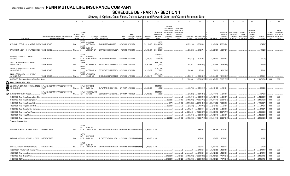# **SCHEDULE DB - PART A - SECTION 1**

|            |                                                          | 2                                                                                 | $\mathbf{3}$                       | $\overline{4}$                     |                                       | $\sqrt{2}$                                                                                 | 6                     |                                 | -8                                            | <b>q</b>            | 10                                                   | 11                                                                                              | 12                                                                                      | 13          | 14                                                          | 16             | 17                                                | 18                                                  | 19                                                  | 20                                                      | 21                    | 22                             | 23                                                                          |
|------------|----------------------------------------------------------|-----------------------------------------------------------------------------------|------------------------------------|------------------------------------|---------------------------------------|--------------------------------------------------------------------------------------------|-----------------------|---------------------------------|-----------------------------------------------|---------------------|------------------------------------------------------|-------------------------------------------------------------------------------------------------|-----------------------------------------------------------------------------------------|-------------|-------------------------------------------------------------|----------------|---------------------------------------------------|-----------------------------------------------------|-----------------------------------------------------|---------------------------------------------------------|-----------------------|--------------------------------|-----------------------------------------------------------------------------|
|            | Description                                              | Description of Item(s) Hedged, Used for Income<br>Generation or Replicated        | Schedul<br>/ Exhibit<br>Identifier | Type(s<br>of<br>Risk(s)<br>(a)     |                                       | Exchange, Counterparty<br>or Central Clearinghouse                                         | Trade<br>Date         | Date of                         | Maturity or Number of<br>Expiration Contracts | Notional<br>Amount  | Strike Price.<br>Rate of Index<br>Received<br>(Paid) | Cumulative<br>Prior Year(s)<br>Initial Cost of<br>Undiscounted<br>Premium<br>(Received)<br>Paid | <b>Current Year</b><br>Initial Cost of<br>Undiscounted<br>Premium<br>(Received)<br>Paid | Income      | Current Year   Book/Adjusted<br>Carrying Value e Fair Value |                | Unrealized<br>Valuation<br>Increase<br>(Decrease) | Total Foreign<br>Exchange<br>Change in<br>B./A.C.V. | Current<br>Year's<br>(Amortization<br>) / Accretion | Adiustmen<br>to Carrying<br>Value of<br>Hedged<br>ltems | Potential<br>Exposure | Credit<br>Quality of<br>Entity | Hedge<br>Effectiveness<br>at Inception<br>Reference and at Year-<br>end (b) |
|            |                                                          |                                                                                   |                                    | equit<br>Y/INDE                    | CANADIAN                              |                                                                                            |                       |                                 |                                               |                     | <b>SPTR</b>                                          |                                                                                                 |                                                                                         |             |                                                             |                |                                                   |                                                     |                                                     |                                                         |                       |                                |                                                                             |
|            | SPTR- USD LIBOR 3M +49 BP MAT 02-10-2020 VAGLB HEDGE     |                                                                                   | N/A                                | <b>EQUIT</b>                       | <b>IMPERIAL BA</b>                    | 2IGI19DL77OX0HC3ZE78                                                                       |                       | 02/06/2018 02/10/2020           |                                               | 205,218,663         | (LIB3+49.000)                                        |                                                                                                 |                                                                                         | (1,624,216) | 15,695,394                                                  | .15,695,394    | .26,529,594                                       |                                                     |                                                     |                                                         | (954, 737)            |                                |                                                                             |
|            | SPTR-USD3M LIBOR + 39 BP MAT 20190705. VAGLB HEDGE       |                                                                                   | N/A.                               | Y/INDE                             | <b>BANK OF</b><br>AMERICA, N.A        | B4TYDEB6GKMZO031MB27                                                                       | 01/02/2018 07/05/2019 |                                 |                                               | .69,908,577         | <b>SPTR</b><br>(LIB3+39.000)                         |                                                                                                 |                                                                                         | (554, 200)  | 5,428,781                                                   | 5,428,781      | 9,047,272                                         |                                                     |                                                     |                                                         | (179, 263)            |                                |                                                                             |
|            | USS0FE15-FEDL01 + 0.14 BP MAT                            |                                                                                   |                                    | <b>INTER</b><br>EST                | <b>BARCLAYS</b>                       |                                                                                            |                       |                                 |                                               |                     | 912810RZ3<br>(USD                                    |                                                                                                 |                                                                                         |             |                                                             |                |                                                   |                                                     |                                                     |                                                         |                       |                                |                                                                             |
| 04/19/2019 |                                                          | VAGLB HEDGE.                                                                      | N/A                                | RATE<br><b>EQUIT</b>               |                                       | BANK NEW YO G5GSEF7VJP5I7OUK5573                                                           |                       | 04/12/2018 04/12/2019           |                                               | 72,846,499          | FF+14.000)                                           |                                                                                                 |                                                                                         | (462, 737)  | 3,025,845                                                   | .3,025,845     | 3,610,370                                         |                                                     |                                                     |                                                         | (66, 042)             |                                |                                                                             |
|            | XNDX - USD LIBOR 3M + 0.11 BP MAT<br>02/05/2020 - FLT    | VAGLB HEDGE.                                                                      |                                    | Y/INDE<br>EQUIT                    |                                       | CITIBANK N.A E57ODZWZ7FF32TWEFA76 02/01/2019 02/05/2020                                    |                       |                                 |                                               | 50,091,467          | LIB3+11.000<br>(XNDX)                                |                                                                                                 |                                                                                         | 217,543     | (3,792,493)                                                 | (3,792,493)    | (3,792,493)                                       |                                                     |                                                     |                                                         | .231,189              |                                |                                                                             |
|            | XNDX - USD LIBOR 3M + 0.23 BP MAT<br>09/16/2020 - FLT    | VAGLB HEDGE.                                                                      | N/A.                               | Y/INDE                             |                                       | CITIBANK N.A E57ODZWZ7FF32TWEFA76 09/12/2018 09/16/2020                                    |                       |                                 |                                               | .32,235,039         | LIB3+23.000<br>(XNDX)                                |                                                                                                 |                                                                                         | 239,398     | 278,032                                                     | 278,032        | (4,617,534)                                       |                                                     |                                                     |                                                         | .195,132              |                                |                                                                             |
|            | XNDX - USD LIBOR 3M + 0.27 BP MAT<br>04/17/2020 - FLT    | VAGLB HEDGE                                                                       | N/A                                | <b>EQUIT</b><br>Y/INDE             | <b>JP MORGAN</b><br>CHASE BK,         | 7H6GLXDRUGQFU57RNE97. 10/15/2018 04/17/2020                                                |                       |                                 |                                               | .73,296,615         | LIB3+27.000<br>(XNDX)                                |                                                                                                 |                                                                                         | 547.109     | (3,634,405)                                                 | (3,634,405)    | (11, 115, 922)                                    |                                                     |                                                     |                                                         | .375,411              |                                |                                                                             |
|            | 0949999999. Total-Swaps-Hedging Other-Total Return.      |                                                                                   |                                    |                                    |                                       |                                                                                            |                       |                                 |                                               |                     |                                                      | $\Omega$                                                                                        |                                                                                         | 0.2.008.408 | (115,985,973) XX (115,985,973)                              |                | (53.672.774)                                      | $\Omega$                                            |                                                     |                                                         | 1.863.996             | <b>XXX</b>                     | XXX                                                                         |
|            | Swaps - Hedging Other - Other                            |                                                                                   |                                    |                                    |                                       |                                                                                            |                       |                                 |                                               |                     |                                                      |                                                                                                 |                                                                                         |             |                                                             |                |                                                   |                                                     |                                                     |                                                         |                       |                                |                                                                             |
| $90^\circ$ | 013_04/30/2023                                           | ILS_USD_PAY_2.64_REC_CPURNSA_04/26/2  INFLATION-FLOATING RATE ZERO COUPON<br>SWAP | N/A                                | <b>ION</b>                         | INFLAT DEUTSCHE<br><b>BANK SA</b>     | 7LTWFZYICNSX8D621K86                                                                       |                       | 12/31/2017 04/30/2023           |                                               | .50,000,000         | CPURNSA<br>(2.640)                                   |                                                                                                 |                                                                                         | (23,788)    | (2,518,109)                                                 | (2,518,109)    | 141,610                                           |                                                     |                                                     |                                                         | .505,280              |                                |                                                                             |
| ဖ          | SL103V5P CONTRACT SWCOIR.                                | INFLATION-FLOATING RATE ZERO COUPON<br>SWAP                                       |                                    | <b>INFLAT</b><br><b>ION</b>        | <b>CREDIT SUISSE</b><br><b>INTERN</b> | E58DKGMJYYYJLN8C3868                                                                       | 12/31/2017 04/29/2023 |                                 |                                               | .75,000,000         | CPURNSA<br>(2.660)                                   |                                                                                                 |                                                                                         | (40, 243)   | (3,844,840)                                                 | (3,844,840)    | 214,063                                           |                                                     |                                                     |                                                         | .757,666              |                                |                                                                             |
|            | 0959999999. Total-Swaps-Hedging Other-Other.             |                                                                                   |                                    |                                    |                                       |                                                                                            |                       |                                 |                                               |                     |                                                      |                                                                                                 |                                                                                         | (64,031)    | (6,362,949)                                                 | (6,362,949)    | 355,673                                           | $\mathbf{0}$                                        |                                                     |                                                         | 1,262,946             | XXX                            | XXX                                                                         |
|            | 0969999999. Total-Swaps-Hedging Other                    |                                                                                   |                                    |                                    |                                       |                                                                                            |                       |                                 |                                               |                     |                                                      | .226,525                                                                                        | (7, 156)                                                                                | (1,422,938) | (149,054,749) XX                                            | (149,054,749)  | (36, 687, 043)                                    | 0                                                   |                                                     |                                                         | 121,094,602           | XXX                            | XXX                                                                         |
|            | 159999999. Total-Swaps-Interest Rate                     |                                                                                   |                                    |                                    |                                       |                                                                                            |                       |                                 |                                               |                     |                                                      | (6, 175)                                                                                        | (7, 156)                                                                                | (3,497,262) | (28,161,282) XX                                             | (28, 161, 282) | .15,982,029                                       | $\Omega$                                            |                                                     |                                                         | 117,602,378           | XXX                            | XXX                                                                         |
|            | 169999999. Total-Swaps-Credit Default.                   |                                                                                   |                                    |                                    |                                       |                                                                                            |                       |                                 |                                               |                     |                                                      | .232,700                                                                                        |                                                                                         | (62, 500)   | $(113, 705)$ X)                                             | (113,705)      | .54,969                                           | $0$ .                                               |                                                     |                                                         | .17,211               | XXX                            | XXX                                                                         |
|            | 1179999999. Total-Swaps-Foreign Exchange                 |                                                                                   |                                    |                                    |                                       |                                                                                            |                       |                                 |                                               |                     |                                                      | $\bigcap$                                                                                       |                                                                                         | 192.447     | .1,569,160                                                  | 1,569,160      | 593,060                                           | 0                                                   |                                                     |                                                         | .348,071              | <b>XXX</b>                     | XXX                                                                         |
|            | 1189999999. Total-Swaps-Total Return.                    |                                                                                   |                                    |                                    |                                       |                                                                                            |                       |                                 |                                               |                     |                                                      | $\Omega$                                                                                        |                                                                                         | .2,008,408  | 115,985,973)                                                | (115,985,973)  | (53, 672, 774)                                    | 0                                                   |                                                     |                                                         | 1,863,996             | XXX                            | XXX                                                                         |
|            | 1199999999. Total-Swaps-Other                            |                                                                                   |                                    |                                    |                                       |                                                                                            |                       |                                 |                                               |                     |                                                      |                                                                                                 |                                                                                         | (64, 031)   | (6,362,949)                                                 | .(6,362,949)   | .355,673                                          | $\Omega$                                            |                                                     |                                                         | 1,262,946             | XXX                            | XXX                                                                         |
|            | 209999999. Total-Swaps                                   |                                                                                   |                                    |                                    |                                       |                                                                                            |                       |                                 |                                               |                     |                                                      | .226.525                                                                                        | (7.156)                                                                                 | (1.422.938) | (149,054,749) XX                                            | (149.054.749)  | (36,687,043)                                      | $\Omega$                                            |                                                     |                                                         | 121.094.602           | <b>XXX</b>                     | XXX                                                                         |
|            | Forwards - Hedging Other                                 |                                                                                   |                                    |                                    |                                       |                                                                                            |                       |                                 |                                               |                     |                                                      |                                                                                                 |                                                                                         |             |                                                             |                |                                                   |                                                     |                                                     |                                                         |                       |                                |                                                                             |
|            | US T-LOCK 912810SC3 99.195158 06/07/19                   | <b>INTEREST RATE.</b>                                                             |                                    | <b>INTER</b><br><b>EST</b><br>RATE | <b>BANK OF</b><br>AMERICA, N.A.       | B4TYDEB6GKMZO031MB27 06/06/2018 06/07/2019 #########                                       |                       |                                 |                                               | $27,000,000$ 0.000. |                                                      |                                                                                                 |                                                                                         |             | , 1,895,343                                                 | .1,895,343     | 1,201,615                                         |                                                     |                                                     |                                                         | .58,270               |                                |                                                                             |
|            | US T-LOCK 912810SE9 105.549791 01/22/20   INTEREST RATE. |                                                                                   | N/A                                | <b>INTER</b><br>EST<br>RATE        | <b>DEUTSCHE</b><br><b>BANK SA</b>     | 7LTWFZYICNSX8D621K86                                                                       |                       | 01/22/2019 01/22/2020 ######### |                                               | $25,000,000$ 0.000. |                                                      |                                                                                                 |                                                                                         |             | , 1, 355, 072                                               | 1,355,072      | 1,355,072                                         |                                                     |                                                     |                                                         | .112,757              |                                |                                                                             |
|            | US TRESURY LOCK 30Y M 5/6/2019 OTC                       | <b>INTEREST RATE.</b>                                                             | N/A                                | <b>INTER</b><br><b>EST</b><br>RATE | <b>BANK OF</b>                        | AMERICA, N.A B4TYDEB6GKMZO031MB27   05/03/2018   05/06/2019   ######### 44,000,000   0.000 |                       |                                 |                                               |                     |                                                      |                                                                                                 |                                                                                         |             | .2,852,143                                                  | 2,852,143      | 1,833,151                                         |                                                     |                                                     |                                                         | .69,092               |                                |                                                                             |
|            | 12229999999. Total-Forwards-Hedging Other                |                                                                                   |                                    |                                    |                                       |                                                                                            |                       |                                 |                                               |                     |                                                      |                                                                                                 |                                                                                         | $\Omega$    | .6,102,558                                                  | 6,102,558      | 4,389,838                                         | $\Omega$                                            |                                                     |                                                         | .240,119              | XXX                            | XXX                                                                         |
|            | 1269999999. Total-Forwards.                              |                                                                                   |                                    |                                    |                                       |                                                                                            |                       |                                 |                                               |                     |                                                      | $\Omega$                                                                                        |                                                                                         | $\Omega$    | .6,102,558                                                  | 6,102,558      | .4,389,838                                        | 0                                                   |                                                     |                                                         | .240,119              | XXX                            | XXX                                                                         |
|            | 1409999999. Total-Hedging Other                          |                                                                                   |                                    |                                    |                                       |                                                                                            |                       |                                 |                                               |                     |                                                      | (8.600.640)                                                                                     | .4.243.626                                                                              | (1.422.938) | (162.099.929)                                               | (162.099.929)  | (47.779.216)                                      | $\Omega$                                            |                                                     |                                                         | 121.334.721           | XXX                            | XXX                                                                         |
|            | 1449999999. TOTAL                                        |                                                                                   |                                    |                                    |                                       |                                                                                            |                       |                                 |                                               |                     |                                                      | (8,600,640)                                                                                     | 4,243,626                                                                               | (1.422.938) | (162,099,929)                                               | (162,099,929)  | (47, 779, 216)                                    | $\Omega$                                            |                                                     |                                                         | 121.334.721           | <b>XXX</b>                     | XXX                                                                         |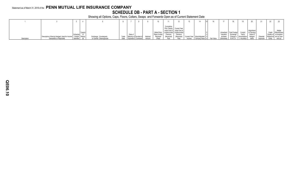# **SCHEDULE DB - PART A - SECTION 1**

|             |                                                                      |                     |                          |       |                             |          |               |            |                                                                            |              |                   |              |                         |              | 19               |                         |           | 22     |                               |
|-------------|----------------------------------------------------------------------|---------------------|--------------------------|-------|-----------------------------|----------|---------------|------------|----------------------------------------------------------------------------|--------------|-------------------|--------------|-------------------------|--------------|------------------|-------------------------|-----------|--------|-------------------------------|
|             |                                                                      |                     |                          |       |                             |          |               | Cumulative |                                                                            |              |                   |              |                         |              |                  |                         |           |        |                               |
|             |                                                                      |                     |                          |       |                             |          |               |            | Prior Year(s) Current Year                                                 |              |                   |              |                         |              |                  |                         |           |        |                               |
|             |                                                                      |                     |                          |       |                             |          |               |            | Initial Cost of Initial Cost of<br>Strike Price, Undiscounted Undiscounted |              |                   |              |                         | Total Foreig |                  | Adjustmen               |           |        | Hedge<br>Credit Effectiveness |
|             |                                                                      | Type(s)<br>Schedule |                          |       | Date o                      |          | Rate of Index | Premiun.   | Premium                                                                    |              |                   |              | Unrealized<br>Valuation | Exchange     | Curren<br>Year's | to Carrying<br>Value of |           |        | Quality of at Inception       |
|             | Description of Item(s) Hedged, Used for Income   / Exhibit   Risk(s) |                     | Exchange, Counterparty   | Trade | Maturity or Number          | Notional | Received      | (Received) | (Received)                                                                 | Current Year | Book/Adjusted d   |              | Increase                | Change i     | (Amortization    | Hedged                  | Potential |        | Reference and at Year-        |
| Description | Generation or Replicated                                             | Identifier          | or Central Clearinghouse |       | <b>Expiration Contracts</b> | Amount   |               |            | Paid                                                                       | Income       | Carrving Value Le | e Fair Value | (Decrease)              | B./A.C.V.    | / Accretion I    | ltems                   | Exposure  | Entity | end(b)                        |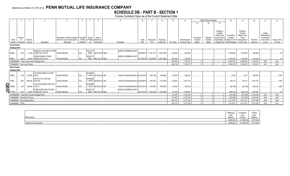# **SCHEDULE DB - PART B - SECTION 1**

Futures Contracts Open as of the Current Statement Date

|                                    |                    |                                                 |                                                    |                                |            |                        |                        |                                 | 10         | 11                                 | 12          | 13         | 14             |                  | <b>Highly Effective Hedges</b> |                               | 18                      | 19                    | 20         | 21                            | 22           |
|------------------------------------|--------------------|-------------------------------------------------|----------------------------------------------------|--------------------------------|------------|------------------------|------------------------|---------------------------------|------------|------------------------------------|-------------|------------|----------------|------------------|--------------------------------|-------------------------------|-------------------------|-----------------------|------------|-------------------------------|--------------|
|                                    |                    |                                                 |                                                    |                                |            |                        |                        |                                 |            |                                    |             |            |                | 15 <sup>15</sup> | 16                             | 17                            |                         |                       |            |                               |              |
|                                    |                    |                                                 |                                                    |                                |            |                        |                        |                                 |            |                                    |             |            |                |                  |                                |                               |                         |                       |            |                               |              |
|                                    |                    |                                                 |                                                    |                                |            |                        |                        |                                 |            |                                    |             |            |                |                  |                                | Change in                     |                         | Change in             |            |                               |              |
|                                    |                    |                                                 |                                                    |                                |            |                        |                        |                                 |            |                                    |             |            |                |                  |                                | Variation                     |                         | Variation             |            | Hedge                         |              |
|                                    | Number             |                                                 |                                                    | Description of Item(s) Hedged, |            | Schedule Type(s)       | Date of                |                                 |            |                                    |             |            |                | Cumulative       | Deferred                       | Margin Gain<br>(Loss) Used to | Cumulative<br>Variation | Margin Gain<br>(Loss) |            | Effectiveness<br>at Inception |              |
| Ticker                             |                    | Notional                                        |                                                    | Used for Income Generation or  | / Exhibit  |                        | of Risk(s) Maturity or |                                 | Trade      | Transaction                        | Reporting   |            | Book/Adjusted  | Variation        | Variation                      | Adjust Basis of               | Margin for All          | Recognized in         | Potential  | and at Year-                  | Value of One |
|                                    | Symbol Contracts   | Amount                                          | Description                                        | Replicated                     | Identifier | (a)                    | Expiration             | Exchange                        | Date       | Price                              | Date Price  | Fair Value | Carrying Value | Margin           | Margin                         | Hedged Item                   | Other Hedges            | <b>Current Year</b>   | Exposure   | end (b)                       | (1) Point    |
| <b>Long Futures</b>                |                    |                                                 |                                                    |                                |            |                        |                        |                                 |            |                                    |             |            |                |                  |                                |                               |                         |                       |            |                               |              |
| <b>Hedging Other</b>               |                    |                                                 |                                                    |                                |            |                        |                        |                                 |            |                                    |             |            |                |                  |                                |                               |                         |                       |            |                               |              |
|                                    |                    |                                                 | NASDAQ 100 E-MINI FUTURE                           |                                |            | EQUITY/I               |                        | SNZ2OJLFK8MNNCLQOF3             |            |                                    |             |            |                |                  |                                |                               |                         |                       |            |                               |              |
| NQM9.                              | 250                |                                                 | 5,000 (CME) EXP JUN 19                             | VAGLB HEDGE                    | N/A.       |                        | NDEX 06/21/2019 CME.   |                                 |            | 03/28/2019 7,105.1310              | .7,400.5000 | 242,500    | 600,554        |                  |                                |                               | 1.476.845               | 1,476,845             | 600,554    |                               | .20          |
| ESM9.                              | 480                |                                                 | S&P500 EMINI FUTURE<br>24.000 (CME) EXP JUN 19     | <b>VAGLB HEDGE</b>             |            | EQUITY/<br><b>NDEX</b> | 06/21/2019 CME         | SNZ2OJLFK8MNNCLQOF3<br>$\Omega$ |            | 03/19/2019 .2,792.8656 .2,837.8000 |             | .403.200   | .1.153.063     |                  |                                |                               | 1.078.425               | 1.078.425             | 1.153.063  |                               | .50          |
|                                    |                    | 12829999999. Total-Long Futures-Hedging Other.  |                                                    |                                |            |                        |                        |                                 |            |                                    |             | .645,700   | 1,753,617      |                  |                                |                               | .2,555,270              | .2.555.270            | .1,753,617 | XXX                           | <b>XXX</b>   |
|                                    |                    | 1329999999. Total-Long Futures                  |                                                    |                                |            |                        |                        |                                 |            |                                    |             | .645,700   | 1,753,617      |                  |                                |                               | .2,555,270              | .2,555,270            | .1,753,617 | <b>XXX</b>                    | <b>XXX</b>   |
| <b>Short Futures</b>               |                    |                                                 |                                                    |                                |            |                        |                        |                                 |            |                                    |             |            |                |                  |                                |                               |                         |                       |            |                               |              |
| <b>Hedging Other</b>               |                    |                                                 |                                                    |                                |            |                        |                        |                                 |            |                                    |             |            |                |                  |                                |                               |                         |                       |            |                               |              |
|                                    |                    |                                                 | US TREAS BOND FUTURE                               |                                |            | <b>INTERES</b>         |                        |                                 |            |                                    |             |            |                |                  |                                |                               |                         |                       |            |                               |              |
| USM9.                              | 150                | $150,000$ (CBT)                                 |                                                    | VAGLB HEDGE.                   | N/A.       |                        | T RATE 06/19/2019 CBT. | 1UAUICTO4EQ4DO6ZH473 03/27/2019 |            | .149.7188                          | 149.6563    | .56,250    | 360,332        |                  |                                |                               | 9.375                   | .9,375                | 360,332    |                               | .1,000       |
|                                    |                    |                                                 | FIN FUT US 10YR CBT                                |                                |            | <b>INTERES</b>         |                        |                                 |            |                                    |             |            |                |                  |                                |                               |                         |                       |            |                               |              |
| TYM9.                              | 800                | 800,000 06/19/19                                |                                                    | VAGLB HEDGE.                   | N/A        |                        | T RATE 06/20/2019 CBT. | 1UAUICTO4EQ4DO6ZH473 03/29/2019 |            | 124.3691                           | 124.2188    | 125,987    | .1,921,772     |                  |                                |                               | .120.313                | 120,313               | .1.921.772 |                               | .1,000       |
|                                    |                    |                                                 | US ULTRA BOND (CBT) EXP                            |                                |            | <b>INTERES</b>         |                        |                                 |            |                                    |             |            |                |                  |                                |                               |                         |                       |            |                               |              |
| O<br>O <sup>WNM9</sup><br>N RTYM9. | $\dots$ 150        | 150,000 JUN 19                                  |                                                    | <b>VAGLB HEDGE</b>             | N/A        |                        | T RATE 06/19/2019 CBT. | 1UAUICTO4EQ4DO6ZH473 03/27/2019 |            | .167.5390                          | .168.0000   | .56,250    | 360,332        |                  |                                |                               | (69.156)                | (69, 156)             | .360,332   |                               | .1,000       |
|                                    | .450               |                                                 | E-MINI RUSS 2000 FUTURE<br>22,500 (CME) EXP JUN 19 | <b>VAGLB HEDGE</b>             |            | EQUITY/<br><b>NDEX</b> | 06/21/2019 CME         | SNZ2OJLFK8MNNCLQOF3             | 03/11/2019 | .1,530.5500                        | 1.543.8000  | (81,000)   | 1.080.997      |                  |                                |                               | (298, 125)              | (298, 125)            | 1,080,997  |                               | 50           |
|                                    |                    | 13429999999. Total-Short Futures-Hedging Other. |                                                    |                                |            |                        |                        |                                 |            |                                    |             | .157.487   | 3,723,433      |                  |                                |                               | (237.593)               | (237, 593)            | 3,723,433  | <b>XXX</b>                    | XXX          |
|                                    |                    | 1389999999. Total-Short Futures.                |                                                    |                                |            |                        |                        |                                 |            |                                    |             | .157,487   | 3,723,433      |                  |                                |                               | (237, 593)              | (237, 593)            | 3,723,433  | XXX                           | XXX          |
|                                    |                    | 1409999999. Total-Hedging Other.                |                                                    |                                |            |                        |                        |                                 |            |                                    |             | .803,187   | .5,477,050     |                  |                                |                               | .2,317,677              | .2,317,677            | .5,477,050 | XXX                           | <b>XXX</b>   |
|                                    | 1449999999. TOTAL. |                                                 |                                                    |                                |            |                        |                        |                                 |            |                                    |             | .803.187   | .5.477.050     |                  |                                |                               | .2.317.677              | 2.317.677             | 5.477.050  | <b>XXX</b>                    | <b>XXX</b>   |

|                          | Beainninc      |               | Endino          |
|--------------------------|----------------|---------------|-----------------|
| <b>Broker Name</b>       | Cas<br>Balance | Cash<br>Chang | Cash<br>Balance |
|                          | 9,666,929      | (4.180.870)   | 5 477 050       |
| Total Net Cash Deposits. | 9,666,929      | (4.189.879)   | 5 477 050       |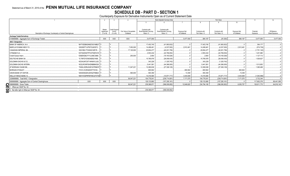# **SCHEDULE DB - PART D - SECTION 1**<br>Counterparty Exposure for Derivative Instruments Open as of Current Statement Date

|                                                                |                       |                     |                       |                          |                        | Book Adjusted Carrying Value |               |                | Fair Value     |                     | 11           | 12             |
|----------------------------------------------------------------|-----------------------|---------------------|-----------------------|--------------------------|------------------------|------------------------------|---------------|----------------|----------------|---------------------|--------------|----------------|
|                                                                |                       |                     |                       |                          |                        |                              |               |                |                | 10 <sup>10</sup>    |              |                |
|                                                                |                       |                     |                       |                          |                        |                              |               |                |                |                     |              |                |
|                                                                |                       | Master              | <b>Credit Support</b> |                          | Contracts with         | Contracts with               |               |                |                |                     |              |                |
|                                                                |                       | Agreement           | Annex                 | Fair Value of Acceptable | Book/Adjusted Carrying | Book/Adjusted Carrying       | Exposure Net  | Contracts with | Contracts with | <b>Exposure Net</b> | Potential    | Off-Balance    |
| Description of Exchange, Counterparty or Central Clearinghouse |                       | $(Y \text{ or } N)$ | (Y or N)              | Collateral               | Value $> 0$            | Value $< 0$                  | of Collateral | Fair Value > 0 | Fair Value < 0 | of Collateral       | Exposure     | Sheet Exposure |
| <b>Exchange Traded Derivatives</b>                             |                       |                     |                       |                          |                        |                              |               |                |                |                     |              |                |
| 0199999999. Aggregate Sum of Exchange Traded.                  |                       | <b>XXX</b>          | XXX                   | <b>XXX</b>               | .5.477.050             |                              | 5.477.050     | .884,187       | (81.000)       | .884,187            | .5,477,050   | .5,477,050     |
| <b>NAIC 1 Designation</b>                                      |                       |                     |                       |                          |                        |                              |               |                |                |                     |              |                |
| BANK OF AMERICA, N.A.                                          | B4TYDEB6GKMZO031MB27  |                     |                       |                          | .17,403,745            | (41,993,832)                 |               | 17,403,745     | (41,993,832)   |                     | 364.177      |                |
| <b>BARCLAYS BANK NEW YO.</b>                                   | G5GSEF7VJP5I7OUK5573. |                     |                       | .7,050,000               | .14,499,461            | (4, 537, 000)                | .2,912,461    | .14,499,461    | (4,537,000)    | 2,912,461           | (574, 736)   |                |
| CANADIAN IMPERIAL BA                                           | 2IGI19DL77OX0HC3ZE78. |                     |                       | 17,120,000               | 20.654.477             | (40, 201, 756)               |               | .20.654.477    | (40,201,756).  |                     | (1,751,140)  |                |
| CITIBANK N.A.                                                  | E57ODZWZ7FF32TWEFA76  |                     |                       |                          | .2.553.434             | (22.769.054                  |               | .2,553,434     | (22.769.054)   |                     | .1,201,980   |                |
| Credit Suisse Intern.                                          | E58DKGMJYYYJLN8C3868. |                     |                       | .250,000                 | .2.693                 | (19, 183, 026)               |               | .2,693         | (19,183,026).  |                     | 1,127,112    |                |
| <b>DEUTSCHE BANK SA.</b>                                       | 7LTWFZYICNSX8D621K86  |                     |                       |                          | .15,785,978            | (26,058,435)                 |               | 15,785,978     | (26,058,435).  |                     | .1,526,627   |                |
| <b>GOLDMAN SACHS &amp; CO.</b>                                 | KD3XUN7C6T14HNAYLU02. |                     |                       |                          | 343,228                | (1,325,742)                  |               | .343,228       | (1,325,742)    |                     |              |                |
| <b>GOLDMAN SACHS INTERN</b>                                    | W22LROWP2IHZNBB6K528. |                     |                       |                          | .5.441.561             | (44,366,000)                 |               | 5,441,561      | (44,366,000)   |                     | 1.513.852    |                |
| <b>JP MORGAN CHASE BK.</b>                                     | 7H6GLXDRUGQFU57RNE97  |                     |                       | .11,047,221              | 12.280.638             | (27, 308, 129)               |               | 12.280.638     | (27,308,129)   |                     | .1,365,468   |                |
| <b>MORGAN STANLEY</b>                                          | I7331LVCZKQKX5T7XV54  |                     |                       |                          | .800.902               |                              | 800.902       | .800.902       |                | 800,902             |              |                |
| <b>UNION BANK OF SWITZE.</b>                                   | 549300SGDHJDHGZYMB20. |                     |                       | .580,000                 | 593,359                |                              | .13,359       | .593.359       |                | .13.359             |              |                |
| <b>WELLS FARGO BANK. N.</b>                                    | KB1H1DSPRFMYMCUFXT09  |                     |                       |                          | .14.416.565            | (10,971,717                  | .3.444.848    | 14.416.565     | .(10,971,717   | .3.444.848          | (1.040.996)  |                |
| 0299999999. Total NAIC 1 Designation.                          |                       |                     |                       | .36.047.221              | .104.776.041           | (238.714.691                 | .7.171.570    | 104.776.041    | (238.714.691   | 7,171,570           | .3.732.344   |                |
| 0899999999. Aggregate Sum of Central Clearinghouse             | <b>XXX</b>            | <b>XXX</b>          | <b>XXX</b>            |                          | .129,133,880           | (157,295,161)                |               | 129,133,880    | (157,295,161)  |                     | .117,602,376 | .89,441,095    |
| 0999999999. Gross Totals<br>$\Omega$                           |                       |                     |                       | .36,047,221              | 239.386.971            | (396,009,852)                | .12,648,620   | 234,794,108    | (396,090,852)  | .8,055,757          | .126,811,770 | .94.918.145    |
| 1. Offset per SSAP No. 64                                      |                       |                     |                       |                          |                        |                              |               |                |                |                     |              |                |
| 0<br>2. Net after right of offset per SSAP No. 64.             |                       |                     |                       |                          | 239.386.971            | (396,009,852)                |               |                |                |                     |              |                |
| $\infty$                                                       |                       |                     |                       |                          |                        |                              |               |                |                |                     |              |                |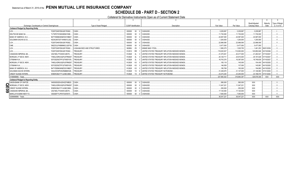### Statement as of March 31, 2019 of the PENN MUTUAL LIFE INSURANCE COMPANY **SCHEDULE DB - PART D - SECTION 2**

Collateral for Derivative Instruments Open as of Current Statement Date

| Exchange, Counterparty or Central Clearinghouse         | Type of Asset Pledged      | <b>CUSIP</b> Identification        | Description                                     | Fair Value   | Par Value    | Book/Adjusted<br>Carrying Value | Maturity<br>Date      | Type of Margin<br>(I, V or IV) |
|---------------------------------------------------------|----------------------------|------------------------------------|-------------------------------------------------|--------------|--------------|---------------------------------|-----------------------|--------------------------------|
| <b>Collateral Pledged by Reporting Entity</b>           |                            |                                    |                                                 |              |              |                                 |                       |                                |
| F226TOH6YD6XJB17KS62<br>LCH                             | CASH                       | $00 \t 0$<br>000000                | CASHUSD                                         | 3.229.997    | .3.229.997   | 3.229.997                       |                       |                                |
| DEUTSCHE BANK SA.<br>7LTWFZYICNSX8D621K86               | CASH.                      | 000000<br>$00\,$<br>$\overline{0}$ | CASHUSD                                         | .11,730,000  | 11,730,000   | 11.730.000                      |                       |                                |
| BANK OF AMERICA, N.A.<br>B4TYDEB6GKMZO031MB27           | CASH                       | 000000<br>$00\,$<br>$\sqrt{ }$     | <b>CASHUSD</b>                                  | 24.587.000   | .24.587.000  | 24.587.000                      |                       |                                |
| <b>GOLDMAN SACHS &amp; CO.</b><br>KD3XUN7C6T14HNAYLU02. | CASH                       | 000000<br>$00\,$                   | CASHUSD                                         | .1.200.000   | 1,200,000    | 1.200.000                       |                       |                                |
| LCH.<br>F226TOH6YD6XJB17KS62.                           | CASH.                      | 000000<br>$00\,$                   | CASHUSD                                         | .22.998.595  | .22.998.595  | 22.998.595                      |                       |                                |
| CME.<br>SNZ2OJLFK8MNNCLQOF39                            | CASH.                      | 000000<br>$00\,$                   | CASHUSD                                         | .5.477.050   | 5.477.050    | .5.477.050                      |                       |                                |
| LCH<br>F226TOH6YD6XJB17KS62.                            | LOAN-BACKED AND STRUCTURED | 36296U<br>ZX                       | <b>GINNIE MAE I POOL</b>                        | .1,585,275   | .1,525,755   |                                 | 1,461,253 06/01/2039. |                                |
| LCH<br>F226TOH6YD6XJB17KS62                             | <b>TREASURY</b>            | 912810<br><b>RR</b>                | UNITED STATES TREASURY INFLATION INDEXED BONDS. | 119.020.527  | .110.000.000 | .120.850.946 02/15/2046.        |                       |                                |
| CANADIAN IMPERIAL BA<br>2IGI19DL77OX0HC3ZE78            | <b>TREASURY</b>            | 912828<br>2L                       | UNITED STATES TREASURY INFLATION INDEXED BONDS  | .41.270.52   | .40.417.000  | 41.263.521 07/15/2027           |                       |                                |
| MORGAN J P SECS. NEW.<br>7H6GLXDRUGQFU57RNE97           | <b>TREASURY</b>            | 912828<br><b>2L</b>                | UNITED STATES TREASURY INFLATION INDEXED BONDS  | 25.129.71    | .24.610.000  | .25.191.628 07/15/2027          |                       |                                |
| E57ODZWZ7FF32TWEFA76<br>CITIBANK N.A.                   | <b>TREASURY</b>            | 912828<br>2L                       | UNITED STATES TREASURY INFLATION INDEXED BONDS  | .16.743.270  | .16.397.000  | 16.749.639 07/15/2027           |                       |                                |
| MORGAN J P SECS. NEW.<br>7H6GLXDRUGQFU57RNE97           | <b>TREASURY</b>            | 912828<br>K <sub>3</sub>           | UNITED STATES TREASURY INFLATION INDEXED BONDS  | .155.118     | .145.000     |                                 | 154.400 04/15/2020.   |                                |
| CITIBANK N.A.<br>E57ODZWZ7FF32TWEFA76.                  | <b>TREASURY</b>            | 912828<br>K <sub>3</sub>           | UNITED STATES TREASURY INFLATION INDEXED BONDS. | .146.559     | 137.000      |                                 | .145.881 04/15/2020.  |                                |
| BANK OF AMERICA, N.A.<br>B4TYDEB6GKMZO031MB27           | <b>TREASURY</b>            | 912828<br>K3                       | UNITED STATES TREASURY INFLATION INDEXED BONDS. | .195.769     | 183.000      |                                 | .194.863 04/15/2020.  |                                |
| <b>GOLDMAN SACHS INTERN</b><br>W22LROWP2IHZNBB6K528     | <b>TREASURY</b>            | 912828<br>Y4                       | UNITED STATES TREASURY NOTE/BOND                | .31.246.670  | .31.147.000  | 31,146,963  07/31/2020.         |                       |                                |
| <b>CREDIT SUISSE INTERN.</b><br>E58DKGMJYYYJLN8C3868    | <b>TREASURY</b>            | 912828<br>Y4                       | UNITED STATES TREASURY NOTE/BOND                | 23.274.240   | .23.200.000  | .23.196.570                     | 07/31/2020            |                                |
| 0199999999. Totals.                                     |                            |                                    |                                                 | .327.990.302 | 316.984.397  | .329.578.306                    | <b>XXX</b>            | <b>XXX</b>                     |
| <b>Collateral Pledged to Reporting Entity</b>           |                            |                                    |                                                 |              |              |                                 |                       |                                |
| 549300SGDHJDHGZYMB20 CASH<br>UNION BANK OF SWITZE.      |                            | $00\,$<br>000000                   | CASHUSD                                         | .580.000     | 580,000      | <b>XXX</b>                      |                       |                                |
| MORGAN J P SECS, NEW.<br>7H6GLXDRUGOFU57RNE97           | CASH.                      | 000000<br>$00\,$                   | CASHUSD                                         | 11.047.22    | .11,047,221  | <b>XXX</b>                      |                       |                                |
| CREDIT SUISSE INTERN.<br>E58DKGMJYYYJLN8C3868           | CASH.                      | 000000<br>$00\,$<br>0 CASHUSD      |                                                 | 250.000      | .250,000     | <b>XXX</b>                      |                       |                                |
| 0<br>CANADIAN IMPERIAL BA.<br>2IGI19DL77OX0HC3ZE78<br>ശ | CASH.                      | 000000<br>$00\,$                   | CASHUSD                                         | 17,120,000   | .17,120,000  | <b>XXX</b>                      |                       |                                |
| <b>BARCLAYS BANK NEW YO</b><br>G5GSEF7VJP5I7OUK5573.    | CASH.                      | 000000<br>$00 \t 0$                | <b>CASHUSD</b>                                  | 7.050.000    | .7,050,000   | <b>XXX</b>                      |                       | $\mathbf{v}$                   |
| 0299999999. Totals.                                     |                            |                                    |                                                 | .36.047.221  | .36,047,221  | <b>XXX</b>                      | <b>XXX</b>            | <b>XXX</b>                     |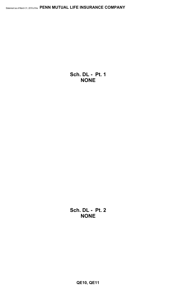**Sch. DL - Pt. 1 NONE**

**Sch. DL - Pt. 2 NONE**

**QE10, QE11**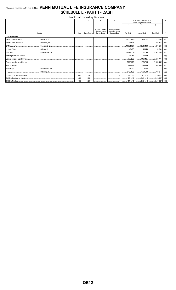## Statement as of March 31, 2019 of the PENN MUTUAL LIFE INSURANCE COMPANY **SCHEDULE E - PART 1 - CASH**

| <b>Month End Depository Balances</b> |  |            |                  |                                                  |                                             |                                  |              |                    |            |  |  |
|--------------------------------------|--|------------|------------------|--------------------------------------------------|---------------------------------------------|----------------------------------|--------------|--------------------|------------|--|--|
|                                      |  |            |                  |                                                  | 5                                           | Book Balance at End of Each      |              |                    |            |  |  |
|                                      |  |            |                  |                                                  |                                             | Month During Current Quarter     |              |                    |            |  |  |
|                                      |  |            |                  |                                                  |                                             | 6                                |              | 8                  |            |  |  |
|                                      |  |            |                  | Amount of Interest                               | Amount of Interest                          |                                  |              |                    |            |  |  |
| Depository                           |  | Code       | Rate of Interest | <b>Received During</b><br><b>Current Quarter</b> | Accrued at Current<br><b>Statement Date</b> | <b>First Month</b>               | Second Month | <b>Third Month</b> |            |  |  |
| <b>Open Depositories</b>             |  |            |                  |                                                  |                                             |                                  |              |                    |            |  |  |
|                                      |  |            |                  |                                                  |                                             |                                  |              | 726,566            | <b>XXX</b> |  |  |
|                                      |  |            |                  |                                                  |                                             |                                  |              |                    | XXX        |  |  |
|                                      |  |            |                  |                                                  |                                             |                                  |              |                    | <b>XXX</b> |  |  |
|                                      |  |            |                  |                                                  |                                             |                                  |              |                    | XXX        |  |  |
|                                      |  |            |                  |                                                  |                                             |                                  |              |                    | <b>XXX</b> |  |  |
|                                      |  |            |                  |                                                  |                                             |                                  |              |                    | <b>XXX</b> |  |  |
|                                      |  |            |                  |                                                  |                                             |                                  |              |                    | <b>XXX</b> |  |  |
|                                      |  |            |                  |                                                  |                                             |                                  |              |                    | <b>XXX</b> |  |  |
|                                      |  |            |                  |                                                  |                                             |                                  |              |                    | <b>XXX</b> |  |  |
|                                      |  |            |                  |                                                  |                                             |                                  | 5,998        |                    | <b>XXX</b> |  |  |
|                                      |  |            | .                |                                                  |                                             |                                  |              |                    | <b>XXX</b> |  |  |
|                                      |  | <b>XXX</b> | XXX              |                                                  |                                             |                                  |              |                    | XXX        |  |  |
|                                      |  | <b>XXX</b> | <b>XXX</b>       |                                                  |                                             | 15,713,575 33,211,310 28,514,327 |              |                    | <b>XXX</b> |  |  |
|                                      |  | <b>XXX</b> | <b>XXX</b>       |                                                  |                                             | 15.713.575 33.211.310 28.514.327 |              |                    | <b>XXX</b> |  |  |